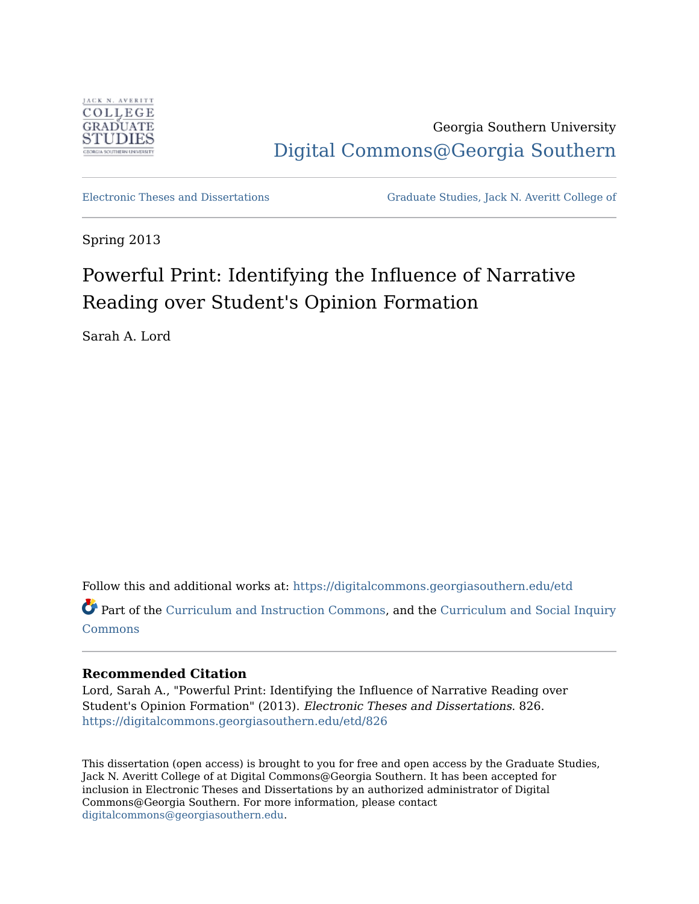

Georgia Southern University [Digital Commons@Georgia Southern](https://digitalcommons.georgiasouthern.edu/) 

[Electronic Theses and Dissertations](https://digitalcommons.georgiasouthern.edu/etd) [Graduate Studies, Jack N. Averitt College of](https://digitalcommons.georgiasouthern.edu/cogs) 

Spring 2013

# Powerful Print: Identifying the Influence of Narrative Reading over Student's Opinion Formation

Sarah A. Lord

Follow this and additional works at: [https://digitalcommons.georgiasouthern.edu/etd](https://digitalcommons.georgiasouthern.edu/etd?utm_source=digitalcommons.georgiasouthern.edu%2Fetd%2F826&utm_medium=PDF&utm_campaign=PDFCoverPages)  Part of the [Curriculum and Instruction Commons,](http://network.bepress.com/hgg/discipline/786?utm_source=digitalcommons.georgiasouthern.edu%2Fetd%2F826&utm_medium=PDF&utm_campaign=PDFCoverPages) and the [Curriculum and Social Inquiry](http://network.bepress.com/hgg/discipline/1038?utm_source=digitalcommons.georgiasouthern.edu%2Fetd%2F826&utm_medium=PDF&utm_campaign=PDFCoverPages) 

**[Commons](http://network.bepress.com/hgg/discipline/1038?utm_source=digitalcommons.georgiasouthern.edu%2Fetd%2F826&utm_medium=PDF&utm_campaign=PDFCoverPages)** 

### **Recommended Citation**

Lord, Sarah A., "Powerful Print: Identifying the Influence of Narrative Reading over Student's Opinion Formation" (2013). Electronic Theses and Dissertations. 826. [https://digitalcommons.georgiasouthern.edu/etd/826](https://digitalcommons.georgiasouthern.edu/etd/826?utm_source=digitalcommons.georgiasouthern.edu%2Fetd%2F826&utm_medium=PDF&utm_campaign=PDFCoverPages) 

This dissertation (open access) is brought to you for free and open access by the Graduate Studies, Jack N. Averitt College of at Digital Commons@Georgia Southern. It has been accepted for inclusion in Electronic Theses and Dissertations by an authorized administrator of Digital Commons@Georgia Southern. For more information, please contact [digitalcommons@georgiasouthern.edu.](mailto:digitalcommons@georgiasouthern.edu)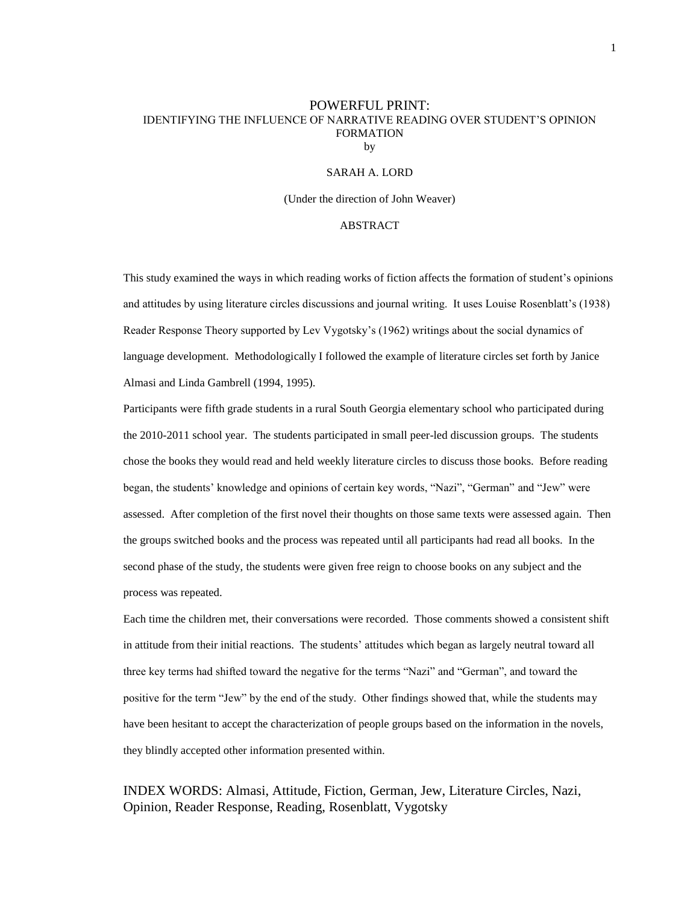#### POWERFUL PRINT: IDENTIFYING THE INFLUENCE OF NARRATIVE READING OVER STUDENT'S OPINION FORMATION by

#### SARAH A. LORD

(Under the direction of John Weaver)

#### ABSTRACT

This study examined the ways in which reading works of fiction affects the formation of student's opinions and attitudes by using literature circles discussions and journal writing. It uses Louise Rosenblatt's (1938) Reader Response Theory supported by Lev Vygotsky's (1962) writings about the social dynamics of language development. Methodologically I followed the example of literature circles set forth by Janice Almasi and Linda Gambrell (1994, 1995).

Participants were fifth grade students in a rural South Georgia elementary school who participated during the 2010-2011 school year. The students participated in small peer-led discussion groups. The students chose the books they would read and held weekly literature circles to discuss those books. Before reading began, the students' knowledge and opinions of certain key words, "Nazi", "German" and "Jew" were assessed. After completion of the first novel their thoughts on those same texts were assessed again. Then the groups switched books and the process was repeated until all participants had read all books. In the second phase of the study, the students were given free reign to choose books on any subject and the process was repeated.

Each time the children met, their conversations were recorded. Those comments showed a consistent shift in attitude from their initial reactions. The students' attitudes which began as largely neutral toward all three key terms had shifted toward the negative for the terms "Nazi" and "German", and toward the positive for the term "Jew" by the end of the study. Other findings showed that, while the students may have been hesitant to accept the characterization of people groups based on the information in the novels, they blindly accepted other information presented within.

INDEX WORDS: Almasi, Attitude, Fiction, German, Jew, Literature Circles, Nazi, Opinion, Reader Response, Reading, Rosenblatt, Vygotsky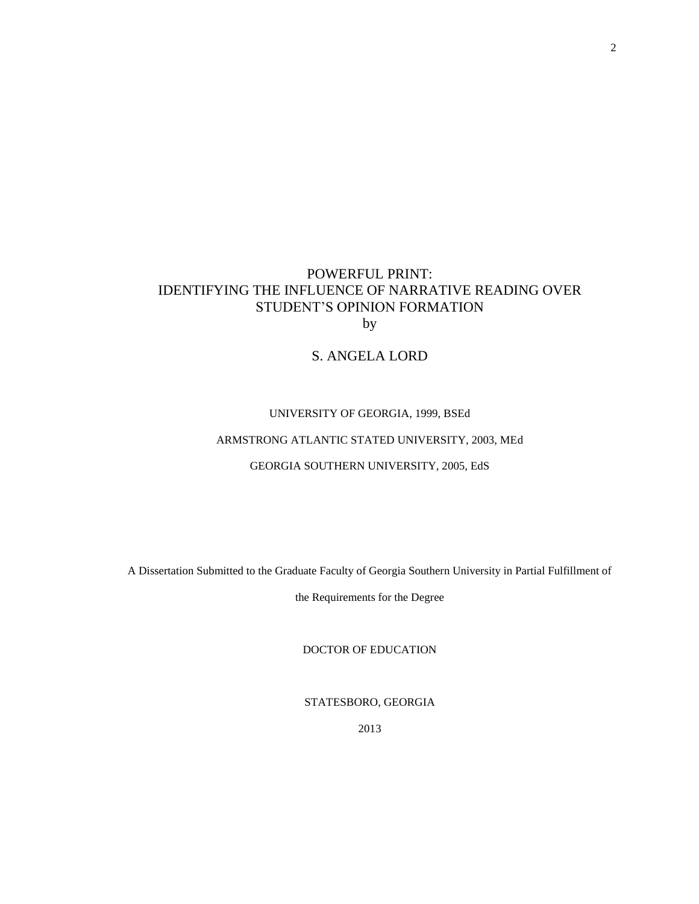# POWERFUL PRINT: IDENTIFYING THE INFLUENCE OF NARRATIVE READING OVER STUDENT'S OPINION FORMATION by

### S. ANGELA LORD

#### UNIVERSITY OF GEORGIA, 1999, BSEd

### ARMSTRONG ATLANTIC STATED UNIVERSITY, 2003, MEd

#### GEORGIA SOUTHERN UNIVERSITY, 2005, EdS

A Dissertation Submitted to the Graduate Faculty of Georgia Southern University in Partial Fulfillment of

the Requirements for the Degree

DOCTOR OF EDUCATION

STATESBORO, GEORGIA

2013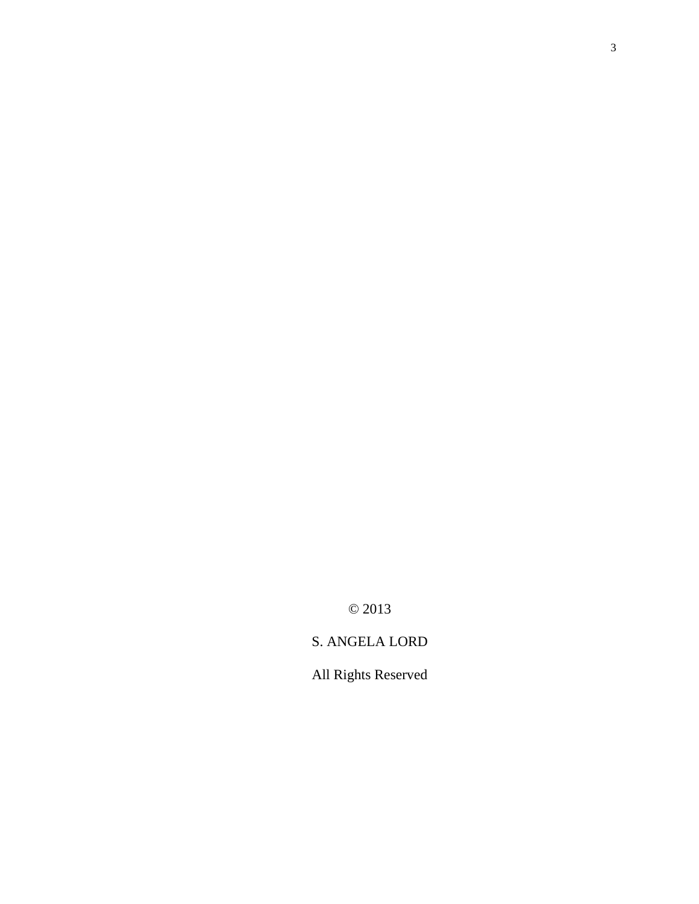© 2013

# S. ANGELA LORD

All Rights Reserved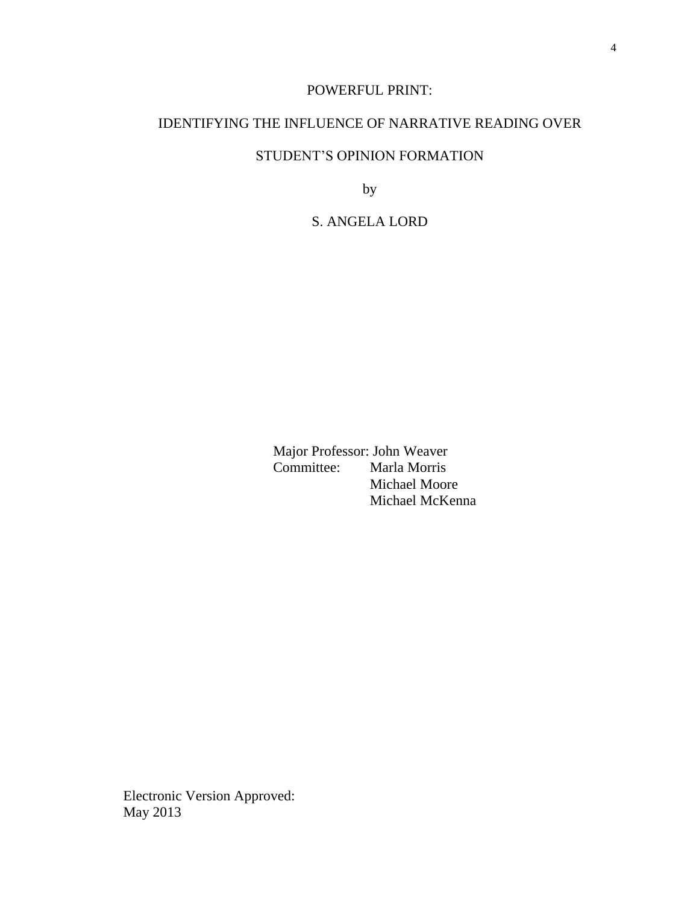### POWERFUL PRINT:

### IDENTIFYING THE INFLUENCE OF NARRATIVE READING OVER

# STUDENT'S OPINION FORMATION

by

# S. ANGELA LORD

Major Professor: John Weaver<br>Committee: Marla Morris Marla Morris Michael Moore Michael McKenna

Electronic Version Approved: May 2013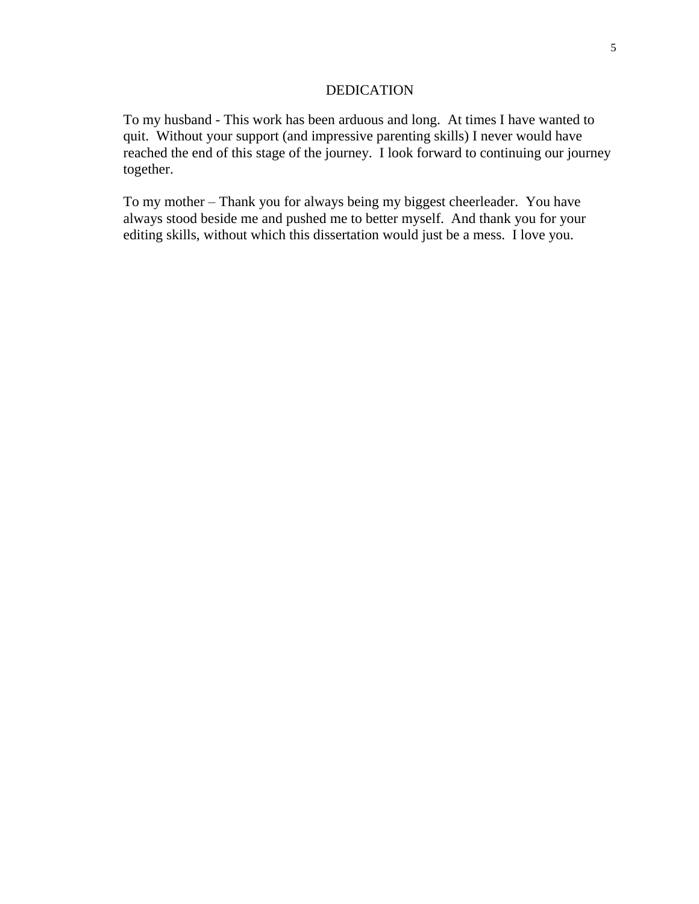### DEDICATION

To my husband - This work has been arduous and long. At times I have wanted to quit. Without your support (and impressive parenting skills) I never would have reached the end of this stage of the journey. I look forward to continuing our journey together.

To my mother – Thank you for always being my biggest cheerleader. You have always stood beside me and pushed me to better myself. And thank you for your editing skills, without which this dissertation would just be a mess. I love you.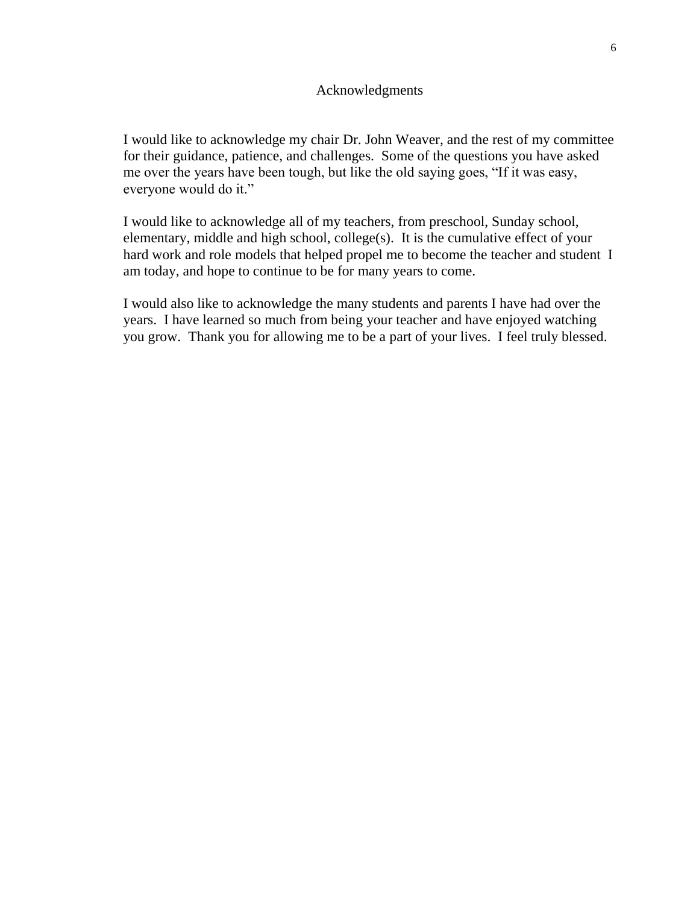### Acknowledgments

I would like to acknowledge my chair Dr. John Weaver, and the rest of my committee for their guidance, patience, and challenges. Some of the questions you have asked me over the years have been tough, but like the old saying goes, "If it was easy, everyone would do it."

I would like to acknowledge all of my teachers, from preschool, Sunday school, elementary, middle and high school, college(s). It is the cumulative effect of your hard work and role models that helped propel me to become the teacher and student I am today, and hope to continue to be for many years to come.

I would also like to acknowledge the many students and parents I have had over the years. I have learned so much from being your teacher and have enjoyed watching you grow. Thank you for allowing me to be a part of your lives. I feel truly blessed.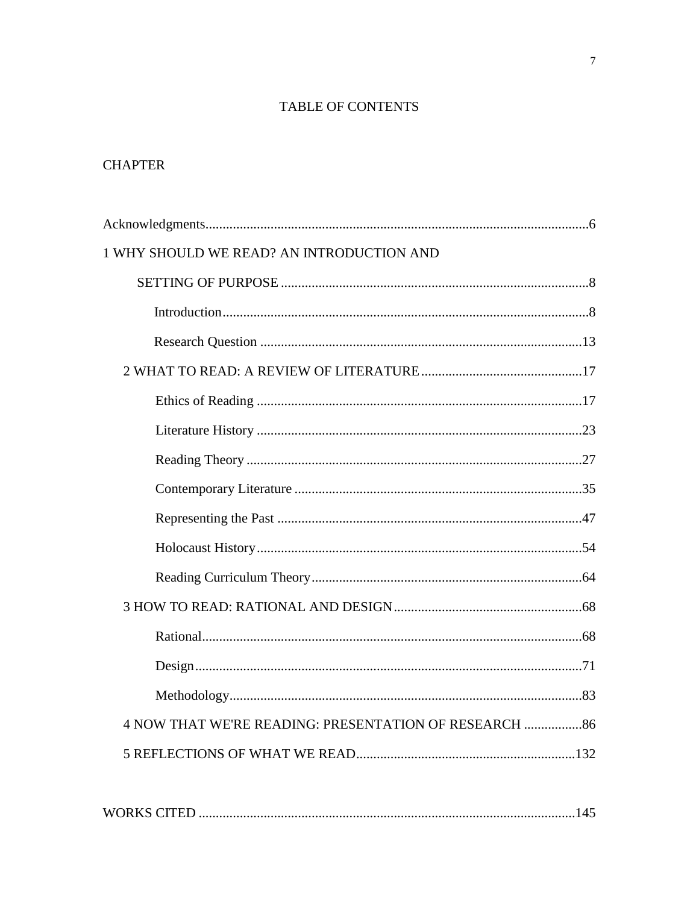# TABLE OF CONTENTS

# **CHAPTER**

| 1 WHY SHOULD WE READ? AN INTRODUCTION AND              |  |
|--------------------------------------------------------|--|
|                                                        |  |
|                                                        |  |
|                                                        |  |
|                                                        |  |
|                                                        |  |
|                                                        |  |
|                                                        |  |
|                                                        |  |
|                                                        |  |
|                                                        |  |
|                                                        |  |
|                                                        |  |
|                                                        |  |
|                                                        |  |
|                                                        |  |
| 4 NOW THAT WE'RE READING: PRESENTATION OF RESEARCH  86 |  |
|                                                        |  |
|                                                        |  |

|--|--|--|--|--|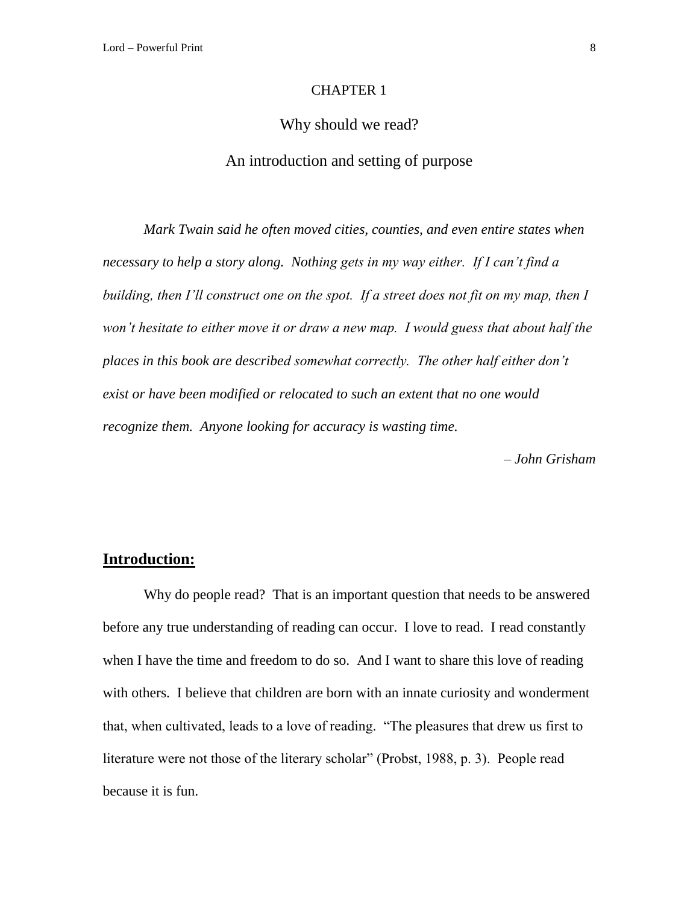#### CHAPTER 1

### Why should we read?

### An introduction and setting of purpose

*Mark Twain said he often moved cities, counties, and even entire states when necessary to help a story along. Nothing gets in my way either. If I can't find a building, then I'll construct one on the spot. If a street does not fit on my map, then I won't hesitate to either move it or draw a new map. I would guess that about half the places in this book are described somewhat correctly. The other half either don't exist or have been modified or relocated to such an extent that no one would recognize them. Anyone looking for accuracy is wasting time.* 

*– John Grisham*

# **Introduction:**

Why do people read? That is an important question that needs to be answered before any true understanding of reading can occur. I love to read. I read constantly when I have the time and freedom to do so. And I want to share this love of reading with others. I believe that children are born with an innate curiosity and wonderment that, when cultivated, leads to a love of reading. "The pleasures that drew us first to literature were not those of the literary scholar" (Probst, 1988, p. 3). People read because it is fun.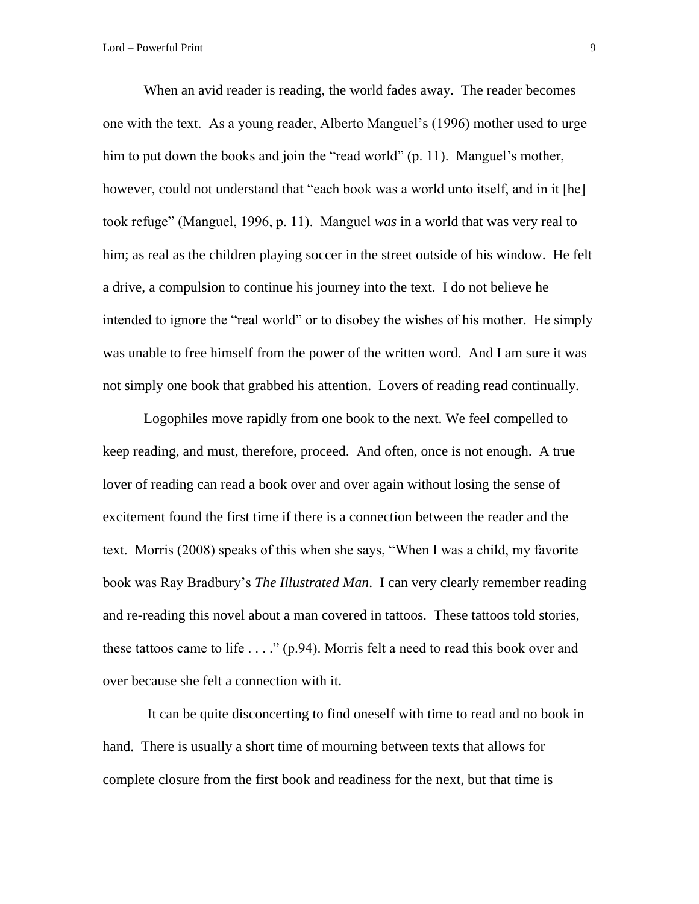When an avid reader is reading, the world fades away. The reader becomes one with the text. As a young reader, Alberto Manguel's (1996) mother used to urge him to put down the books and join the "read world" (p. 11). Manguel's mother, however, could not understand that "each book was a world unto itself, and in it [he] took refuge" (Manguel, 1996, p. 11). Manguel *was* in a world that was very real to him; as real as the children playing soccer in the street outside of his window. He felt a drive, a compulsion to continue his journey into the text. I do not believe he intended to ignore the "real world" or to disobey the wishes of his mother. He simply was unable to free himself from the power of the written word. And I am sure it was not simply one book that grabbed his attention. Lovers of reading read continually.

Logophiles move rapidly from one book to the next. We feel compelled to keep reading, and must, therefore, proceed. And often, once is not enough. A true lover of reading can read a book over and over again without losing the sense of excitement found the first time if there is a connection between the reader and the text. Morris (2008) speaks of this when she says, "When I was a child, my favorite book was Ray Bradbury's *The Illustrated Man*. I can very clearly remember reading and re-reading this novel about a man covered in tattoos. These tattoos told stories, these tattoos came to life . . . ." (p.94). Morris felt a need to read this book over and over because she felt a connection with it.

It can be quite disconcerting to find oneself with time to read and no book in hand. There is usually a short time of mourning between texts that allows for complete closure from the first book and readiness for the next, but that time is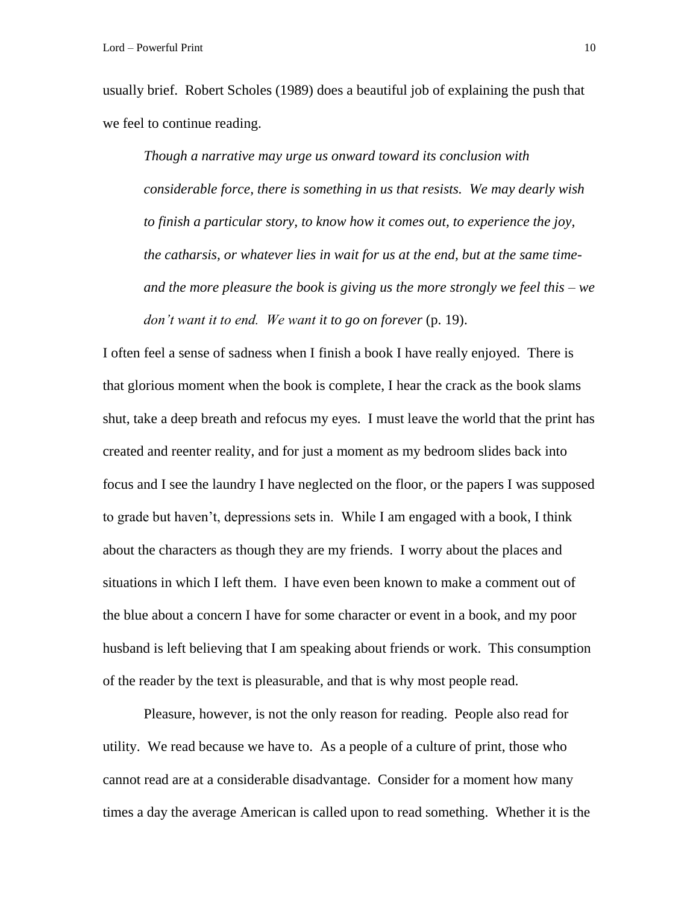usually brief. Robert Scholes (1989) does a beautiful job of explaining the push that we feel to continue reading.

*Though a narrative may urge us onward toward its conclusion with considerable force, there is something in us that resists. We may dearly wish to finish a particular story, to know how it comes out, to experience the joy, the catharsis, or whatever lies in wait for us at the end, but at the same timeand the more pleasure the book is giving us the more strongly we feel this – we don't want it to end. We want it to go on forever* (p. 19).

I often feel a sense of sadness when I finish a book I have really enjoyed. There is that glorious moment when the book is complete, I hear the crack as the book slams shut, take a deep breath and refocus my eyes. I must leave the world that the print has created and reenter reality, and for just a moment as my bedroom slides back into focus and I see the laundry I have neglected on the floor, or the papers I was supposed to grade but haven't, depressions sets in. While I am engaged with a book, I think about the characters as though they are my friends. I worry about the places and situations in which I left them. I have even been known to make a comment out of the blue about a concern I have for some character or event in a book, and my poor husband is left believing that I am speaking about friends or work. This consumption of the reader by the text is pleasurable, and that is why most people read.

Pleasure, however, is not the only reason for reading. People also read for utility. We read because we have to. As a people of a culture of print, those who cannot read are at a considerable disadvantage. Consider for a moment how many times a day the average American is called upon to read something. Whether it is the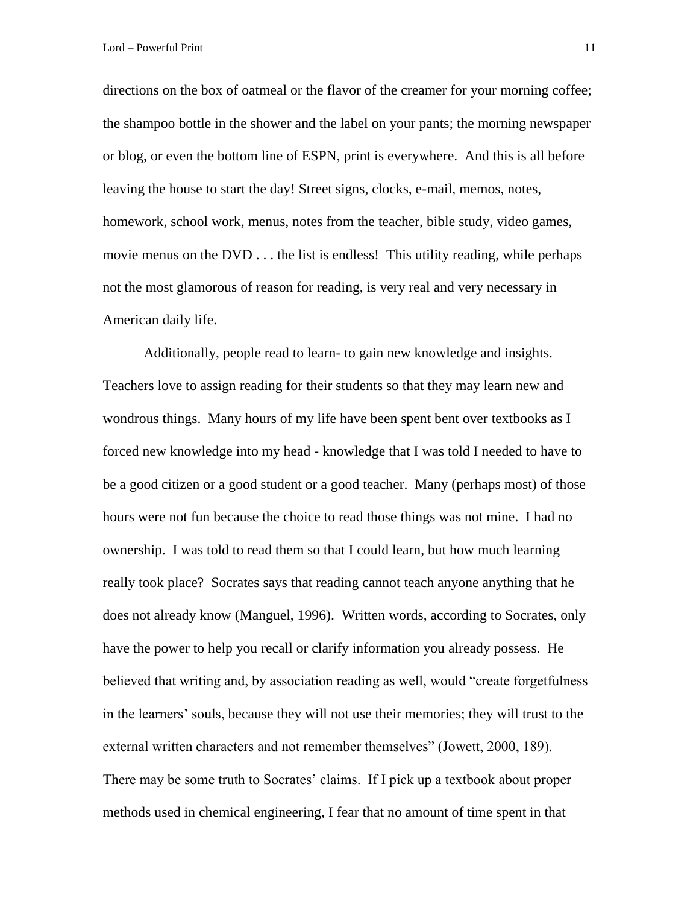directions on the box of oatmeal or the flavor of the creamer for your morning coffee; the shampoo bottle in the shower and the label on your pants; the morning newspaper or blog, or even the bottom line of ESPN, print is everywhere. And this is all before leaving the house to start the day! Street signs, clocks, e-mail, memos, notes, homework, school work, menus, notes from the teacher, bible study, video games, movie menus on the DVD . . . the list is endless! This utility reading, while perhaps not the most glamorous of reason for reading, is very real and very necessary in American daily life.

Additionally, people read to learn- to gain new knowledge and insights. Teachers love to assign reading for their students so that they may learn new and wondrous things. Many hours of my life have been spent bent over textbooks as I forced new knowledge into my head - knowledge that I was told I needed to have to be a good citizen or a good student or a good teacher. Many (perhaps most) of those hours were not fun because the choice to read those things was not mine. I had no ownership. I was told to read them so that I could learn, but how much learning really took place? Socrates says that reading cannot teach anyone anything that he does not already know (Manguel, 1996). Written words, according to Socrates, only have the power to help you recall or clarify information you already possess. He believed that writing and, by association reading as well, would "create forgetfulness in the learners' souls, because they will not use their memories; they will trust to the external written characters and not remember themselves" (Jowett, 2000, 189). There may be some truth to Socrates' claims. If I pick up a textbook about proper methods used in chemical engineering, I fear that no amount of time spent in that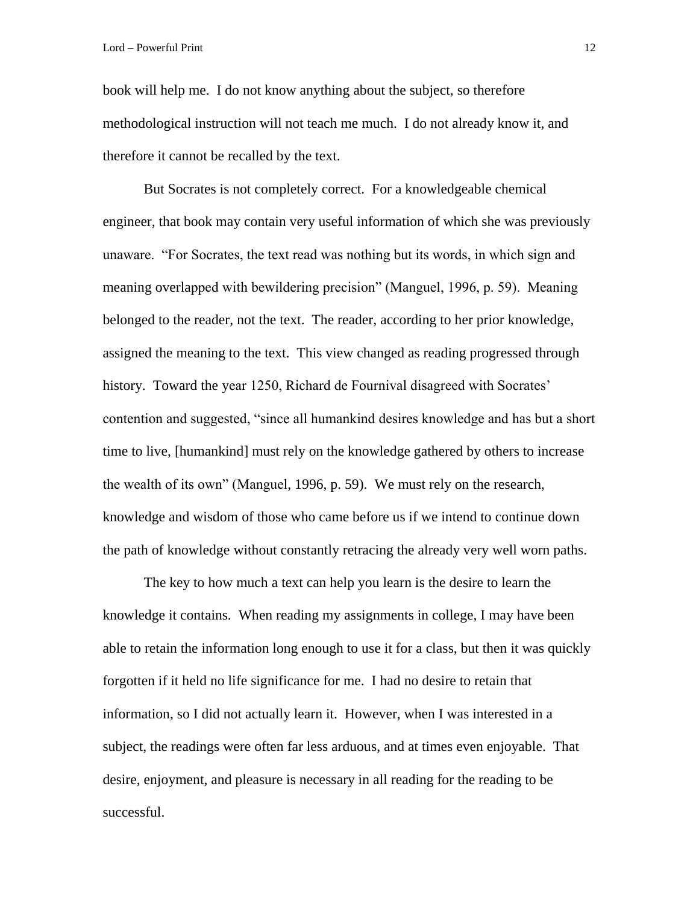book will help me. I do not know anything about the subject, so therefore methodological instruction will not teach me much. I do not already know it, and therefore it cannot be recalled by the text.

But Socrates is not completely correct. For a knowledgeable chemical engineer, that book may contain very useful information of which she was previously unaware. "For Socrates, the text read was nothing but its words, in which sign and meaning overlapped with bewildering precision" (Manguel, 1996, p. 59). Meaning belonged to the reader, not the text. The reader, according to her prior knowledge, assigned the meaning to the text. This view changed as reading progressed through history. Toward the year 1250, Richard de Fournival disagreed with Socrates' contention and suggested, "since all humankind desires knowledge and has but a short time to live, [humankind] must rely on the knowledge gathered by others to increase the wealth of its own" (Manguel, 1996, p. 59). We must rely on the research, knowledge and wisdom of those who came before us if we intend to continue down the path of knowledge without constantly retracing the already very well worn paths.

The key to how much a text can help you learn is the desire to learn the knowledge it contains. When reading my assignments in college, I may have been able to retain the information long enough to use it for a class, but then it was quickly forgotten if it held no life significance for me. I had no desire to retain that information, so I did not actually learn it. However, when I was interested in a subject, the readings were often far less arduous, and at times even enjoyable. That desire, enjoyment, and pleasure is necessary in all reading for the reading to be successful.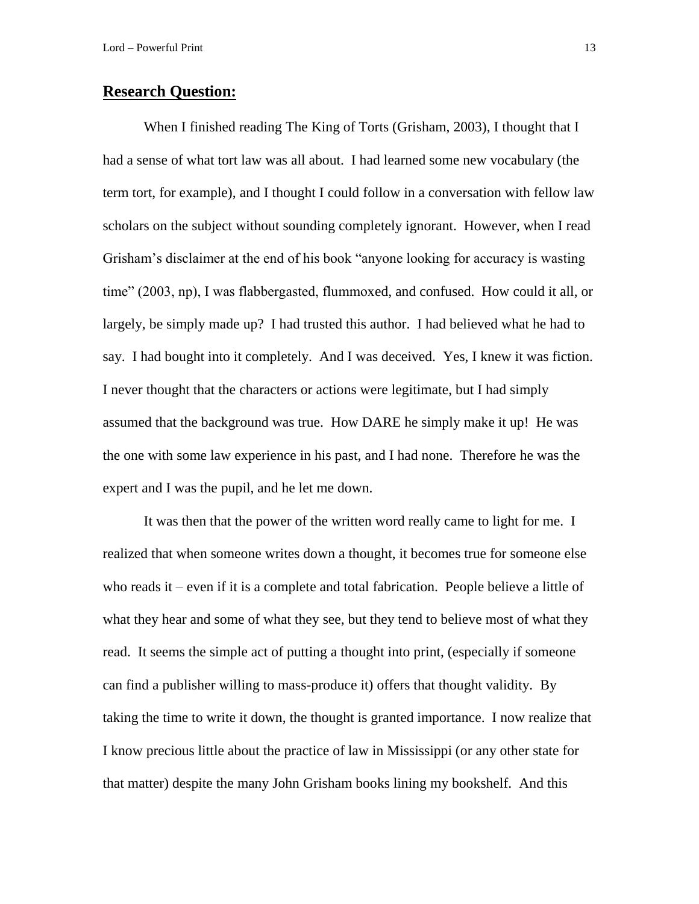### **Research Question:**

When I finished reading The King of Torts (Grisham, 2003), I thought that I had a sense of what tort law was all about. I had learned some new vocabulary (the term tort, for example), and I thought I could follow in a conversation with fellow law scholars on the subject without sounding completely ignorant. However, when I read Grisham's disclaimer at the end of his book "anyone looking for accuracy is wasting time" (2003, np), I was flabbergasted, flummoxed, and confused. How could it all, or largely, be simply made up? I had trusted this author. I had believed what he had to say. I had bought into it completely. And I was deceived. Yes, I knew it was fiction. I never thought that the characters or actions were legitimate, but I had simply assumed that the background was true. How DARE he simply make it up! He was the one with some law experience in his past, and I had none. Therefore he was the expert and I was the pupil, and he let me down.

It was then that the power of the written word really came to light for me. I realized that when someone writes down a thought, it becomes true for someone else who reads it – even if it is a complete and total fabrication. People believe a little of what they hear and some of what they see, but they tend to believe most of what they read. It seems the simple act of putting a thought into print, (especially if someone can find a publisher willing to mass-produce it) offers that thought validity. By taking the time to write it down, the thought is granted importance. I now realize that I know precious little about the practice of law in Mississippi (or any other state for that matter) despite the many John Grisham books lining my bookshelf. And this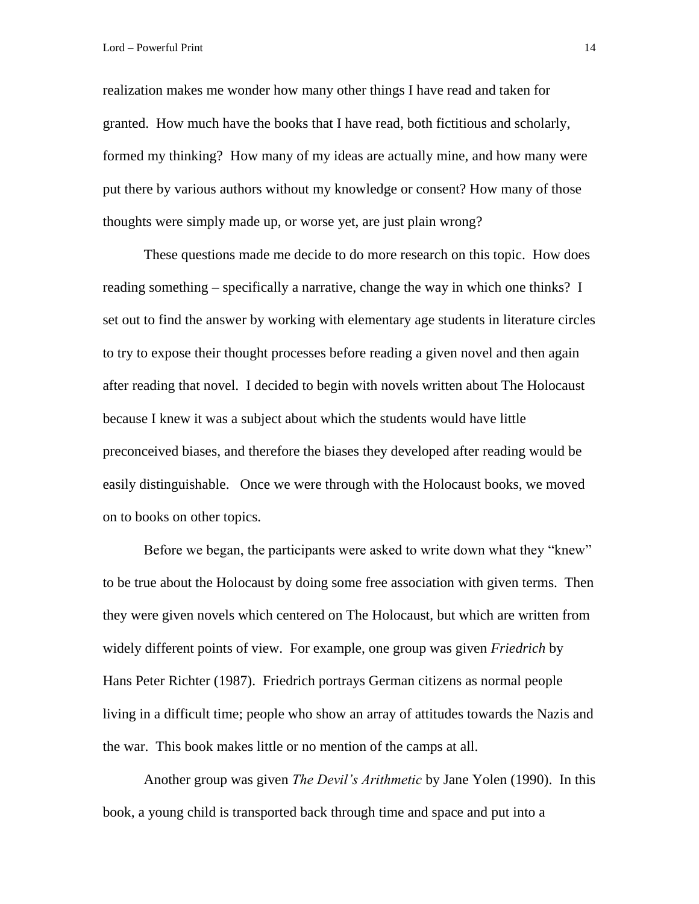realization makes me wonder how many other things I have read and taken for granted. How much have the books that I have read, both fictitious and scholarly, formed my thinking? How many of my ideas are actually mine, and how many were put there by various authors without my knowledge or consent? How many of those thoughts were simply made up, or worse yet, are just plain wrong?

These questions made me decide to do more research on this topic. How does reading something – specifically a narrative, change the way in which one thinks? I set out to find the answer by working with elementary age students in literature circles to try to expose their thought processes before reading a given novel and then again after reading that novel. I decided to begin with novels written about The Holocaust because I knew it was a subject about which the students would have little preconceived biases, and therefore the biases they developed after reading would be easily distinguishable. Once we were through with the Holocaust books, we moved on to books on other topics.

Before we began, the participants were asked to write down what they "knew" to be true about the Holocaust by doing some free association with given terms. Then they were given novels which centered on The Holocaust, but which are written from widely different points of view. For example, one group was given *Friedrich* by Hans Peter Richter (1987). Friedrich portrays German citizens as normal people living in a difficult time; people who show an array of attitudes towards the Nazis and the war. This book makes little or no mention of the camps at all.

Another group was given *The Devil's Arithmetic* by Jane Yolen (1990). In this book, a young child is transported back through time and space and put into a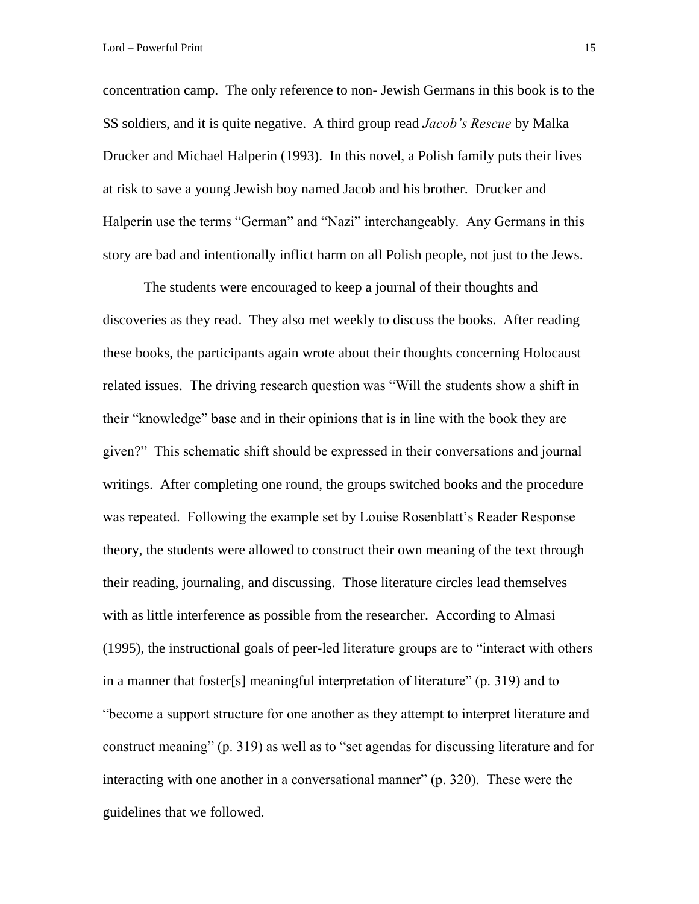concentration camp. The only reference to non- Jewish Germans in this book is to the SS soldiers, and it is quite negative. A third group read *Jacob's Rescue* by Malka Drucker and Michael Halperin (1993). In this novel, a Polish family puts their lives at risk to save a young Jewish boy named Jacob and his brother. Drucker and Halperin use the terms "German" and "Nazi" interchangeably. Any Germans in this story are bad and intentionally inflict harm on all Polish people, not just to the Jews.

The students were encouraged to keep a journal of their thoughts and discoveries as they read. They also met weekly to discuss the books. After reading these books, the participants again wrote about their thoughts concerning Holocaust related issues. The driving research question was "Will the students show a shift in their "knowledge" base and in their opinions that is in line with the book they are given?" This schematic shift should be expressed in their conversations and journal writings. After completing one round, the groups switched books and the procedure was repeated. Following the example set by Louise Rosenblatt's Reader Response theory, the students were allowed to construct their own meaning of the text through their reading, journaling, and discussing. Those literature circles lead themselves with as little interference as possible from the researcher. According to Almasi (1995), the instructional goals of peer-led literature groups are to "interact with others in a manner that foster[s] meaningful interpretation of literature" (p. 319) and to "become a support structure for one another as they attempt to interpret literature and construct meaning" (p. 319) as well as to "set agendas for discussing literature and for interacting with one another in a conversational manner" (p. 320). These were the guidelines that we followed.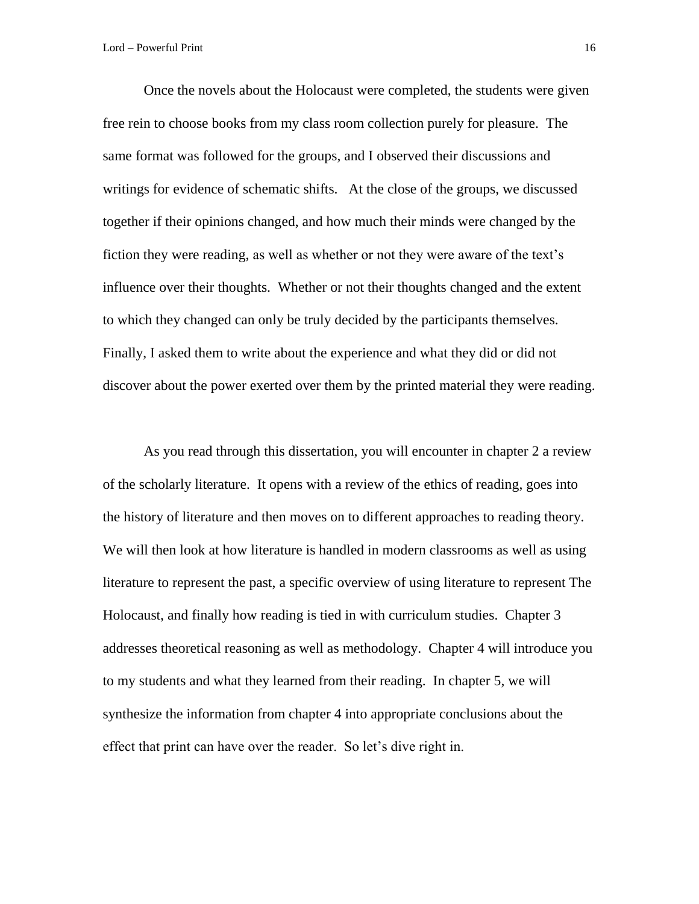Once the novels about the Holocaust were completed, the students were given free rein to choose books from my class room collection purely for pleasure. The same format was followed for the groups, and I observed their discussions and writings for evidence of schematic shifts. At the close of the groups, we discussed together if their opinions changed, and how much their minds were changed by the fiction they were reading, as well as whether or not they were aware of the text's influence over their thoughts. Whether or not their thoughts changed and the extent to which they changed can only be truly decided by the participants themselves. Finally, I asked them to write about the experience and what they did or did not discover about the power exerted over them by the printed material they were reading.

As you read through this dissertation, you will encounter in chapter 2 a review of the scholarly literature. It opens with a review of the ethics of reading, goes into the history of literature and then moves on to different approaches to reading theory. We will then look at how literature is handled in modern classrooms as well as using literature to represent the past, a specific overview of using literature to represent The Holocaust, and finally how reading is tied in with curriculum studies. Chapter 3 addresses theoretical reasoning as well as methodology. Chapter 4 will introduce you to my students and what they learned from their reading. In chapter 5, we will synthesize the information from chapter 4 into appropriate conclusions about the effect that print can have over the reader. So let's dive right in.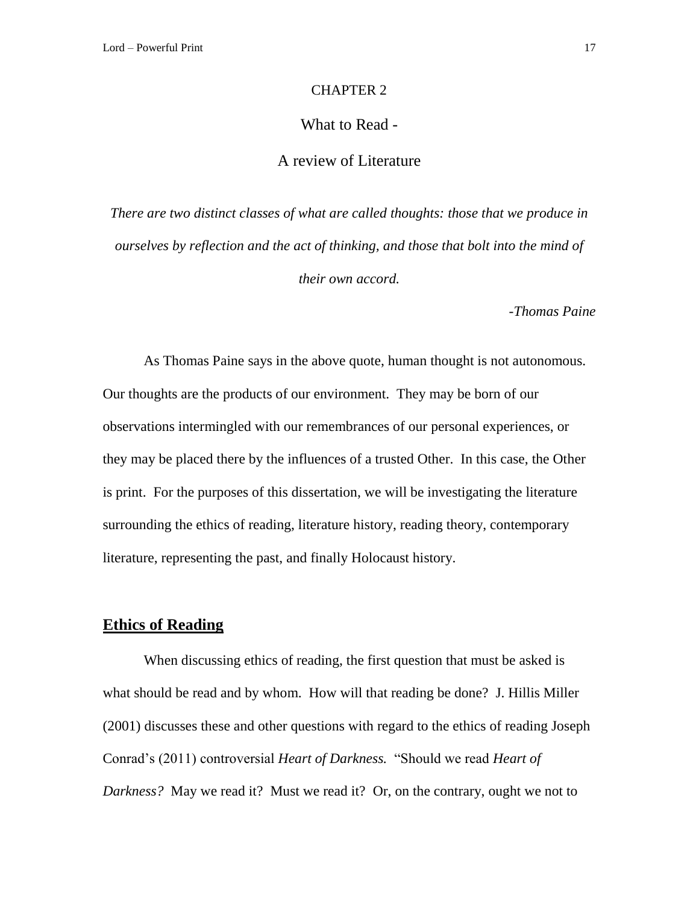#### CHAPTER 2

### What to Read -

### A review of Literature

*There are two distinct classes of what are called thoughts: those that we produce in ourselves by reflection and the act of thinking, and those that bolt into the mind of their own accord.*

*-Thomas Paine*

As Thomas Paine says in the above quote, human thought is not autonomous. Our thoughts are the products of our environment. They may be born of our observations intermingled with our remembrances of our personal experiences, or they may be placed there by the influences of a trusted Other. In this case, the Other is print. For the purposes of this dissertation, we will be investigating the literature surrounding the ethics of reading, literature history, reading theory, contemporary literature, representing the past, and finally Holocaust history.

### **Ethics of Reading**

When discussing ethics of reading, the first question that must be asked is what should be read and by whom. How will that reading be done? J. Hillis Miller (2001) discusses these and other questions with regard to the ethics of reading Joseph Conrad's (2011) controversial *Heart of Darkness.* "Should we read *Heart of Darkness?* May we read it? Must we read it? Or, on the contrary, ought we not to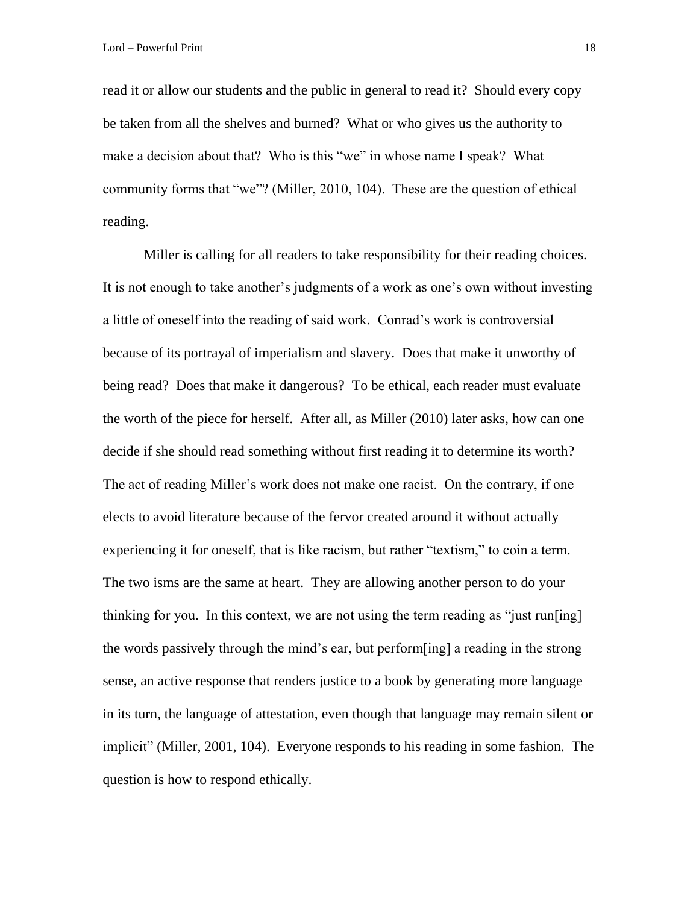read it or allow our students and the public in general to read it? Should every copy be taken from all the shelves and burned? What or who gives us the authority to make a decision about that? Who is this "we" in whose name I speak? What community forms that "we"? (Miller, 2010, 104). These are the question of ethical reading.

Miller is calling for all readers to take responsibility for their reading choices. It is not enough to take another's judgments of a work as one's own without investing a little of oneself into the reading of said work. Conrad's work is controversial because of its portrayal of imperialism and slavery. Does that make it unworthy of being read? Does that make it dangerous? To be ethical, each reader must evaluate the worth of the piece for herself. After all, as Miller (2010) later asks, how can one decide if she should read something without first reading it to determine its worth? The act of reading Miller's work does not make one racist. On the contrary, if one elects to avoid literature because of the fervor created around it without actually experiencing it for oneself, that is like racism, but rather "textism," to coin a term. The two isms are the same at heart. They are allowing another person to do your thinking for you. In this context, we are not using the term reading as "just run[ing] the words passively through the mind's ear, but perform[ing] a reading in the strong sense, an active response that renders justice to a book by generating more language in its turn, the language of attestation, even though that language may remain silent or implicit" (Miller, 2001, 104). Everyone responds to his reading in some fashion. The question is how to respond ethically.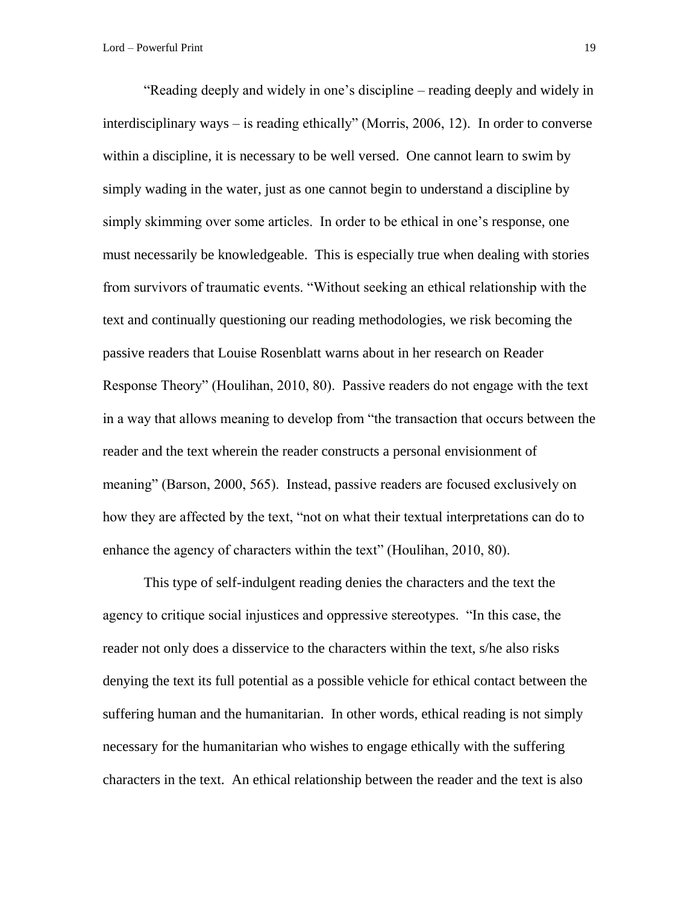"Reading deeply and widely in one's discipline – reading deeply and widely in interdisciplinary ways – is reading ethically" (Morris, 2006, 12). In order to converse within a discipline, it is necessary to be well versed. One cannot learn to swim by simply wading in the water, just as one cannot begin to understand a discipline by simply skimming over some articles. In order to be ethical in one's response, one must necessarily be knowledgeable. This is especially true when dealing with stories from survivors of traumatic events. "Without seeking an ethical relationship with the text and continually questioning our reading methodologies, we risk becoming the passive readers that Louise Rosenblatt warns about in her research on Reader Response Theory" (Houlihan, 2010, 80). Passive readers do not engage with the text in a way that allows meaning to develop from "the transaction that occurs between the reader and the text wherein the reader constructs a personal envisionment of meaning" (Barson, 2000, 565). Instead, passive readers are focused exclusively on how they are affected by the text, "not on what their textual interpretations can do to enhance the agency of characters within the text" (Houlihan, 2010, 80).

This type of self-indulgent reading denies the characters and the text the agency to critique social injustices and oppressive stereotypes. "In this case, the reader not only does a disservice to the characters within the text, s/he also risks denying the text its full potential as a possible vehicle for ethical contact between the suffering human and the humanitarian. In other words, ethical reading is not simply necessary for the humanitarian who wishes to engage ethically with the suffering characters in the text. An ethical relationship between the reader and the text is also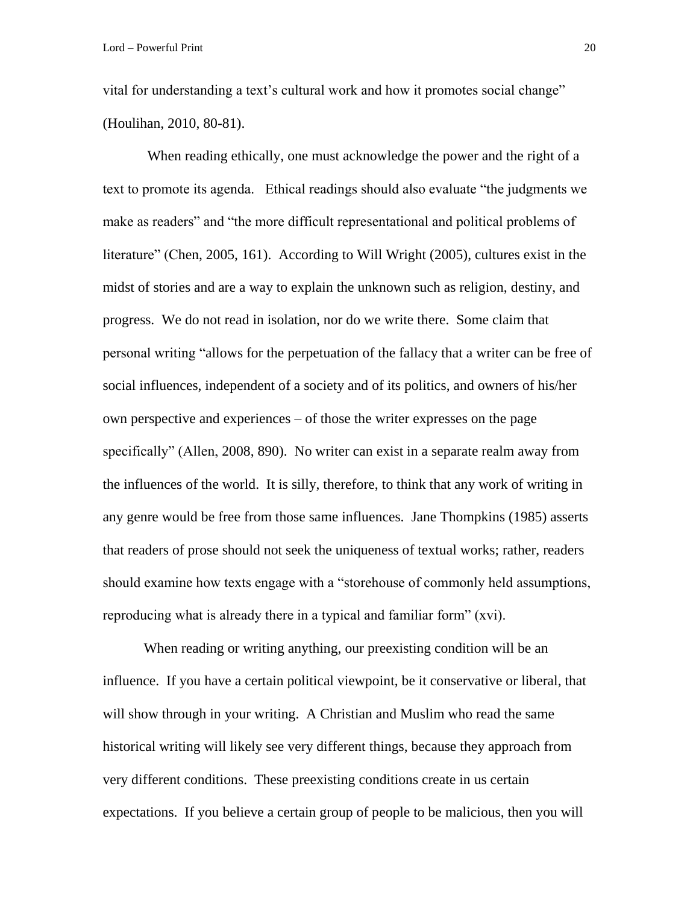vital for understanding a text's cultural work and how it promotes social change" (Houlihan, 2010, 80-81).

When reading ethically, one must acknowledge the power and the right of a text to promote its agenda. Ethical readings should also evaluate "the judgments we make as readers" and "the more difficult representational and political problems of literature" (Chen, 2005, 161). According to Will Wright (2005), cultures exist in the midst of stories and are a way to explain the unknown such as religion, destiny, and progress. We do not read in isolation, nor do we write there. Some claim that personal writing "allows for the perpetuation of the fallacy that a writer can be free of social influences, independent of a society and of its politics, and owners of his/her own perspective and experiences – of those the writer expresses on the page specifically" (Allen, 2008, 890). No writer can exist in a separate realm away from the influences of the world. It is silly, therefore, to think that any work of writing in any genre would be free from those same influences. Jane Thompkins (1985) asserts that readers of prose should not seek the uniqueness of textual works; rather, readers should examine how texts engage with a "storehouse of commonly held assumptions, reproducing what is already there in a typical and familiar form" (xvi).

When reading or writing anything, our preexisting condition will be an influence. If you have a certain political viewpoint, be it conservative or liberal, that will show through in your writing. A Christian and Muslim who read the same historical writing will likely see very different things, because they approach from very different conditions. These preexisting conditions create in us certain expectations. If you believe a certain group of people to be malicious, then you will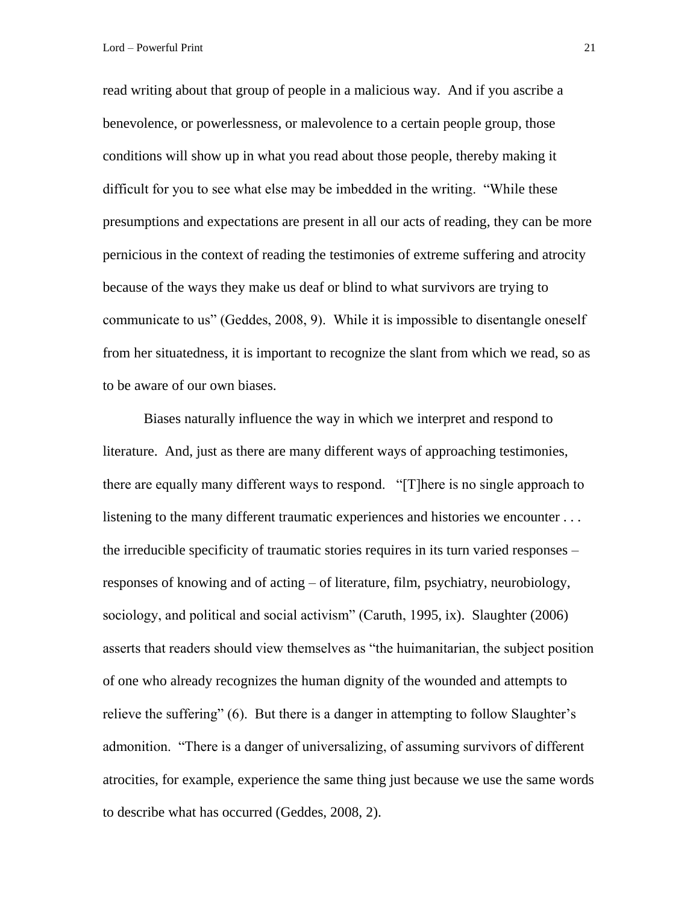read writing about that group of people in a malicious way. And if you ascribe a benevolence, or powerlessness, or malevolence to a certain people group, those conditions will show up in what you read about those people, thereby making it difficult for you to see what else may be imbedded in the writing. "While these presumptions and expectations are present in all our acts of reading, they can be more pernicious in the context of reading the testimonies of extreme suffering and atrocity because of the ways they make us deaf or blind to what survivors are trying to communicate to us" (Geddes, 2008, 9). While it is impossible to disentangle oneself from her situatedness, it is important to recognize the slant from which we read, so as to be aware of our own biases.

Biases naturally influence the way in which we interpret and respond to literature. And, just as there are many different ways of approaching testimonies, there are equally many different ways to respond. "[T]here is no single approach to listening to the many different traumatic experiences and histories we encounter ... the irreducible specificity of traumatic stories requires in its turn varied responses – responses of knowing and of acting – of literature, film, psychiatry, neurobiology, sociology, and political and social activism" (Caruth, 1995, ix). Slaughter (2006) asserts that readers should view themselves as "the huimanitarian, the subject position of one who already recognizes the human dignity of the wounded and attempts to relieve the suffering" (6). But there is a danger in attempting to follow Slaughter's admonition. "There is a danger of universalizing, of assuming survivors of different atrocities, for example, experience the same thing just because we use the same words to describe what has occurred (Geddes, 2008, 2).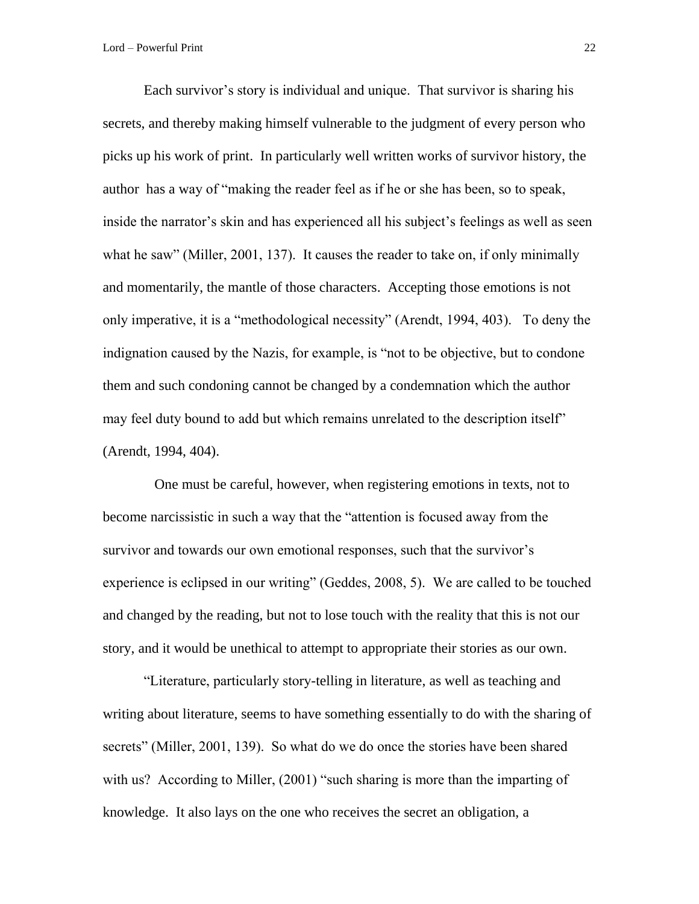Each survivor's story is individual and unique. That survivor is sharing his secrets, and thereby making himself vulnerable to the judgment of every person who picks up his work of print. In particularly well written works of survivor history, the author has a way of "making the reader feel as if he or she has been, so to speak, inside the narrator's skin and has experienced all his subject's feelings as well as seen what he saw" (Miller, 2001, 137). It causes the reader to take on, if only minimally and momentarily, the mantle of those characters. Accepting those emotions is not only imperative, it is a "methodological necessity" (Arendt, 1994, 403). To deny the indignation caused by the Nazis, for example, is "not to be objective, but to condone them and such condoning cannot be changed by a condemnation which the author may feel duty bound to add but which remains unrelated to the description itself" (Arendt, 1994, 404).

 One must be careful, however, when registering emotions in texts, not to become narcissistic in such a way that the "attention is focused away from the survivor and towards our own emotional responses, such that the survivor's experience is eclipsed in our writing" (Geddes, 2008, 5). We are called to be touched and changed by the reading, but not to lose touch with the reality that this is not our story, and it would be unethical to attempt to appropriate their stories as our own.

"Literature, particularly story-telling in literature, as well as teaching and writing about literature, seems to have something essentially to do with the sharing of secrets" (Miller, 2001, 139). So what do we do once the stories have been shared with us? According to Miller, (2001) "such sharing is more than the imparting of knowledge. It also lays on the one who receives the secret an obligation, a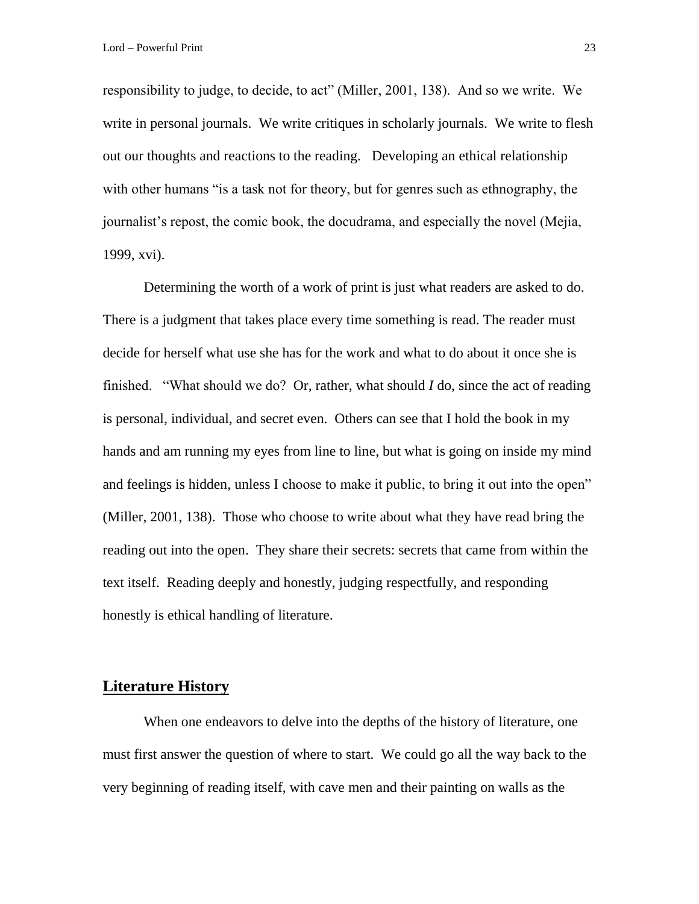responsibility to judge, to decide, to act" (Miller, 2001, 138). And so we write. We write in personal journals. We write critiques in scholarly journals. We write to flesh out our thoughts and reactions to the reading. Developing an ethical relationship with other humans "is a task not for theory, but for genres such as ethnography, the journalist's repost, the comic book, the docudrama, and especially the novel (Mejia, 1999, xvi).

Determining the worth of a work of print is just what readers are asked to do. There is a judgment that takes place every time something is read. The reader must decide for herself what use she has for the work and what to do about it once she is finished. "What should we do? Or, rather, what should *I* do, since the act of reading is personal, individual, and secret even. Others can see that I hold the book in my hands and am running my eyes from line to line, but what is going on inside my mind and feelings is hidden, unless I choose to make it public, to bring it out into the open" (Miller, 2001, 138). Those who choose to write about what they have read bring the reading out into the open. They share their secrets: secrets that came from within the text itself. Reading deeply and honestly, judging respectfully, and responding honestly is ethical handling of literature.

### **Literature History**

When one endeavors to delve into the depths of the history of literature, one must first answer the question of where to start. We could go all the way back to the very beginning of reading itself, with cave men and their painting on walls as the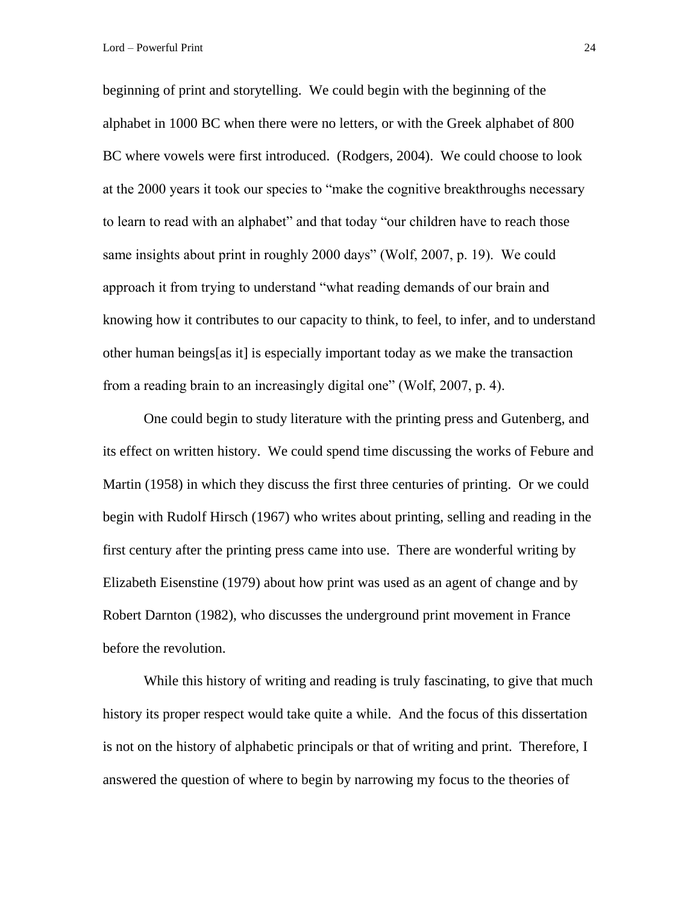beginning of print and storytelling. We could begin with the beginning of the alphabet in 1000 BC when there were no letters, or with the Greek alphabet of 800 BC where vowels were first introduced. (Rodgers, 2004). We could choose to look at the 2000 years it took our species to "make the cognitive breakthroughs necessary to learn to read with an alphabet" and that today "our children have to reach those same insights about print in roughly 2000 days" (Wolf, 2007, p. 19). We could approach it from trying to understand "what reading demands of our brain and knowing how it contributes to our capacity to think, to feel, to infer, and to understand other human beings[as it] is especially important today as we make the transaction from a reading brain to an increasingly digital one" (Wolf, 2007, p. 4).

One could begin to study literature with the printing press and Gutenberg, and its effect on written history. We could spend time discussing the works of Febure and Martin (1958) in which they discuss the first three centuries of printing. Or we could begin with Rudolf Hirsch (1967) who writes about printing, selling and reading in the first century after the printing press came into use. There are wonderful writing by Elizabeth Eisenstine (1979) about how print was used as an agent of change and by Robert Darnton (1982), who discusses the underground print movement in France before the revolution.

While this history of writing and reading is truly fascinating, to give that much history its proper respect would take quite a while. And the focus of this dissertation is not on the history of alphabetic principals or that of writing and print. Therefore, I answered the question of where to begin by narrowing my focus to the theories of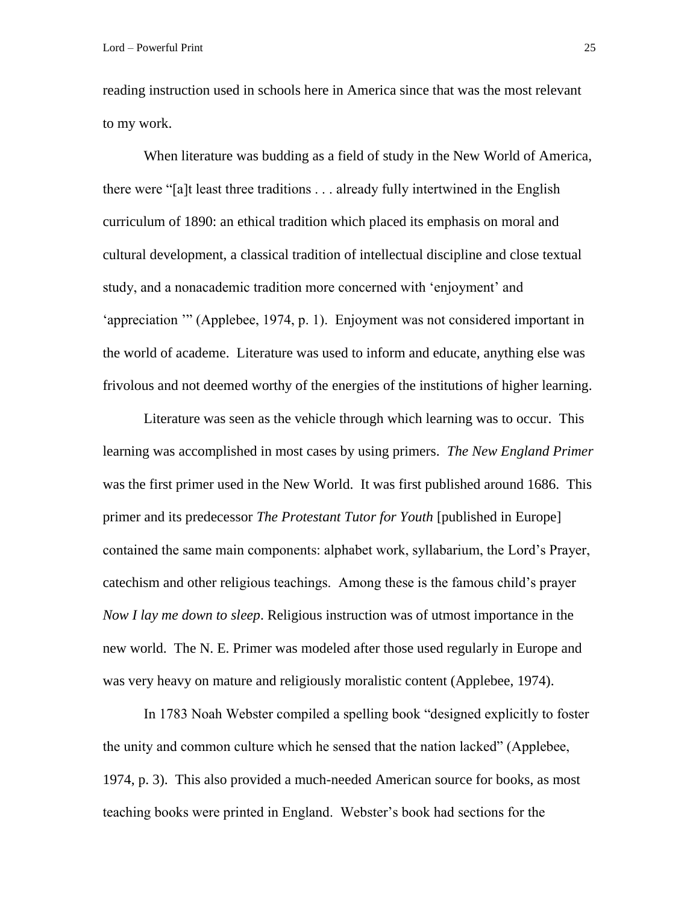reading instruction used in schools here in America since that was the most relevant to my work.

When literature was budding as a field of study in the New World of America, there were "[a]t least three traditions . . . already fully intertwined in the English curriculum of 1890: an ethical tradition which placed its emphasis on moral and cultural development, a classical tradition of intellectual discipline and close textual study, and a nonacademic tradition more concerned with 'enjoyment' and 'appreciation '" (Applebee, 1974, p. 1). Enjoyment was not considered important in the world of academe. Literature was used to inform and educate, anything else was frivolous and not deemed worthy of the energies of the institutions of higher learning.

Literature was seen as the vehicle through which learning was to occur. This learning was accomplished in most cases by using primers. *The New England Primer* was the first primer used in the New World. It was first published around 1686. This primer and its predecessor *The Protestant Tutor for Youth* [published in Europe] contained the same main components: alphabet work, syllabarium, the Lord's Prayer, catechism and other religious teachings. Among these is the famous child's prayer *Now I lay me down to sleep*. Religious instruction was of utmost importance in the new world. The N. E. Primer was modeled after those used regularly in Europe and was very heavy on mature and religiously moralistic content (Applebee, 1974).

In 1783 Noah Webster compiled a spelling book "designed explicitly to foster the unity and common culture which he sensed that the nation lacked" (Applebee, 1974, p. 3). This also provided a much-needed American source for books, as most teaching books were printed in England. Webster's book had sections for the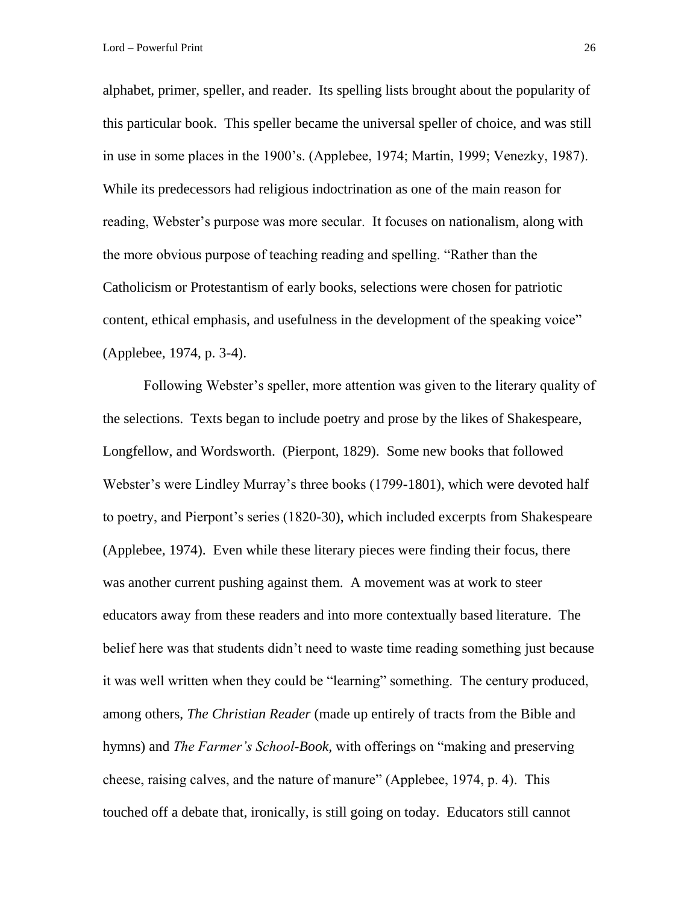alphabet, primer, speller, and reader. Its spelling lists brought about the popularity of this particular book. This speller became the universal speller of choice, and was still in use in some places in the 1900's. (Applebee, 1974; Martin, 1999; Venezky, 1987). While its predecessors had religious indoctrination as one of the main reason for reading, Webster's purpose was more secular. It focuses on nationalism, along with the more obvious purpose of teaching reading and spelling. "Rather than the Catholicism or Protestantism of early books, selections were chosen for patriotic content, ethical emphasis, and usefulness in the development of the speaking voice" (Applebee, 1974, p. 3-4).

Following Webster's speller, more attention was given to the literary quality of the selections. Texts began to include poetry and prose by the likes of Shakespeare, Longfellow, and Wordsworth. (Pierpont, 1829). Some new books that followed Webster's were Lindley Murray's three books (1799-1801), which were devoted half to poetry, and Pierpont's series (1820-30), which included excerpts from Shakespeare (Applebee, 1974). Even while these literary pieces were finding their focus, there was another current pushing against them. A movement was at work to steer educators away from these readers and into more contextually based literature. The belief here was that students didn't need to waste time reading something just because it was well written when they could be "learning" something. The century produced, among others, *The Christian Reader* (made up entirely of tracts from the Bible and hymns) and *The Farmer's School-Book,* with offerings on "making and preserving cheese, raising calves, and the nature of manure" (Applebee, 1974, p. 4). This touched off a debate that, ironically, is still going on today. Educators still cannot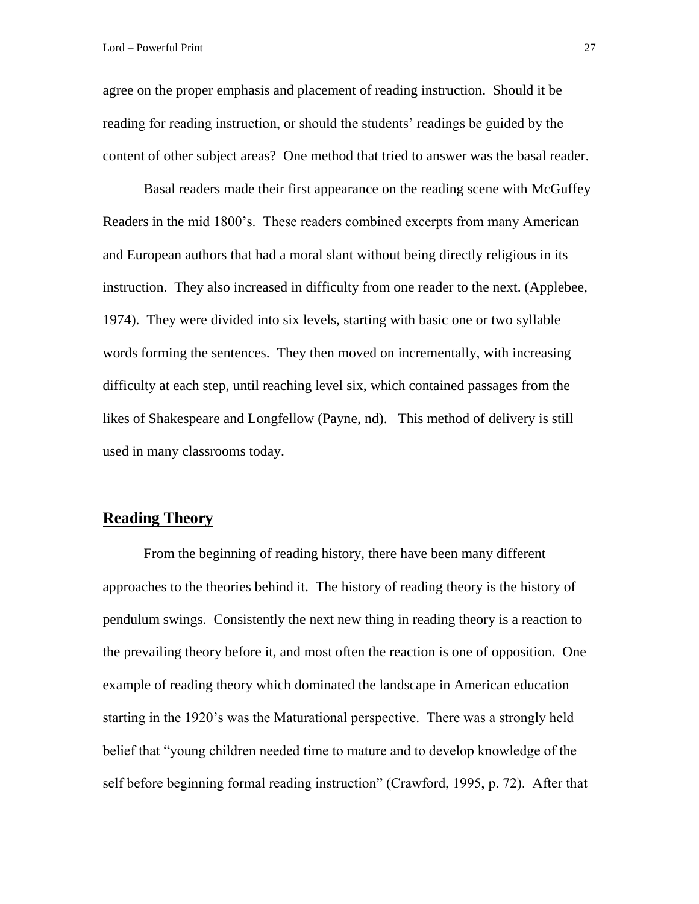agree on the proper emphasis and placement of reading instruction. Should it be reading for reading instruction, or should the students' readings be guided by the content of other subject areas? One method that tried to answer was the basal reader.

Basal readers made their first appearance on the reading scene with McGuffey Readers in the mid 1800's. These readers combined excerpts from many American and European authors that had a moral slant without being directly religious in its instruction. They also increased in difficulty from one reader to the next. (Applebee, 1974). They were divided into six levels, starting with basic one or two syllable words forming the sentences. They then moved on incrementally, with increasing difficulty at each step, until reaching level six, which contained passages from the likes of Shakespeare and Longfellow (Payne, nd). This method of delivery is still used in many classrooms today.

### **Reading Theory**

From the beginning of reading history, there have been many different approaches to the theories behind it. The history of reading theory is the history of pendulum swings. Consistently the next new thing in reading theory is a reaction to the prevailing theory before it, and most often the reaction is one of opposition. One example of reading theory which dominated the landscape in American education starting in the 1920's was the Maturational perspective. There was a strongly held belief that "young children needed time to mature and to develop knowledge of the self before beginning formal reading instruction" (Crawford, 1995, p. 72). After that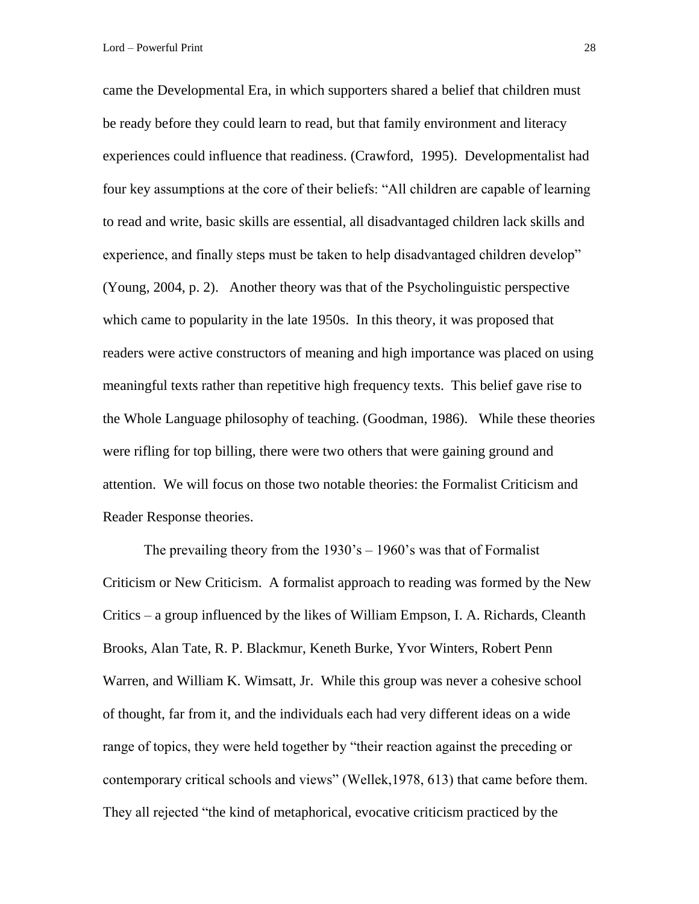came the Developmental Era, in which supporters shared a belief that children must be ready before they could learn to read, but that family environment and literacy experiences could influence that readiness. (Crawford, 1995). Developmentalist had four key assumptions at the core of their beliefs: "All children are capable of learning to read and write, basic skills are essential, all disadvantaged children lack skills and experience, and finally steps must be taken to help disadvantaged children develop" (Young, 2004, p. 2). Another theory was that of the Psycholinguistic perspective which came to popularity in the late 1950s. In this theory, it was proposed that readers were active constructors of meaning and high importance was placed on using meaningful texts rather than repetitive high frequency texts. This belief gave rise to the Whole Language philosophy of teaching. (Goodman, 1986). While these theories were rifling for top billing, there were two others that were gaining ground and attention. We will focus on those two notable theories: the Formalist Criticism and Reader Response theories.

The prevailing theory from the  $1930$ 's –  $1960$ 's was that of Formalist Criticism or New Criticism. A formalist approach to reading was formed by the New Critics – a group influenced by the likes of William Empson, I. A. Richards, Cleanth Brooks, Alan Tate, R. P. Blackmur, Keneth Burke, Yvor Winters, Robert Penn Warren, and William K. Wimsatt, Jr. While this group was never a cohesive school of thought, far from it, and the individuals each had very different ideas on a wide range of topics, they were held together by "their reaction against the preceding or contemporary critical schools and views" (Wellek,1978, 613) that came before them. They all rejected "the kind of metaphorical, evocative criticism practiced by the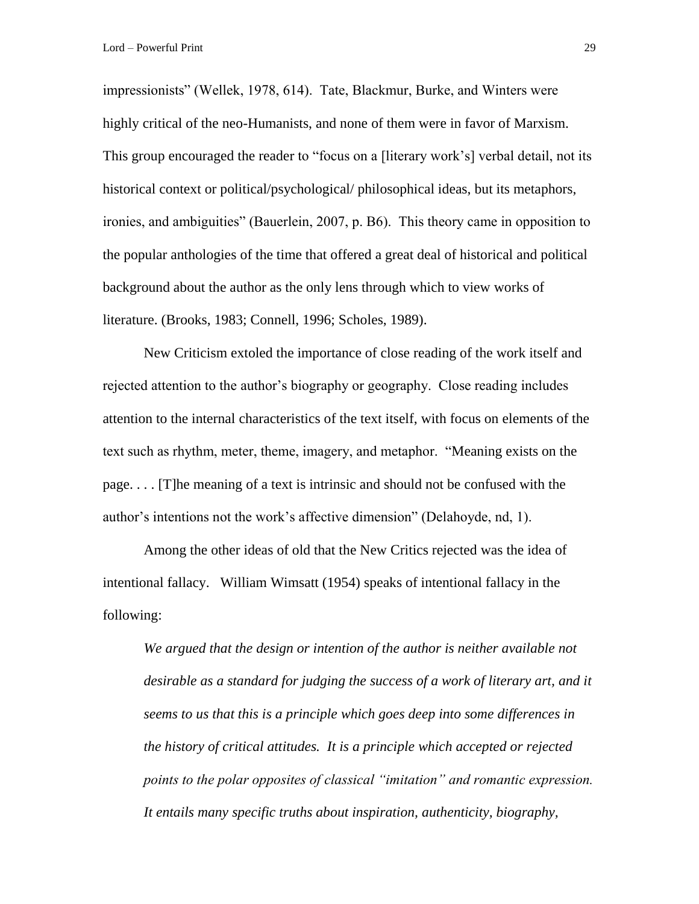impressionists" (Wellek, 1978, 614). Tate, Blackmur, Burke, and Winters were highly critical of the neo-Humanists, and none of them were in favor of Marxism. This group encouraged the reader to "focus on a [literary work's] verbal detail, not its historical context or political/psychological/ philosophical ideas, but its metaphors, ironies, and ambiguities" (Bauerlein, 2007, p. B6). This theory came in opposition to the popular anthologies of the time that offered a great deal of historical and political background about the author as the only lens through which to view works of literature. (Brooks, 1983; Connell, 1996; Scholes, 1989).

New Criticism extoled the importance of close reading of the work itself and rejected attention to the author's biography or geography. Close reading includes attention to the internal characteristics of the text itself, with focus on elements of the text such as rhythm, meter, theme, imagery, and metaphor. "Meaning exists on the page. . . . [T]he meaning of a text is intrinsic and should not be confused with the author's intentions not the work's affective dimension" (Delahoyde, nd, 1).

Among the other ideas of old that the New Critics rejected was the idea of intentional fallacy. William Wimsatt (1954) speaks of intentional fallacy in the following:

*We argued that the design or intention of the author is neither available not desirable as a standard for judging the success of a work of literary art, and it seems to us that this is a principle which goes deep into some differences in the history of critical attitudes. It is a principle which accepted or rejected points to the polar opposites of classical "imitation" and romantic expression. It entails many specific truths about inspiration, authenticity, biography,*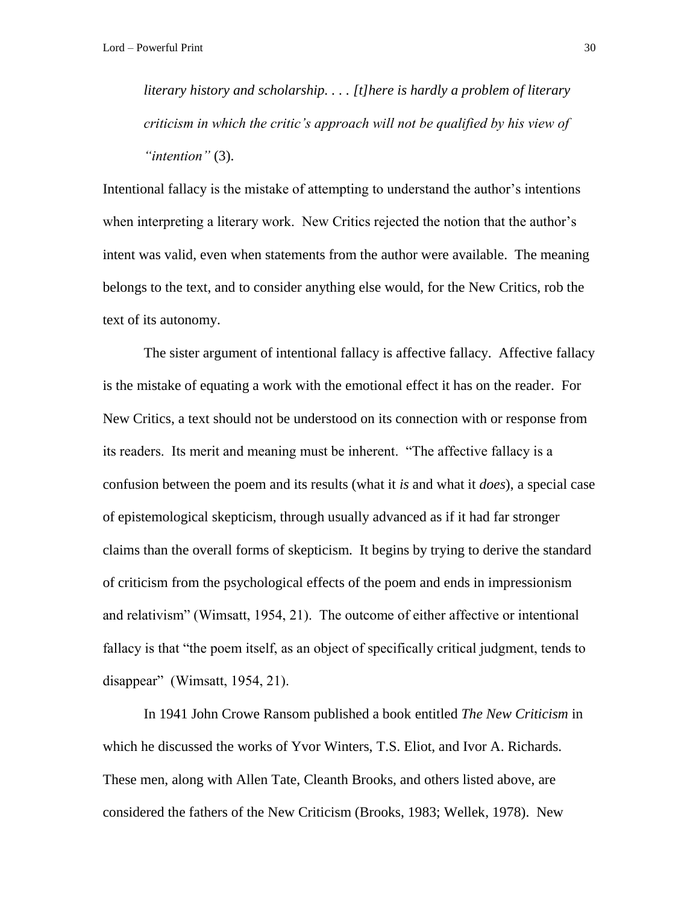*literary history and scholarship. . . . [t]here is hardly a problem of literary criticism in which the critic's approach will not be qualified by his view of "intention"* (3).

Intentional fallacy is the mistake of attempting to understand the author's intentions when interpreting a literary work. New Critics rejected the notion that the author's intent was valid, even when statements from the author were available. The meaning belongs to the text, and to consider anything else would, for the New Critics, rob the text of its autonomy.

The sister argument of intentional fallacy is affective fallacy. Affective fallacy is the mistake of equating a work with the emotional effect it has on the reader. For New Critics, a text should not be understood on its connection with or response from its readers. Its merit and meaning must be inherent. "The affective fallacy is a confusion between the poem and its results (what it *is* and what it *does*), a special case of epistemological skepticism, through usually advanced as if it had far stronger claims than the overall forms of skepticism. It begins by trying to derive the standard of criticism from the psychological effects of the poem and ends in impressionism and relativism" (Wimsatt, 1954, 21). The outcome of either affective or intentional fallacy is that "the poem itself, as an object of specifically critical judgment, tends to disappear" (Wimsatt, 1954, 21).

In 1941 John Crowe Ransom published a book entitled *The New Criticism* in which he discussed the works of Yvor Winters, T.S. Eliot, and Ivor A. Richards. These men, along with Allen Tate, Cleanth Brooks, and others listed above, are considered the fathers of the New Criticism (Brooks, 1983; Wellek, 1978). New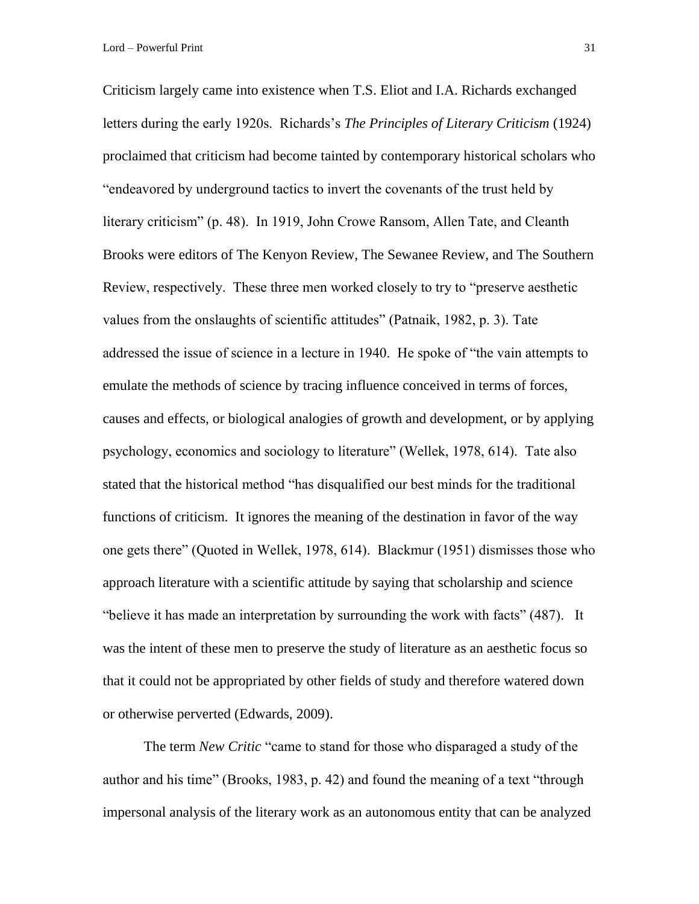Lord – Powerful Print 31

Criticism largely came into existence when T.S. Eliot and I.A. Richards exchanged letters during the early 1920s. Richards's *The Principles of Literary Criticism* (1924) proclaimed that criticism had become tainted by contemporary historical scholars who "endeavored by underground tactics to invert the covenants of the trust held by literary criticism" (p. 48). In 1919, John Crowe Ransom, Allen Tate, and Cleanth Brooks were editors of The Kenyon Review, The Sewanee Review, and The Southern Review, respectively. These three men worked closely to try to "preserve aesthetic values from the onslaughts of scientific attitudes" (Patnaik, 1982, p. 3). Tate addressed the issue of science in a lecture in 1940. He spoke of "the vain attempts to emulate the methods of science by tracing influence conceived in terms of forces, causes and effects, or biological analogies of growth and development, or by applying psychology, economics and sociology to literature" (Wellek, 1978, 614). Tate also stated that the historical method "has disqualified our best minds for the traditional functions of criticism. It ignores the meaning of the destination in favor of the way one gets there" (Quoted in Wellek, 1978, 614). Blackmur (1951) dismisses those who approach literature with a scientific attitude by saying that scholarship and science "believe it has made an interpretation by surrounding the work with facts" (487). It was the intent of these men to preserve the study of literature as an aesthetic focus so that it could not be appropriated by other fields of study and therefore watered down or otherwise perverted (Edwards, 2009).

The term *New Critic* "came to stand for those who disparaged a study of the author and his time" (Brooks, 1983, p. 42) and found the meaning of a text "through impersonal analysis of the literary work as an autonomous entity that can be analyzed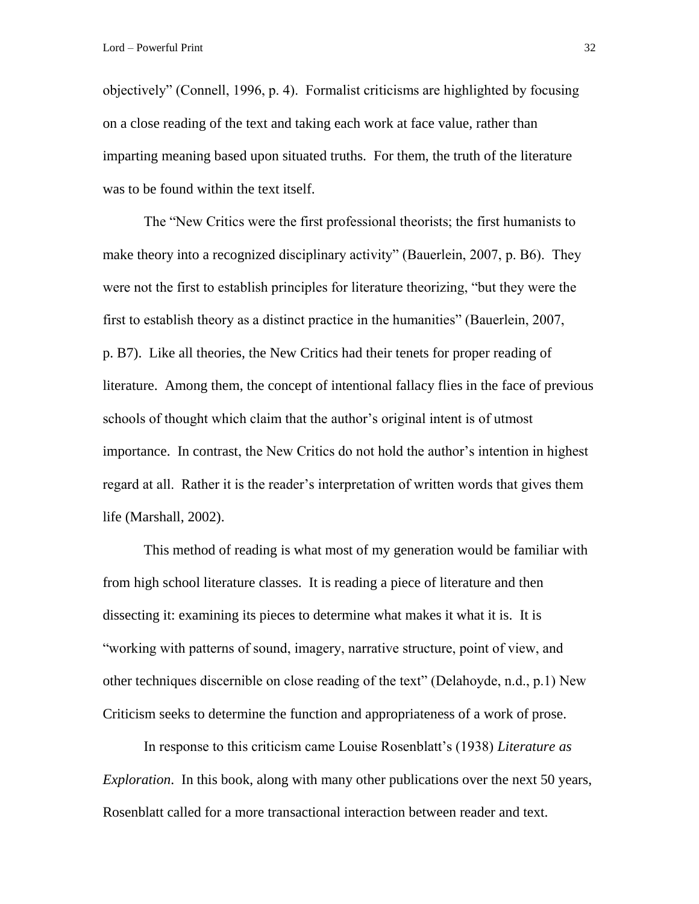objectively" (Connell, 1996, p. 4). Formalist criticisms are highlighted by focusing on a close reading of the text and taking each work at face value, rather than imparting meaning based upon situated truths. For them, the truth of the literature was to be found within the text itself.

The "New Critics were the first professional theorists; the first humanists to make theory into a recognized disciplinary activity" (Bauerlein, 2007, p. B6). They were not the first to establish principles for literature theorizing, "but they were the first to establish theory as a distinct practice in the humanities" (Bauerlein, 2007, p. B7). Like all theories, the New Critics had their tenets for proper reading of literature. Among them, the concept of intentional fallacy flies in the face of previous schools of thought which claim that the author's original intent is of utmost importance. In contrast, the New Critics do not hold the author's intention in highest regard at all. Rather it is the reader's interpretation of written words that gives them life (Marshall, 2002).

This method of reading is what most of my generation would be familiar with from high school literature classes. It is reading a piece of literature and then dissecting it: examining its pieces to determine what makes it what it is. It is "working with patterns of sound, imagery, narrative structure, point of view, and other techniques discernible on close reading of the text" (Delahoyde, n.d., p.1) New Criticism seeks to determine the function and appropriateness of a work of prose.

In response to this criticism came Louise Rosenblatt's (1938) *Literature as Exploration*. In this book, along with many other publications over the next 50 years, Rosenblatt called for a more transactional interaction between reader and text.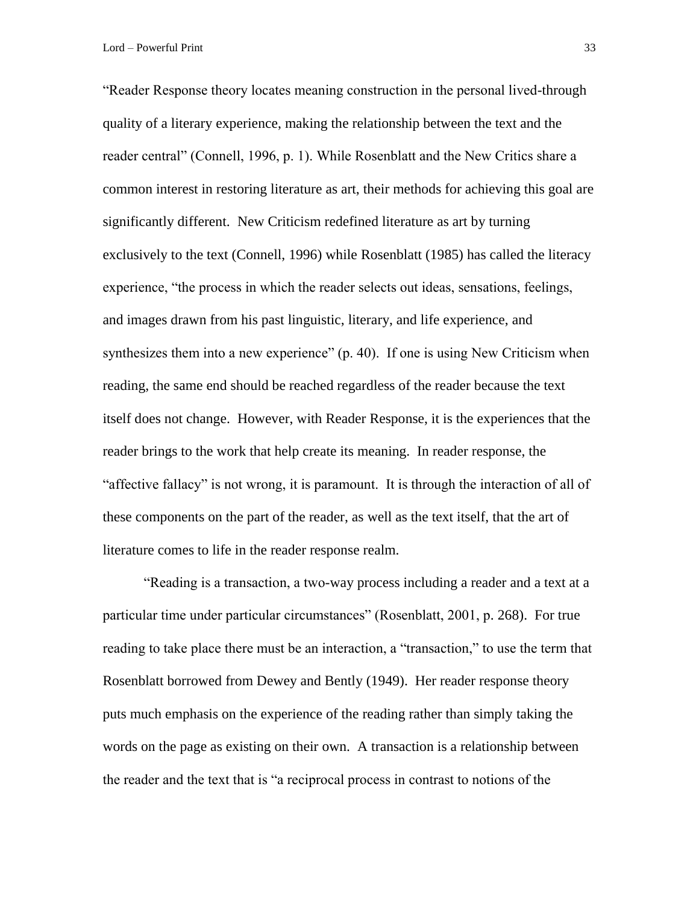Lord – Powerful Print 33

"Reader Response theory locates meaning construction in the personal lived-through quality of a literary experience, making the relationship between the text and the reader central" (Connell, 1996, p. 1). While Rosenblatt and the New Critics share a common interest in restoring literature as art, their methods for achieving this goal are significantly different. New Criticism redefined literature as art by turning exclusively to the text (Connell, 1996) while Rosenblatt (1985) has called the literacy experience, "the process in which the reader selects out ideas, sensations, feelings, and images drawn from his past linguistic, literary, and life experience, and synthesizes them into a new experience" (p. 40). If one is using New Criticism when reading, the same end should be reached regardless of the reader because the text itself does not change. However, with Reader Response, it is the experiences that the reader brings to the work that help create its meaning. In reader response, the "affective fallacy" is not wrong, it is paramount. It is through the interaction of all of these components on the part of the reader, as well as the text itself, that the art of literature comes to life in the reader response realm.

"Reading is a transaction, a two-way process including a reader and a text at a particular time under particular circumstances" (Rosenblatt, 2001, p. 268). For true reading to take place there must be an interaction, a "transaction," to use the term that Rosenblatt borrowed from Dewey and Bently (1949). Her reader response theory puts much emphasis on the experience of the reading rather than simply taking the words on the page as existing on their own. A transaction is a relationship between the reader and the text that is "a reciprocal process in contrast to notions of the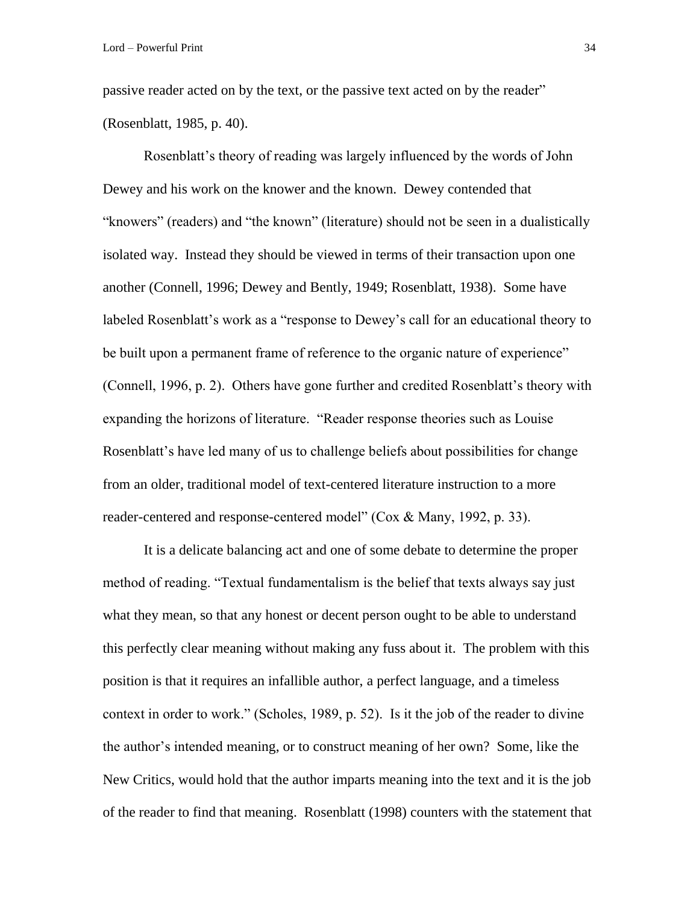passive reader acted on by the text, or the passive text acted on by the reader" (Rosenblatt, 1985, p. 40).

Rosenblatt's theory of reading was largely influenced by the words of John Dewey and his work on the knower and the known. Dewey contended that "knowers" (readers) and "the known" (literature) should not be seen in a dualistically isolated way. Instead they should be viewed in terms of their transaction upon one another (Connell, 1996; Dewey and Bently, 1949; Rosenblatt, 1938). Some have labeled Rosenblatt's work as a "response to Dewey's call for an educational theory to be built upon a permanent frame of reference to the organic nature of experience" (Connell, 1996, p. 2). Others have gone further and credited Rosenblatt's theory with expanding the horizons of literature. "Reader response theories such as Louise Rosenblatt's have led many of us to challenge beliefs about possibilities for change from an older, traditional model of text-centered literature instruction to a more reader-centered and response-centered model" (Cox & Many, 1992, p. 33).

It is a delicate balancing act and one of some debate to determine the proper method of reading. "Textual fundamentalism is the belief that texts always say just what they mean, so that any honest or decent person ought to be able to understand this perfectly clear meaning without making any fuss about it. The problem with this position is that it requires an infallible author, a perfect language, and a timeless context in order to work." (Scholes, 1989, p. 52). Is it the job of the reader to divine the author's intended meaning, or to construct meaning of her own? Some, like the New Critics, would hold that the author imparts meaning into the text and it is the job of the reader to find that meaning. Rosenblatt (1998) counters with the statement that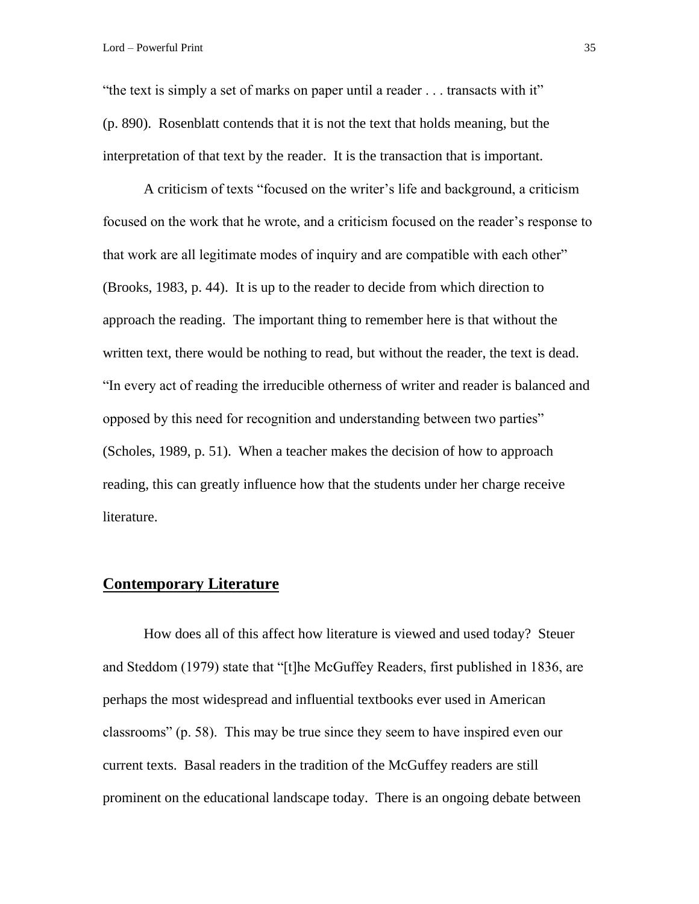"the text is simply a set of marks on paper until a reader . . . transacts with it" (p. 890). Rosenblatt contends that it is not the text that holds meaning, but the interpretation of that text by the reader. It is the transaction that is important.

A criticism of texts "focused on the writer's life and background, a criticism focused on the work that he wrote, and a criticism focused on the reader's response to that work are all legitimate modes of inquiry and are compatible with each other" (Brooks, 1983, p. 44). It is up to the reader to decide from which direction to approach the reading. The important thing to remember here is that without the written text, there would be nothing to read, but without the reader, the text is dead. "In every act of reading the irreducible otherness of writer and reader is balanced and opposed by this need for recognition and understanding between two parties" (Scholes, 1989, p. 51). When a teacher makes the decision of how to approach reading, this can greatly influence how that the students under her charge receive literature.

# **Contemporary Literature**

How does all of this affect how literature is viewed and used today? Steuer and Steddom (1979) state that "[t]he McGuffey Readers, first published in 1836, are perhaps the most widespread and influential textbooks ever used in American classrooms" (p. 58). This may be true since they seem to have inspired even our current texts. Basal readers in the tradition of the McGuffey readers are still prominent on the educational landscape today. There is an ongoing debate between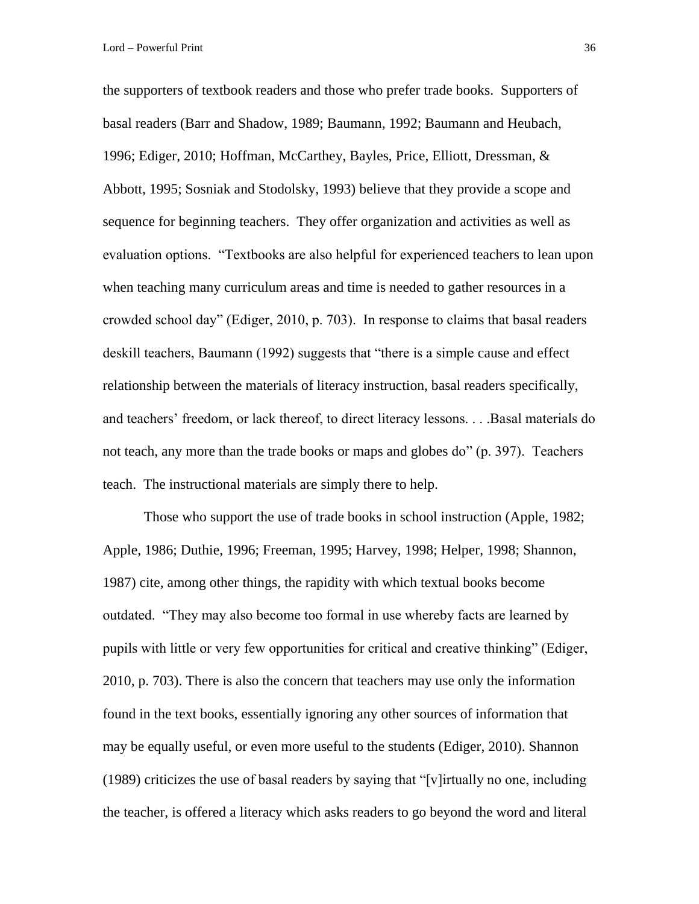the supporters of textbook readers and those who prefer trade books. Supporters of basal readers (Barr and Shadow, 1989; Baumann, 1992; Baumann and Heubach, 1996; Ediger, 2010; Hoffman, McCarthey, Bayles, Price, Elliott, Dressman, & Abbott, 1995; Sosniak and Stodolsky, 1993) believe that they provide a scope and sequence for beginning teachers. They offer organization and activities as well as evaluation options. "Textbooks are also helpful for experienced teachers to lean upon when teaching many curriculum areas and time is needed to gather resources in a crowded school day" (Ediger, 2010, p. 703). In response to claims that basal readers deskill teachers, Baumann (1992) suggests that "there is a simple cause and effect relationship between the materials of literacy instruction, basal readers specifically, and teachers' freedom, or lack thereof, to direct literacy lessons. . . .Basal materials do not teach, any more than the trade books or maps and globes do" (p. 397). Teachers teach. The instructional materials are simply there to help.

Those who support the use of trade books in school instruction (Apple, 1982; Apple, 1986; Duthie, 1996; Freeman, 1995; Harvey, 1998; Helper, 1998; Shannon, 1987) cite, among other things, the rapidity with which textual books become outdated. "They may also become too formal in use whereby facts are learned by pupils with little or very few opportunities for critical and creative thinking" (Ediger, 2010, p. 703). There is also the concern that teachers may use only the information found in the text books, essentially ignoring any other sources of information that may be equally useful, or even more useful to the students (Ediger, 2010). Shannon (1989) criticizes the use of basal readers by saying that "[v]irtually no one, including the teacher, is offered a literacy which asks readers to go beyond the word and literal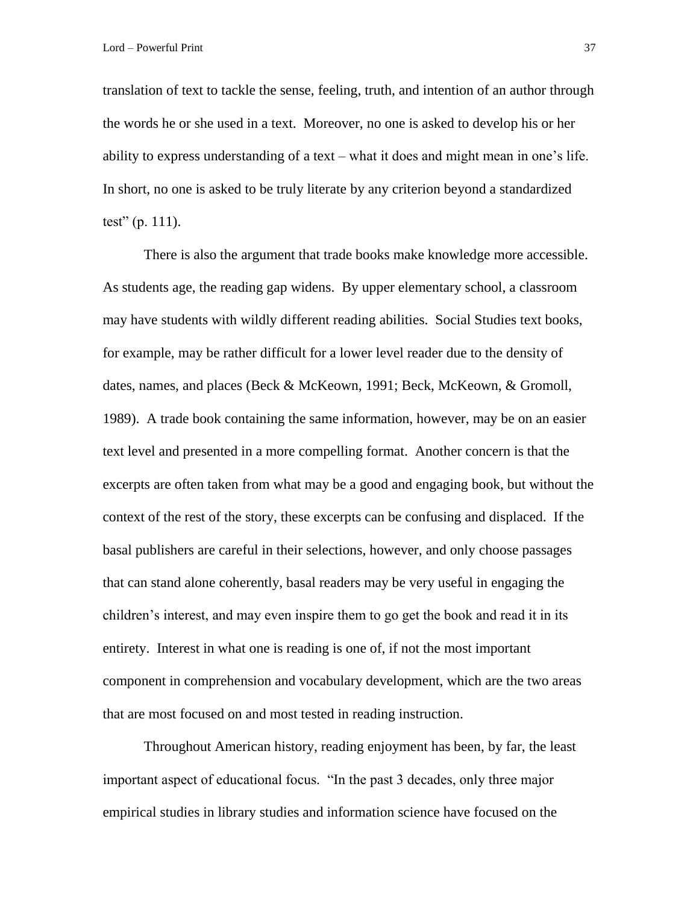translation of text to tackle the sense, feeling, truth, and intention of an author through the words he or she used in a text. Moreover, no one is asked to develop his or her ability to express understanding of a text – what it does and might mean in one's life. In short, no one is asked to be truly literate by any criterion beyond a standardized test" (p. 111).

There is also the argument that trade books make knowledge more accessible. As students age, the reading gap widens. By upper elementary school, a classroom may have students with wildly different reading abilities. Social Studies text books, for example, may be rather difficult for a lower level reader due to the density of dates, names, and places (Beck & McKeown, 1991; Beck, McKeown, & Gromoll, 1989). A trade book containing the same information, however, may be on an easier text level and presented in a more compelling format. Another concern is that the excerpts are often taken from what may be a good and engaging book, but without the context of the rest of the story, these excerpts can be confusing and displaced. If the basal publishers are careful in their selections, however, and only choose passages that can stand alone coherently, basal readers may be very useful in engaging the children's interest, and may even inspire them to go get the book and read it in its entirety. Interest in what one is reading is one of, if not the most important component in comprehension and vocabulary development, which are the two areas that are most focused on and most tested in reading instruction.

Throughout American history, reading enjoyment has been, by far, the least important aspect of educational focus. "In the past 3 decades, only three major empirical studies in library studies and information science have focused on the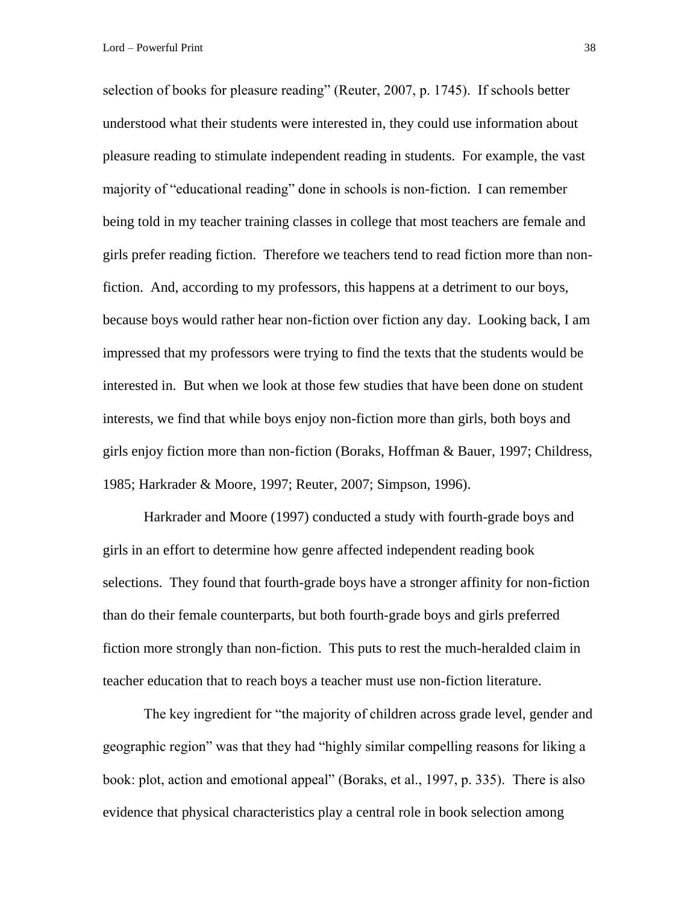selection of books for pleasure reading" (Reuter, 2007, p. 1745). If schools better understood what their students were interested in, they could use information about pleasure reading to stimulate independent reading in students. For example, the vast majority of "educational reading" done in schools is non-fiction. I can remember being told in my teacher training classes in college that most teachers are female and girls prefer reading fiction. Therefore we teachers tend to read fiction more than nonfiction. And, according to my professors, this happens at a detriment to our boys, because boys would rather hear non-fiction over fiction any day. Looking back, I am impressed that my professors were trying to find the texts that the students would be interested in. But when we look at those few studies that have been done on student interests, we find that while boys enjoy non-fiction more than girls, both boys and girls enjoy fiction more than non-fiction (Boraks, Hoffman & Bauer, 1997; Childress, 1985; Harkrader & Moore, 1997; Reuter, 2007; Simpson, 1996).

Harkrader and Moore (1997) conducted a study with fourth-grade boys and girls in an effort to determine how genre affected independent reading book selections. They found that fourth-grade boys have a stronger affinity for non-fiction than do their female counterparts, but both fourth-grade boys and girls preferred fiction more strongly than non-fiction. This puts to rest the much-heralded claim in teacher education that to reach boys a teacher must use non-fiction literature.

The key ingredient for "the majority of children across grade level, gender and geographic region" was that they had "highly similar compelling reasons for liking a book: plot, action and emotional appeal" (Boraks, et al., 1997, p. 335). There is also evidence that physical characteristics play a central role in book selection among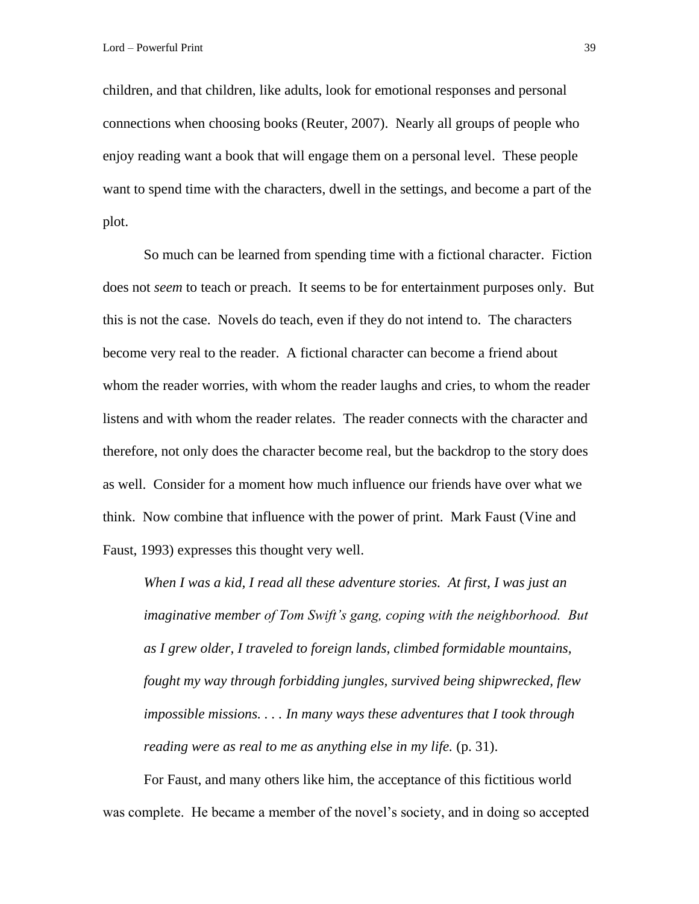children, and that children, like adults, look for emotional responses and personal connections when choosing books (Reuter, 2007). Nearly all groups of people who enjoy reading want a book that will engage them on a personal level. These people want to spend time with the characters, dwell in the settings, and become a part of the plot.

So much can be learned from spending time with a fictional character. Fiction does not *seem* to teach or preach. It seems to be for entertainment purposes only. But this is not the case. Novels do teach, even if they do not intend to. The characters become very real to the reader. A fictional character can become a friend about whom the reader worries, with whom the reader laughs and cries, to whom the reader listens and with whom the reader relates. The reader connects with the character and therefore, not only does the character become real, but the backdrop to the story does as well. Consider for a moment how much influence our friends have over what we think. Now combine that influence with the power of print. Mark Faust (Vine and Faust, 1993) expresses this thought very well.

*When I was a kid, I read all these adventure stories. At first, I was just an imaginative member of Tom Swift's gang, coping with the neighborhood. But as I grew older, I traveled to foreign lands, climbed formidable mountains, fought my way through forbidding jungles, survived being shipwrecked, flew impossible missions. . . . In many ways these adventures that I took through reading were as real to me as anything else in my life.* (p. 31).

For Faust, and many others like him, the acceptance of this fictitious world was complete. He became a member of the novel's society, and in doing so accepted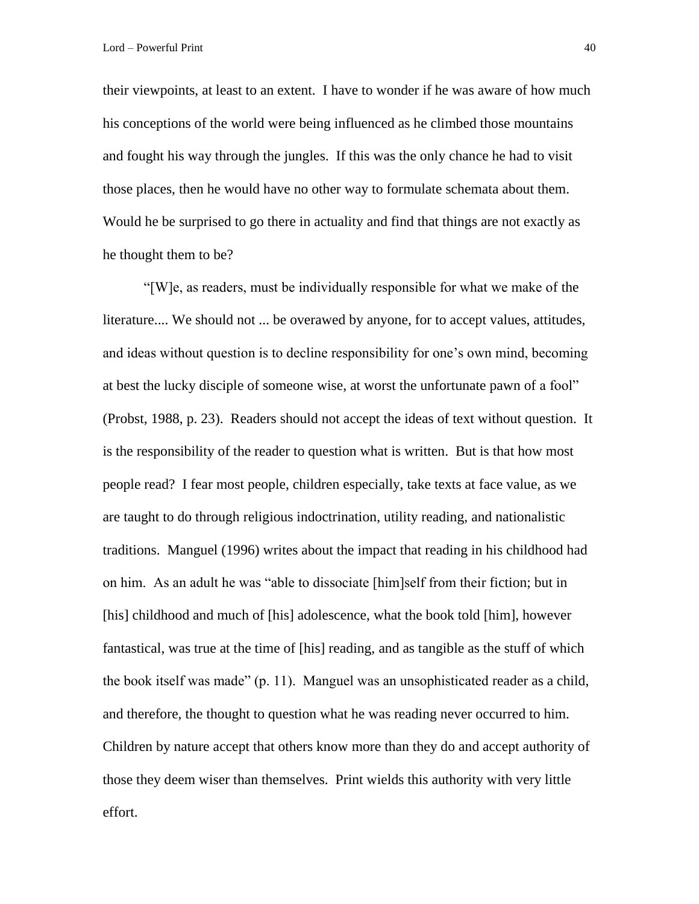their viewpoints, at least to an extent. I have to wonder if he was aware of how much his conceptions of the world were being influenced as he climbed those mountains and fought his way through the jungles. If this was the only chance he had to visit those places, then he would have no other way to formulate schemata about them. Would he be surprised to go there in actuality and find that things are not exactly as he thought them to be?

"[W]e, as readers, must be individually responsible for what we make of the literature.... We should not ... be overawed by anyone, for to accept values, attitudes, and ideas without question is to decline responsibility for one's own mind, becoming at best the lucky disciple of someone wise, at worst the unfortunate pawn of a fool" (Probst, 1988, p. 23). Readers should not accept the ideas of text without question. It is the responsibility of the reader to question what is written. But is that how most people read? I fear most people, children especially, take texts at face value, as we are taught to do through religious indoctrination, utility reading, and nationalistic traditions. Manguel (1996) writes about the impact that reading in his childhood had on him. As an adult he was "able to dissociate [him]self from their fiction; but in [his] childhood and much of [his] adolescence, what the book told [him], however fantastical, was true at the time of [his] reading, and as tangible as the stuff of which the book itself was made" (p. 11). Manguel was an unsophisticated reader as a child, and therefore, the thought to question what he was reading never occurred to him. Children by nature accept that others know more than they do and accept authority of those they deem wiser than themselves. Print wields this authority with very little effort.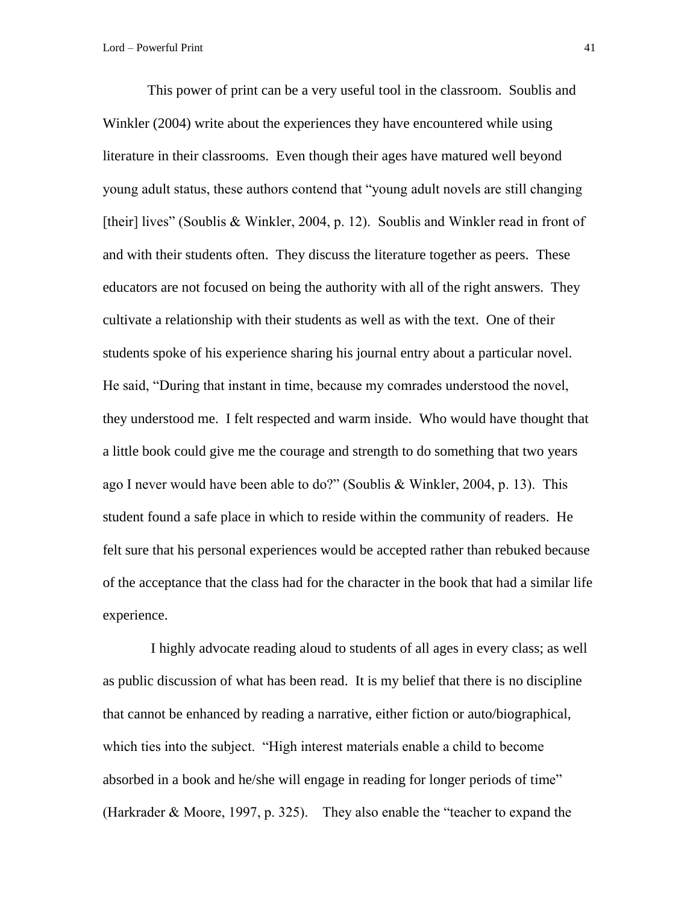This power of print can be a very useful tool in the classroom. Soublis and Winkler (2004) write about the experiences they have encountered while using literature in their classrooms. Even though their ages have matured well beyond young adult status, these authors contend that "young adult novels are still changing [their] lives" (Soublis & Winkler, 2004, p. 12). Soublis and Winkler read in front of and with their students often. They discuss the literature together as peers. These educators are not focused on being the authority with all of the right answers. They cultivate a relationship with their students as well as with the text. One of their students spoke of his experience sharing his journal entry about a particular novel. He said, "During that instant in time, because my comrades understood the novel, they understood me. I felt respected and warm inside. Who would have thought that a little book could give me the courage and strength to do something that two years ago I never would have been able to do?" (Soublis & Winkler, 2004, p. 13). This student found a safe place in which to reside within the community of readers. He felt sure that his personal experiences would be accepted rather than rebuked because of the acceptance that the class had for the character in the book that had a similar life experience.

 I highly advocate reading aloud to students of all ages in every class; as well as public discussion of what has been read. It is my belief that there is no discipline that cannot be enhanced by reading a narrative, either fiction or auto/biographical, which ties into the subject. "High interest materials enable a child to become absorbed in a book and he/she will engage in reading for longer periods of time" (Harkrader & Moore, 1997, p. 325). They also enable the "teacher to expand the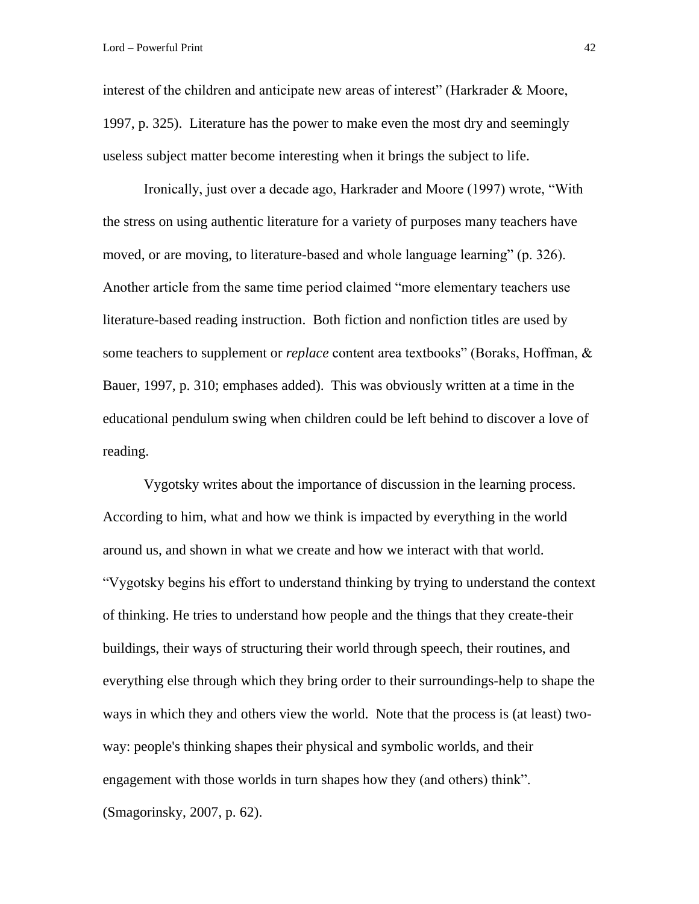interest of the children and anticipate new areas of interest" (Harkrader & Moore, 1997, p. 325). Literature has the power to make even the most dry and seemingly useless subject matter become interesting when it brings the subject to life.

Ironically, just over a decade ago, Harkrader and Moore (1997) wrote, "With the stress on using authentic literature for a variety of purposes many teachers have moved, or are moving, to literature-based and whole language learning" (p. 326). Another article from the same time period claimed "more elementary teachers use literature-based reading instruction. Both fiction and nonfiction titles are used by some teachers to supplement or *replace* content area textbooks" (Boraks, Hoffman, & Bauer, 1997, p. 310; emphases added). This was obviously written at a time in the educational pendulum swing when children could be left behind to discover a love of reading.

Vygotsky writes about the importance of discussion in the learning process. According to him, what and how we think is impacted by everything in the world around us, and shown in what we create and how we interact with that world. "Vygotsky begins his effort to understand thinking by trying to understand the context of thinking. He tries to understand how people and the things that they create-their buildings, their ways of structuring their world through speech, their routines, and everything else through which they bring order to their surroundings-help to shape the ways in which they and others view the world. Note that the process is (at least) twoway: people's thinking shapes their physical and symbolic worlds, and their engagement with those worlds in turn shapes how they (and others) think". (Smagorinsky, 2007, p. 62).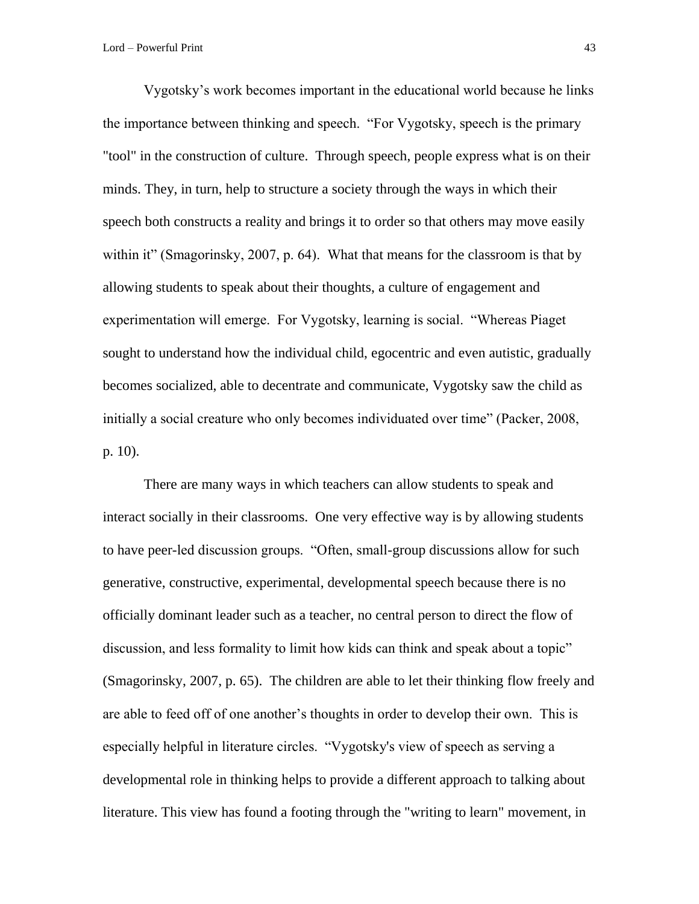Vygotsky's work becomes important in the educational world because he links the importance between thinking and speech. "For Vygotsky, speech is the primary "tool" in the construction of culture. Through speech, people express what is on their minds. They, in turn, help to structure a society through the ways in which their speech both constructs a reality and brings it to order so that others may move easily within it" (Smagorinsky, 2007, p. 64). What that means for the classroom is that by allowing students to speak about their thoughts, a culture of engagement and experimentation will emerge. For Vygotsky, learning is social. "Whereas Piaget sought to understand how the individual child, egocentric and even autistic, gradually becomes socialized, able to decentrate and communicate, Vygotsky saw the child as initially a social creature who only becomes individuated over time" (Packer, 2008, p. 10).

There are many ways in which teachers can allow students to speak and interact socially in their classrooms. One very effective way is by allowing students to have peer-led discussion groups. "Often, small-group discussions allow for such generative, constructive, experimental, developmental speech because there is no officially dominant leader such as a teacher, no central person to direct the flow of discussion, and less formality to limit how kids can think and speak about a topic" (Smagorinsky, 2007, p. 65). The children are able to let their thinking flow freely and are able to feed off of one another's thoughts in order to develop their own. This is especially helpful in literature circles. "Vygotsky's view of speech as serving a developmental role in thinking helps to provide a different approach to talking about literature. This view has found a footing through the "writing to learn" movement, in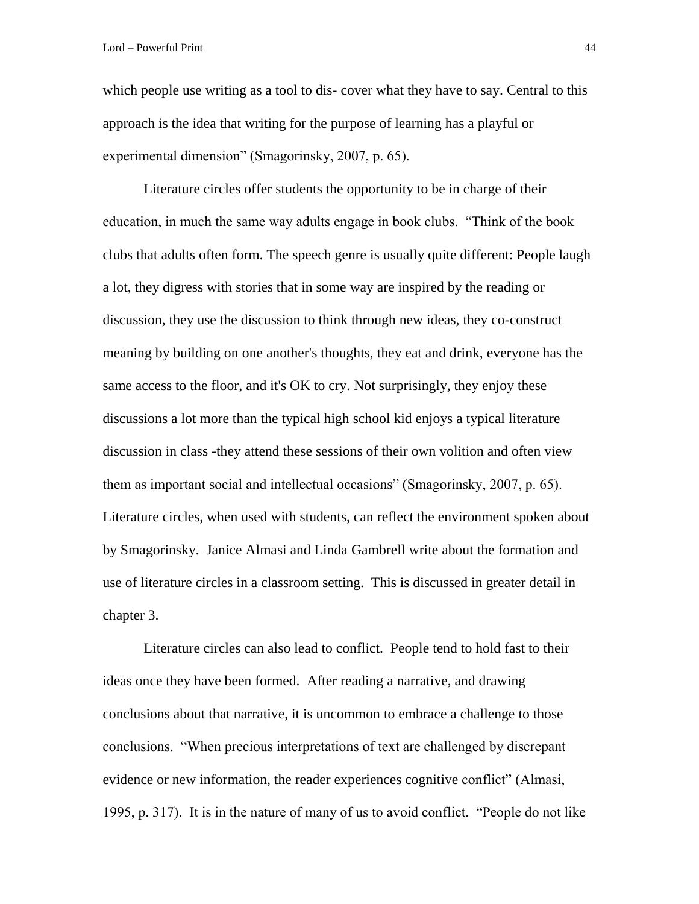which people use writing as a tool to dis-cover what they have to say. Central to this approach is the idea that writing for the purpose of learning has a playful or experimental dimension" (Smagorinsky, 2007, p. 65).

Literature circles offer students the opportunity to be in charge of their education, in much the same way adults engage in book clubs. "Think of the book clubs that adults often form. The speech genre is usually quite different: People laugh a lot, they digress with stories that in some way are inspired by the reading or discussion, they use the discussion to think through new ideas, they co-construct meaning by building on one another's thoughts, they eat and drink, everyone has the same access to the floor, and it's OK to cry. Not surprisingly, they enjoy these discussions a lot more than the typical high school kid enjoys a typical literature discussion in class -they attend these sessions of their own volition and often view them as important social and intellectual occasions" (Smagorinsky, 2007, p. 65). Literature circles, when used with students, can reflect the environment spoken about by Smagorinsky. Janice Almasi and Linda Gambrell write about the formation and use of literature circles in a classroom setting. This is discussed in greater detail in chapter 3.

Literature circles can also lead to conflict. People tend to hold fast to their ideas once they have been formed. After reading a narrative, and drawing conclusions about that narrative, it is uncommon to embrace a challenge to those conclusions. "When precious interpretations of text are challenged by discrepant evidence or new information, the reader experiences cognitive conflict" (Almasi, 1995, p. 317). It is in the nature of many of us to avoid conflict. "People do not like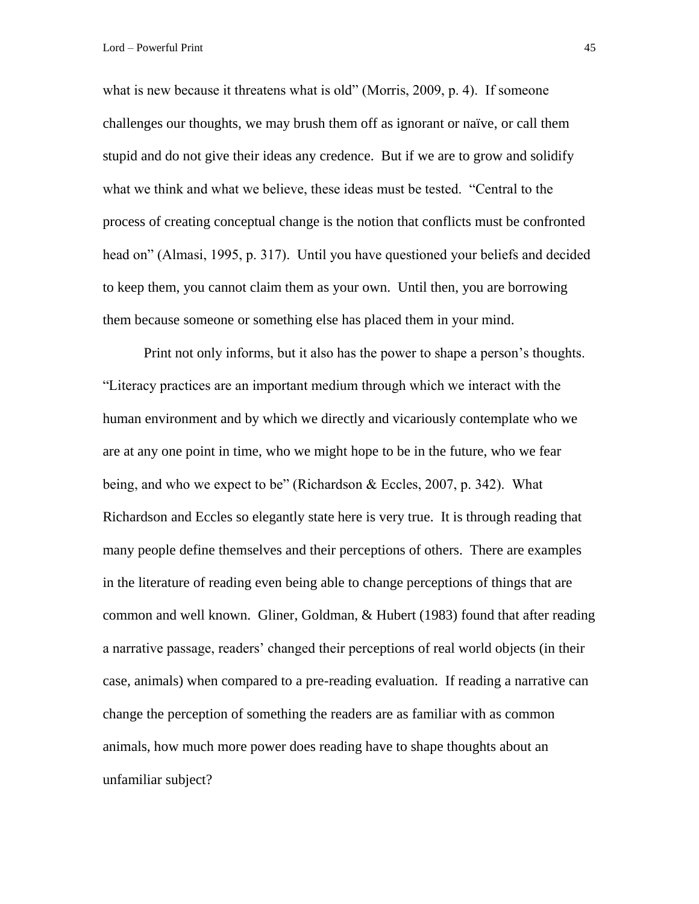what is new because it threatens what is old" (Morris, 2009, p. 4). If someone challenges our thoughts, we may brush them off as ignorant or naïve, or call them stupid and do not give their ideas any credence. But if we are to grow and solidify what we think and what we believe, these ideas must be tested. "Central to the process of creating conceptual change is the notion that conflicts must be confronted head on" (Almasi, 1995, p. 317). Until you have questioned your beliefs and decided to keep them, you cannot claim them as your own. Until then, you are borrowing them because someone or something else has placed them in your mind.

Print not only informs, but it also has the power to shape a person's thoughts. "Literacy practices are an important medium through which we interact with the human environment and by which we directly and vicariously contemplate who we are at any one point in time, who we might hope to be in the future, who we fear being, and who we expect to be" (Richardson & Eccles, 2007, p. 342). What Richardson and Eccles so elegantly state here is very true. It is through reading that many people define themselves and their perceptions of others. There are examples in the literature of reading even being able to change perceptions of things that are common and well known. Gliner, Goldman, & Hubert (1983) found that after reading a narrative passage, readers' changed their perceptions of real world objects (in their case, animals) when compared to a pre-reading evaluation. If reading a narrative can change the perception of something the readers are as familiar with as common animals, how much more power does reading have to shape thoughts about an unfamiliar subject?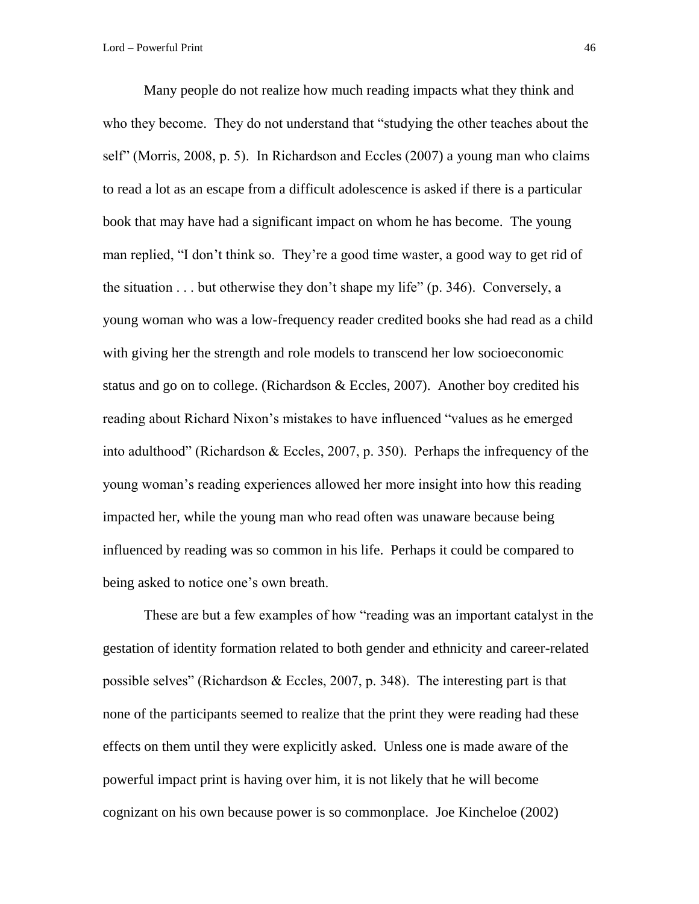Many people do not realize how much reading impacts what they think and who they become. They do not understand that "studying the other teaches about the self" (Morris, 2008, p. 5). In Richardson and Eccles (2007) a young man who claims to read a lot as an escape from a difficult adolescence is asked if there is a particular book that may have had a significant impact on whom he has become. The young man replied, "I don't think so. They're a good time waster, a good way to get rid of the situation . . . but otherwise they don't shape my life" (p. 346). Conversely, a young woman who was a low-frequency reader credited books she had read as a child with giving her the strength and role models to transcend her low socioeconomic status and go on to college. (Richardson & Eccles, 2007). Another boy credited his reading about Richard Nixon's mistakes to have influenced "values as he emerged into adulthood" (Richardson & Eccles, 2007, p. 350). Perhaps the infrequency of the young woman's reading experiences allowed her more insight into how this reading impacted her, while the young man who read often was unaware because being influenced by reading was so common in his life. Perhaps it could be compared to being asked to notice one's own breath.

These are but a few examples of how "reading was an important catalyst in the gestation of identity formation related to both gender and ethnicity and career-related possible selves" (Richardson  $& Eccles, 2007, p. 348$ ). The interesting part is that none of the participants seemed to realize that the print they were reading had these effects on them until they were explicitly asked. Unless one is made aware of the powerful impact print is having over him, it is not likely that he will become cognizant on his own because power is so commonplace. Joe Kincheloe (2002)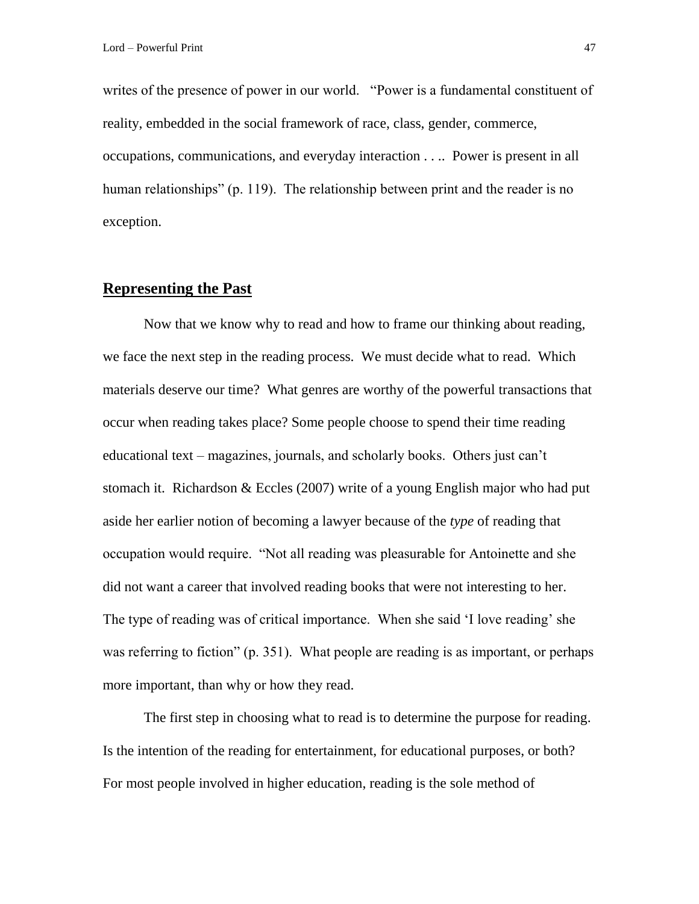writes of the presence of power in our world. "Power is a fundamental constituent of reality, embedded in the social framework of race, class, gender, commerce, occupations, communications, and everyday interaction . . .. Power is present in all human relationships" (p. 119). The relationship between print and the reader is no exception.

#### **Representing the Past**

Now that we know why to read and how to frame our thinking about reading, we face the next step in the reading process. We must decide what to read. Which materials deserve our time? What genres are worthy of the powerful transactions that occur when reading takes place? Some people choose to spend their time reading educational text – magazines, journals, and scholarly books. Others just can't stomach it. Richardson & Eccles (2007) write of a young English major who had put aside her earlier notion of becoming a lawyer because of the *type* of reading that occupation would require. "Not all reading was pleasurable for Antoinette and she did not want a career that involved reading books that were not interesting to her. The type of reading was of critical importance. When she said 'I love reading' she was referring to fiction" (p. 351). What people are reading is as important, or perhaps more important, than why or how they read.

The first step in choosing what to read is to determine the purpose for reading. Is the intention of the reading for entertainment, for educational purposes, or both? For most people involved in higher education, reading is the sole method of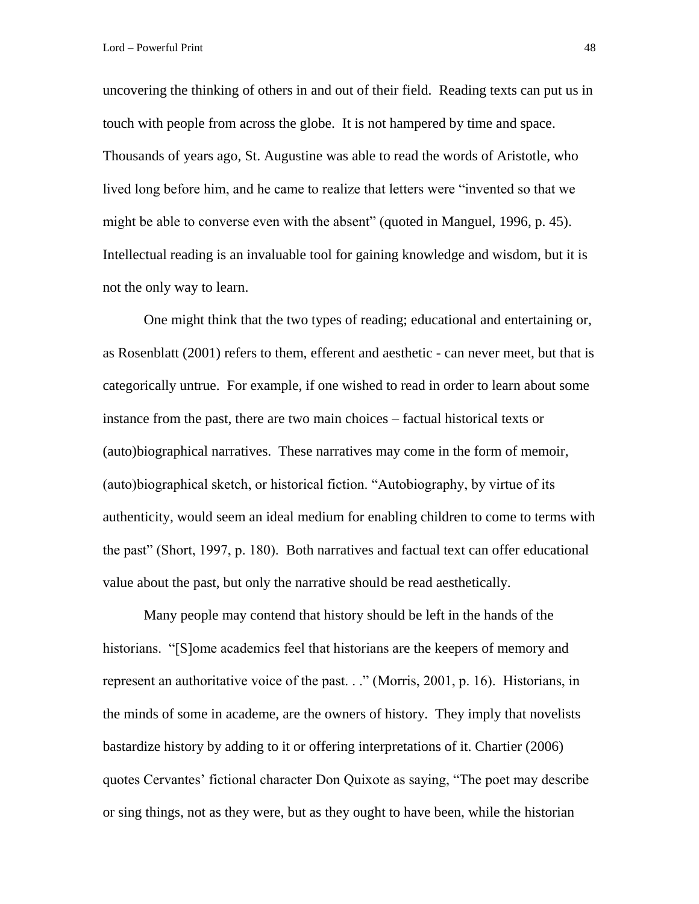uncovering the thinking of others in and out of their field. Reading texts can put us in touch with people from across the globe. It is not hampered by time and space. Thousands of years ago, St. Augustine was able to read the words of Aristotle, who lived long before him, and he came to realize that letters were "invented so that we might be able to converse even with the absent" (quoted in Manguel, 1996, p. 45). Intellectual reading is an invaluable tool for gaining knowledge and wisdom, but it is not the only way to learn.

One might think that the two types of reading; educational and entertaining or, as Rosenblatt (2001) refers to them, efferent and aesthetic - can never meet, but that is categorically untrue. For example, if one wished to read in order to learn about some instance from the past, there are two main choices – factual historical texts or (auto)biographical narratives. These narratives may come in the form of memoir, (auto)biographical sketch, or historical fiction. "Autobiography, by virtue of its authenticity, would seem an ideal medium for enabling children to come to terms with the past" (Short, 1997, p. 180). Both narratives and factual text can offer educational value about the past, but only the narrative should be read aesthetically.

Many people may contend that history should be left in the hands of the historians. "[S]ome academics feel that historians are the keepers of memory and represent an authoritative voice of the past. . ." (Morris, 2001, p. 16). Historians, in the minds of some in academe, are the owners of history. They imply that novelists bastardize history by adding to it or offering interpretations of it. Chartier (2006) quotes Cervantes' fictional character Don Quixote as saying, "The poet may describe or sing things, not as they were, but as they ought to have been, while the historian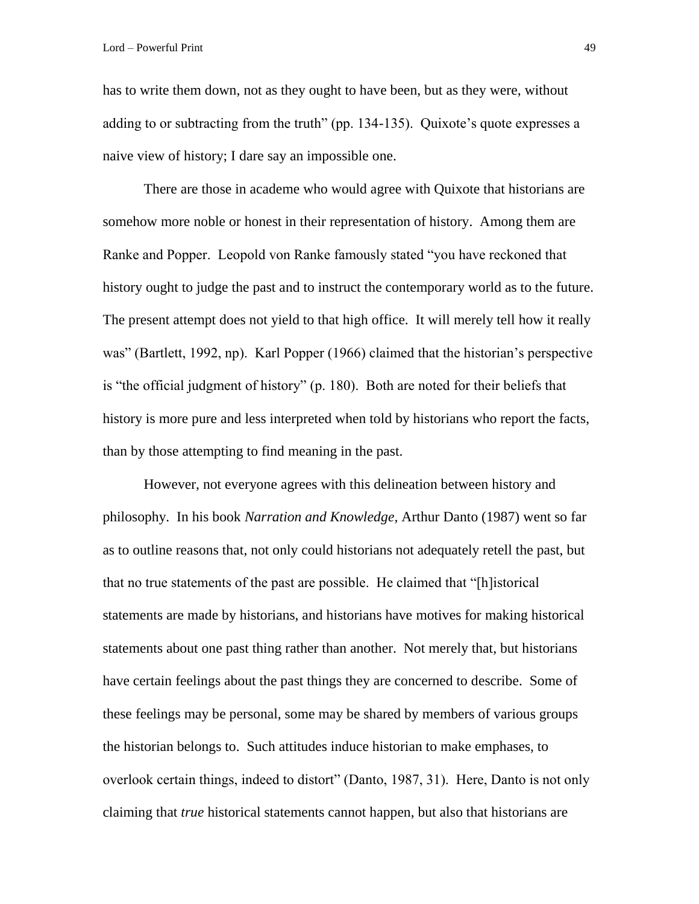has to write them down, not as they ought to have been, but as they were, without adding to or subtracting from the truth" (pp. 134-135). Quixote's quote expresses a naive view of history; I dare say an impossible one.

There are those in academe who would agree with Quixote that historians are somehow more noble or honest in their representation of history. Among them are Ranke and Popper. Leopold von Ranke famously stated "you have reckoned that history ought to judge the past and to instruct the contemporary world as to the future. The present attempt does not yield to that high office. It will merely tell how it really was" (Bartlett, 1992, np). Karl Popper (1966) claimed that the historian's perspective is "the official judgment of history" (p. 180). Both are noted for their beliefs that history is more pure and less interpreted when told by historians who report the facts, than by those attempting to find meaning in the past.

However, not everyone agrees with this delineation between history and philosophy. In his book *Narration and Knowledge,* Arthur Danto (1987) went so far as to outline reasons that, not only could historians not adequately retell the past, but that no true statements of the past are possible. He claimed that "[h]istorical statements are made by historians, and historians have motives for making historical statements about one past thing rather than another. Not merely that, but historians have certain feelings about the past things they are concerned to describe. Some of these feelings may be personal, some may be shared by members of various groups the historian belongs to. Such attitudes induce historian to make emphases, to overlook certain things, indeed to distort" (Danto, 1987, 31). Here, Danto is not only claiming that *true* historical statements cannot happen, but also that historians are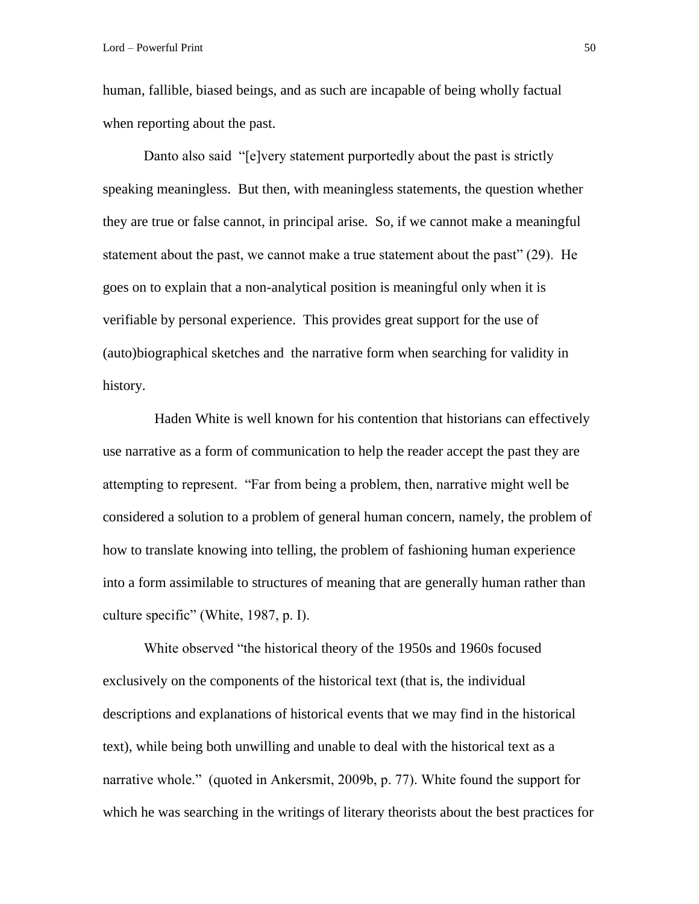human, fallible, biased beings, and as such are incapable of being wholly factual when reporting about the past.

Danto also said "[e]very statement purportedly about the past is strictly speaking meaningless. But then, with meaningless statements, the question whether they are true or false cannot, in principal arise. So, if we cannot make a meaningful statement about the past, we cannot make a true statement about the past" (29). He goes on to explain that a non-analytical position is meaningful only when it is verifiable by personal experience. This provides great support for the use of (auto)biographical sketches and the narrative form when searching for validity in history.

Haden White is well known for his contention that historians can effectively use narrative as a form of communication to help the reader accept the past they are attempting to represent. "Far from being a problem, then, narrative might well be considered a solution to a problem of general human concern, namely, the problem of how to translate knowing into telling, the problem of fashioning human experience into a form assimilable to structures of meaning that are generally human rather than culture specific" (White, 1987, p. I).

White observed "the historical theory of the 1950s and 1960s focused exclusively on the components of the historical text (that is, the individual descriptions and explanations of historical events that we may find in the historical text), while being both unwilling and unable to deal with the historical text as a narrative whole." (quoted in Ankersmit, 2009b, p. 77). White found the support for which he was searching in the writings of literary theorists about the best practices for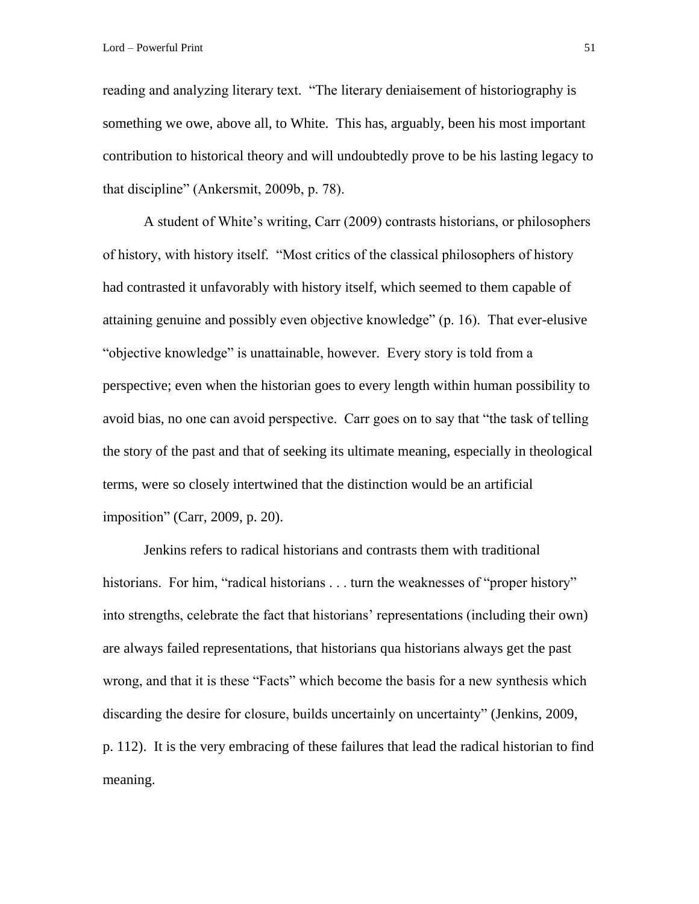Lord – Powerful Print 51

reading and analyzing literary text. "The literary deniaisement of historiography is something we owe, above all, to White. This has, arguably, been his most important contribution to historical theory and will undoubtedly prove to be his lasting legacy to that discipline" (Ankersmit, 2009b, p. 78).

A student of White's writing, Carr (2009) contrasts historians, or philosophers of history, with history itself. "Most critics of the classical philosophers of history had contrasted it unfavorably with history itself, which seemed to them capable of attaining genuine and possibly even objective knowledge" (p. 16). That ever-elusive "objective knowledge" is unattainable, however. Every story is told from a perspective; even when the historian goes to every length within human possibility to avoid bias, no one can avoid perspective. Carr goes on to say that "the task of telling the story of the past and that of seeking its ultimate meaning, especially in theological terms, were so closely intertwined that the distinction would be an artificial imposition" (Carr, 2009, p. 20).

Jenkins refers to radical historians and contrasts them with traditional historians. For him, "radical historians . . . turn the weaknesses of "proper history" into strengths, celebrate the fact that historians' representations (including their own) are always failed representations, that historians qua historians always get the past wrong, and that it is these "Facts" which become the basis for a new synthesis which discarding the desire for closure, builds uncertainly on uncertainty" (Jenkins, 2009, p. 112). It is the very embracing of these failures that lead the radical historian to find meaning.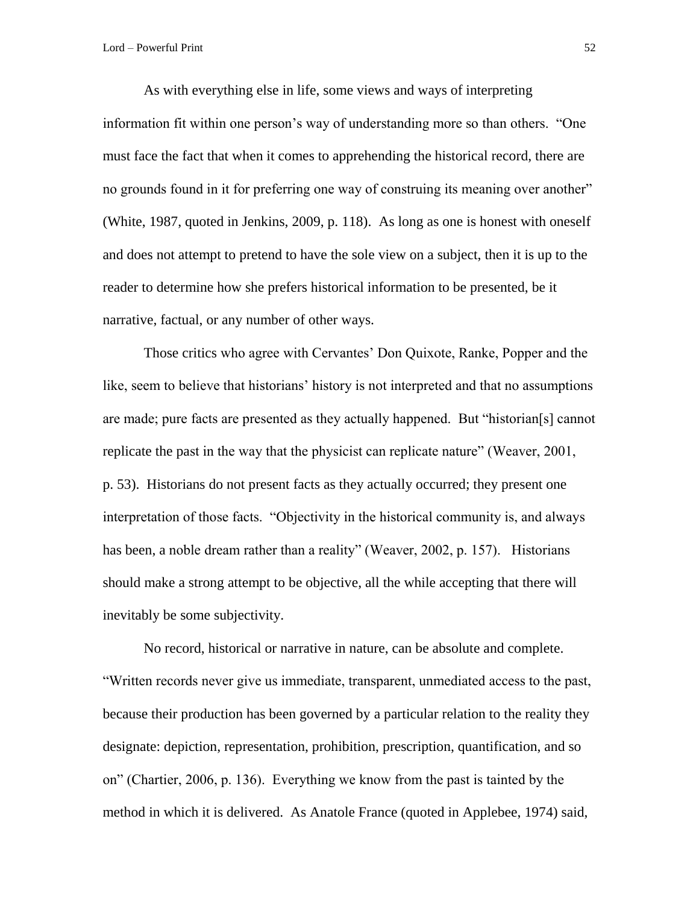As with everything else in life, some views and ways of interpreting information fit within one person's way of understanding more so than others. "One must face the fact that when it comes to apprehending the historical record, there are no grounds found in it for preferring one way of construing its meaning over another" (White, 1987, quoted in Jenkins, 2009, p. 118). As long as one is honest with oneself and does not attempt to pretend to have the sole view on a subject, then it is up to the reader to determine how she prefers historical information to be presented, be it narrative, factual, or any number of other ways.

Those critics who agree with Cervantes' Don Quixote, Ranke, Popper and the like, seem to believe that historians' history is not interpreted and that no assumptions are made; pure facts are presented as they actually happened. But "historian[s] cannot replicate the past in the way that the physicist can replicate nature" (Weaver, 2001, p. 53). Historians do not present facts as they actually occurred; they present one interpretation of those facts. "Objectivity in the historical community is, and always has been, a noble dream rather than a reality" (Weaver, 2002, p. 157). Historians should make a strong attempt to be objective, all the while accepting that there will inevitably be some subjectivity.

No record, historical or narrative in nature, can be absolute and complete. "Written records never give us immediate, transparent, unmediated access to the past, because their production has been governed by a particular relation to the reality they designate: depiction, representation, prohibition, prescription, quantification, and so on" (Chartier, 2006, p. 136). Everything we know from the past is tainted by the method in which it is delivered. As Anatole France (quoted in Applebee, 1974) said,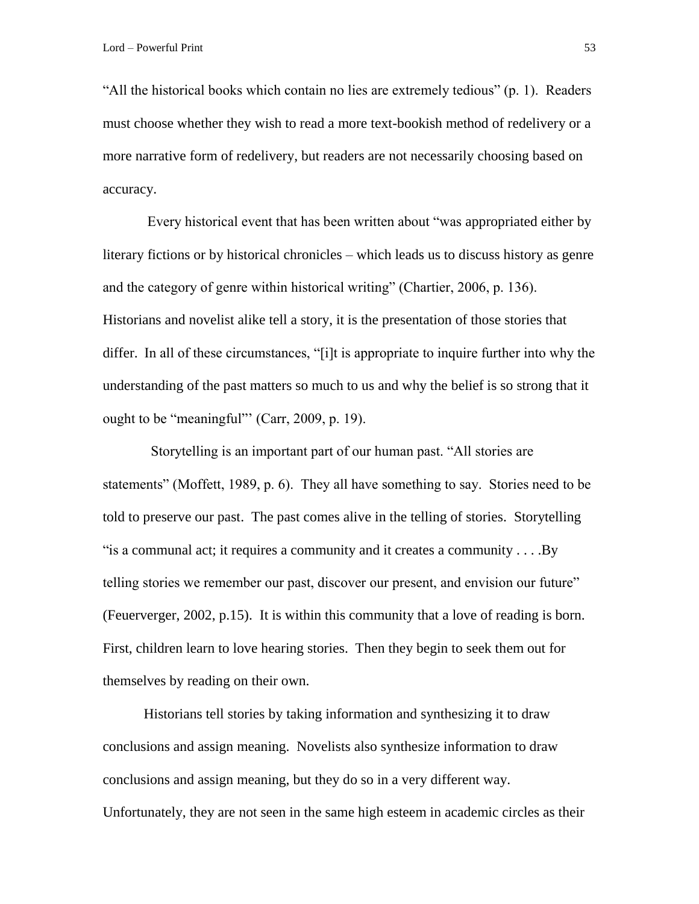"All the historical books which contain no lies are extremely tedious" (p. 1). Readers must choose whether they wish to read a more text-bookish method of redelivery or a more narrative form of redelivery, but readers are not necessarily choosing based on accuracy.

Every historical event that has been written about "was appropriated either by literary fictions or by historical chronicles – which leads us to discuss history as genre and the category of genre within historical writing" (Chartier, 2006, p. 136). Historians and novelist alike tell a story, it is the presentation of those stories that differ. In all of these circumstances, "[i]t is appropriate to inquire further into why the understanding of the past matters so much to us and why the belief is so strong that it ought to be "meaningful"' (Carr, 2009, p. 19).

 Storytelling is an important part of our human past. "All stories are statements" (Moffett, 1989, p. 6). They all have something to say. Stories need to be told to preserve our past. The past comes alive in the telling of stories. Storytelling "is a communal act; it requires a community and it creates a community . . . .By telling stories we remember our past, discover our present, and envision our future" (Feuerverger, 2002, p.15). It is within this community that a love of reading is born. First, children learn to love hearing stories. Then they begin to seek them out for themselves by reading on their own.

Historians tell stories by taking information and synthesizing it to draw conclusions and assign meaning. Novelists also synthesize information to draw conclusions and assign meaning, but they do so in a very different way. Unfortunately, they are not seen in the same high esteem in academic circles as their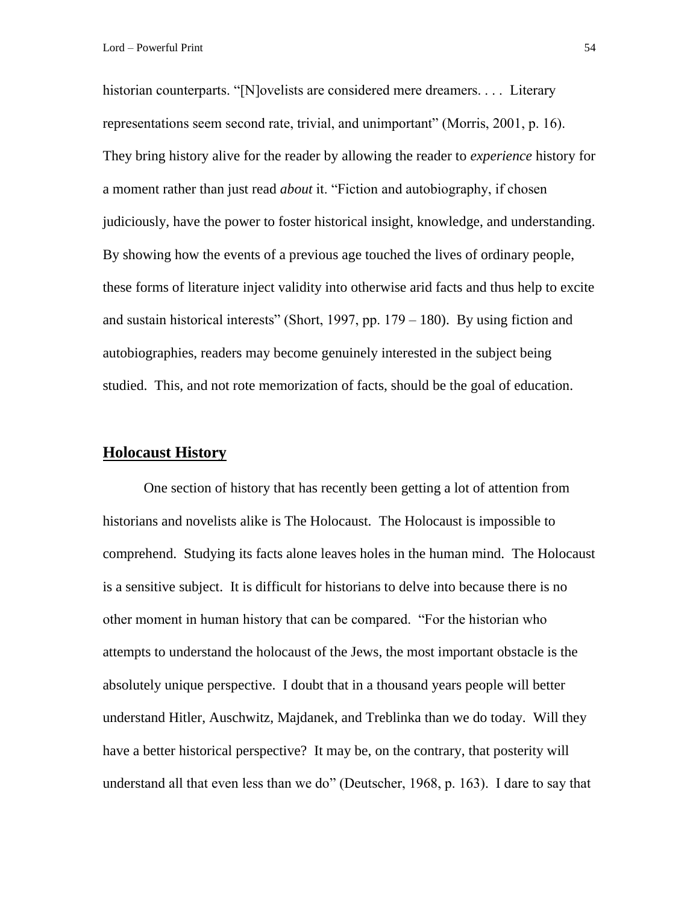historian counterparts. "[N]ovelists are considered mere dreamers.... Literary representations seem second rate, trivial, and unimportant" (Morris, 2001, p. 16). They bring history alive for the reader by allowing the reader to *experience* history for a moment rather than just read *about* it. "Fiction and autobiography, if chosen judiciously, have the power to foster historical insight, knowledge, and understanding. By showing how the events of a previous age touched the lives of ordinary people, these forms of literature inject validity into otherwise arid facts and thus help to excite and sustain historical interests" (Short, 1997, pp. 179 – 180). By using fiction and autobiographies, readers may become genuinely interested in the subject being studied. This, and not rote memorization of facts, should be the goal of education.

# **Holocaust History**

One section of history that has recently been getting a lot of attention from historians and novelists alike is The Holocaust. The Holocaust is impossible to comprehend. Studying its facts alone leaves holes in the human mind. The Holocaust is a sensitive subject. It is difficult for historians to delve into because there is no other moment in human history that can be compared. "For the historian who attempts to understand the holocaust of the Jews, the most important obstacle is the absolutely unique perspective. I doubt that in a thousand years people will better understand Hitler, Auschwitz, Majdanek, and Treblinka than we do today. Will they have a better historical perspective? It may be, on the contrary, that posterity will understand all that even less than we do" (Deutscher, 1968, p. 163). I dare to say that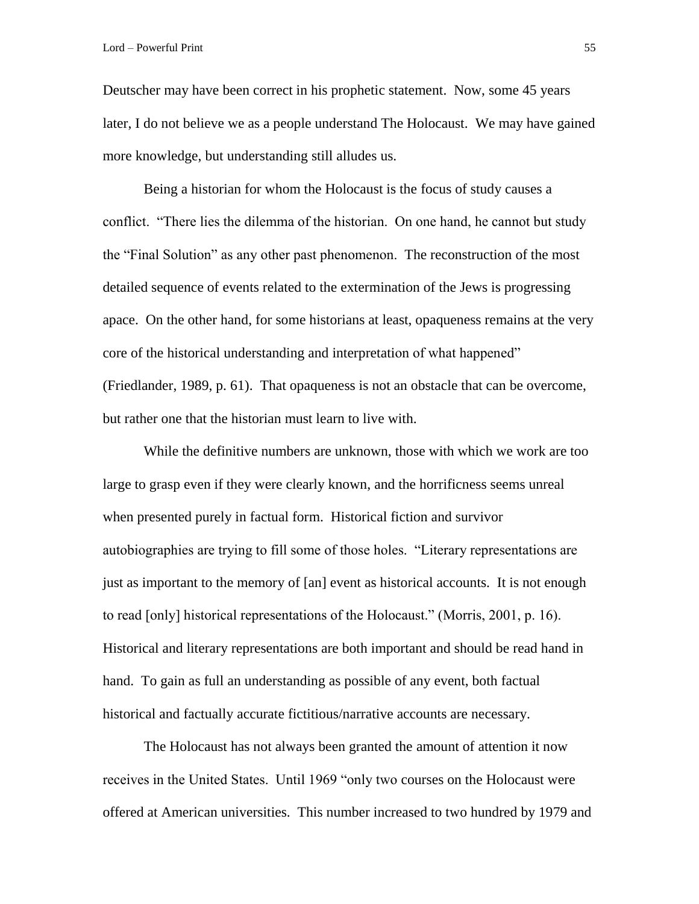Deutscher may have been correct in his prophetic statement. Now, some 45 years later, I do not believe we as a people understand The Holocaust. We may have gained more knowledge, but understanding still alludes us.

Being a historian for whom the Holocaust is the focus of study causes a conflict. "There lies the dilemma of the historian. On one hand, he cannot but study the "Final Solution" as any other past phenomenon. The reconstruction of the most detailed sequence of events related to the extermination of the Jews is progressing apace. On the other hand, for some historians at least, opaqueness remains at the very core of the historical understanding and interpretation of what happened" (Friedlander, 1989, p. 61). That opaqueness is not an obstacle that can be overcome, but rather one that the historian must learn to live with.

While the definitive numbers are unknown, those with which we work are too large to grasp even if they were clearly known, and the horrificness seems unreal when presented purely in factual form. Historical fiction and survivor autobiographies are trying to fill some of those holes. "Literary representations are just as important to the memory of [an] event as historical accounts. It is not enough to read [only] historical representations of the Holocaust." (Morris, 2001, p. 16). Historical and literary representations are both important and should be read hand in hand. To gain as full an understanding as possible of any event, both factual historical and factually accurate fictitious/narrative accounts are necessary.

The Holocaust has not always been granted the amount of attention it now receives in the United States. Until 1969 "only two courses on the Holocaust were offered at American universities. This number increased to two hundred by 1979 and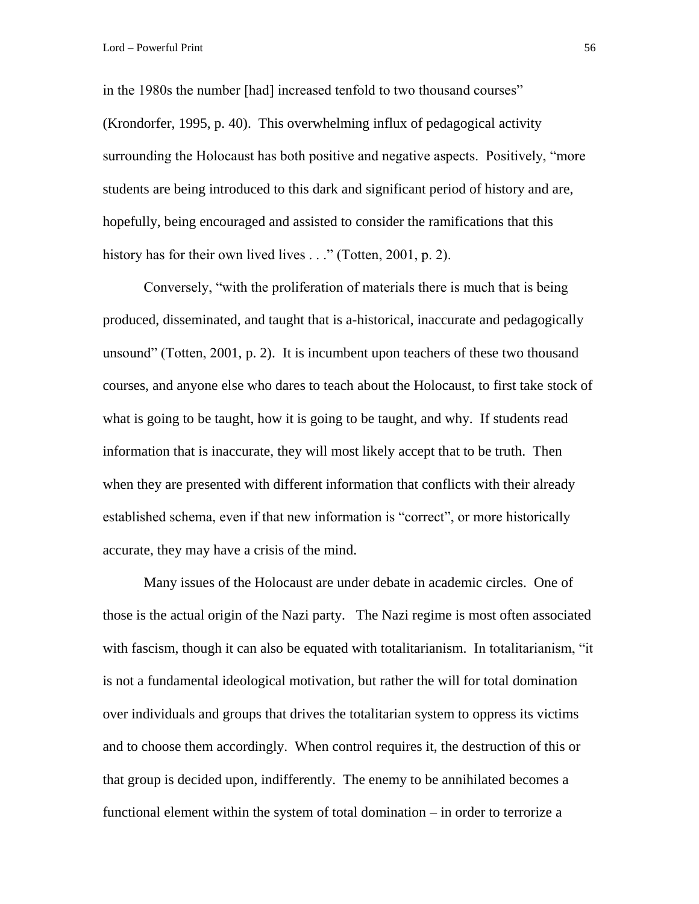in the 1980s the number [had] increased tenfold to two thousand courses" (Krondorfer, 1995, p. 40). This overwhelming influx of pedagogical activity surrounding the Holocaust has both positive and negative aspects. Positively, "more students are being introduced to this dark and significant period of history and are, hopefully, being encouraged and assisted to consider the ramifications that this history has for their own lived lives . . ." (Totten, 2001, p. 2).

Conversely, "with the proliferation of materials there is much that is being produced, disseminated, and taught that is a-historical, inaccurate and pedagogically unsound" (Totten, 2001, p. 2). It is incumbent upon teachers of these two thousand courses, and anyone else who dares to teach about the Holocaust, to first take stock of what is going to be taught, how it is going to be taught, and why. If students read information that is inaccurate, they will most likely accept that to be truth. Then when they are presented with different information that conflicts with their already established schema, even if that new information is "correct", or more historically accurate, they may have a crisis of the mind.

Many issues of the Holocaust are under debate in academic circles. One of those is the actual origin of the Nazi party. The Nazi regime is most often associated with fascism, though it can also be equated with totalitarianism. In totalitarianism, "it is not a fundamental ideological motivation, but rather the will for total domination over individuals and groups that drives the totalitarian system to oppress its victims and to choose them accordingly. When control requires it, the destruction of this or that group is decided upon, indifferently. The enemy to be annihilated becomes a functional element within the system of total domination – in order to terrorize a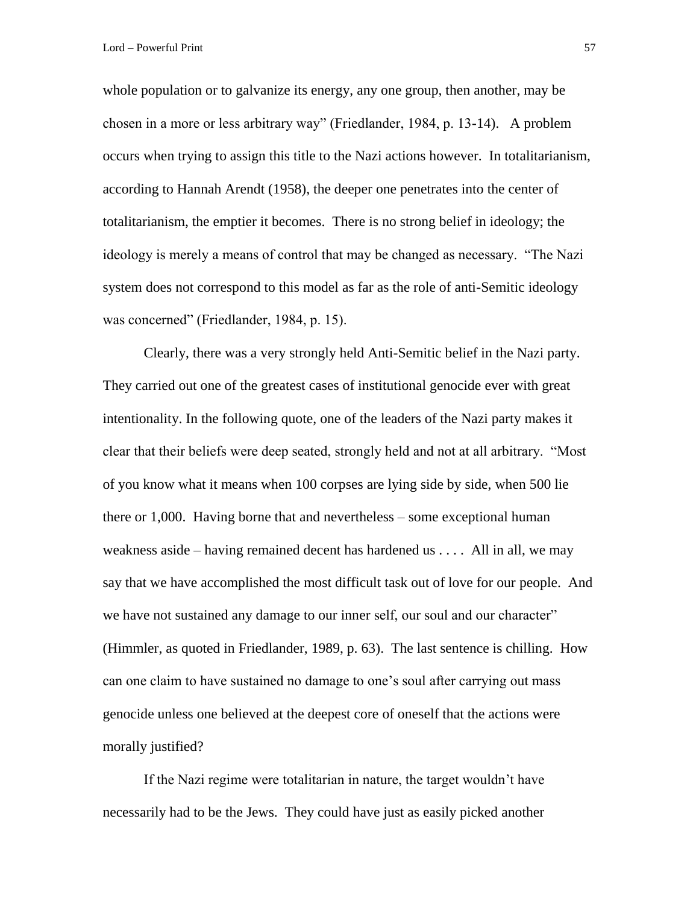whole population or to galvanize its energy, any one group, then another, may be chosen in a more or less arbitrary way" (Friedlander, 1984, p. 13-14). A problem occurs when trying to assign this title to the Nazi actions however. In totalitarianism, according to Hannah Arendt (1958), the deeper one penetrates into the center of totalitarianism, the emptier it becomes. There is no strong belief in ideology; the ideology is merely a means of control that may be changed as necessary. "The Nazi system does not correspond to this model as far as the role of anti-Semitic ideology was concerned" (Friedlander, 1984, p. 15).

Clearly, there was a very strongly held Anti-Semitic belief in the Nazi party. They carried out one of the greatest cases of institutional genocide ever with great intentionality. In the following quote, one of the leaders of the Nazi party makes it clear that their beliefs were deep seated, strongly held and not at all arbitrary. "Most of you know what it means when 100 corpses are lying side by side, when 500 lie there or 1,000. Having borne that and nevertheless – some exceptional human weakness aside – having remained decent has hardened us  $\dots$ . All in all, we may say that we have accomplished the most difficult task out of love for our people. And we have not sustained any damage to our inner self, our soul and our character" (Himmler, as quoted in Friedlander, 1989, p. 63). The last sentence is chilling. How can one claim to have sustained no damage to one's soul after carrying out mass genocide unless one believed at the deepest core of oneself that the actions were morally justified?

If the Nazi regime were totalitarian in nature, the target wouldn't have necessarily had to be the Jews. They could have just as easily picked another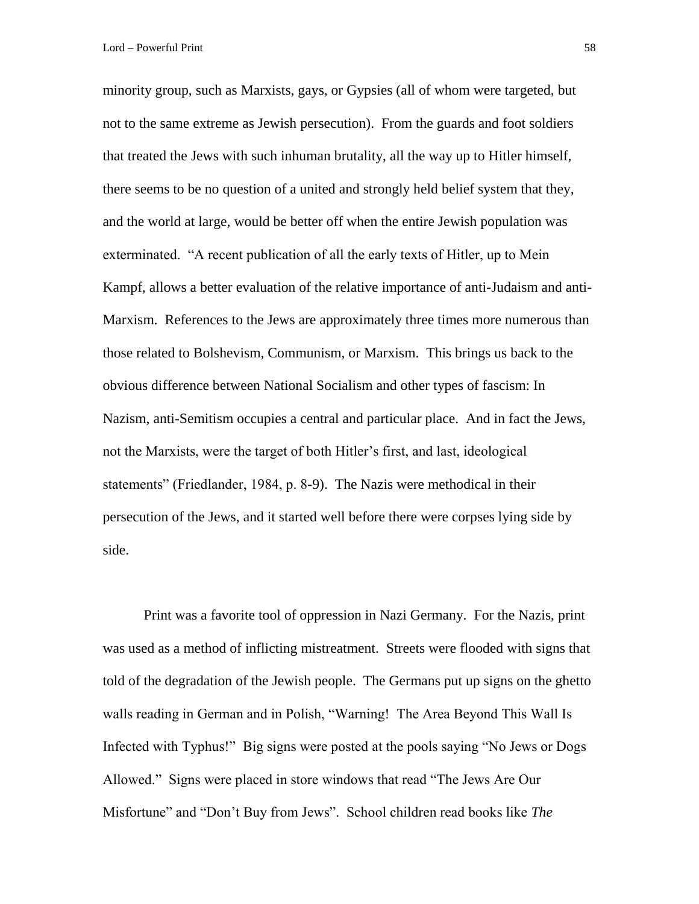minority group, such as Marxists, gays, or Gypsies (all of whom were targeted, but not to the same extreme as Jewish persecution). From the guards and foot soldiers that treated the Jews with such inhuman brutality, all the way up to Hitler himself, there seems to be no question of a united and strongly held belief system that they, and the world at large, would be better off when the entire Jewish population was exterminated. "A recent publication of all the early texts of Hitler, up to Mein Kampf, allows a better evaluation of the relative importance of anti-Judaism and anti-Marxism. References to the Jews are approximately three times more numerous than those related to Bolshevism, Communism, or Marxism. This brings us back to the obvious difference between National Socialism and other types of fascism: In Nazism, anti-Semitism occupies a central and particular place. And in fact the Jews, not the Marxists, were the target of both Hitler's first, and last, ideological statements" (Friedlander, 1984, p. 8-9). The Nazis were methodical in their persecution of the Jews, and it started well before there were corpses lying side by side.

Print was a favorite tool of oppression in Nazi Germany. For the Nazis, print was used as a method of inflicting mistreatment. Streets were flooded with signs that told of the degradation of the Jewish people. The Germans put up signs on the ghetto walls reading in German and in Polish, "Warning! The Area Beyond This Wall Is Infected with Typhus!" Big signs were posted at the pools saying "No Jews or Dogs Allowed." Signs were placed in store windows that read "The Jews Are Our Misfortune" and "Don't Buy from Jews". School children read books like *The*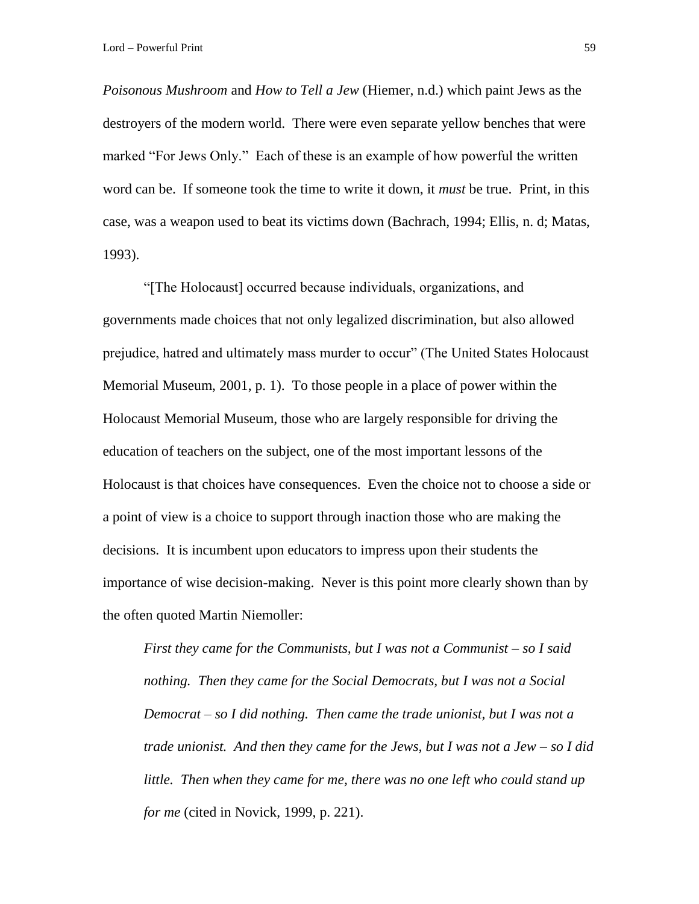*Poisonous Mushroom* and *How to Tell a Jew* (Hiemer, n.d.) which paint Jews as the destroyers of the modern world. There were even separate yellow benches that were marked "For Jews Only." Each of these is an example of how powerful the written word can be. If someone took the time to write it down, it *must* be true. Print, in this case, was a weapon used to beat its victims down (Bachrach, 1994; Ellis, n. d; Matas, 1993).

"[The Holocaust] occurred because individuals, organizations, and governments made choices that not only legalized discrimination, but also allowed prejudice, hatred and ultimately mass murder to occur" (The United States Holocaust Memorial Museum, 2001, p. 1). To those people in a place of power within the Holocaust Memorial Museum, those who are largely responsible for driving the education of teachers on the subject, one of the most important lessons of the Holocaust is that choices have consequences. Even the choice not to choose a side or a point of view is a choice to support through inaction those who are making the decisions. It is incumbent upon educators to impress upon their students the importance of wise decision-making. Never is this point more clearly shown than by the often quoted Martin Niemoller:

*First they came for the Communists, but I was not a Communist – so I said nothing. Then they came for the Social Democrats, but I was not a Social Democrat – so I did nothing. Then came the trade unionist, but I was not a trade unionist. And then they came for the Jews, but I was not a Jew – so I did little. Then when they came for me, there was no one left who could stand up for me* (cited in Novick, 1999, p. 221).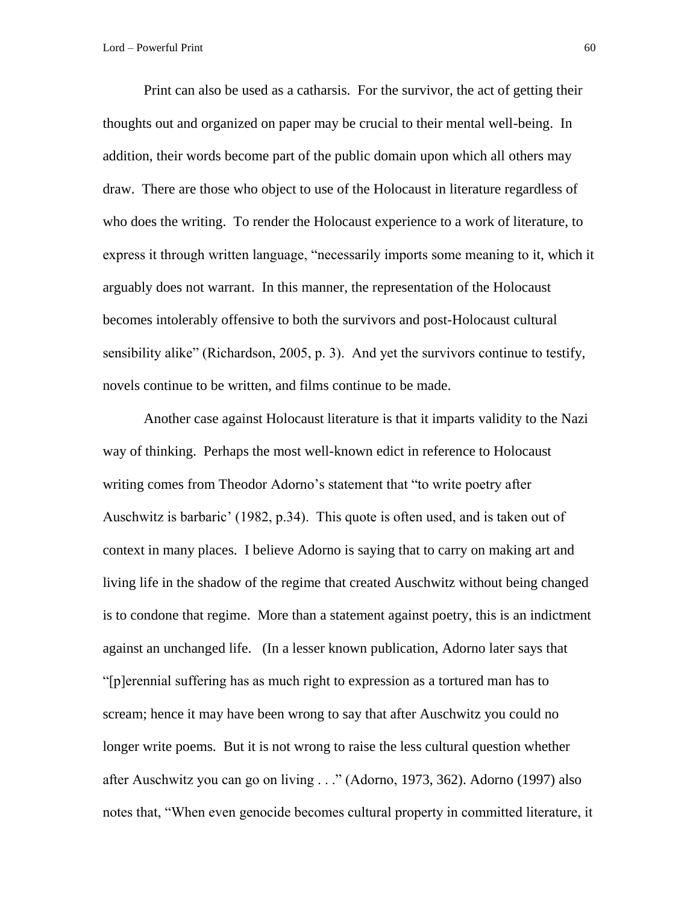Print can also be used as a catharsis. For the survivor, the act of getting their thoughts out and organized on paper may be crucial to their mental well-being. In addition, their words become part of the public domain upon which all others may draw. There are those who object to use of the Holocaust in literature regardless of who does the writing. To render the Holocaust experience to a work of literature, to express it through written language, "necessarily imports some meaning to it, which it arguably does not warrant. In this manner, the representation of the Holocaust becomes intolerably offensive to both the survivors and post-Holocaust cultural sensibility alike" (Richardson, 2005, p. 3). And yet the survivors continue to testify, novels continue to be written, and films continue to be made.

Another case against Holocaust literature is that it imparts validity to the Nazi way of thinking. Perhaps the most well-known edict in reference to Holocaust writing comes from Theodor Adorno's statement that "to write poetry after Auschwitz is barbaric' (1982, p.34). This quote is often used, and is taken out of context in many places. I believe Adorno is saying that to carry on making art and living life in the shadow of the regime that created Auschwitz without being changed is to condone that regime. More than a statement against poetry, this is an indictment against an unchanged life. (In a lesser known publication, Adorno later says that "[p]erennial suffering has as much right to expression as a tortured man has to scream; hence it may have been wrong to say that after Auschwitz you could no longer write poems. But it is not wrong to raise the less cultural question whether after Auschwitz you can go on living . . ." (Adorno, 1973, 362). Adorno (1997) also notes that, "When even genocide becomes cultural property in committed literature, it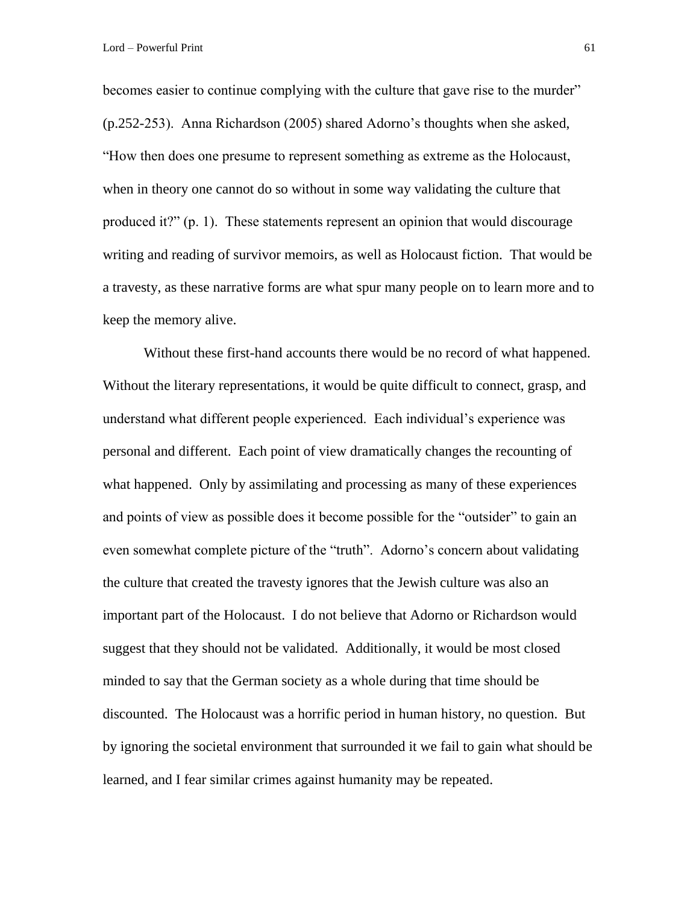becomes easier to continue complying with the culture that gave rise to the murder" (p.252-253). Anna Richardson (2005) shared Adorno's thoughts when she asked, "How then does one presume to represent something as extreme as the Holocaust, when in theory one cannot do so without in some way validating the culture that produced it?" (p. 1). These statements represent an opinion that would discourage writing and reading of survivor memoirs, as well as Holocaust fiction. That would be a travesty, as these narrative forms are what spur many people on to learn more and to keep the memory alive.

Without these first-hand accounts there would be no record of what happened. Without the literary representations, it would be quite difficult to connect, grasp, and understand what different people experienced. Each individual's experience was personal and different. Each point of view dramatically changes the recounting of what happened. Only by assimilating and processing as many of these experiences and points of view as possible does it become possible for the "outsider" to gain an even somewhat complete picture of the "truth". Adorno's concern about validating the culture that created the travesty ignores that the Jewish culture was also an important part of the Holocaust. I do not believe that Adorno or Richardson would suggest that they should not be validated. Additionally, it would be most closed minded to say that the German society as a whole during that time should be discounted. The Holocaust was a horrific period in human history, no question. But by ignoring the societal environment that surrounded it we fail to gain what should be learned, and I fear similar crimes against humanity may be repeated.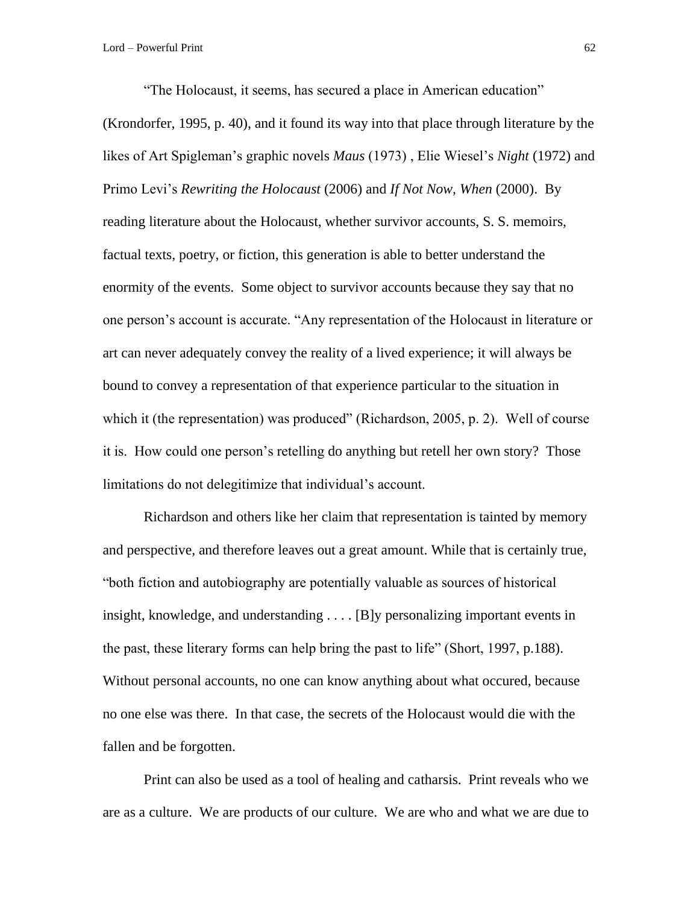"The Holocaust, it seems, has secured a place in American education" (Krondorfer, 1995, p. 40), and it found its way into that place through literature by the likes of Art Spigleman's graphic novels *Maus* (1973) , Elie Wiesel's *Night* (1972) and Primo Levi's *Rewriting the Holocaust* (2006) and *If Not Now, When* (2000). By reading literature about the Holocaust, whether survivor accounts, S. S. memoirs, factual texts, poetry, or fiction, this generation is able to better understand the enormity of the events. Some object to survivor accounts because they say that no one person's account is accurate. "Any representation of the Holocaust in literature or art can never adequately convey the reality of a lived experience; it will always be bound to convey a representation of that experience particular to the situation in which it (the representation) was produced" (Richardson, 2005, p. 2). Well of course it is. How could one person's retelling do anything but retell her own story? Those limitations do not delegitimize that individual's account.

Richardson and others like her claim that representation is tainted by memory and perspective, and therefore leaves out a great amount. While that is certainly true, "both fiction and autobiography are potentially valuable as sources of historical insight, knowledge, and understanding . . . . [B]y personalizing important events in the past, these literary forms can help bring the past to life" (Short, 1997, p.188). Without personal accounts, no one can know anything about what occured, because no one else was there. In that case, the secrets of the Holocaust would die with the fallen and be forgotten.

Print can also be used as a tool of healing and catharsis. Print reveals who we are as a culture. We are products of our culture. We are who and what we are due to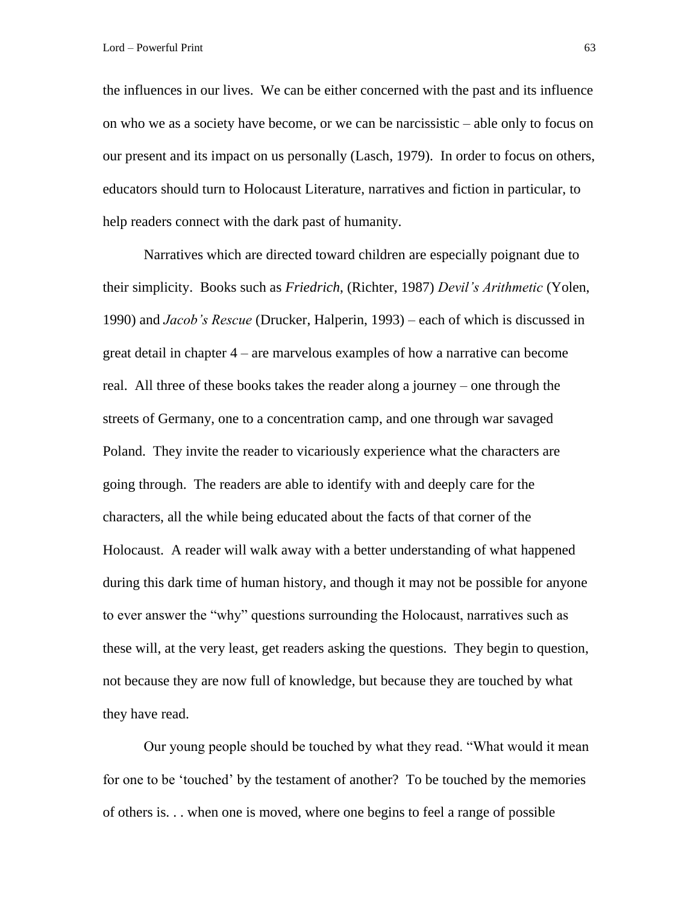the influences in our lives. We can be either concerned with the past and its influence on who we as a society have become, or we can be narcissistic – able only to focus on our present and its impact on us personally (Lasch, 1979). In order to focus on others, educators should turn to Holocaust Literature, narratives and fiction in particular, to help readers connect with the dark past of humanity.

Narratives which are directed toward children are especially poignant due to their simplicity. Books such as *Friedrich*, (Richter, 1987) *Devil's Arithmetic* (Yolen, 1990) and *Jacob's Rescue* (Drucker, Halperin, 1993) – each of which is discussed in great detail in chapter 4 – are marvelous examples of how a narrative can become real. All three of these books takes the reader along a journey – one through the streets of Germany, one to a concentration camp, and one through war savaged Poland. They invite the reader to vicariously experience what the characters are going through. The readers are able to identify with and deeply care for the characters, all the while being educated about the facts of that corner of the Holocaust. A reader will walk away with a better understanding of what happened during this dark time of human history, and though it may not be possible for anyone to ever answer the "why" questions surrounding the Holocaust, narratives such as these will, at the very least, get readers asking the questions. They begin to question, not because they are now full of knowledge, but because they are touched by what they have read.

Our young people should be touched by what they read. "What would it mean for one to be 'touched' by the testament of another? To be touched by the memories of others is. . . when one is moved, where one begins to feel a range of possible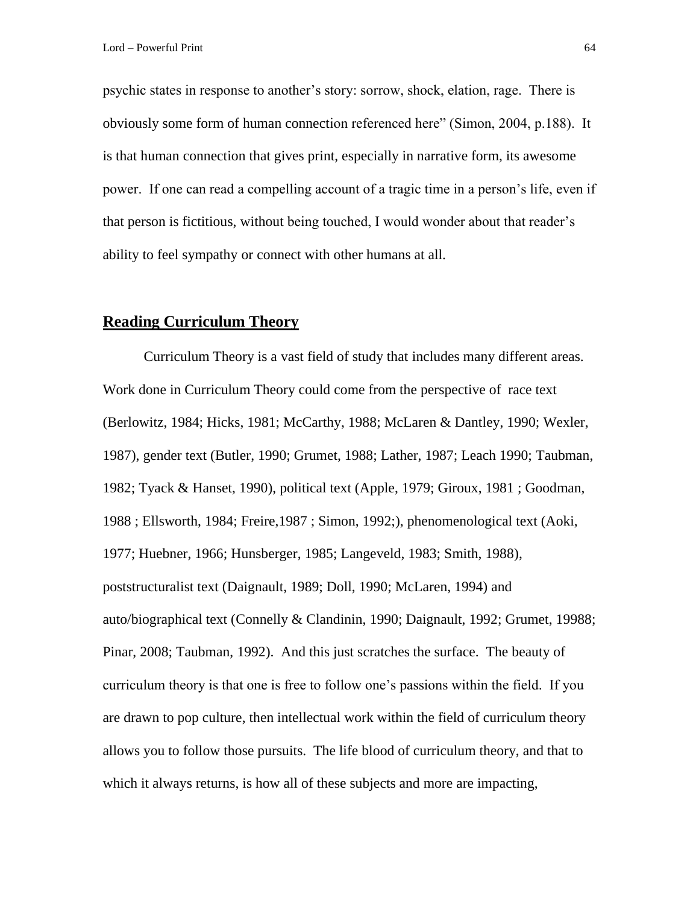psychic states in response to another's story: sorrow, shock, elation, rage. There is obviously some form of human connection referenced here" (Simon, 2004, p.188). It is that human connection that gives print, especially in narrative form, its awesome power. If one can read a compelling account of a tragic time in a person's life, even if that person is fictitious, without being touched, I would wonder about that reader's ability to feel sympathy or connect with other humans at all.

# **Reading Curriculum Theory**

Curriculum Theory is a vast field of study that includes many different areas. Work done in Curriculum Theory could come from the perspective of race text (Berlowitz, 1984; Hicks, 1981; McCarthy, 1988; McLaren & Dantley, 1990; Wexler, 1987), gender text (Butler, 1990; Grumet, 1988; Lather, 1987; Leach 1990; Taubman, 1982; Tyack & Hanset, 1990), political text (Apple, 1979; Giroux, 1981 ; Goodman, 1988 ; Ellsworth, 1984; Freire,1987 ; Simon, 1992;), phenomenological text (Aoki, 1977; Huebner, 1966; Hunsberger, 1985; Langeveld, 1983; Smith, 1988), poststructuralist text (Daignault, 1989; Doll, 1990; McLaren, 1994) and auto/biographical text (Connelly & Clandinin, 1990; Daignault, 1992; Grumet, 19988; Pinar, 2008; Taubman, 1992). And this just scratches the surface. The beauty of curriculum theory is that one is free to follow one's passions within the field. If you are drawn to pop culture, then intellectual work within the field of curriculum theory allows you to follow those pursuits. The life blood of curriculum theory, and that to which it always returns, is how all of these subjects and more are impacting,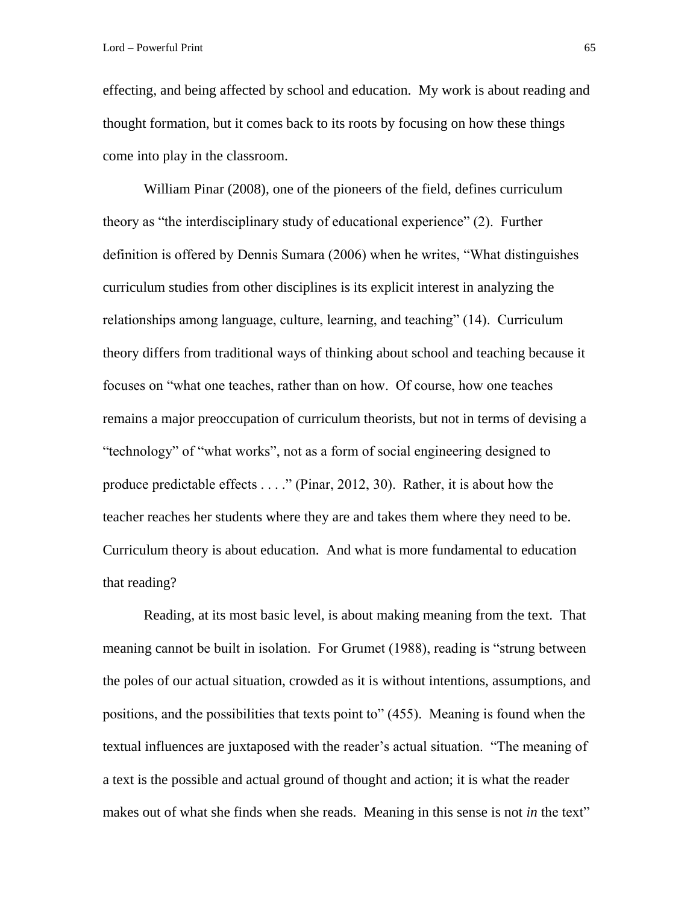effecting, and being affected by school and education. My work is about reading and thought formation, but it comes back to its roots by focusing on how these things come into play in the classroom.

William Pinar (2008), one of the pioneers of the field, defines curriculum theory as "the interdisciplinary study of educational experience" (2). Further definition is offered by Dennis Sumara (2006) when he writes, "What distinguishes curriculum studies from other disciplines is its explicit interest in analyzing the relationships among language, culture, learning, and teaching" (14). Curriculum theory differs from traditional ways of thinking about school and teaching because it focuses on "what one teaches, rather than on how. Of course, how one teaches remains a major preoccupation of curriculum theorists, but not in terms of devising a "technology" of "what works", not as a form of social engineering designed to produce predictable effects . . . ." (Pinar, 2012, 30). Rather, it is about how the teacher reaches her students where they are and takes them where they need to be. Curriculum theory is about education. And what is more fundamental to education that reading?

Reading, at its most basic level, is about making meaning from the text. That meaning cannot be built in isolation. For Grumet (1988), reading is "strung between the poles of our actual situation, crowded as it is without intentions, assumptions, and positions, and the possibilities that texts point to" (455). Meaning is found when the textual influences are juxtaposed with the reader's actual situation. "The meaning of a text is the possible and actual ground of thought and action; it is what the reader makes out of what she finds when she reads. Meaning in this sense is not *in* the text"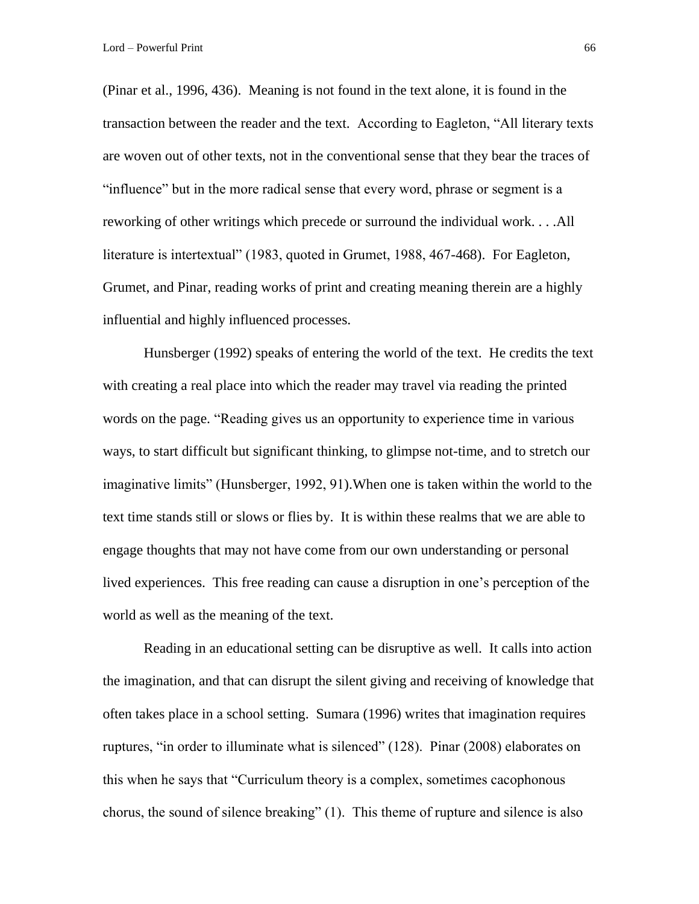(Pinar et al., 1996, 436). Meaning is not found in the text alone, it is found in the transaction between the reader and the text. According to Eagleton, "All literary texts are woven out of other texts, not in the conventional sense that they bear the traces of "influence" but in the more radical sense that every word, phrase or segment is a reworking of other writings which precede or surround the individual work. . . .All literature is intertextual" (1983, quoted in Grumet, 1988, 467-468). For Eagleton, Grumet, and Pinar, reading works of print and creating meaning therein are a highly influential and highly influenced processes.

Hunsberger (1992) speaks of entering the world of the text. He credits the text with creating a real place into which the reader may travel via reading the printed words on the page. "Reading gives us an opportunity to experience time in various ways, to start difficult but significant thinking, to glimpse not-time, and to stretch our imaginative limits" (Hunsberger, 1992, 91).When one is taken within the world to the text time stands still or slows or flies by. It is within these realms that we are able to engage thoughts that may not have come from our own understanding or personal lived experiences. This free reading can cause a disruption in one's perception of the world as well as the meaning of the text.

Reading in an educational setting can be disruptive as well. It calls into action the imagination, and that can disrupt the silent giving and receiving of knowledge that often takes place in a school setting. Sumara (1996) writes that imagination requires ruptures, "in order to illuminate what is silenced" (128). Pinar (2008) elaborates on this when he says that "Curriculum theory is a complex, sometimes cacophonous chorus, the sound of silence breaking" (1). This theme of rupture and silence is also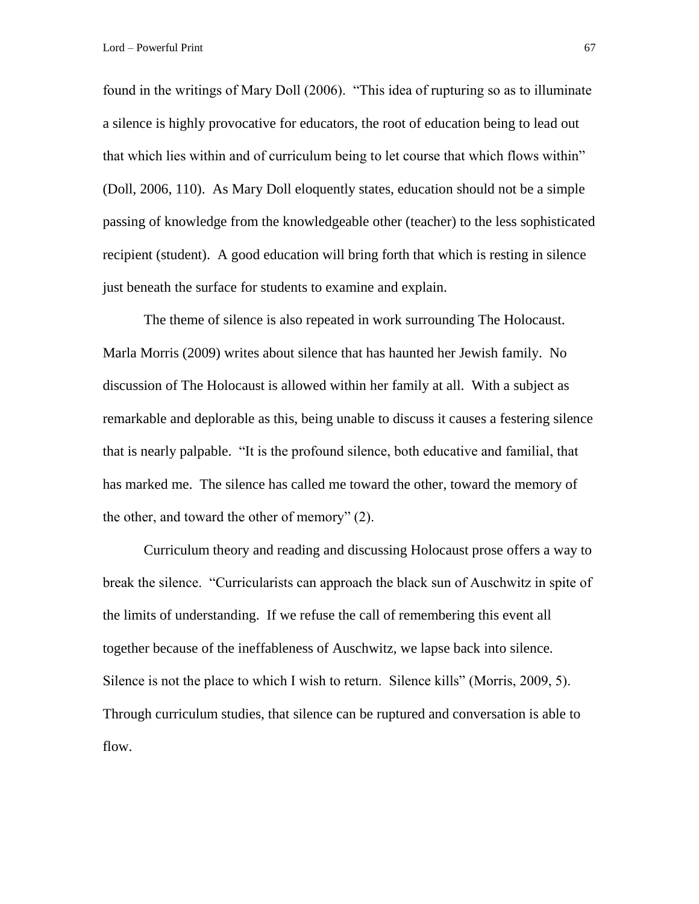Lord – Powerful Print 67

found in the writings of Mary Doll (2006). "This idea of rupturing so as to illuminate a silence is highly provocative for educators, the root of education being to lead out that which lies within and of curriculum being to let course that which flows within" (Doll, 2006, 110). As Mary Doll eloquently states, education should not be a simple passing of knowledge from the knowledgeable other (teacher) to the less sophisticated recipient (student). A good education will bring forth that which is resting in silence just beneath the surface for students to examine and explain.

The theme of silence is also repeated in work surrounding The Holocaust. Marla Morris (2009) writes about silence that has haunted her Jewish family. No discussion of The Holocaust is allowed within her family at all. With a subject as remarkable and deplorable as this, being unable to discuss it causes a festering silence that is nearly palpable. "It is the profound silence, both educative and familial, that has marked me. The silence has called me toward the other, toward the memory of the other, and toward the other of memory" (2).

Curriculum theory and reading and discussing Holocaust prose offers a way to break the silence. "Curricularists can approach the black sun of Auschwitz in spite of the limits of understanding. If we refuse the call of remembering this event all together because of the ineffableness of Auschwitz, we lapse back into silence. Silence is not the place to which I wish to return. Silence kills" (Morris, 2009, 5). Through curriculum studies, that silence can be ruptured and conversation is able to flow.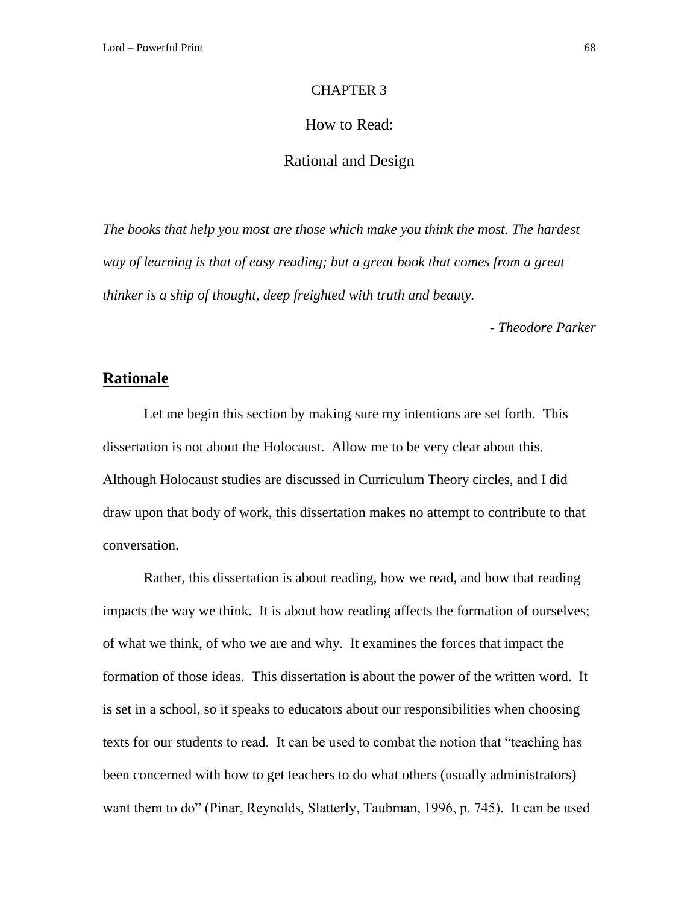#### CHAPTER 3

### How to Read:

### Rational and Design

*The books that help you most are those which make you think the most. The hardest way of learning is that of easy reading; but a great book that comes from a great thinker is a ship of thought, deep freighted with truth and beauty.*

*- Theodore Parker* 

#### **Rationale**

Let me begin this section by making sure my intentions are set forth. This dissertation is not about the Holocaust. Allow me to be very clear about this. Although Holocaust studies are discussed in Curriculum Theory circles, and I did draw upon that body of work, this dissertation makes no attempt to contribute to that conversation.

Rather, this dissertation is about reading, how we read, and how that reading impacts the way we think. It is about how reading affects the formation of ourselves; of what we think, of who we are and why. It examines the forces that impact the formation of those ideas. This dissertation is about the power of the written word. It is set in a school, so it speaks to educators about our responsibilities when choosing texts for our students to read. It can be used to combat the notion that "teaching has been concerned with how to get teachers to do what others (usually administrators) want them to do" (Pinar, Reynolds, Slatterly, Taubman, 1996, p. 745). It can be used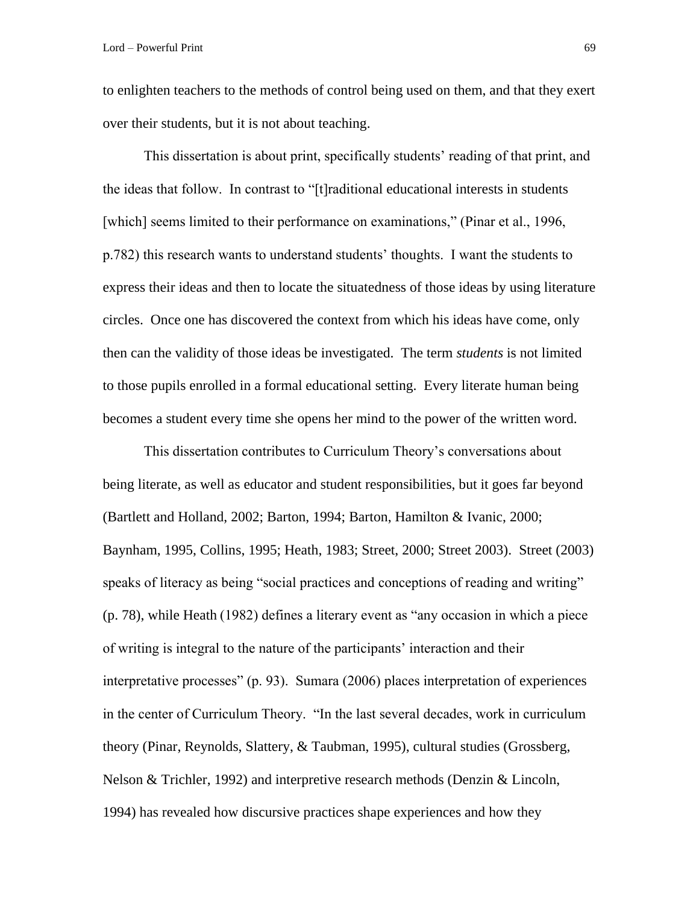to enlighten teachers to the methods of control being used on them, and that they exert over their students, but it is not about teaching.

This dissertation is about print, specifically students' reading of that print, and the ideas that follow. In contrast to "[t]raditional educational interests in students [which] seems limited to their performance on examinations," (Pinar et al., 1996, p.782) this research wants to understand students' thoughts. I want the students to express their ideas and then to locate the situatedness of those ideas by using literature circles. Once one has discovered the context from which his ideas have come, only then can the validity of those ideas be investigated. The term *students* is not limited to those pupils enrolled in a formal educational setting. Every literate human being becomes a student every time she opens her mind to the power of the written word.

This dissertation contributes to Curriculum Theory's conversations about being literate, as well as educator and student responsibilities, but it goes far beyond (Bartlett and Holland, 2002; Barton, 1994; Barton, Hamilton & Ivanic, 2000; Baynham, 1995, Collins, 1995; Heath, 1983; Street, 2000; Street 2003). Street (2003) speaks of literacy as being "social practices and conceptions of reading and writing" (p. 78), while Heath (1982) defines a literary event as "any occasion in which a piece of writing is integral to the nature of the participants' interaction and their interpretative processes" (p. 93). Sumara (2006) places interpretation of experiences in the center of Curriculum Theory. "In the last several decades, work in curriculum theory (Pinar, Reynolds, Slattery, & Taubman, 1995), cultural studies (Grossberg, Nelson & Trichler, 1992) and interpretive research methods (Denzin & Lincoln, 1994) has revealed how discursive practices shape experiences and how they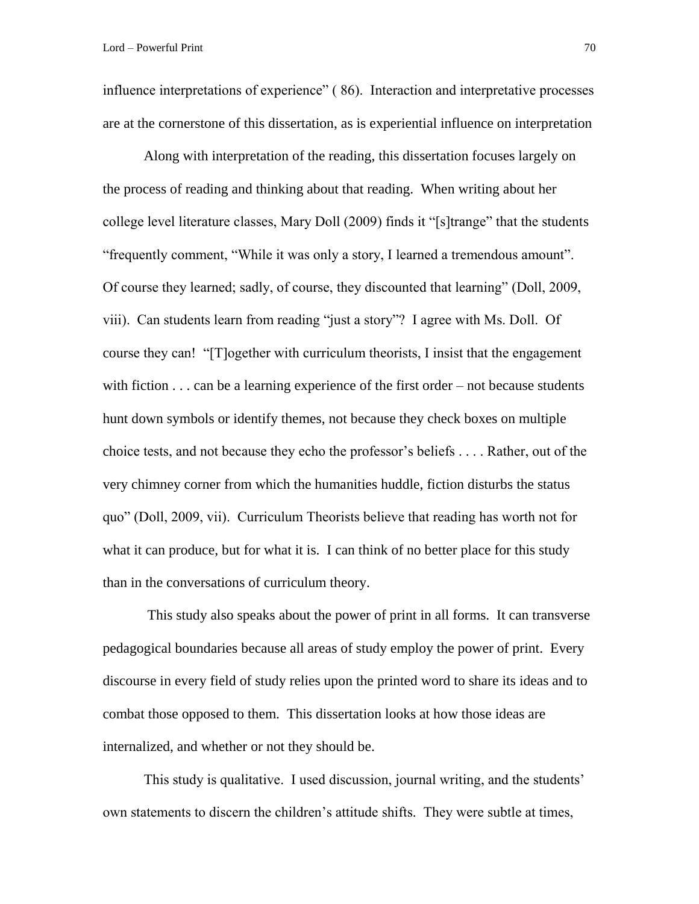influence interpretations of experience" ( 86). Interaction and interpretative processes are at the cornerstone of this dissertation, as is experiential influence on interpretation

Along with interpretation of the reading, this dissertation focuses largely on the process of reading and thinking about that reading. When writing about her college level literature classes, Mary Doll (2009) finds it "[s]trange" that the students "frequently comment, "While it was only a story, I learned a tremendous amount". Of course they learned; sadly, of course, they discounted that learning" (Doll, 2009, viii). Can students learn from reading "just a story"? I agree with Ms. Doll. Of course they can! "[T]ogether with curriculum theorists, I insist that the engagement with fiction  $\dots$  can be a learning experience of the first order – not because students hunt down symbols or identify themes, not because they check boxes on multiple choice tests, and not because they echo the professor's beliefs . . . . Rather, out of the very chimney corner from which the humanities huddle, fiction disturbs the status quo" (Doll, 2009, vii). Curriculum Theorists believe that reading has worth not for what it can produce, but for what it is. I can think of no better place for this study than in the conversations of curriculum theory.

This study also speaks about the power of print in all forms. It can transverse pedagogical boundaries because all areas of study employ the power of print. Every discourse in every field of study relies upon the printed word to share its ideas and to combat those opposed to them. This dissertation looks at how those ideas are internalized, and whether or not they should be.

This study is qualitative. I used discussion, journal writing, and the students' own statements to discern the children's attitude shifts. They were subtle at times,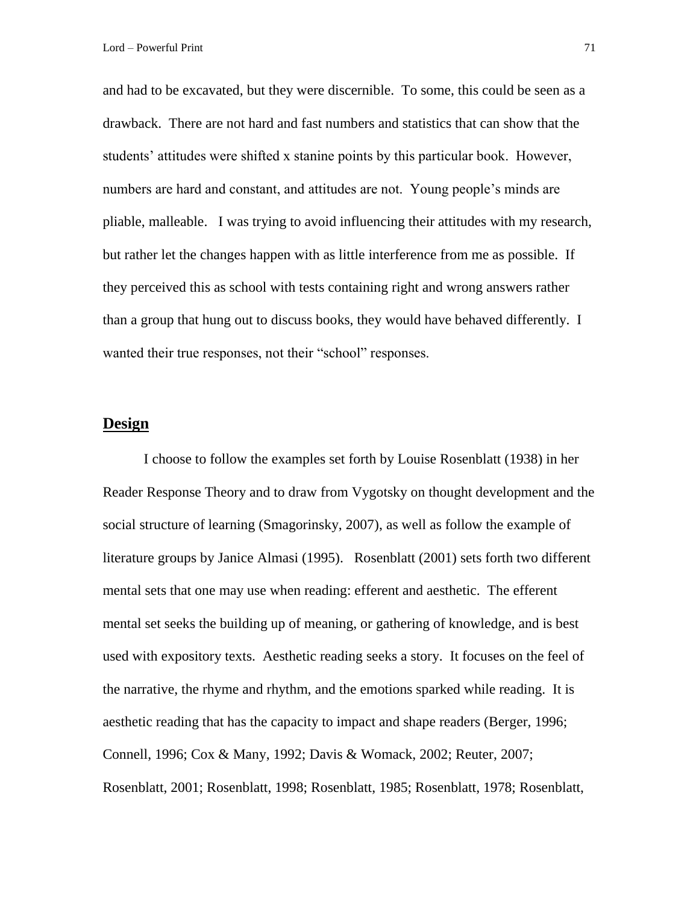and had to be excavated, but they were discernible. To some, this could be seen as a drawback. There are not hard and fast numbers and statistics that can show that the students' attitudes were shifted x stanine points by this particular book. However, numbers are hard and constant, and attitudes are not. Young people's minds are pliable, malleable. I was trying to avoid influencing their attitudes with my research, but rather let the changes happen with as little interference from me as possible. If they perceived this as school with tests containing right and wrong answers rather than a group that hung out to discuss books, they would have behaved differently. I wanted their true responses, not their "school" responses.

### **Design**

I choose to follow the examples set forth by Louise Rosenblatt (1938) in her Reader Response Theory and to draw from Vygotsky on thought development and the social structure of learning (Smagorinsky, 2007), as well as follow the example of literature groups by Janice Almasi (1995). Rosenblatt (2001) sets forth two different mental sets that one may use when reading: efferent and aesthetic. The efferent mental set seeks the building up of meaning, or gathering of knowledge, and is best used with expository texts. Aesthetic reading seeks a story. It focuses on the feel of the narrative, the rhyme and rhythm, and the emotions sparked while reading. It is aesthetic reading that has the capacity to impact and shape readers (Berger, 1996; Connell, 1996; Cox & Many, 1992; Davis & Womack, 2002; Reuter, 2007; Rosenblatt, 2001; Rosenblatt, 1998; Rosenblatt, 1985; Rosenblatt, 1978; Rosenblatt,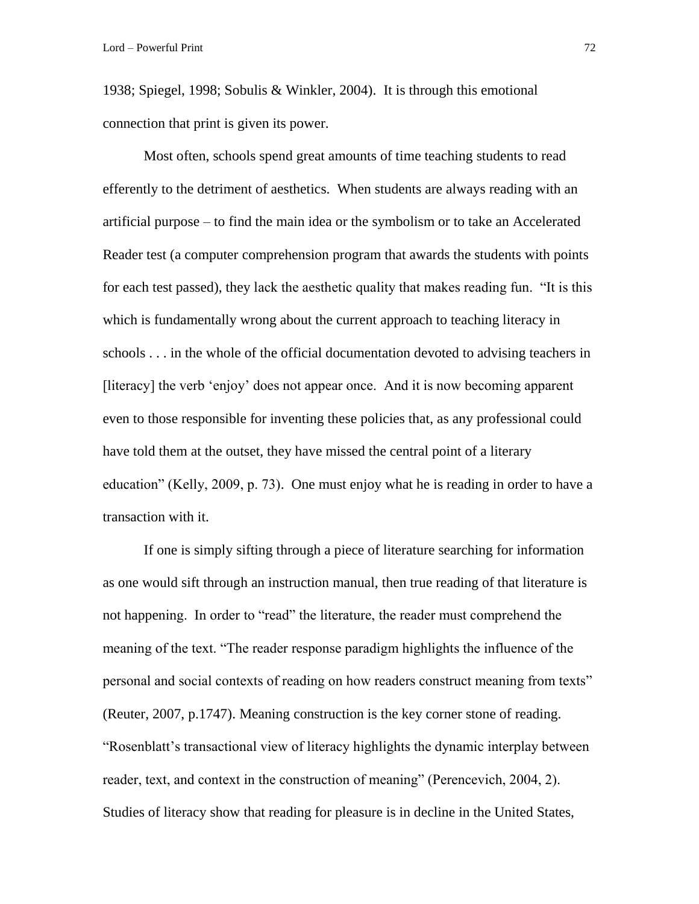1938; Spiegel, 1998; Sobulis & Winkler, 2004). It is through this emotional connection that print is given its power.

Most often, schools spend great amounts of time teaching students to read efferently to the detriment of aesthetics. When students are always reading with an artificial purpose – to find the main idea or the symbolism or to take an Accelerated Reader test (a computer comprehension program that awards the students with points for each test passed), they lack the aesthetic quality that makes reading fun. "It is this which is fundamentally wrong about the current approach to teaching literacy in schools . . . in the whole of the official documentation devoted to advising teachers in [literacy] the verb 'enjoy' does not appear once. And it is now becoming apparent even to those responsible for inventing these policies that, as any professional could have told them at the outset, they have missed the central point of a literary education" (Kelly, 2009, p. 73). One must enjoy what he is reading in order to have a transaction with it.

If one is simply sifting through a piece of literature searching for information as one would sift through an instruction manual, then true reading of that literature is not happening. In order to "read" the literature, the reader must comprehend the meaning of the text. "The reader response paradigm highlights the influence of the personal and social contexts of reading on how readers construct meaning from texts" (Reuter, 2007, p.1747). Meaning construction is the key corner stone of reading. "Rosenblatt's transactional view of literacy highlights the dynamic interplay between reader, text, and context in the construction of meaning" (Perencevich, 2004, 2). Studies of literacy show that reading for pleasure is in decline in the United States,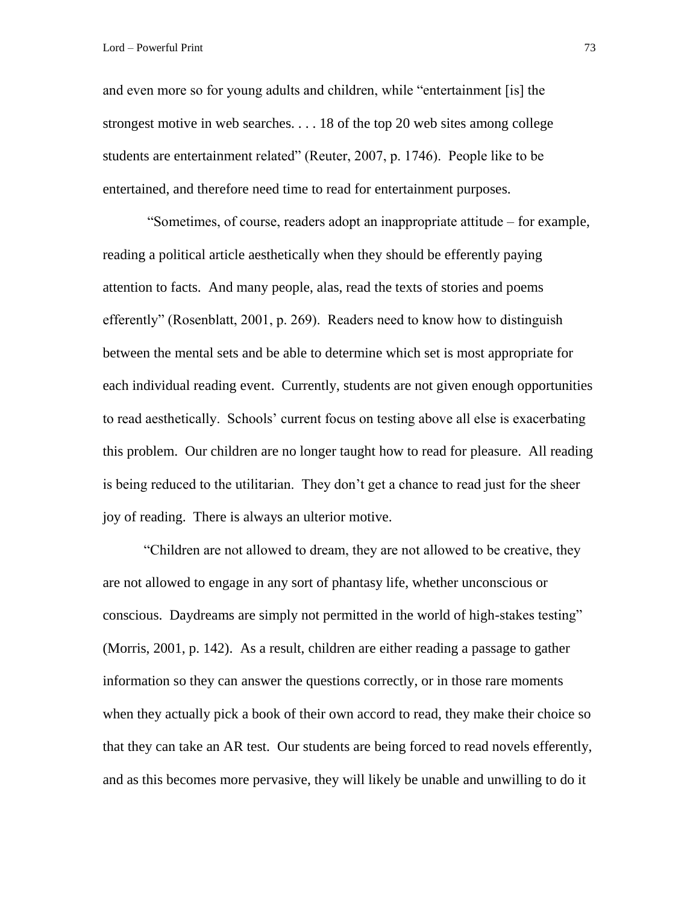and even more so for young adults and children, while "entertainment [is] the strongest motive in web searches. . . . 18 of the top 20 web sites among college students are entertainment related" (Reuter, 2007, p. 1746). People like to be entertained, and therefore need time to read for entertainment purposes.

"Sometimes, of course, readers adopt an inappropriate attitude – for example, reading a political article aesthetically when they should be efferently paying attention to facts. And many people, alas, read the texts of stories and poems efferently" (Rosenblatt, 2001, p. 269). Readers need to know how to distinguish between the mental sets and be able to determine which set is most appropriate for each individual reading event. Currently, students are not given enough opportunities to read aesthetically. Schools' current focus on testing above all else is exacerbating this problem. Our children are no longer taught how to read for pleasure. All reading is being reduced to the utilitarian. They don't get a chance to read just for the sheer joy of reading. There is always an ulterior motive.

"Children are not allowed to dream, they are not allowed to be creative, they are not allowed to engage in any sort of phantasy life, whether unconscious or conscious. Daydreams are simply not permitted in the world of high-stakes testing" (Morris, 2001, p. 142). As a result, children are either reading a passage to gather information so they can answer the questions correctly, or in those rare moments when they actually pick a book of their own accord to read, they make their choice so that they can take an AR test. Our students are being forced to read novels efferently, and as this becomes more pervasive, they will likely be unable and unwilling to do it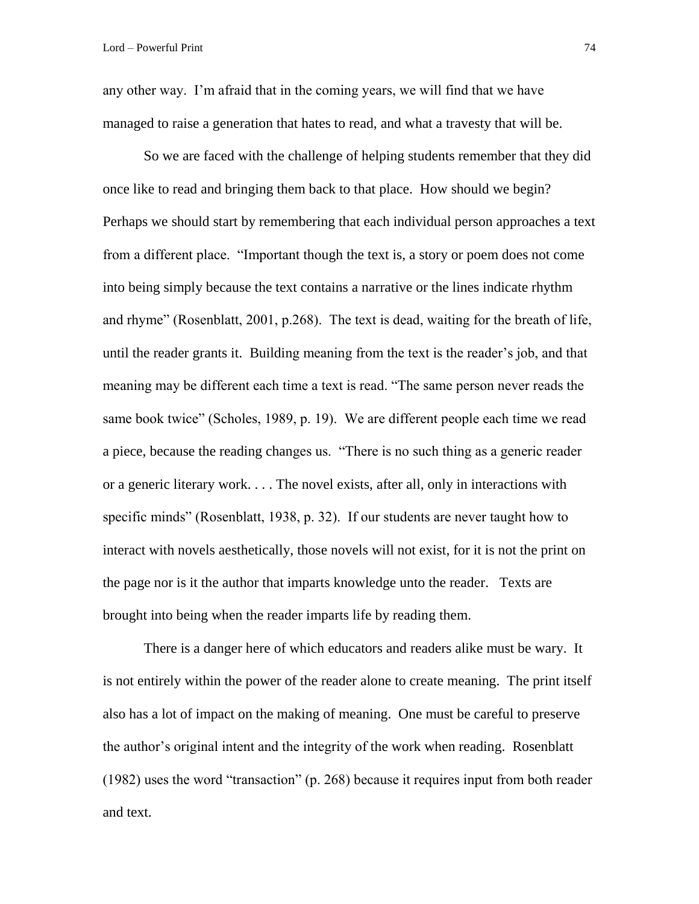any other way. I'm afraid that in the coming years, we will find that we have managed to raise a generation that hates to read, and what a travesty that will be.

So we are faced with the challenge of helping students remember that they did once like to read and bringing them back to that place. How should we begin? Perhaps we should start by remembering that each individual person approaches a text from a different place. "Important though the text is, a story or poem does not come into being simply because the text contains a narrative or the lines indicate rhythm and rhyme" (Rosenblatt, 2001, p.268). The text is dead, waiting for the breath of life, until the reader grants it. Building meaning from the text is the reader's job, and that meaning may be different each time a text is read. "The same person never reads the same book twice" (Scholes, 1989, p. 19). We are different people each time we read a piece, because the reading changes us. "There is no such thing as a generic reader or a generic literary work. . . . The novel exists, after all, only in interactions with specific minds" (Rosenblatt, 1938, p. 32). If our students are never taught how to interact with novels aesthetically, those novels will not exist, for it is not the print on the page nor is it the author that imparts knowledge unto the reader. Texts are brought into being when the reader imparts life by reading them.

There is a danger here of which educators and readers alike must be wary. It is not entirely within the power of the reader alone to create meaning. The print itself also has a lot of impact on the making of meaning. One must be careful to preserve the author's original intent and the integrity of the work when reading. Rosenblatt (1982) uses the word "transaction" (p. 268) because it requires input from both reader and text.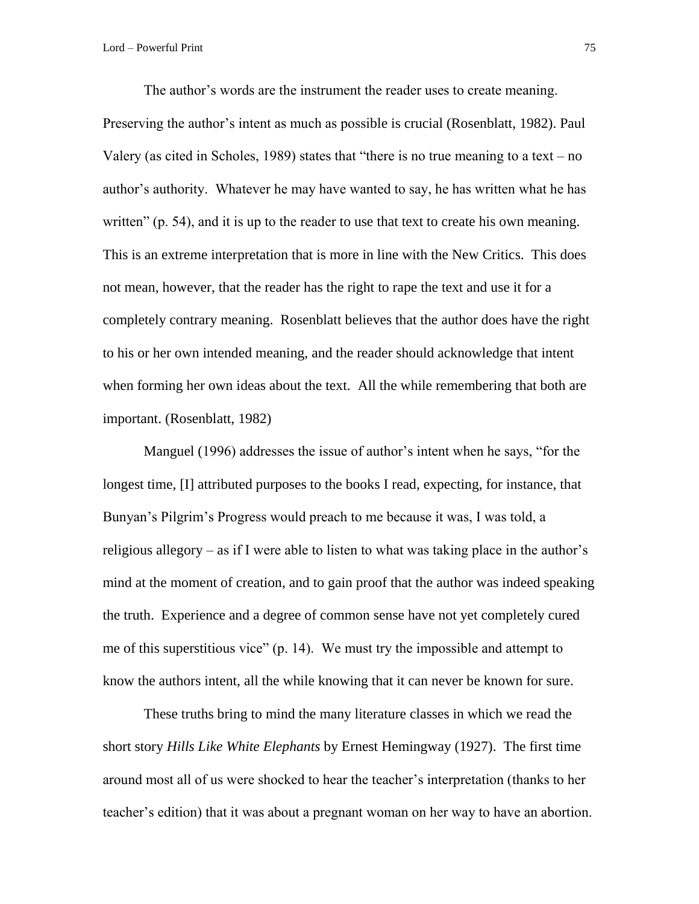The author's words are the instrument the reader uses to create meaning. Preserving the author's intent as much as possible is crucial (Rosenblatt, 1982). Paul Valery (as cited in Scholes, 1989) states that "there is no true meaning to a text – no author's authority. Whatever he may have wanted to say, he has written what he has written" (p. 54), and it is up to the reader to use that text to create his own meaning. This is an extreme interpretation that is more in line with the New Critics. This does not mean, however, that the reader has the right to rape the text and use it for a completely contrary meaning. Rosenblatt believes that the author does have the right to his or her own intended meaning, and the reader should acknowledge that intent when forming her own ideas about the text. All the while remembering that both are important. (Rosenblatt, 1982)

Manguel (1996) addresses the issue of author's intent when he says, "for the longest time, [I] attributed purposes to the books I read, expecting, for instance, that Bunyan's Pilgrim's Progress would preach to me because it was, I was told, a religious allegory – as if I were able to listen to what was taking place in the author's mind at the moment of creation, and to gain proof that the author was indeed speaking the truth. Experience and a degree of common sense have not yet completely cured me of this superstitious vice" (p. 14). We must try the impossible and attempt to know the authors intent, all the while knowing that it can never be known for sure.

These truths bring to mind the many literature classes in which we read the short story *Hills Like White Elephants* by Ernest Hemingway (1927). The first time around most all of us were shocked to hear the teacher's interpretation (thanks to her teacher's edition) that it was about a pregnant woman on her way to have an abortion.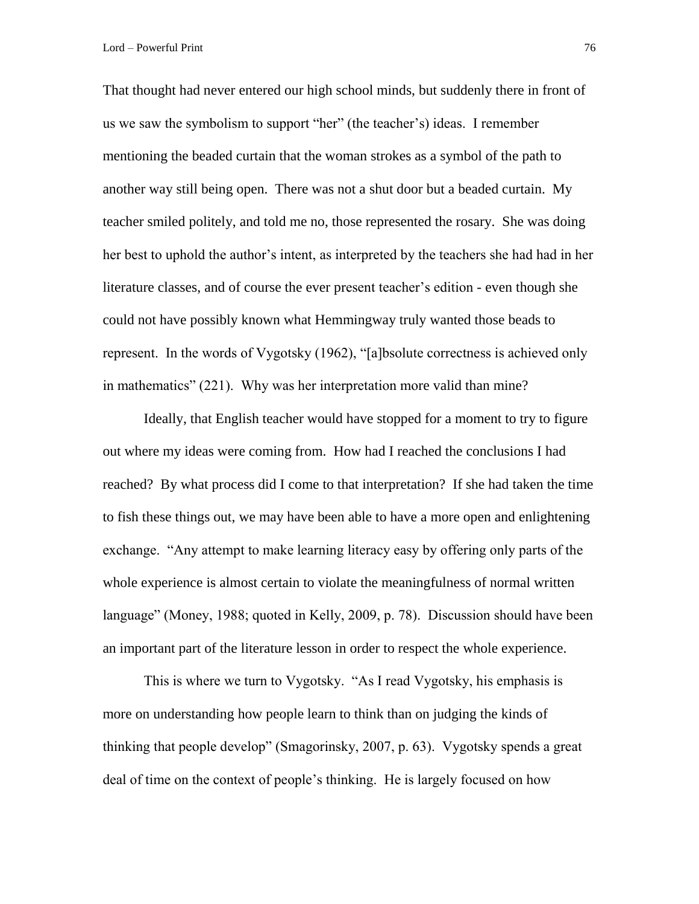Lord – Powerful Print 76

That thought had never entered our high school minds, but suddenly there in front of us we saw the symbolism to support "her" (the teacher's) ideas. I remember mentioning the beaded curtain that the woman strokes as a symbol of the path to another way still being open. There was not a shut door but a beaded curtain. My teacher smiled politely, and told me no, those represented the rosary. She was doing her best to uphold the author's intent, as interpreted by the teachers she had had in her literature classes, and of course the ever present teacher's edition - even though she could not have possibly known what Hemmingway truly wanted those beads to represent. In the words of Vygotsky (1962), "[a]bsolute correctness is achieved only in mathematics" (221). Why was her interpretation more valid than mine?

Ideally, that English teacher would have stopped for a moment to try to figure out where my ideas were coming from. How had I reached the conclusions I had reached? By what process did I come to that interpretation? If she had taken the time to fish these things out, we may have been able to have a more open and enlightening exchange. "Any attempt to make learning literacy easy by offering only parts of the whole experience is almost certain to violate the meaningfulness of normal written language" (Money, 1988; quoted in Kelly, 2009, p. 78). Discussion should have been an important part of the literature lesson in order to respect the whole experience.

This is where we turn to Vygotsky. "As I read Vygotsky, his emphasis is more on understanding how people learn to think than on judging the kinds of thinking that people develop" (Smagorinsky, 2007, p. 63). Vygotsky spends a great deal of time on the context of people's thinking. He is largely focused on how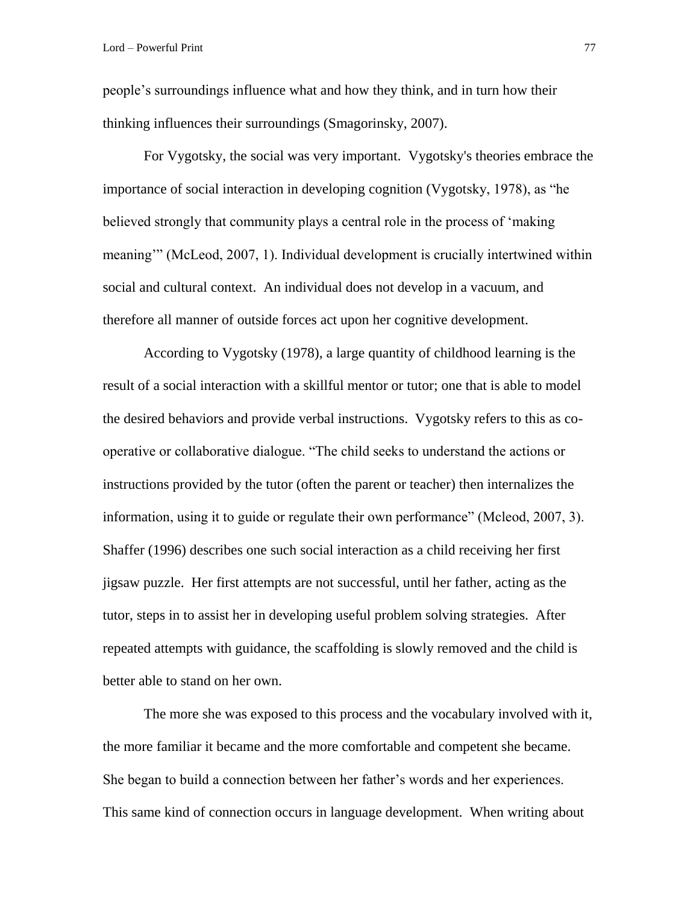people's surroundings influence what and how they think, and in turn how their thinking influences their surroundings (Smagorinsky, 2007).

For Vygotsky, the social was very important. Vygotsky's theories embrace the importance of social interaction in developing cognition (Vygotsky, 1978), as "he believed strongly that community plays a central role in the process of 'making meaning'" (McLeod, 2007, 1). Individual development is crucially intertwined within social and cultural context. An individual does not develop in a vacuum, and therefore all manner of outside forces act upon her cognitive development.

According to Vygotsky (1978), a large quantity of childhood learning is the result of a social interaction with a skillful mentor or tutor; one that is able to model the desired behaviors and provide verbal instructions. Vygotsky refers to this as cooperative or collaborative dialogue. "The child seeks to understand the actions or instructions provided by the tutor (often the parent or teacher) then internalizes the information, using it to guide or regulate their own performance" (Mcleod, 2007, 3). Shaffer (1996) describes one such social interaction as a child receiving her first jigsaw puzzle. Her first attempts are not successful, until her father, acting as the tutor, steps in to assist her in developing useful problem solving strategies. After repeated attempts with guidance, the scaffolding is slowly removed and the child is better able to stand on her own.

The more she was exposed to this process and the vocabulary involved with it, the more familiar it became and the more comfortable and competent she became. She began to build a connection between her father's words and her experiences. This same kind of connection occurs in language development. When writing about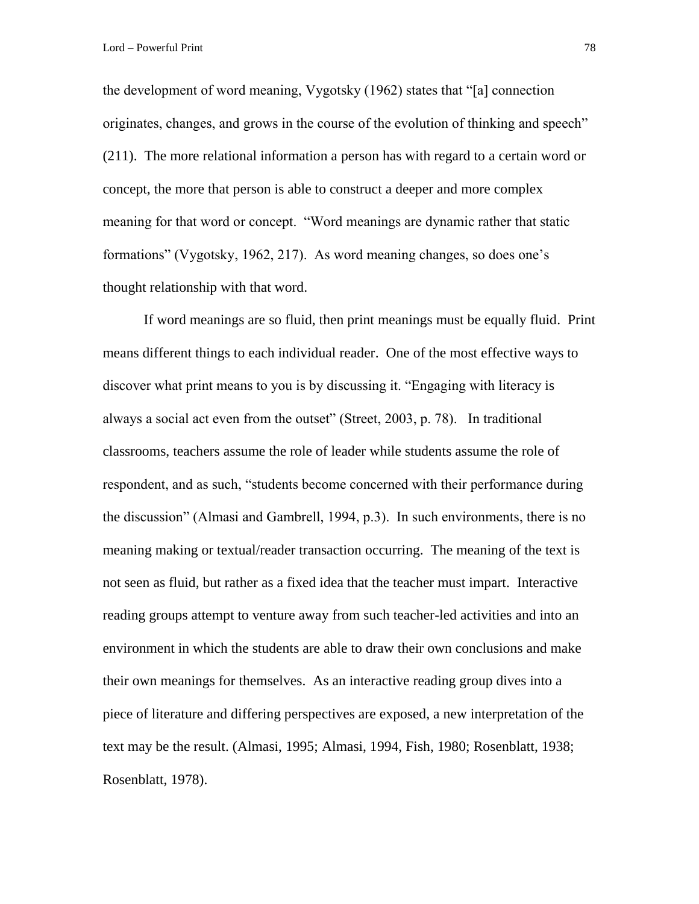the development of word meaning, Vygotsky (1962) states that "[a] connection originates, changes, and grows in the course of the evolution of thinking and speech" (211). The more relational information a person has with regard to a certain word or concept, the more that person is able to construct a deeper and more complex meaning for that word or concept. "Word meanings are dynamic rather that static formations" (Vygotsky, 1962, 217). As word meaning changes, so does one's thought relationship with that word.

If word meanings are so fluid, then print meanings must be equally fluid. Print means different things to each individual reader. One of the most effective ways to discover what print means to you is by discussing it. "Engaging with literacy is always a social act even from the outset" (Street, 2003, p. 78). In traditional classrooms, teachers assume the role of leader while students assume the role of respondent, and as such, "students become concerned with their performance during the discussion" (Almasi and Gambrell, 1994, p.3). In such environments, there is no meaning making or textual/reader transaction occurring. The meaning of the text is not seen as fluid, but rather as a fixed idea that the teacher must impart. Interactive reading groups attempt to venture away from such teacher-led activities and into an environment in which the students are able to draw their own conclusions and make their own meanings for themselves. As an interactive reading group dives into a piece of literature and differing perspectives are exposed, a new interpretation of the text may be the result. (Almasi, 1995; Almasi, 1994, Fish, 1980; Rosenblatt, 1938; Rosenblatt, 1978).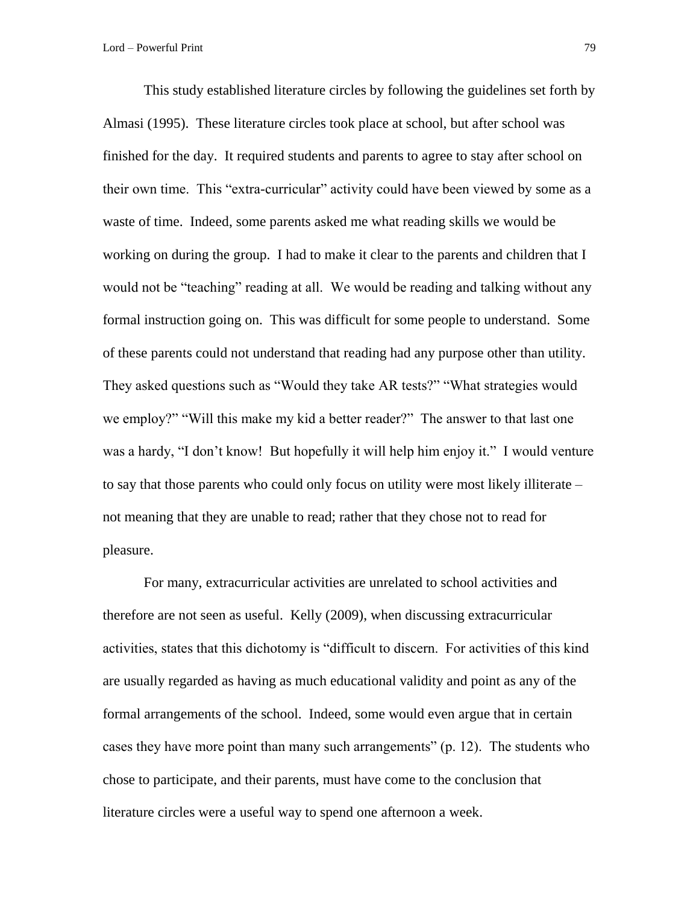This study established literature circles by following the guidelines set forth by Almasi (1995). These literature circles took place at school, but after school was finished for the day. It required students and parents to agree to stay after school on their own time. This "extra-curricular" activity could have been viewed by some as a waste of time. Indeed, some parents asked me what reading skills we would be working on during the group. I had to make it clear to the parents and children that I would not be "teaching" reading at all. We would be reading and talking without any formal instruction going on. This was difficult for some people to understand. Some of these parents could not understand that reading had any purpose other than utility. They asked questions such as "Would they take AR tests?" "What strategies would we employ?" "Will this make my kid a better reader?" The answer to that last one was a hardy, "I don't know! But hopefully it will help him enjoy it." I would venture to say that those parents who could only focus on utility were most likely illiterate – not meaning that they are unable to read; rather that they chose not to read for pleasure.

For many, extracurricular activities are unrelated to school activities and therefore are not seen as useful. Kelly (2009), when discussing extracurricular activities, states that this dichotomy is "difficult to discern. For activities of this kind are usually regarded as having as much educational validity and point as any of the formal arrangements of the school. Indeed, some would even argue that in certain cases they have more point than many such arrangements" (p. 12). The students who chose to participate, and their parents, must have come to the conclusion that literature circles were a useful way to spend one afternoon a week.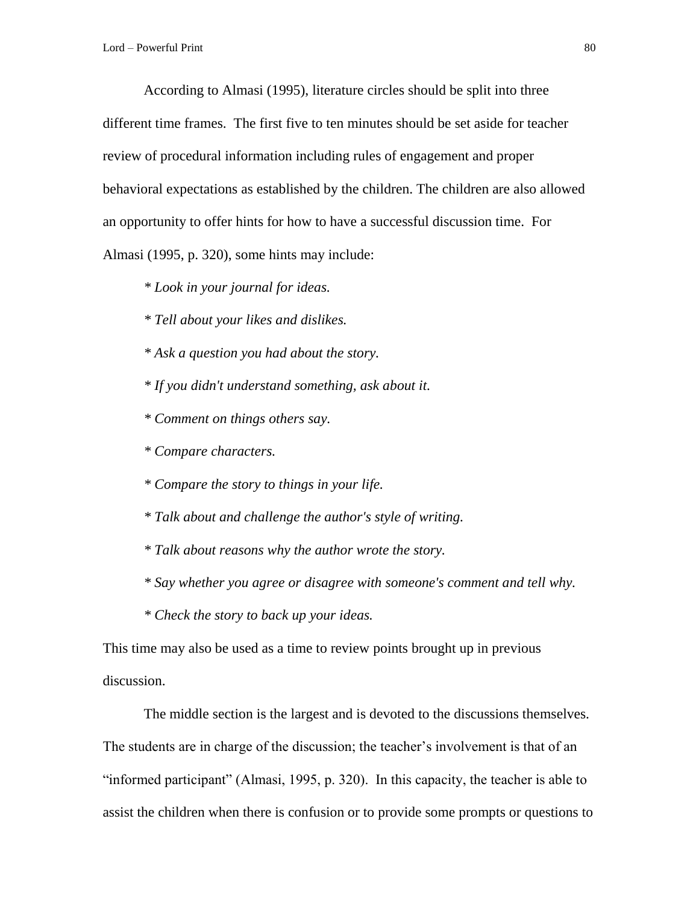According to Almasi (1995), literature circles should be split into three different time frames. The first five to ten minutes should be set aside for teacher review of procedural information including rules of engagement and proper behavioral expectations as established by the children. The children are also allowed an opportunity to offer hints for how to have a successful discussion time. For Almasi (1995, p. 320), some hints may include:

*\* Look in your journal for ideas.*

*\* Tell about your likes and dislikes.*

*\* Ask a question you had about the story.*

- *\* If you didn't understand something, ask about it.*
- *\* Comment on things others say.*
- *\* Compare characters.*
- *\* Compare the story to things in your life.*
- *\* Talk about and challenge the author's style of writing.*
- *\* Talk about reasons why the author wrote the story.*
- *\* Say whether you agree or disagree with someone's comment and tell why.*
- *\* Check the story to back up your ideas.*

This time may also be used as a time to review points brought up in previous discussion.

The middle section is the largest and is devoted to the discussions themselves. The students are in charge of the discussion; the teacher's involvement is that of an "informed participant" (Almasi, 1995, p. 320). In this capacity, the teacher is able to assist the children when there is confusion or to provide some prompts or questions to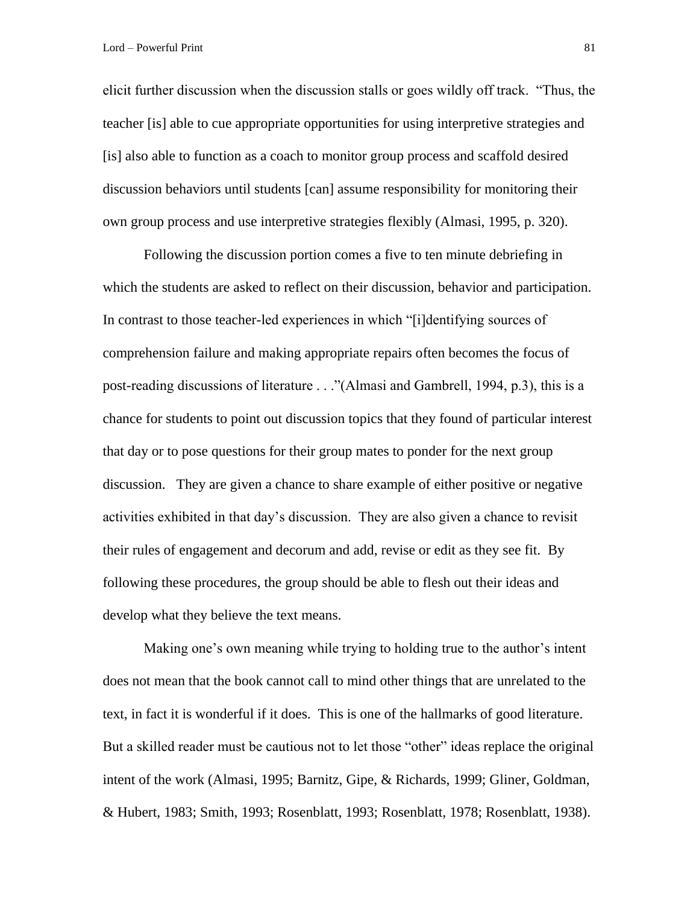elicit further discussion when the discussion stalls or goes wildly off track. "Thus, the teacher [is] able to cue appropriate opportunities for using interpretive strategies and [is] also able to function as a coach to monitor group process and scaffold desired discussion behaviors until students [can] assume responsibility for monitoring their own group process and use interpretive strategies flexibly (Almasi, 1995, p. 320).

Following the discussion portion comes a five to ten minute debriefing in which the students are asked to reflect on their discussion, behavior and participation. In contrast to those teacher-led experiences in which "[i]dentifying sources of comprehension failure and making appropriate repairs often becomes the focus of post-reading discussions of literature . . ."(Almasi and Gambrell, 1994, p.3), this is a chance for students to point out discussion topics that they found of particular interest that day or to pose questions for their group mates to ponder for the next group discussion. They are given a chance to share example of either positive or negative activities exhibited in that day's discussion. They are also given a chance to revisit their rules of engagement and decorum and add, revise or edit as they see fit. By following these procedures, the group should be able to flesh out their ideas and develop what they believe the text means.

Making one's own meaning while trying to holding true to the author's intent does not mean that the book cannot call to mind other things that are unrelated to the text, in fact it is wonderful if it does. This is one of the hallmarks of good literature. But a skilled reader must be cautious not to let those "other" ideas replace the original intent of the work (Almasi, 1995; Barnitz, Gipe, & Richards, 1999; Gliner, Goldman, & Hubert, 1983; Smith, 1993; Rosenblatt, 1993; Rosenblatt, 1978; Rosenblatt, 1938).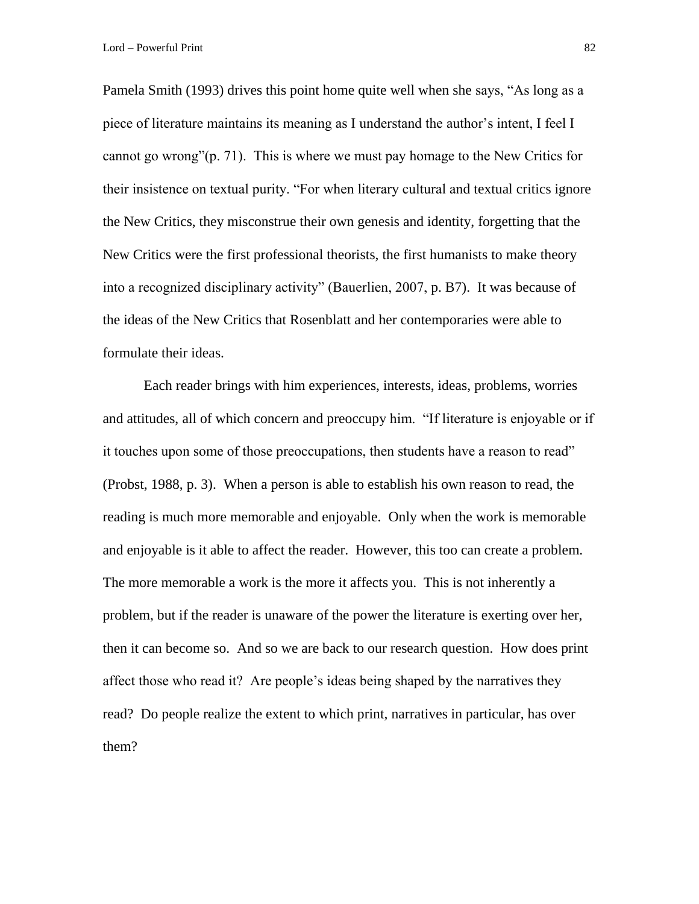Lord – Powerful Print 82

Pamela Smith (1993) drives this point home quite well when she says, "As long as a piece of literature maintains its meaning as I understand the author's intent, I feel I cannot go wrong"(p. 71). This is where we must pay homage to the New Critics for their insistence on textual purity. "For when literary cultural and textual critics ignore the New Critics, they misconstrue their own genesis and identity, forgetting that the New Critics were the first professional theorists, the first humanists to make theory into a recognized disciplinary activity" (Bauerlien, 2007, p. B7). It was because of the ideas of the New Critics that Rosenblatt and her contemporaries were able to formulate their ideas.

Each reader brings with him experiences, interests, ideas, problems, worries and attitudes, all of which concern and preoccupy him. "If literature is enjoyable or if it touches upon some of those preoccupations, then students have a reason to read" (Probst, 1988, p. 3). When a person is able to establish his own reason to read, the reading is much more memorable and enjoyable. Only when the work is memorable and enjoyable is it able to affect the reader. However, this too can create a problem. The more memorable a work is the more it affects you. This is not inherently a problem, but if the reader is unaware of the power the literature is exerting over her, then it can become so. And so we are back to our research question. How does print affect those who read it? Are people's ideas being shaped by the narratives they read? Do people realize the extent to which print, narratives in particular, has over them?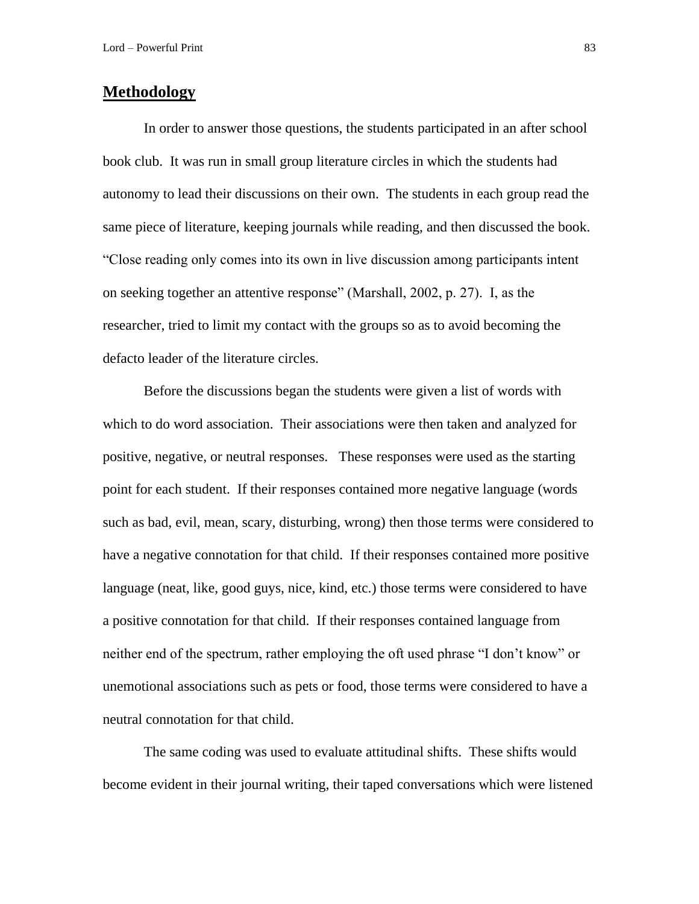## **Methodology**

In order to answer those questions, the students participated in an after school book club. It was run in small group literature circles in which the students had autonomy to lead their discussions on their own. The students in each group read the same piece of literature, keeping journals while reading, and then discussed the book. "Close reading only comes into its own in live discussion among participants intent on seeking together an attentive response" (Marshall, 2002, p. 27). I, as the researcher, tried to limit my contact with the groups so as to avoid becoming the defacto leader of the literature circles.

Before the discussions began the students were given a list of words with which to do word association. Their associations were then taken and analyzed for positive, negative, or neutral responses. These responses were used as the starting point for each student. If their responses contained more negative language (words such as bad, evil, mean, scary, disturbing, wrong) then those terms were considered to have a negative connotation for that child. If their responses contained more positive language (neat, like, good guys, nice, kind, etc.) those terms were considered to have a positive connotation for that child. If their responses contained language from neither end of the spectrum, rather employing the oft used phrase "I don't know" or unemotional associations such as pets or food, those terms were considered to have a neutral connotation for that child.

The same coding was used to evaluate attitudinal shifts. These shifts would become evident in their journal writing, their taped conversations which were listened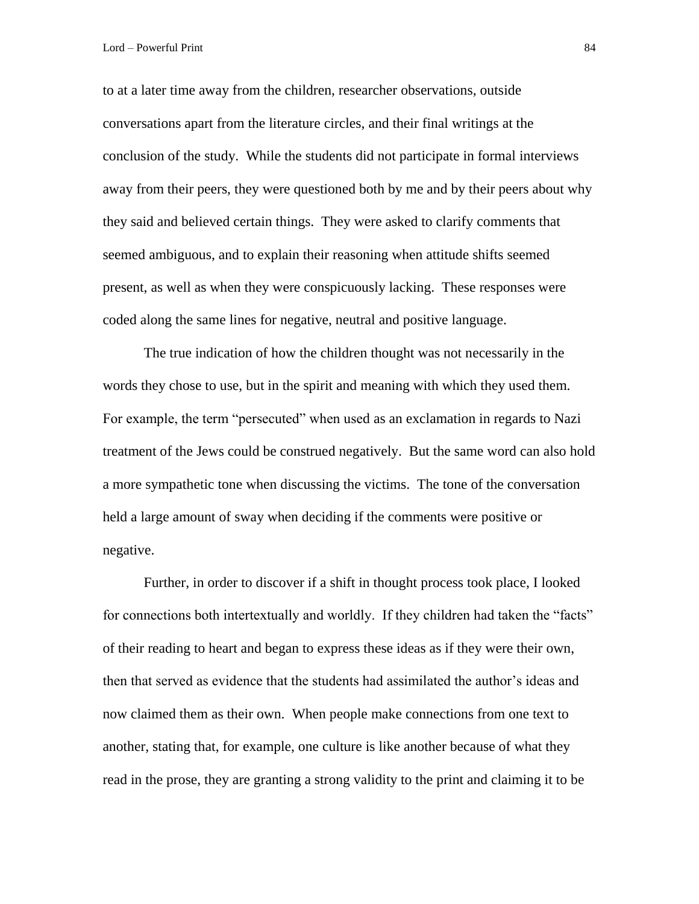to at a later time away from the children, researcher observations, outside conversations apart from the literature circles, and their final writings at the conclusion of the study. While the students did not participate in formal interviews away from their peers, they were questioned both by me and by their peers about why they said and believed certain things. They were asked to clarify comments that seemed ambiguous, and to explain their reasoning when attitude shifts seemed present, as well as when they were conspicuously lacking. These responses were coded along the same lines for negative, neutral and positive language.

The true indication of how the children thought was not necessarily in the words they chose to use, but in the spirit and meaning with which they used them. For example, the term "persecuted" when used as an exclamation in regards to Nazi treatment of the Jews could be construed negatively. But the same word can also hold a more sympathetic tone when discussing the victims. The tone of the conversation held a large amount of sway when deciding if the comments were positive or negative.

Further, in order to discover if a shift in thought process took place, I looked for connections both intertextually and worldly. If they children had taken the "facts" of their reading to heart and began to express these ideas as if they were their own, then that served as evidence that the students had assimilated the author's ideas and now claimed them as their own. When people make connections from one text to another, stating that, for example, one culture is like another because of what they read in the prose, they are granting a strong validity to the print and claiming it to be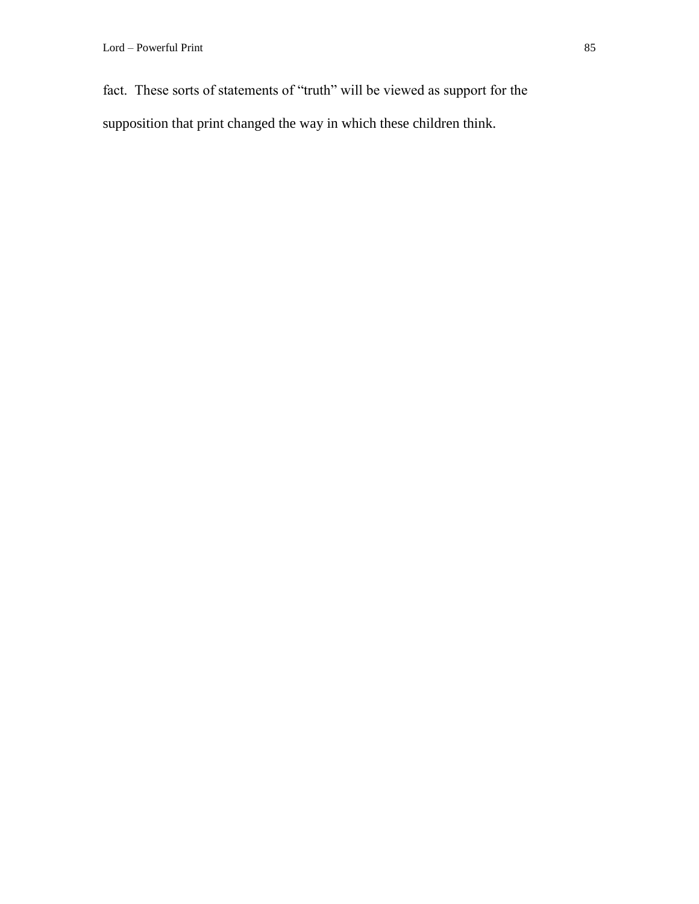fact. These sorts of statements of "truth" will be viewed as support for the supposition that print changed the way in which these children think.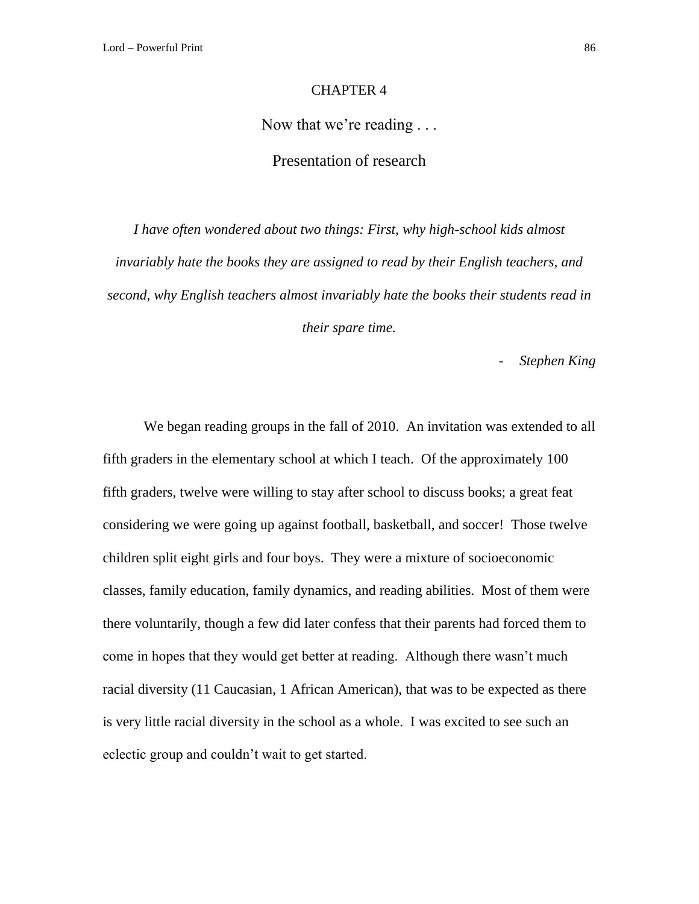## CHAPTER 4

## Now that we're reading . . .

## Presentation of research

*I have often wondered about two things: First, why high-school kids almost invariably hate the books they are assigned to read by their English teachers, and second, why English teachers almost invariably hate the books their students read in their spare time.*

- *Stephen King*

We began reading groups in the fall of 2010. An invitation was extended to all fifth graders in the elementary school at which I teach. Of the approximately 100 fifth graders, twelve were willing to stay after school to discuss books; a great feat considering we were going up against football, basketball, and soccer! Those twelve children split eight girls and four boys. They were a mixture of socioeconomic classes, family education, family dynamics, and reading abilities. Most of them were there voluntarily, though a few did later confess that their parents had forced them to come in hopes that they would get better at reading. Although there wasn't much racial diversity (11 Caucasian, 1 African American), that was to be expected as there is very little racial diversity in the school as a whole. I was excited to see such an eclectic group and couldn't wait to get started.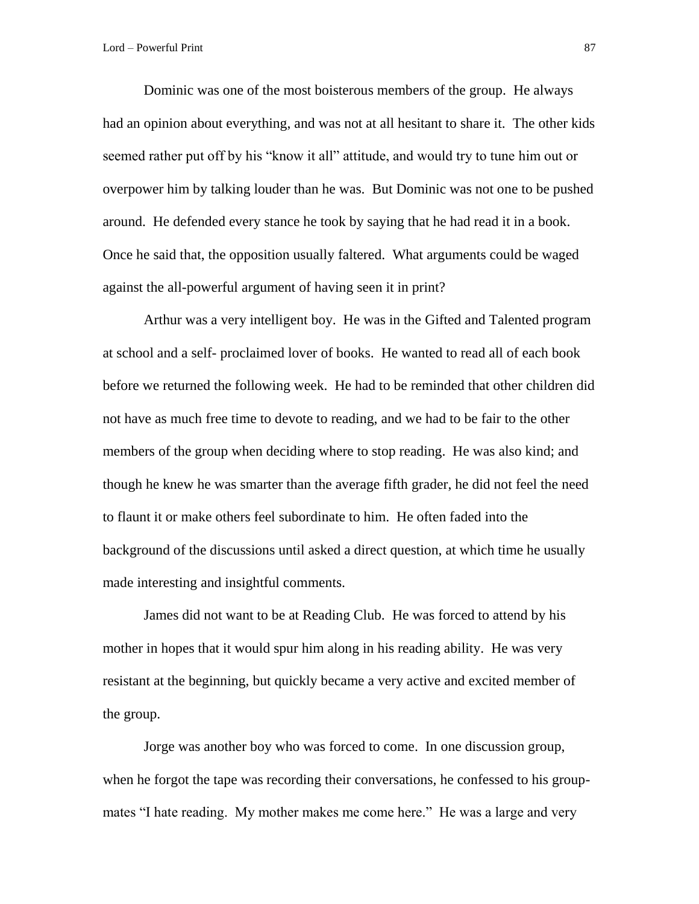Dominic was one of the most boisterous members of the group. He always had an opinion about everything, and was not at all hesitant to share it. The other kids seemed rather put off by his "know it all" attitude, and would try to tune him out or overpower him by talking louder than he was. But Dominic was not one to be pushed around. He defended every stance he took by saying that he had read it in a book. Once he said that, the opposition usually faltered. What arguments could be waged against the all-powerful argument of having seen it in print?

Arthur was a very intelligent boy. He was in the Gifted and Talented program at school and a self- proclaimed lover of books. He wanted to read all of each book before we returned the following week. He had to be reminded that other children did not have as much free time to devote to reading, and we had to be fair to the other members of the group when deciding where to stop reading. He was also kind; and though he knew he was smarter than the average fifth grader, he did not feel the need to flaunt it or make others feel subordinate to him. He often faded into the background of the discussions until asked a direct question, at which time he usually made interesting and insightful comments.

James did not want to be at Reading Club. He was forced to attend by his mother in hopes that it would spur him along in his reading ability. He was very resistant at the beginning, but quickly became a very active and excited member of the group.

Jorge was another boy who was forced to come. In one discussion group, when he forgot the tape was recording their conversations, he confessed to his groupmates "I hate reading. My mother makes me come here." He was a large and very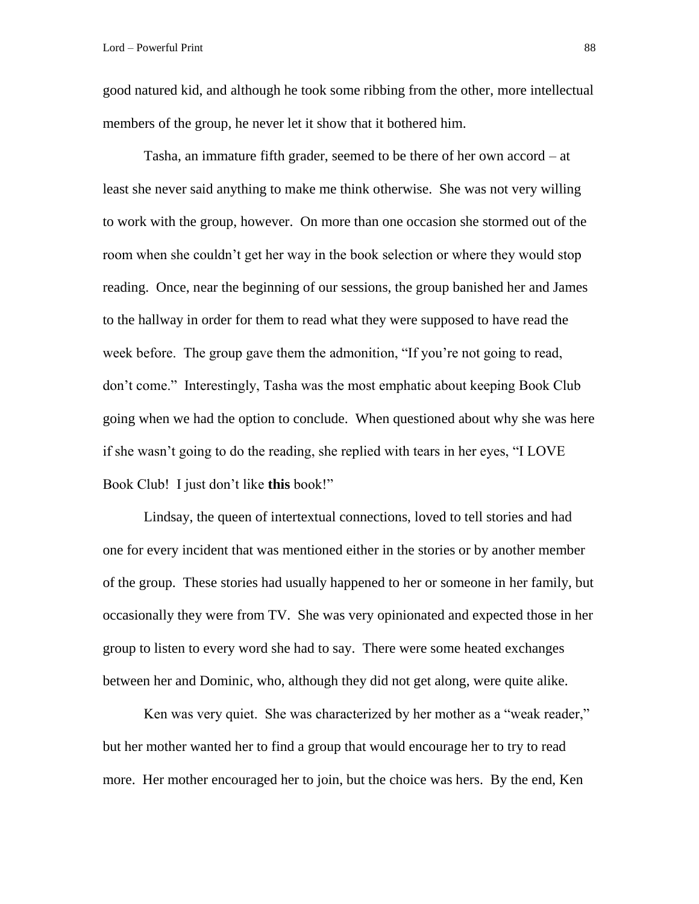good natured kid, and although he took some ribbing from the other, more intellectual members of the group, he never let it show that it bothered him.

Tasha, an immature fifth grader, seemed to be there of her own accord – at least she never said anything to make me think otherwise. She was not very willing to work with the group, however. On more than one occasion she stormed out of the room when she couldn't get her way in the book selection or where they would stop reading. Once, near the beginning of our sessions, the group banished her and James to the hallway in order for them to read what they were supposed to have read the week before. The group gave them the admonition, "If you're not going to read, don't come." Interestingly, Tasha was the most emphatic about keeping Book Club going when we had the option to conclude. When questioned about why she was here if she wasn't going to do the reading, she replied with tears in her eyes, "I LOVE Book Club! I just don't like **this** book!"

Lindsay, the queen of intertextual connections, loved to tell stories and had one for every incident that was mentioned either in the stories or by another member of the group. These stories had usually happened to her or someone in her family, but occasionally they were from TV. She was very opinionated and expected those in her group to listen to every word she had to say. There were some heated exchanges between her and Dominic, who, although they did not get along, were quite alike.

Ken was very quiet. She was characterized by her mother as a "weak reader," but her mother wanted her to find a group that would encourage her to try to read more. Her mother encouraged her to join, but the choice was hers. By the end, Ken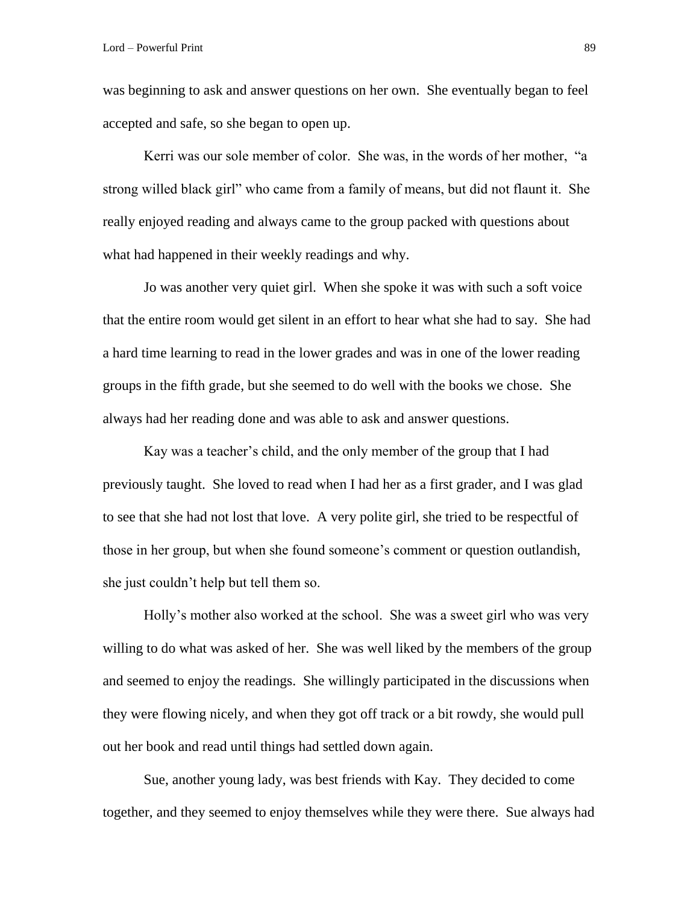was beginning to ask and answer questions on her own. She eventually began to feel accepted and safe, so she began to open up.

Kerri was our sole member of color. She was, in the words of her mother, "a strong willed black girl" who came from a family of means, but did not flaunt it. She really enjoyed reading and always came to the group packed with questions about what had happened in their weekly readings and why.

Jo was another very quiet girl. When she spoke it was with such a soft voice that the entire room would get silent in an effort to hear what she had to say. She had a hard time learning to read in the lower grades and was in one of the lower reading groups in the fifth grade, but she seemed to do well with the books we chose. She always had her reading done and was able to ask and answer questions.

Kay was a teacher's child, and the only member of the group that I had previously taught. She loved to read when I had her as a first grader, and I was glad to see that she had not lost that love. A very polite girl, she tried to be respectful of those in her group, but when she found someone's comment or question outlandish, she just couldn't help but tell them so.

Holly's mother also worked at the school. She was a sweet girl who was very willing to do what was asked of her. She was well liked by the members of the group and seemed to enjoy the readings. She willingly participated in the discussions when they were flowing nicely, and when they got off track or a bit rowdy, she would pull out her book and read until things had settled down again.

Sue, another young lady, was best friends with Kay. They decided to come together, and they seemed to enjoy themselves while they were there. Sue always had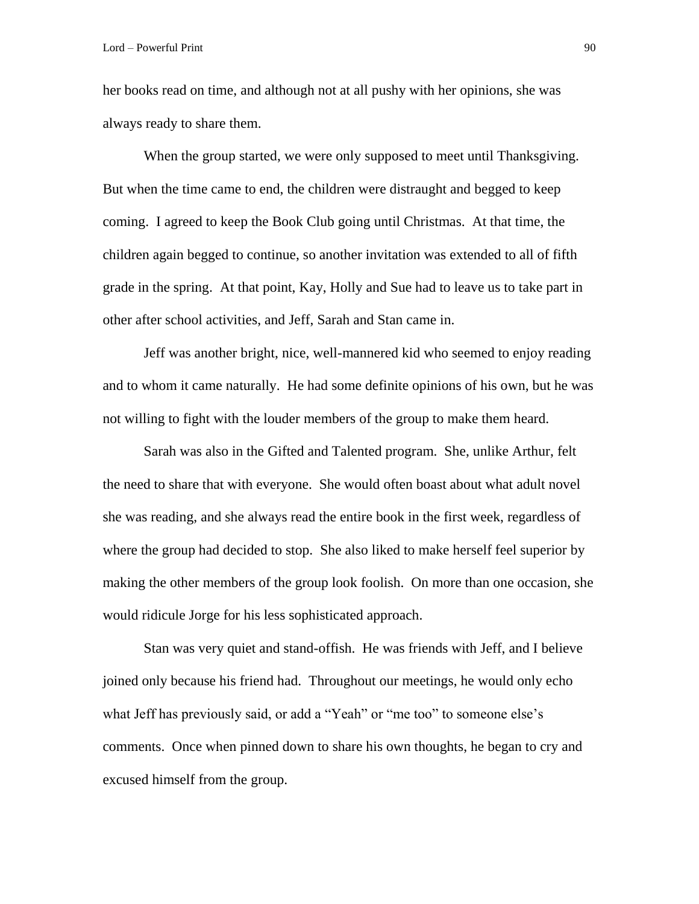her books read on time, and although not at all pushy with her opinions, she was always ready to share them.

When the group started, we were only supposed to meet until Thanksgiving. But when the time came to end, the children were distraught and begged to keep coming. I agreed to keep the Book Club going until Christmas. At that time, the children again begged to continue, so another invitation was extended to all of fifth grade in the spring. At that point, Kay, Holly and Sue had to leave us to take part in other after school activities, and Jeff, Sarah and Stan came in.

Jeff was another bright, nice, well-mannered kid who seemed to enjoy reading and to whom it came naturally. He had some definite opinions of his own, but he was not willing to fight with the louder members of the group to make them heard.

Sarah was also in the Gifted and Talented program. She, unlike Arthur, felt the need to share that with everyone. She would often boast about what adult novel she was reading, and she always read the entire book in the first week, regardless of where the group had decided to stop. She also liked to make herself feel superior by making the other members of the group look foolish. On more than one occasion, she would ridicule Jorge for his less sophisticated approach.

Stan was very quiet and stand-offish. He was friends with Jeff, and I believe joined only because his friend had. Throughout our meetings, he would only echo what Jeff has previously said, or add a "Yeah" or "me too" to someone else's comments. Once when pinned down to share his own thoughts, he began to cry and excused himself from the group.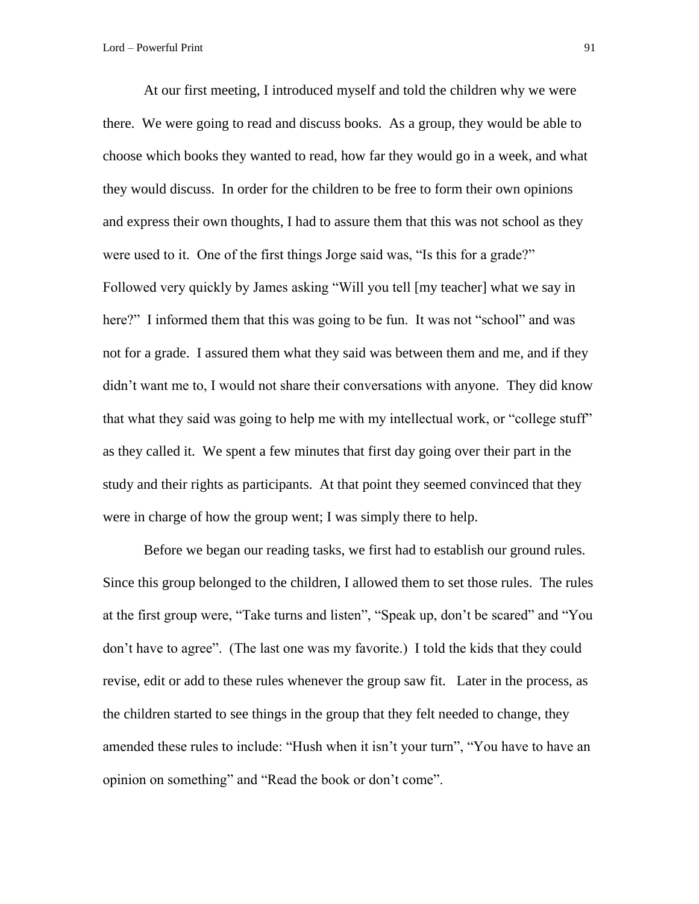At our first meeting, I introduced myself and told the children why we were there. We were going to read and discuss books. As a group, they would be able to choose which books they wanted to read, how far they would go in a week, and what they would discuss. In order for the children to be free to form their own opinions and express their own thoughts, I had to assure them that this was not school as they were used to it. One of the first things Jorge said was, "Is this for a grade?" Followed very quickly by James asking "Will you tell [my teacher] what we say in here?" I informed them that this was going to be fun. It was not "school" and was not for a grade. I assured them what they said was between them and me, and if they didn't want me to, I would not share their conversations with anyone. They did know that what they said was going to help me with my intellectual work, or "college stuff" as they called it. We spent a few minutes that first day going over their part in the study and their rights as participants. At that point they seemed convinced that they were in charge of how the group went; I was simply there to help.

Before we began our reading tasks, we first had to establish our ground rules. Since this group belonged to the children, I allowed them to set those rules. The rules at the first group were, "Take turns and listen", "Speak up, don't be scared" and "You don't have to agree". (The last one was my favorite.) I told the kids that they could revise, edit or add to these rules whenever the group saw fit. Later in the process, as the children started to see things in the group that they felt needed to change, they amended these rules to include: "Hush when it isn't your turn", "You have to have an opinion on something" and "Read the book or don't come".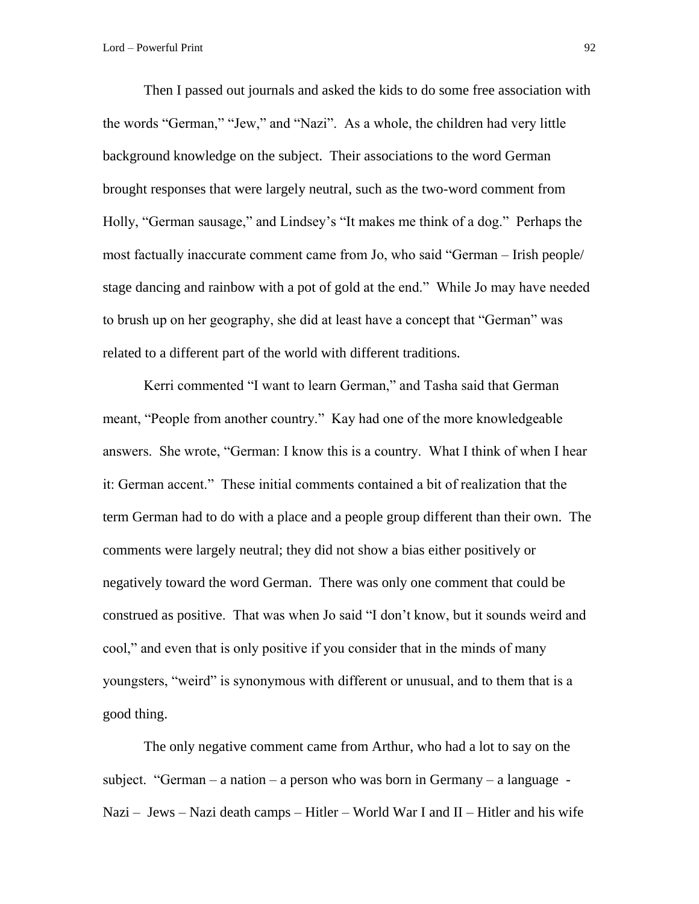Then I passed out journals and asked the kids to do some free association with the words "German," "Jew," and "Nazi". As a whole, the children had very little background knowledge on the subject. Their associations to the word German brought responses that were largely neutral, such as the two-word comment from Holly, "German sausage," and Lindsey's "It makes me think of a dog." Perhaps the most factually inaccurate comment came from Jo, who said "German – Irish people/ stage dancing and rainbow with a pot of gold at the end." While Jo may have needed to brush up on her geography, she did at least have a concept that "German" was related to a different part of the world with different traditions.

Kerri commented "I want to learn German," and Tasha said that German meant, "People from another country." Kay had one of the more knowledgeable answers. She wrote, "German: I know this is a country. What I think of when I hear it: German accent." These initial comments contained a bit of realization that the term German had to do with a place and a people group different than their own. The comments were largely neutral; they did not show a bias either positively or negatively toward the word German. There was only one comment that could be construed as positive. That was when Jo said "I don't know, but it sounds weird and cool," and even that is only positive if you consider that in the minds of many youngsters, "weird" is synonymous with different or unusual, and to them that is a good thing.

The only negative comment came from Arthur, who had a lot to say on the subject. "German – a nation – a person who was born in Germany – a language – Nazi – Jews – Nazi death camps – Hitler – World War I and II – Hitler and his wife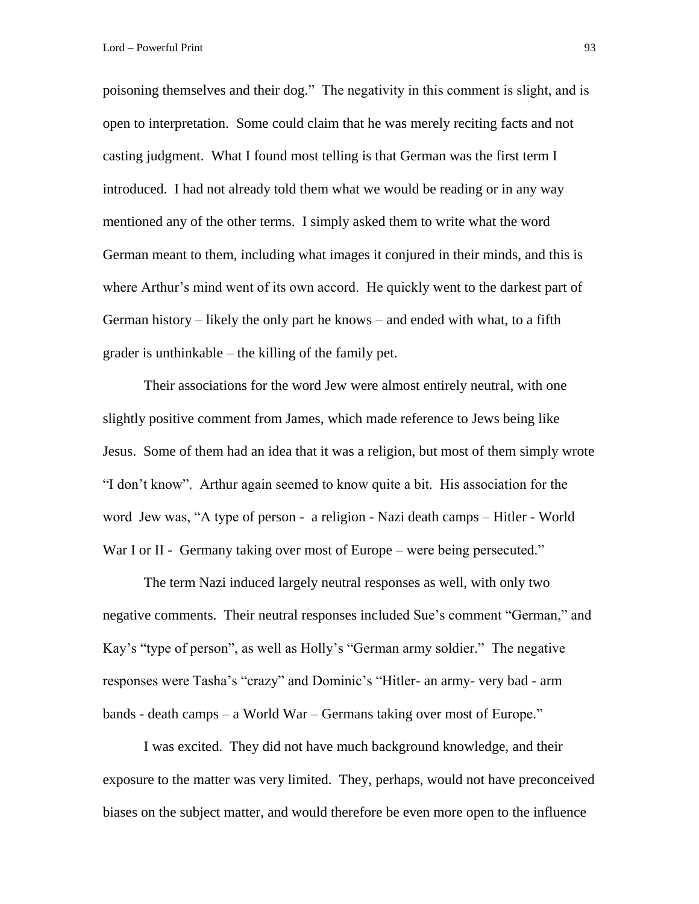poisoning themselves and their dog." The negativity in this comment is slight, and is open to interpretation. Some could claim that he was merely reciting facts and not casting judgment. What I found most telling is that German was the first term I introduced. I had not already told them what we would be reading or in any way mentioned any of the other terms. I simply asked them to write what the word German meant to them, including what images it conjured in their minds, and this is where Arthur's mind went of its own accord. He quickly went to the darkest part of German history – likely the only part he knows – and ended with what, to a fifth grader is unthinkable – the killing of the family pet.

Their associations for the word Jew were almost entirely neutral, with one slightly positive comment from James, which made reference to Jews being like Jesus. Some of them had an idea that it was a religion, but most of them simply wrote "I don't know". Arthur again seemed to know quite a bit. His association for the word Jew was, "A type of person - a religion - Nazi death camps – Hitler - World War I or II - Germany taking over most of Europe – were being persecuted."

The term Nazi induced largely neutral responses as well, with only two negative comments. Their neutral responses included Sue's comment "German," and Kay's "type of person", as well as Holly's "German army soldier." The negative responses were Tasha's "crazy" and Dominic's "Hitler- an army- very bad - arm bands - death camps – a World War – Germans taking over most of Europe."

I was excited. They did not have much background knowledge, and their exposure to the matter was very limited. They, perhaps, would not have preconceived biases on the subject matter, and would therefore be even more open to the influence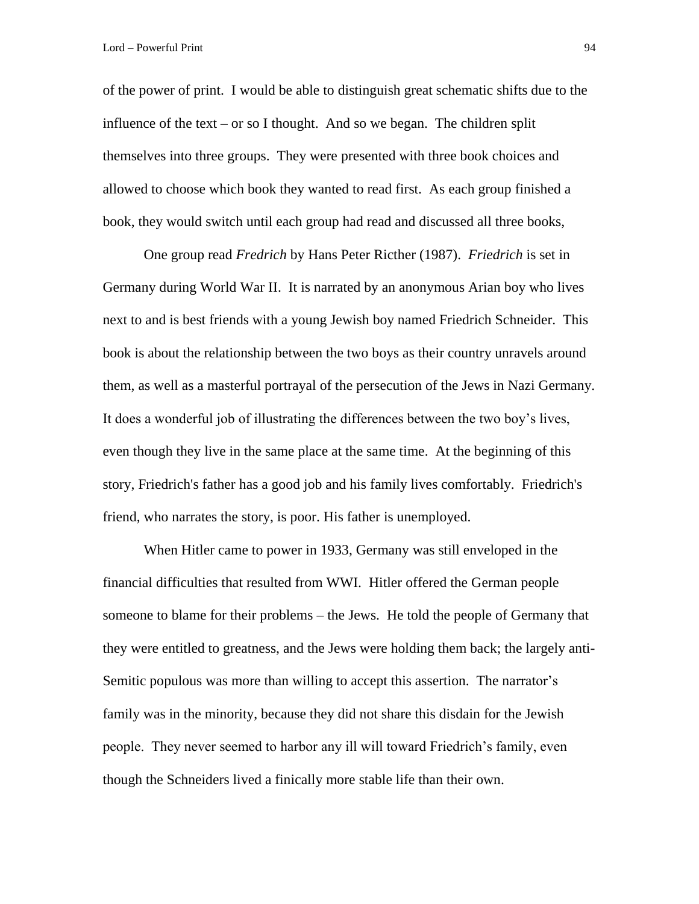of the power of print. I would be able to distinguish great schematic shifts due to the influence of the text – or so I thought. And so we began. The children split themselves into three groups. They were presented with three book choices and allowed to choose which book they wanted to read first. As each group finished a book, they would switch until each group had read and discussed all three books,

One group read *Fredrich* by Hans Peter Ricther (1987). *Friedrich* is set in Germany during World War II. It is narrated by an anonymous Arian boy who lives next to and is best friends with a young Jewish boy named Friedrich Schneider. This book is about the relationship between the two boys as their country unravels around them, as well as a masterful portrayal of the persecution of the Jews in Nazi Germany. It does a wonderful job of illustrating the differences between the two boy's lives, even though they live in the same place at the same time. At the beginning of this story, Friedrich's father has a good job and his family lives comfortably. Friedrich's friend, who narrates the story, is poor. His father is unemployed.

When Hitler came to power in 1933, Germany was still enveloped in the financial difficulties that resulted from WWI. Hitler offered the German people someone to blame for their problems – the Jews. He told the people of Germany that they were entitled to greatness, and the Jews were holding them back; the largely anti-Semitic populous was more than willing to accept this assertion. The narrator's family was in the minority, because they did not share this disdain for the Jewish people. They never seemed to harbor any ill will toward Friedrich's family, even though the Schneiders lived a finically more stable life than their own.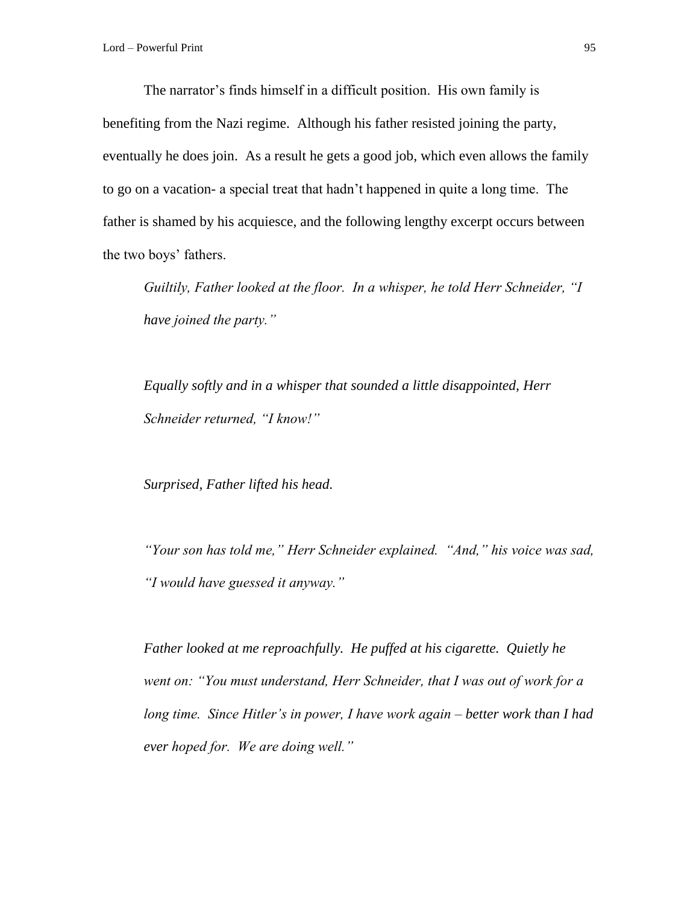The narrator's finds himself in a difficult position. His own family is benefiting from the Nazi regime. Although his father resisted joining the party, eventually he does join. As a result he gets a good job, which even allows the family to go on a vacation- a special treat that hadn't happened in quite a long time. The father is shamed by his acquiesce, and the following lengthy excerpt occurs between the two boys' fathers.

*Guiltily, Father looked at the floor. In a whisper, he told Herr Schneider, "I have joined the party."*

*Equally softly and in a whisper that sounded a little disappointed, Herr Schneider returned, "I know!"* 

*Surprised, Father lifted his head.* 

*"Your son has told me," Herr Schneider explained. "And," his voice was sad, "I would have guessed it anyway."*

*Father looked at me reproachfully. He puffed at his cigarette. Quietly he went on: "You must understand, Herr Schneider, that I was out of work for a long time. Since Hitler's in power, I have work again – better work than I had ever hoped for. We are doing well."*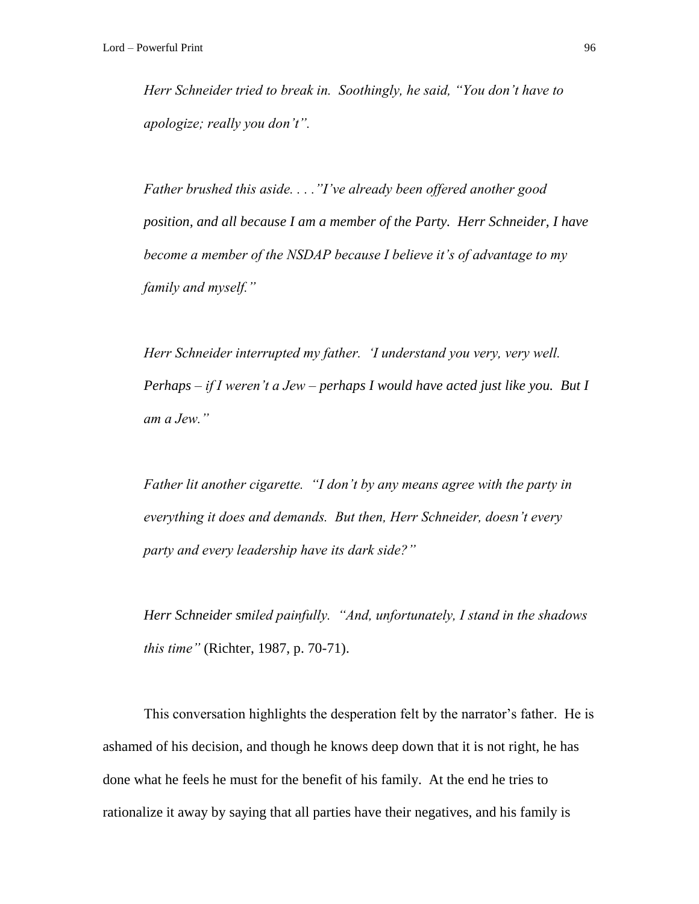*Herr Schneider tried to break in. Soothingly, he said, "You don't have to apologize; really you don't".* 

*Father brushed this aside. . . ."I've already been offered another good position, and all because I am a member of the Party. Herr Schneider, I have become a member of the NSDAP because I believe it's of advantage to my family and myself."*

*Herr Schneider interrupted my father. 'I understand you very, very well. Perhaps – if I weren't a Jew – perhaps I would have acted just like you. But I am a Jew."*

*Father lit another cigarette. "I don't by any means agree with the party in everything it does and demands. But then, Herr Schneider, doesn't every party and every leadership have its dark side?"*

*Herr Schneider smiled painfully. "And, unfortunately, I stand in the shadows this time"* (Richter, 1987, p. 70-71).

This conversation highlights the desperation felt by the narrator's father. He is ashamed of his decision, and though he knows deep down that it is not right, he has done what he feels he must for the benefit of his family. At the end he tries to rationalize it away by saying that all parties have their negatives, and his family is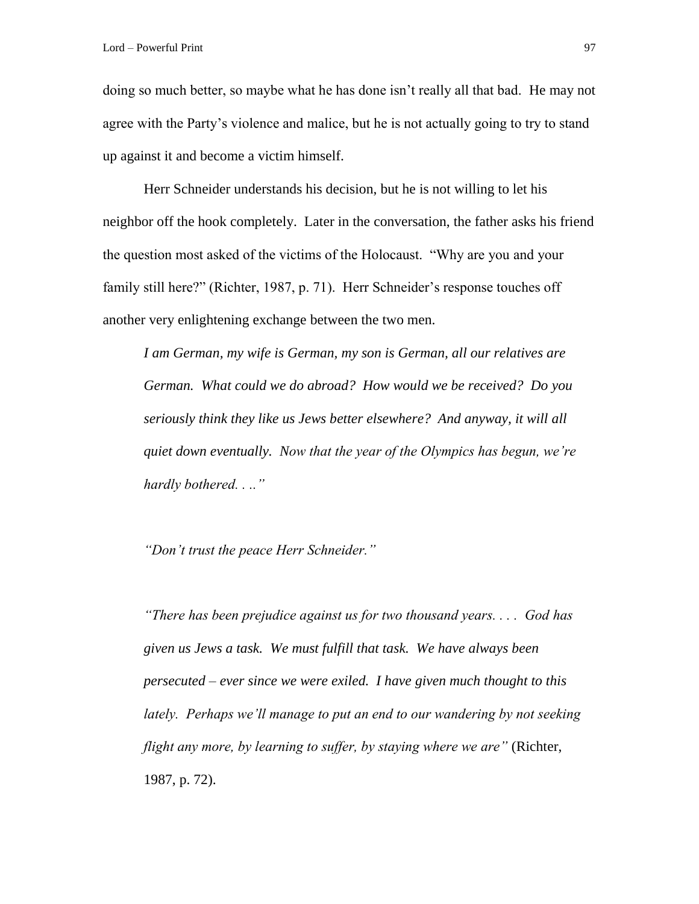doing so much better, so maybe what he has done isn't really all that bad. He may not agree with the Party's violence and malice, but he is not actually going to try to stand up against it and become a victim himself.

Herr Schneider understands his decision, but he is not willing to let his neighbor off the hook completely. Later in the conversation, the father asks his friend the question most asked of the victims of the Holocaust. "Why are you and your family still here?" (Richter, 1987, p. 71). Herr Schneider's response touches off another very enlightening exchange between the two men.

*I am German, my wife is German, my son is German, all our relatives are German. What could we do abroad? How would we be received? Do you seriously think they like us Jews better elsewhere? And anyway, it will all quiet down eventually. Now that the year of the Olympics has begun, we're hardly bothered. . .."* 

*"Don't trust the peace Herr Schneider."* 

*"There has been prejudice against us for two thousand years. . . . God has given us Jews a task. We must fulfill that task. We have always been persecuted – ever since we were exiled. I have given much thought to this lately. Perhaps we'll manage to put an end to our wandering by not seeking flight any more, by learning to suffer, by staying where we are"* (Richter, 1987, p. 72).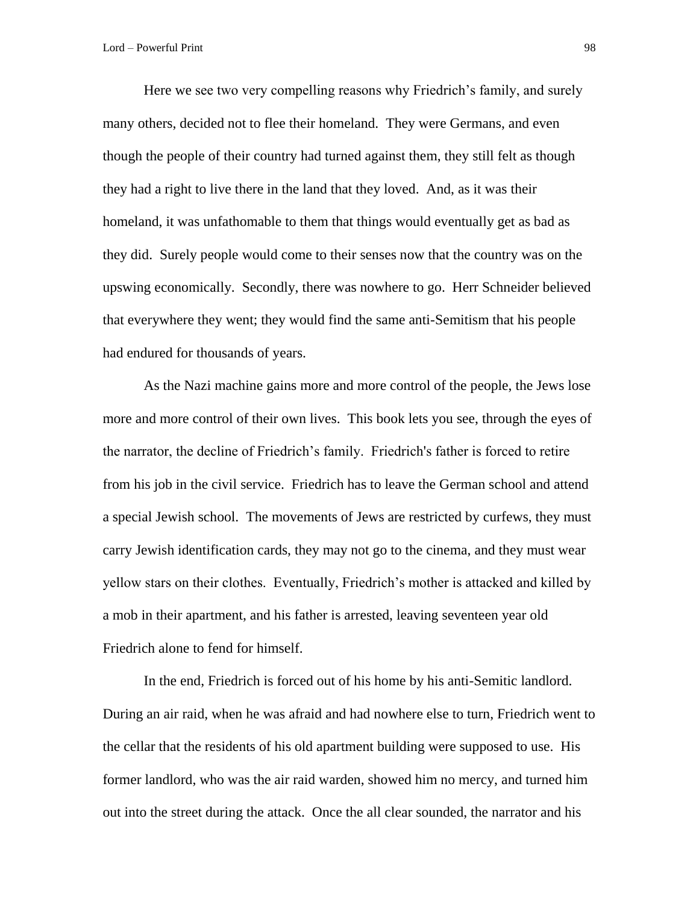Here we see two very compelling reasons why Friedrich's family, and surely many others, decided not to flee their homeland. They were Germans, and even though the people of their country had turned against them, they still felt as though they had a right to live there in the land that they loved. And, as it was their homeland, it was unfathomable to them that things would eventually get as bad as they did. Surely people would come to their senses now that the country was on the upswing economically. Secondly, there was nowhere to go. Herr Schneider believed that everywhere they went; they would find the same anti-Semitism that his people had endured for thousands of years.

As the Nazi machine gains more and more control of the people, the Jews lose more and more control of their own lives. This book lets you see, through the eyes of the narrator, the decline of Friedrich's family. Friedrich's father is forced to retire from his job in the civil service. Friedrich has to leave the German school and attend a special Jewish school. The movements of Jews are restricted by curfews, they must carry Jewish identification cards, they may not go to the cinema, and they must wear yellow stars on their clothes. Eventually, Friedrich's mother is attacked and killed by a mob in their apartment, and his father is arrested, leaving seventeen year old Friedrich alone to fend for himself.

In the end, Friedrich is forced out of his home by his anti-Semitic landlord. During an air raid, when he was afraid and had nowhere else to turn, Friedrich went to the cellar that the residents of his old apartment building were supposed to use. His former landlord, who was the air raid warden, showed him no mercy, and turned him out into the street during the attack. Once the all clear sounded, the narrator and his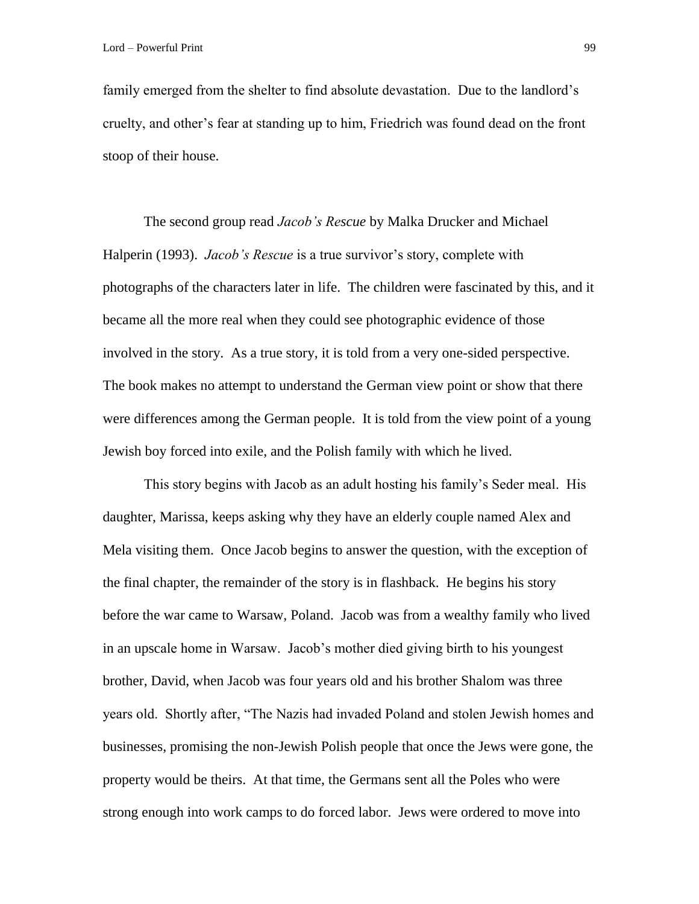family emerged from the shelter to find absolute devastation. Due to the landlord's cruelty, and other's fear at standing up to him, Friedrich was found dead on the front stoop of their house.

The second group read *Jacob's Rescue* by Malka Drucker and Michael Halperin (1993). *Jacob's Rescue* is a true survivor's story, complete with photographs of the characters later in life. The children were fascinated by this, and it became all the more real when they could see photographic evidence of those involved in the story. As a true story, it is told from a very one-sided perspective. The book makes no attempt to understand the German view point or show that there were differences among the German people. It is told from the view point of a young Jewish boy forced into exile, and the Polish family with which he lived.

This story begins with Jacob as an adult hosting his family's Seder meal. His daughter, Marissa, keeps asking why they have an elderly couple named Alex and Mela visiting them. Once Jacob begins to answer the question, with the exception of the final chapter, the remainder of the story is in flashback. He begins his story before the war came to Warsaw, Poland. Jacob was from a wealthy family who lived in an upscale home in Warsaw. Jacob's mother died giving birth to his youngest brother, David, when Jacob was four years old and his brother Shalom was three years old. Shortly after, "The Nazis had invaded Poland and stolen Jewish homes and businesses, promising the non-Jewish Polish people that once the Jews were gone, the property would be theirs. At that time, the Germans sent all the Poles who were strong enough into work camps to do forced labor. Jews were ordered to move into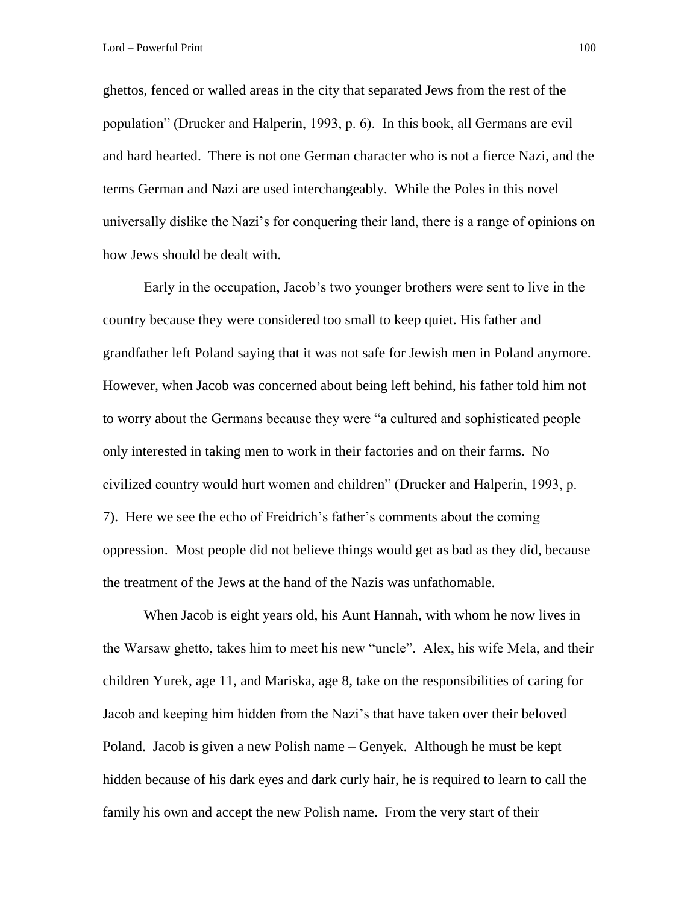ghettos, fenced or walled areas in the city that separated Jews from the rest of the population" (Drucker and Halperin, 1993, p. 6). In this book, all Germans are evil and hard hearted. There is not one German character who is not a fierce Nazi, and the terms German and Nazi are used interchangeably. While the Poles in this novel universally dislike the Nazi's for conquering their land, there is a range of opinions on how Jews should be dealt with.

Early in the occupation, Jacob's two younger brothers were sent to live in the country because they were considered too small to keep quiet. His father and grandfather left Poland saying that it was not safe for Jewish men in Poland anymore. However, when Jacob was concerned about being left behind, his father told him not to worry about the Germans because they were "a cultured and sophisticated people only interested in taking men to work in their factories and on their farms. No civilized country would hurt women and children" (Drucker and Halperin, 1993, p. 7). Here we see the echo of Freidrich's father's comments about the coming oppression. Most people did not believe things would get as bad as they did, because the treatment of the Jews at the hand of the Nazis was unfathomable.

When Jacob is eight years old, his Aunt Hannah, with whom he now lives in the Warsaw ghetto, takes him to meet his new "uncle". Alex, his wife Mela, and their children Yurek, age 11, and Mariska, age 8, take on the responsibilities of caring for Jacob and keeping him hidden from the Nazi's that have taken over their beloved Poland. Jacob is given a new Polish name – Genyek. Although he must be kept hidden because of his dark eyes and dark curly hair, he is required to learn to call the family his own and accept the new Polish name. From the very start of their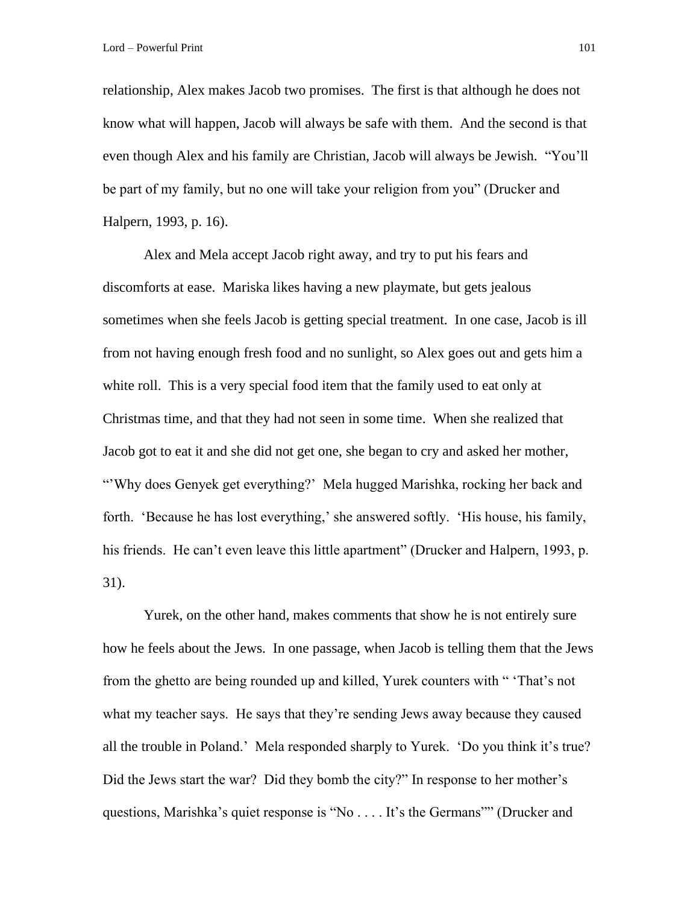relationship, Alex makes Jacob two promises. The first is that although he does not know what will happen, Jacob will always be safe with them. And the second is that even though Alex and his family are Christian, Jacob will always be Jewish. "You'll be part of my family, but no one will take your religion from you" (Drucker and Halpern, 1993, p. 16).

Alex and Mela accept Jacob right away, and try to put his fears and discomforts at ease. Mariska likes having a new playmate, but gets jealous sometimes when she feels Jacob is getting special treatment. In one case, Jacob is ill from not having enough fresh food and no sunlight, so Alex goes out and gets him a white roll. This is a very special food item that the family used to eat only at Christmas time, and that they had not seen in some time. When she realized that Jacob got to eat it and she did not get one, she began to cry and asked her mother, "'Why does Genyek get everything?' Mela hugged Marishka, rocking her back and forth. 'Because he has lost everything,' she answered softly. 'His house, his family, his friends. He can't even leave this little apartment" (Drucker and Halpern, 1993, p. 31).

Yurek, on the other hand, makes comments that show he is not entirely sure how he feels about the Jews. In one passage, when Jacob is telling them that the Jews from the ghetto are being rounded up and killed, Yurek counters with " 'That's not what my teacher says. He says that they're sending Jews away because they caused all the trouble in Poland.' Mela responded sharply to Yurek. 'Do you think it's true? Did the Jews start the war? Did they bomb the city?" In response to her mother's questions, Marishka's quiet response is "No . . . . It's the Germans"" (Drucker and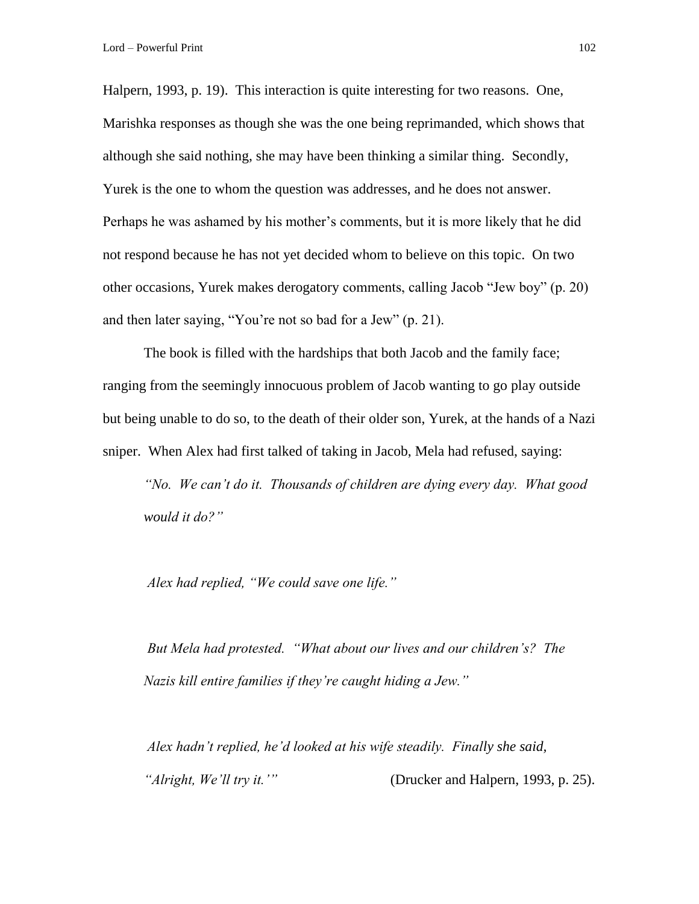Halpern, 1993, p. 19). This interaction is quite interesting for two reasons. One, Marishka responses as though she was the one being reprimanded, which shows that although she said nothing, she may have been thinking a similar thing. Secondly, Yurek is the one to whom the question was addresses, and he does not answer. Perhaps he was ashamed by his mother's comments, but it is more likely that he did not respond because he has not yet decided whom to believe on this topic. On two other occasions, Yurek makes derogatory comments, calling Jacob "Jew boy" (p. 20) and then later saying, "You're not so bad for a Jew" (p. 21).

The book is filled with the hardships that both Jacob and the family face; ranging from the seemingly innocuous problem of Jacob wanting to go play outside but being unable to do so, to the death of their older son, Yurek, at the hands of a Nazi sniper. When Alex had first talked of taking in Jacob, Mela had refused, saying:

*"No. We can't do it. Thousands of children are dying every day. What good would it do?"* 

*Alex had replied, "We could save one life."* 

*But Mela had protested. "What about our lives and our children's? The Nazis kill entire families if they're caught hiding a Jew."* 

*Alex hadn't replied, he'd looked at his wife steadily. Finally she said, "Alright, We'll try it.'"* (Drucker and Halpern, 1993, p. 25).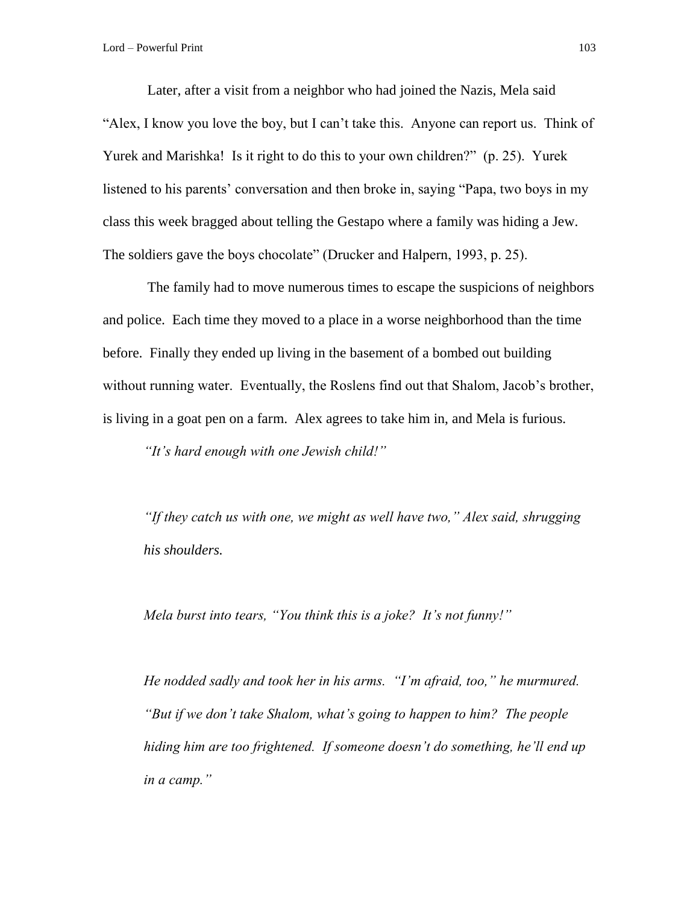Later, after a visit from a neighbor who had joined the Nazis, Mela said "Alex, I know you love the boy, but I can't take this. Anyone can report us. Think of Yurek and Marishka! Is it right to do this to your own children?" (p. 25). Yurek listened to his parents' conversation and then broke in, saying "Papa, two boys in my class this week bragged about telling the Gestapo where a family was hiding a Jew. The soldiers gave the boys chocolate" (Drucker and Halpern, 1993, p. 25).

The family had to move numerous times to escape the suspicions of neighbors and police. Each time they moved to a place in a worse neighborhood than the time before. Finally they ended up living in the basement of a bombed out building without running water. Eventually, the Roslens find out that Shalom, Jacob's brother, is living in a goat pen on a farm. Alex agrees to take him in, and Mela is furious.

*"It's hard enough with one Jewish child!"* 

*"If they catch us with one, we might as well have two," Alex said, shrugging his shoulders.* 

*Mela burst into tears, "You think this is a joke? It's not funny!"* 

*He nodded sadly and took her in his arms. "I'm afraid, too," he murmured. "But if we don't take Shalom, what's going to happen to him? The people hiding him are too frightened. If someone doesn't do something, he'll end up in a camp."*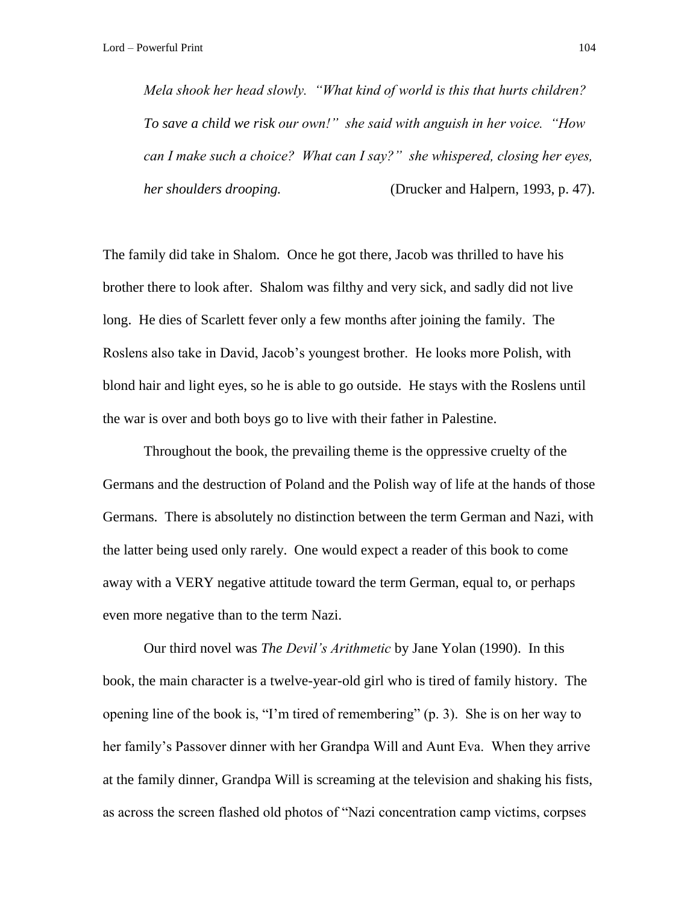*Mela shook her head slowly. "What kind of world is this that hurts children? To save a child we risk our own!" she said with anguish in her voice. "How can I make such a choice? What can I say?" she whispered, closing her eyes, her shoulders drooping.* (Drucker and Halpern, 1993, p. 47).

The family did take in Shalom. Once he got there, Jacob was thrilled to have his brother there to look after. Shalom was filthy and very sick, and sadly did not live long. He dies of Scarlett fever only a few months after joining the family. The Roslens also take in David, Jacob's youngest brother. He looks more Polish, with blond hair and light eyes, so he is able to go outside. He stays with the Roslens until the war is over and both boys go to live with their father in Palestine.

Throughout the book, the prevailing theme is the oppressive cruelty of the Germans and the destruction of Poland and the Polish way of life at the hands of those Germans. There is absolutely no distinction between the term German and Nazi, with the latter being used only rarely. One would expect a reader of this book to come away with a VERY negative attitude toward the term German, equal to, or perhaps even more negative than to the term Nazi.

Our third novel was *The Devil's Arithmetic* by Jane Yolan (1990). In this book, the main character is a twelve-year-old girl who is tired of family history. The opening line of the book is, "I'm tired of remembering" (p. 3). She is on her way to her family's Passover dinner with her Grandpa Will and Aunt Eva. When they arrive at the family dinner, Grandpa Will is screaming at the television and shaking his fists, as across the screen flashed old photos of "Nazi concentration camp victims, corpses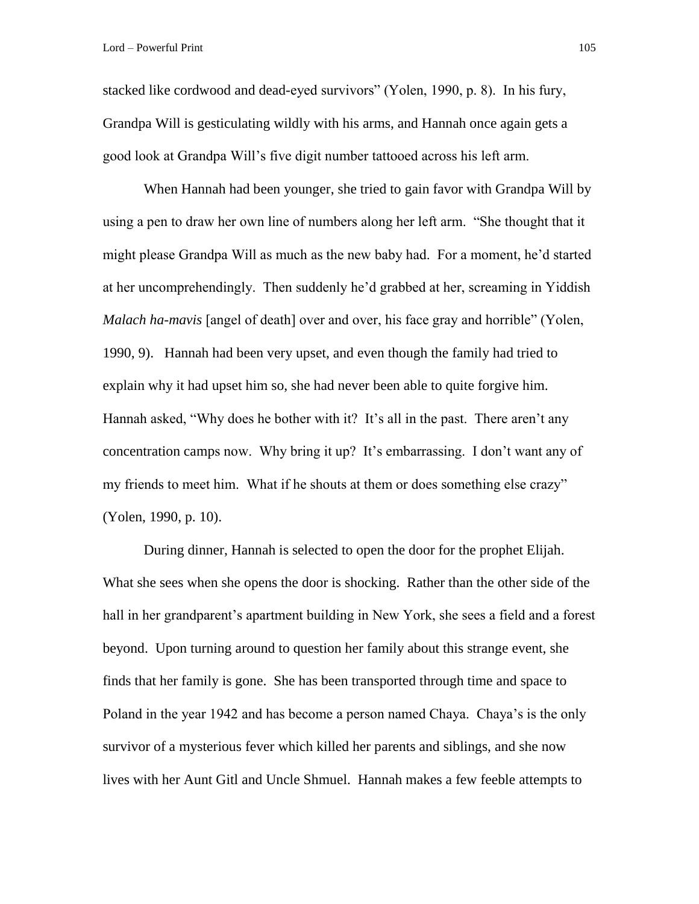stacked like cordwood and dead-eyed survivors" (Yolen, 1990, p. 8). In his fury, Grandpa Will is gesticulating wildly with his arms, and Hannah once again gets a good look at Grandpa Will's five digit number tattooed across his left arm.

When Hannah had been younger, she tried to gain favor with Grandpa Will by using a pen to draw her own line of numbers along her left arm. "She thought that it might please Grandpa Will as much as the new baby had. For a moment, he'd started at her uncomprehendingly. Then suddenly he'd grabbed at her, screaming in Yiddish *Malach ha-mavis* [angel of death] over and over, his face gray and horrible" (Yolen, 1990, 9). Hannah had been very upset, and even though the family had tried to explain why it had upset him so, she had never been able to quite forgive him. Hannah asked, "Why does he bother with it? It's all in the past. There aren't any concentration camps now. Why bring it up? It's embarrassing. I don't want any of my friends to meet him. What if he shouts at them or does something else crazy" (Yolen, 1990, p. 10).

During dinner, Hannah is selected to open the door for the prophet Elijah. What she sees when she opens the door is shocking. Rather than the other side of the hall in her grandparent's apartment building in New York, she sees a field and a forest beyond. Upon turning around to question her family about this strange event, she finds that her family is gone. She has been transported through time and space to Poland in the year 1942 and has become a person named Chaya. Chaya's is the only survivor of a mysterious fever which killed her parents and siblings, and she now lives with her Aunt Gitl and Uncle Shmuel. Hannah makes a few feeble attempts to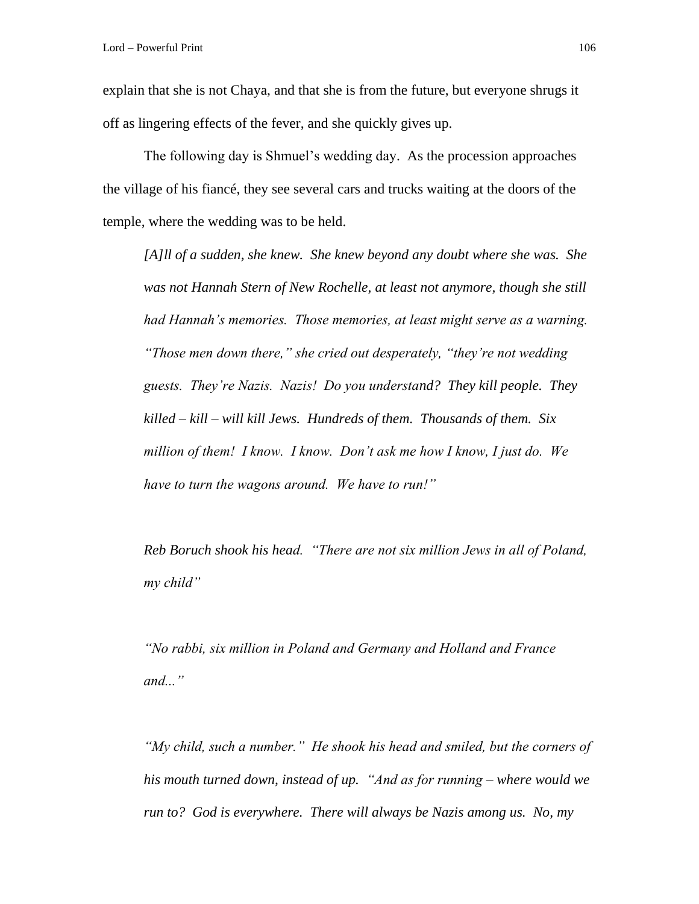explain that she is not Chaya, and that she is from the future, but everyone shrugs it off as lingering effects of the fever, and she quickly gives up.

The following day is Shmuel's wedding day. As the procession approaches the village of his fiancé, they see several cars and trucks waiting at the doors of the temple, where the wedding was to be held.

*[A]ll of a sudden, she knew. She knew beyond any doubt where she was. She was not Hannah Stern of New Rochelle, at least not anymore, though she still had Hannah's memories. Those memories, at least might serve as a warning. "Those men down there," she cried out desperately, "they're not wedding guests. They're Nazis. Nazis! Do you understand? They kill people. They killed – kill – will kill Jews. Hundreds of them. Thousands of them. Six million of them! I know. I know. Don't ask me how I know, I just do. We have to turn the wagons around. We have to run!"*

*Reb Boruch shook his head. "There are not six million Jews in all of Poland, my child"*

*"No rabbi, six million in Poland and Germany and Holland and France and..."*

*"My child, such a number." He shook his head and smiled, but the corners of his mouth turned down, instead of up. "And as for running – where would we run to? God is everywhere. There will always be Nazis among us. No, my*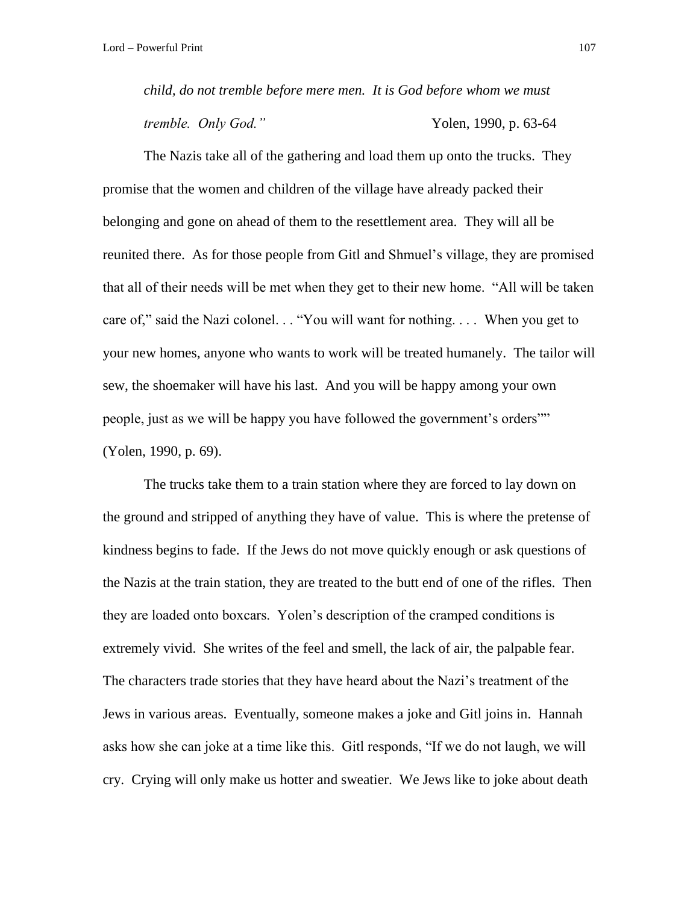*child, do not tremble before mere men. It is God before whom we must tremble. Only God.*" Yolen, 1990, p. 63-64

The Nazis take all of the gathering and load them up onto the trucks. They promise that the women and children of the village have already packed their belonging and gone on ahead of them to the resettlement area. They will all be reunited there. As for those people from Gitl and Shmuel's village, they are promised that all of their needs will be met when they get to their new home. "All will be taken care of," said the Nazi colonel. . . "You will want for nothing. . . . When you get to your new homes, anyone who wants to work will be treated humanely. The tailor will sew, the shoemaker will have his last. And you will be happy among your own people, just as we will be happy you have followed the government's orders"" (Yolen, 1990, p. 69).

The trucks take them to a train station where they are forced to lay down on the ground and stripped of anything they have of value. This is where the pretense of kindness begins to fade. If the Jews do not move quickly enough or ask questions of the Nazis at the train station, they are treated to the butt end of one of the rifles. Then they are loaded onto boxcars. Yolen's description of the cramped conditions is extremely vivid. She writes of the feel and smell, the lack of air, the palpable fear. The characters trade stories that they have heard about the Nazi's treatment of the Jews in various areas. Eventually, someone makes a joke and Gitl joins in. Hannah asks how she can joke at a time like this. Gitl responds, "If we do not laugh, we will cry. Crying will only make us hotter and sweatier. We Jews like to joke about death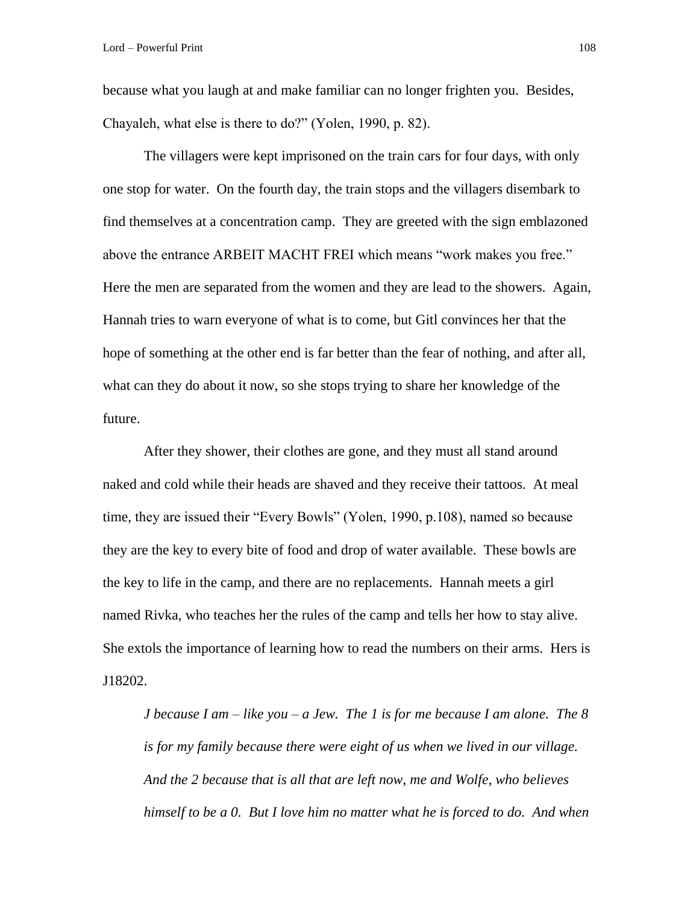because what you laugh at and make familiar can no longer frighten you. Besides, Chayaleh, what else is there to do?" (Yolen, 1990, p. 82).

The villagers were kept imprisoned on the train cars for four days, with only one stop for water. On the fourth day, the train stops and the villagers disembark to find themselves at a concentration camp. They are greeted with the sign emblazoned above the entrance ARBEIT MACHT FREI which means "work makes you free." Here the men are separated from the women and they are lead to the showers. Again, Hannah tries to warn everyone of what is to come, but Gitl convinces her that the hope of something at the other end is far better than the fear of nothing, and after all, what can they do about it now, so she stops trying to share her knowledge of the future.

After they shower, their clothes are gone, and they must all stand around naked and cold while their heads are shaved and they receive their tattoos. At meal time, they are issued their "Every Bowls" (Yolen, 1990, p.108), named so because they are the key to every bite of food and drop of water available. These bowls are the key to life in the camp, and there are no replacements. Hannah meets a girl named Rivka, who teaches her the rules of the camp and tells her how to stay alive. She extols the importance of learning how to read the numbers on their arms. Hers is J18202.

*J because I am – like you – a Jew. The 1 is for me because I am alone. The 8 is for my family because there were eight of us when we lived in our village. And the 2 because that is all that are left now, me and Wolfe, who believes himself to be a 0. But I love him no matter what he is forced to do. And when*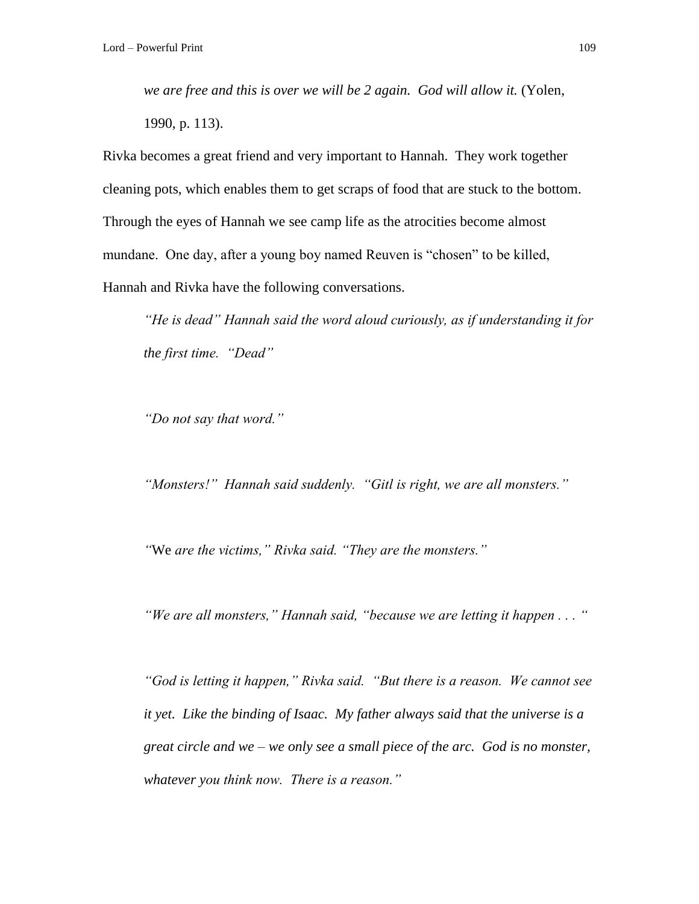*we are free and this is over we will be 2 again. God will allow it.* (Yolen, 1990, p. 113).

Rivka becomes a great friend and very important to Hannah. They work together cleaning pots, which enables them to get scraps of food that are stuck to the bottom. Through the eyes of Hannah we see camp life as the atrocities become almost mundane. One day, after a young boy named Reuven is "chosen" to be killed, Hannah and Rivka have the following conversations.

*"He is dead" Hannah said the word aloud curiously, as if understanding it for the first time. "Dead"*

*"Do not say that word."*

*"Monsters!" Hannah said suddenly. "Gitl is right, we are all monsters."*

*"*We *are the victims," Rivka said. "They are the monsters."*

*"We are all monsters," Hannah said, "because we are letting it happen . . . "*

*"God is letting it happen," Rivka said. "But there is a reason. We cannot see it yet. Like the binding of Isaac. My father always said that the universe is a great circle and we – we only see a small piece of the arc. God is no monster, whatever you think now. There is a reason."*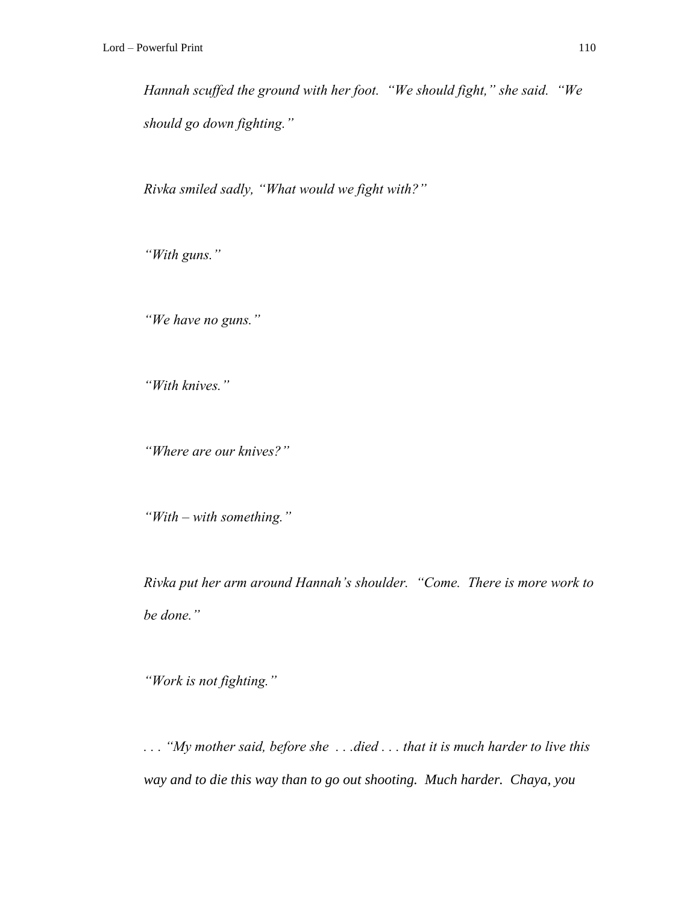*Hannah scuffed the ground with her foot. "We should fight," she said. "We should go down fighting."*

*Rivka smiled sadly, "What would we fight with?"*

*"With guns."*

*"We have no guns."*

*"With knives."*

*"Where are our knives?"*

*"With – with something."*

*Rivka put her arm around Hannah's shoulder. "Come. There is more work to be done."*

*"Work is not fighting."*

*. . . "My mother said, before she . . .died . . . that it is much harder to live this way and to die this way than to go out shooting. Much harder. Chaya, you*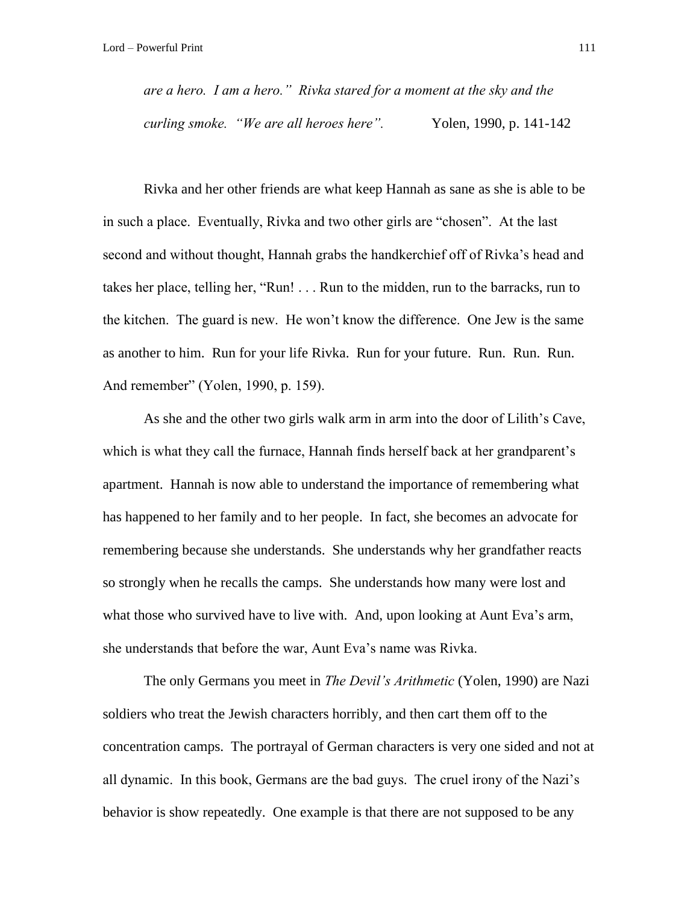*are a hero. I am a hero." Rivka stared for a moment at the sky and the curling smoke. "We are all heroes here".* Yolen, 1990, p. 141-142

Rivka and her other friends are what keep Hannah as sane as she is able to be in such a place. Eventually, Rivka and two other girls are "chosen". At the last second and without thought, Hannah grabs the handkerchief off of Rivka's head and takes her place, telling her, "Run! . . . Run to the midden, run to the barracks, run to the kitchen. The guard is new. He won't know the difference. One Jew is the same as another to him. Run for your life Rivka. Run for your future. Run. Run. Run. And remember" (Yolen, 1990, p. 159).

As she and the other two girls walk arm in arm into the door of Lilith's Cave, which is what they call the furnace, Hannah finds herself back at her grandparent's apartment. Hannah is now able to understand the importance of remembering what has happened to her family and to her people. In fact, she becomes an advocate for remembering because she understands. She understands why her grandfather reacts so strongly when he recalls the camps. She understands how many were lost and what those who survived have to live with. And, upon looking at Aunt Eva's arm, she understands that before the war, Aunt Eva's name was Rivka.

The only Germans you meet in *The Devil's Arithmetic* (Yolen, 1990) are Nazi soldiers who treat the Jewish characters horribly, and then cart them off to the concentration camps. The portrayal of German characters is very one sided and not at all dynamic. In this book, Germans are the bad guys. The cruel irony of the Nazi's behavior is show repeatedly. One example is that there are not supposed to be any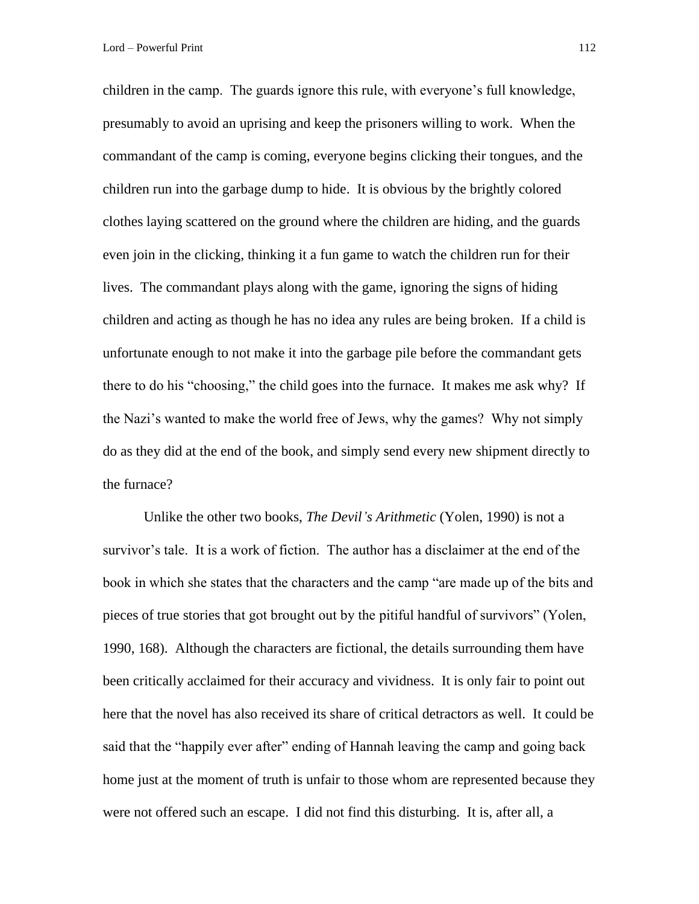children in the camp. The guards ignore this rule, with everyone's full knowledge, presumably to avoid an uprising and keep the prisoners willing to work. When the commandant of the camp is coming, everyone begins clicking their tongues, and the children run into the garbage dump to hide. It is obvious by the brightly colored clothes laying scattered on the ground where the children are hiding, and the guards even join in the clicking, thinking it a fun game to watch the children run for their lives. The commandant plays along with the game, ignoring the signs of hiding children and acting as though he has no idea any rules are being broken. If a child is unfortunate enough to not make it into the garbage pile before the commandant gets there to do his "choosing," the child goes into the furnace. It makes me ask why? If the Nazi's wanted to make the world free of Jews, why the games? Why not simply do as they did at the end of the book, and simply send every new shipment directly to the furnace?

Unlike the other two books, *The Devil's Arithmetic* (Yolen, 1990) is not a survivor's tale. It is a work of fiction. The author has a disclaimer at the end of the book in which she states that the characters and the camp "are made up of the bits and pieces of true stories that got brought out by the pitiful handful of survivors" (Yolen, 1990, 168). Although the characters are fictional, the details surrounding them have been critically acclaimed for their accuracy and vividness. It is only fair to point out here that the novel has also received its share of critical detractors as well. It could be said that the "happily ever after" ending of Hannah leaving the camp and going back home just at the moment of truth is unfair to those whom are represented because they were not offered such an escape. I did not find this disturbing. It is, after all, a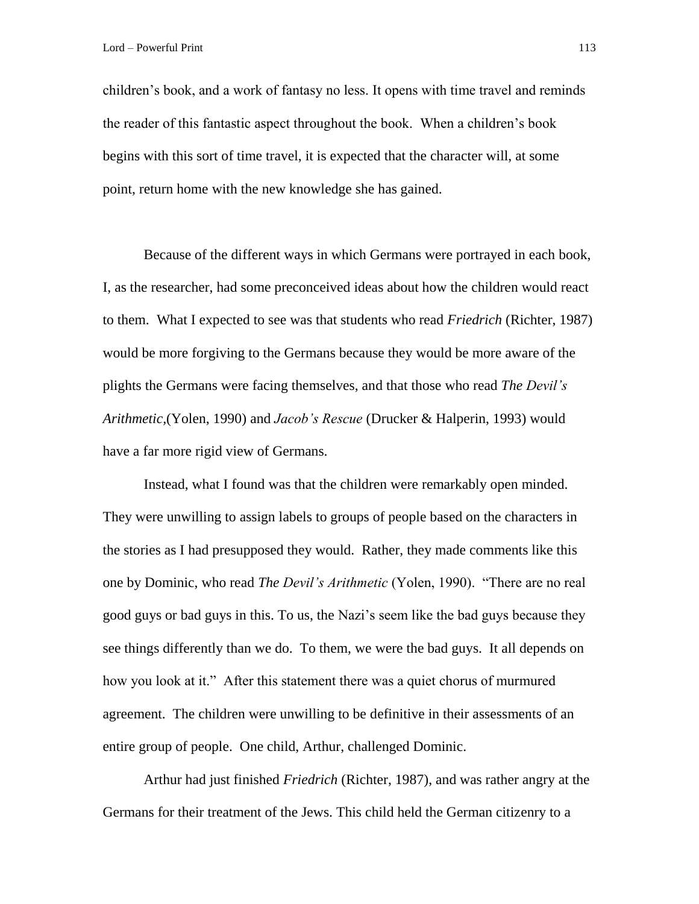children's book, and a work of fantasy no less. It opens with time travel and reminds the reader of this fantastic aspect throughout the book. When a children's book begins with this sort of time travel, it is expected that the character will, at some point, return home with the new knowledge she has gained.

Because of the different ways in which Germans were portrayed in each book, I, as the researcher, had some preconceived ideas about how the children would react to them. What I expected to see was that students who read *Friedrich* (Richter, 1987) would be more forgiving to the Germans because they would be more aware of the plights the Germans were facing themselves, and that those who read *The Devil's Arithmetic,*(Yolen, 1990) and *Jacob's Rescue* (Drucker & Halperin, 1993) would have a far more rigid view of Germans.

Instead, what I found was that the children were remarkably open minded. They were unwilling to assign labels to groups of people based on the characters in the stories as I had presupposed they would. Rather, they made comments like this one by Dominic, who read *The Devil's Arithmetic* (Yolen, 1990). "There are no real good guys or bad guys in this. To us, the Nazi's seem like the bad guys because they see things differently than we do. To them, we were the bad guys. It all depends on how you look at it." After this statement there was a quiet chorus of murmured agreement. The children were unwilling to be definitive in their assessments of an entire group of people. One child, Arthur, challenged Dominic.

Arthur had just finished *Friedrich* (Richter, 1987), and was rather angry at the Germans for their treatment of the Jews. This child held the German citizenry to a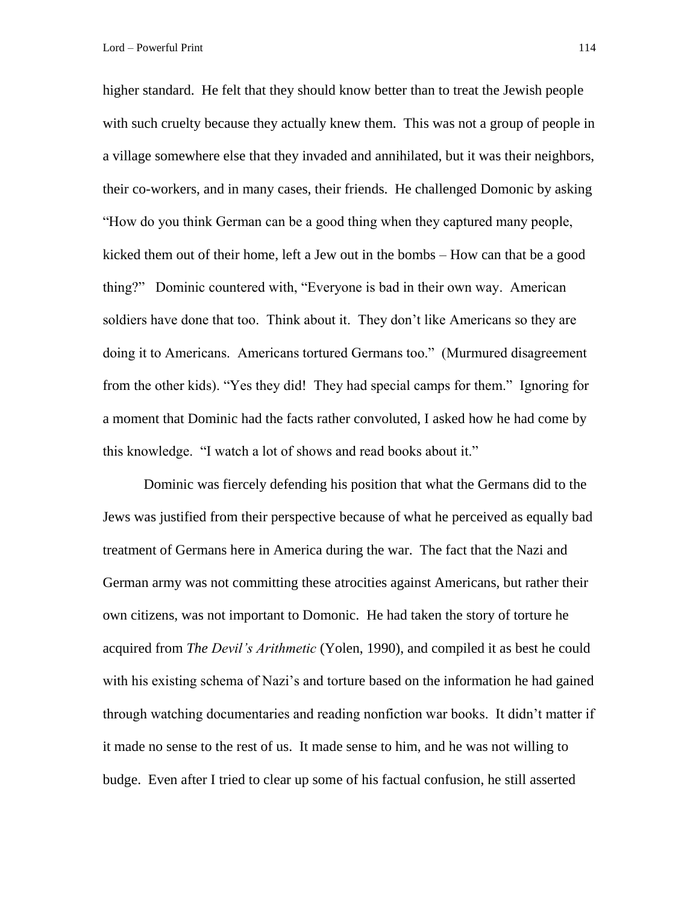higher standard. He felt that they should know better than to treat the Jewish people with such cruelty because they actually knew them. This was not a group of people in a village somewhere else that they invaded and annihilated, but it was their neighbors, their co-workers, and in many cases, their friends. He challenged Domonic by asking "How do you think German can be a good thing when they captured many people, kicked them out of their home, left a Jew out in the bombs – How can that be a good thing?" Dominic countered with, "Everyone is bad in their own way. American soldiers have done that too. Think about it. They don't like Americans so they are doing it to Americans. Americans tortured Germans too." (Murmured disagreement from the other kids). "Yes they did! They had special camps for them." Ignoring for a moment that Dominic had the facts rather convoluted, I asked how he had come by this knowledge. "I watch a lot of shows and read books about it."

Dominic was fiercely defending his position that what the Germans did to the Jews was justified from their perspective because of what he perceived as equally bad treatment of Germans here in America during the war. The fact that the Nazi and German army was not committing these atrocities against Americans, but rather their own citizens, was not important to Domonic. He had taken the story of torture he acquired from *The Devil's Arithmetic* (Yolen, 1990), and compiled it as best he could with his existing schema of Nazi's and torture based on the information he had gained through watching documentaries and reading nonfiction war books. It didn't matter if it made no sense to the rest of us. It made sense to him, and he was not willing to budge. Even after I tried to clear up some of his factual confusion, he still asserted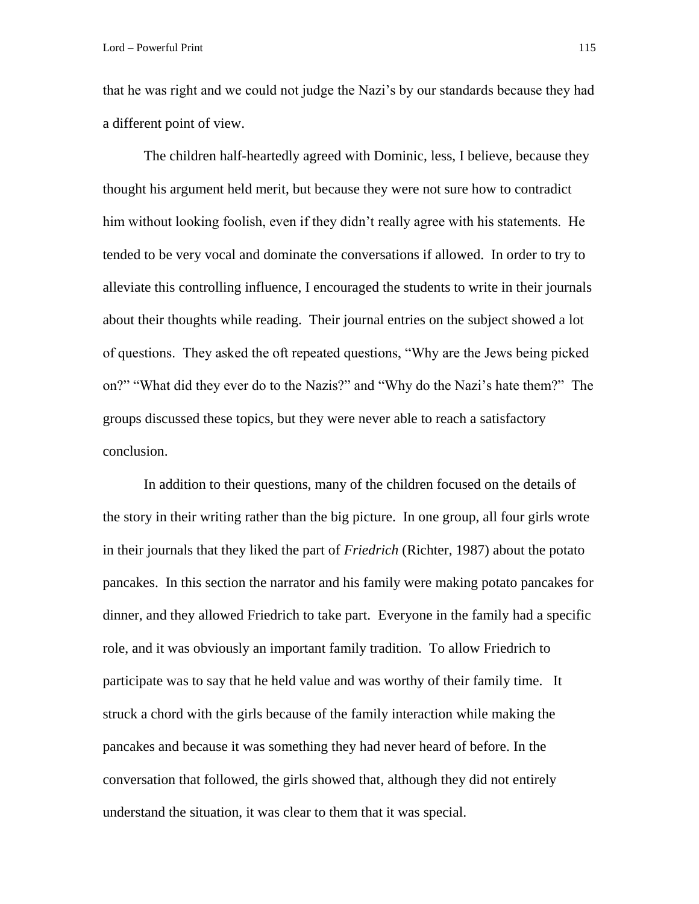that he was right and we could not judge the Nazi's by our standards because they had a different point of view.

The children half-heartedly agreed with Dominic, less, I believe, because they thought his argument held merit, but because they were not sure how to contradict him without looking foolish, even if they didn't really agree with his statements. He tended to be very vocal and dominate the conversations if allowed. In order to try to alleviate this controlling influence, I encouraged the students to write in their journals about their thoughts while reading. Their journal entries on the subject showed a lot of questions. They asked the oft repeated questions, "Why are the Jews being picked on?" "What did they ever do to the Nazis?" and "Why do the Nazi's hate them?" The groups discussed these topics, but they were never able to reach a satisfactory conclusion.

In addition to their questions, many of the children focused on the details of the story in their writing rather than the big picture. In one group, all four girls wrote in their journals that they liked the part of *Friedrich* (Richter, 1987) about the potato pancakes. In this section the narrator and his family were making potato pancakes for dinner, and they allowed Friedrich to take part. Everyone in the family had a specific role, and it was obviously an important family tradition. To allow Friedrich to participate was to say that he held value and was worthy of their family time. It struck a chord with the girls because of the family interaction while making the pancakes and because it was something they had never heard of before. In the conversation that followed, the girls showed that, although they did not entirely understand the situation, it was clear to them that it was special.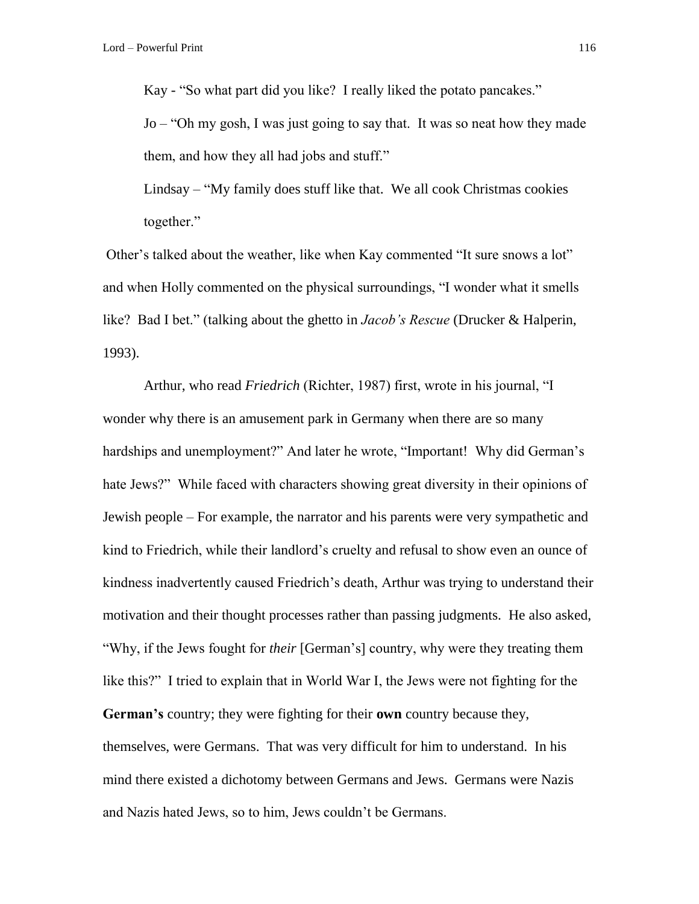Kay - "So what part did you like? I really liked the potato pancakes."

Jo – "Oh my gosh, I was just going to say that. It was so neat how they made them, and how they all had jobs and stuff."

Lindsay – "My family does stuff like that. We all cook Christmas cookies together."

Other's talked about the weather, like when Kay commented "It sure snows a lot" and when Holly commented on the physical surroundings, "I wonder what it smells like? Bad I bet." (talking about the ghetto in *Jacob's Rescue* (Drucker & Halperin, 1993).

Arthur, who read *Friedrich* (Richter, 1987) first, wrote in his journal, "I wonder why there is an amusement park in Germany when there are so many hardships and unemployment?" And later he wrote, "Important! Why did German's hate Jews?" While faced with characters showing great diversity in their opinions of Jewish people – For example, the narrator and his parents were very sympathetic and kind to Friedrich, while their landlord's cruelty and refusal to show even an ounce of kindness inadvertently caused Friedrich's death, Arthur was trying to understand their motivation and their thought processes rather than passing judgments. He also asked, "Why, if the Jews fought for *their* [German's] country, why were they treating them like this?" I tried to explain that in World War I, the Jews were not fighting for the **German's** country; they were fighting for their **own** country because they, themselves, were Germans. That was very difficult for him to understand. In his mind there existed a dichotomy between Germans and Jews. Germans were Nazis and Nazis hated Jews, so to him, Jews couldn't be Germans.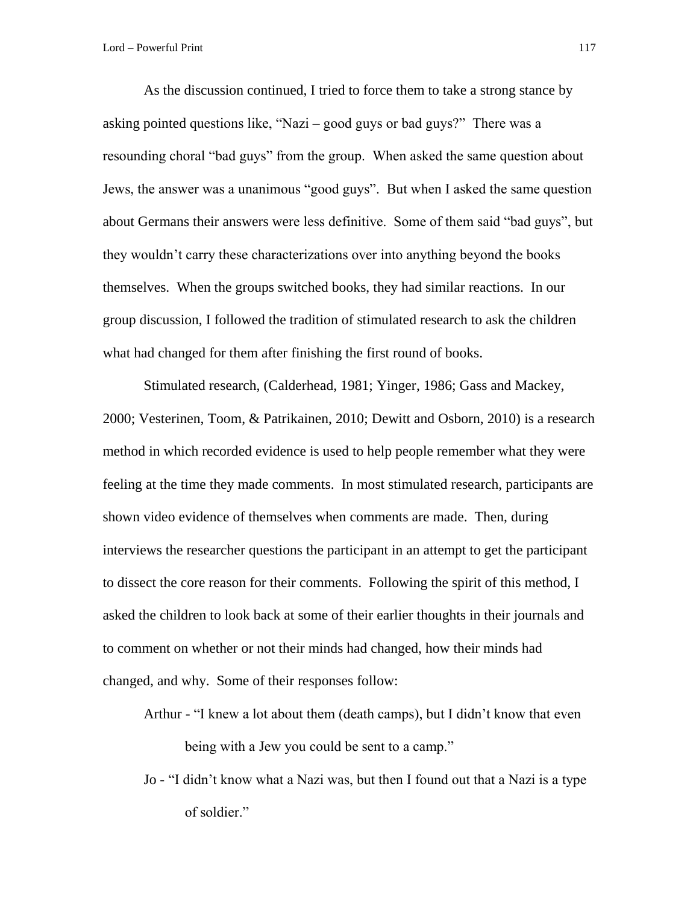As the discussion continued, I tried to force them to take a strong stance by asking pointed questions like, "Nazi – good guys or bad guys?" There was a resounding choral "bad guys" from the group. When asked the same question about Jews, the answer was a unanimous "good guys". But when I asked the same question about Germans their answers were less definitive. Some of them said "bad guys", but they wouldn't carry these characterizations over into anything beyond the books themselves. When the groups switched books, they had similar reactions. In our group discussion, I followed the tradition of stimulated research to ask the children what had changed for them after finishing the first round of books.

Stimulated research, (Calderhead, 1981; Yinger, 1986; Gass and Mackey, 2000; Vesterinen, Toom, & Patrikainen, 2010; Dewitt and Osborn, 2010) is a research method in which recorded evidence is used to help people remember what they were feeling at the time they made comments. In most stimulated research, participants are shown video evidence of themselves when comments are made. Then, during interviews the researcher questions the participant in an attempt to get the participant to dissect the core reason for their comments. Following the spirit of this method, I asked the children to look back at some of their earlier thoughts in their journals and to comment on whether or not their minds had changed, how their minds had changed, and why. Some of their responses follow:

Arthur - "I knew a lot about them (death camps), but I didn't know that even being with a Jew you could be sent to a camp."

Jo - "I didn't know what a Nazi was, but then I found out that a Nazi is a type of soldier."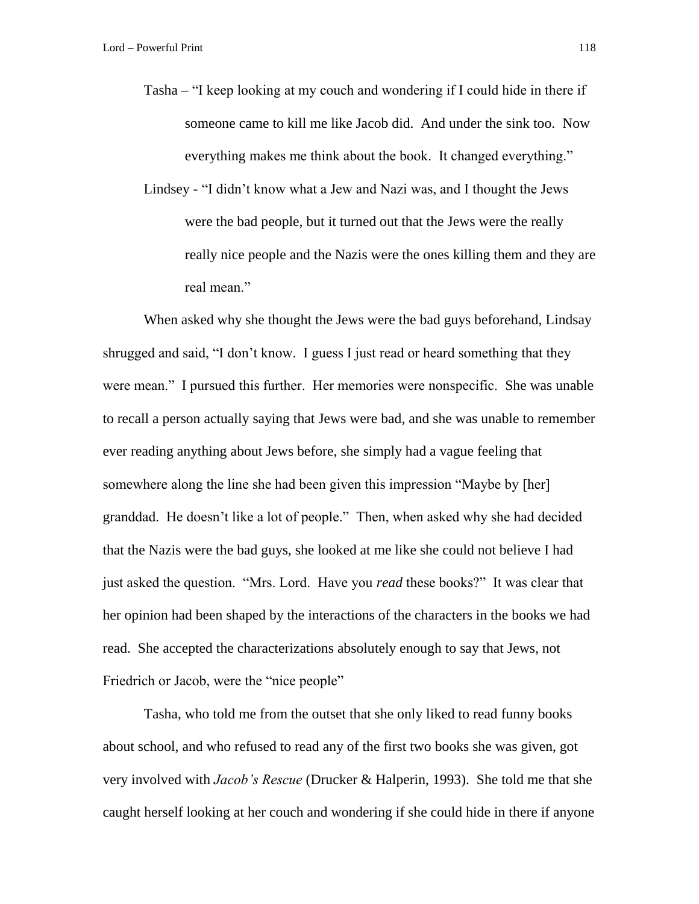- Tasha "I keep looking at my couch and wondering if I could hide in there if someone came to kill me like Jacob did. And under the sink too. Now everything makes me think about the book. It changed everything."
- Lindsey "I didn't know what a Jew and Nazi was, and I thought the Jews were the bad people, but it turned out that the Jews were the really really nice people and the Nazis were the ones killing them and they are real mean."

When asked why she thought the Jews were the bad guys beforehand, Lindsay shrugged and said, "I don't know. I guess I just read or heard something that they were mean." I pursued this further. Her memories were nonspecific. She was unable to recall a person actually saying that Jews were bad, and she was unable to remember ever reading anything about Jews before, she simply had a vague feeling that somewhere along the line she had been given this impression "Maybe by [her] granddad. He doesn't like a lot of people." Then, when asked why she had decided that the Nazis were the bad guys, she looked at me like she could not believe I had just asked the question. "Mrs. Lord. Have you *read* these books?" It was clear that her opinion had been shaped by the interactions of the characters in the books we had read. She accepted the characterizations absolutely enough to say that Jews, not Friedrich or Jacob, were the "nice people"

Tasha, who told me from the outset that she only liked to read funny books about school, and who refused to read any of the first two books she was given, got very involved with *Jacob's Rescue* (Drucker & Halperin, 1993). She told me that she caught herself looking at her couch and wondering if she could hide in there if anyone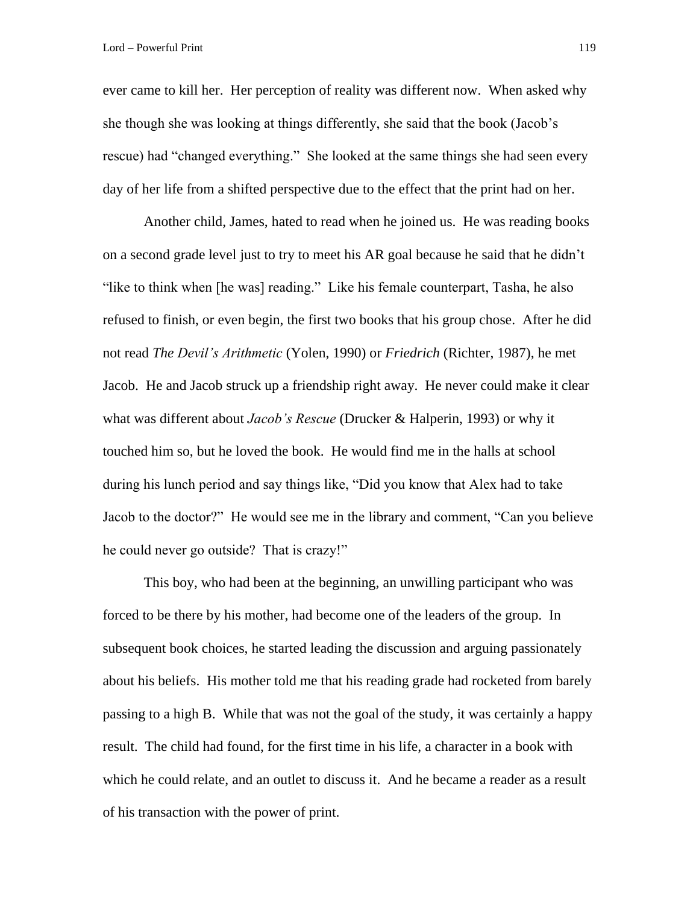ever came to kill her. Her perception of reality was different now. When asked why she though she was looking at things differently, she said that the book (Jacob's rescue) had "changed everything." She looked at the same things she had seen every day of her life from a shifted perspective due to the effect that the print had on her.

Another child, James, hated to read when he joined us. He was reading books on a second grade level just to try to meet his AR goal because he said that he didn't "like to think when [he was] reading." Like his female counterpart, Tasha, he also refused to finish, or even begin, the first two books that his group chose. After he did not read *The Devil's Arithmetic* (Yolen, 1990) or *Friedrich* (Richter, 1987), he met Jacob. He and Jacob struck up a friendship right away. He never could make it clear what was different about *Jacob's Rescue* (Drucker & Halperin, 1993) or why it touched him so, but he loved the book. He would find me in the halls at school during his lunch period and say things like, "Did you know that Alex had to take Jacob to the doctor?" He would see me in the library and comment, "Can you believe he could never go outside? That is crazy!"

This boy, who had been at the beginning, an unwilling participant who was forced to be there by his mother, had become one of the leaders of the group. In subsequent book choices, he started leading the discussion and arguing passionately about his beliefs. His mother told me that his reading grade had rocketed from barely passing to a high B. While that was not the goal of the study, it was certainly a happy result. The child had found, for the first time in his life, a character in a book with which he could relate, and an outlet to discuss it. And he became a reader as a result of his transaction with the power of print.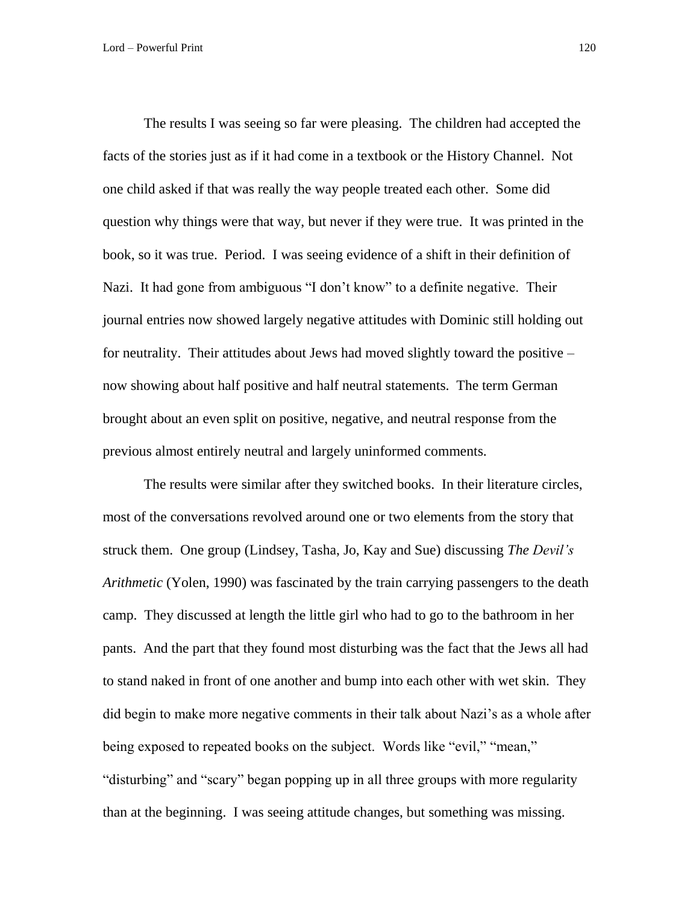The results I was seeing so far were pleasing. The children had accepted the facts of the stories just as if it had come in a textbook or the History Channel. Not one child asked if that was really the way people treated each other. Some did question why things were that way, but never if they were true. It was printed in the book, so it was true. Period. I was seeing evidence of a shift in their definition of Nazi. It had gone from ambiguous "I don't know" to a definite negative. Their journal entries now showed largely negative attitudes with Dominic still holding out for neutrality. Their attitudes about Jews had moved slightly toward the positive – now showing about half positive and half neutral statements. The term German brought about an even split on positive, negative, and neutral response from the previous almost entirely neutral and largely uninformed comments.

The results were similar after they switched books. In their literature circles, most of the conversations revolved around one or two elements from the story that struck them. One group (Lindsey, Tasha, Jo, Kay and Sue) discussing *The Devil's Arithmetic* (Yolen, 1990) was fascinated by the train carrying passengers to the death camp. They discussed at length the little girl who had to go to the bathroom in her pants. And the part that they found most disturbing was the fact that the Jews all had to stand naked in front of one another and bump into each other with wet skin. They did begin to make more negative comments in their talk about Nazi's as a whole after being exposed to repeated books on the subject. Words like "evil," "mean," "disturbing" and "scary" began popping up in all three groups with more regularity than at the beginning. I was seeing attitude changes, but something was missing.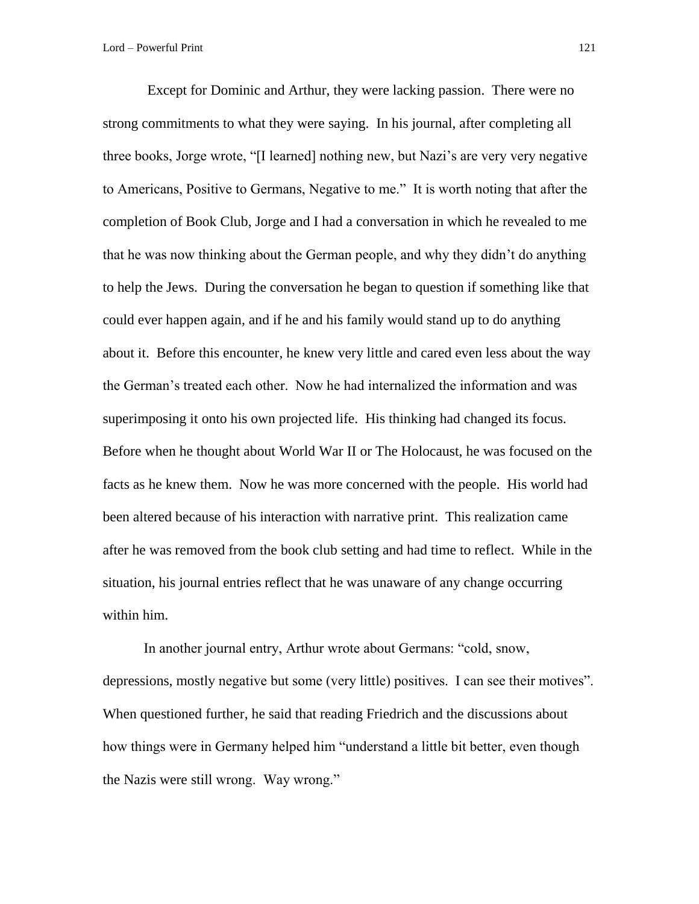Except for Dominic and Arthur, they were lacking passion. There were no strong commitments to what they were saying. In his journal, after completing all three books, Jorge wrote, "[I learned] nothing new, but Nazi's are very very negative to Americans, Positive to Germans, Negative to me." It is worth noting that after the completion of Book Club, Jorge and I had a conversation in which he revealed to me that he was now thinking about the German people, and why they didn't do anything to help the Jews. During the conversation he began to question if something like that could ever happen again, and if he and his family would stand up to do anything about it. Before this encounter, he knew very little and cared even less about the way the German's treated each other. Now he had internalized the information and was superimposing it onto his own projected life. His thinking had changed its focus. Before when he thought about World War II or The Holocaust, he was focused on the facts as he knew them. Now he was more concerned with the people. His world had been altered because of his interaction with narrative print. This realization came after he was removed from the book club setting and had time to reflect. While in the situation, his journal entries reflect that he was unaware of any change occurring within him.

In another journal entry, Arthur wrote about Germans: "cold, snow, depressions, mostly negative but some (very little) positives. I can see their motives". When questioned further, he said that reading Friedrich and the discussions about how things were in Germany helped him "understand a little bit better, even though the Nazis were still wrong. Way wrong."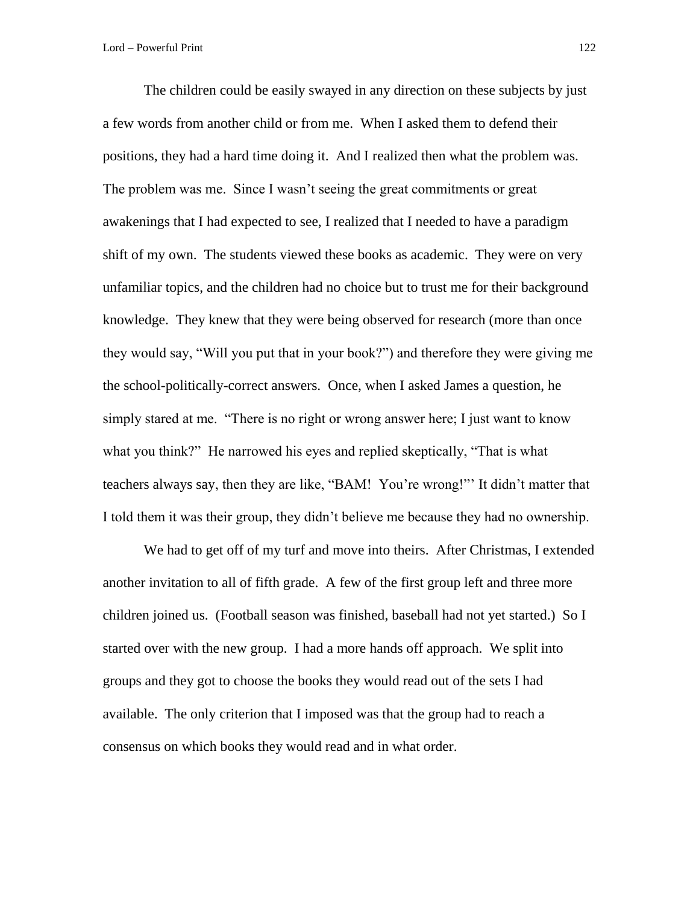The children could be easily swayed in any direction on these subjects by just a few words from another child or from me. When I asked them to defend their positions, they had a hard time doing it. And I realized then what the problem was. The problem was me. Since I wasn't seeing the great commitments or great awakenings that I had expected to see, I realized that I needed to have a paradigm shift of my own. The students viewed these books as academic. They were on very unfamiliar topics, and the children had no choice but to trust me for their background knowledge. They knew that they were being observed for research (more than once they would say, "Will you put that in your book?") and therefore they were giving me the school-politically-correct answers. Once, when I asked James a question, he simply stared at me. "There is no right or wrong answer here; I just want to know what you think?" He narrowed his eyes and replied skeptically, "That is what teachers always say, then they are like, "BAM! You're wrong!"' It didn't matter that I told them it was their group, they didn't believe me because they had no ownership.

We had to get off of my turf and move into theirs. After Christmas, I extended another invitation to all of fifth grade. A few of the first group left and three more children joined us. (Football season was finished, baseball had not yet started.) So I started over with the new group. I had a more hands off approach. We split into groups and they got to choose the books they would read out of the sets I had available. The only criterion that I imposed was that the group had to reach a consensus on which books they would read and in what order.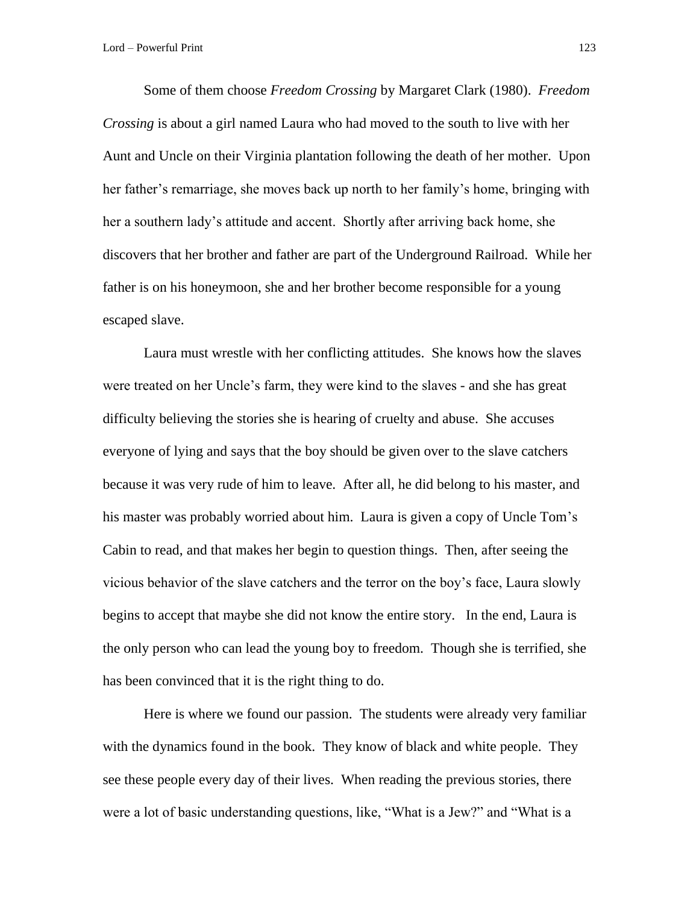Some of them choose *Freedom Crossing* by Margaret Clark (1980). *Freedom Crossing* is about a girl named Laura who had moved to the south to live with her Aunt and Uncle on their Virginia plantation following the death of her mother. Upon her father's remarriage, she moves back up north to her family's home, bringing with her a southern lady's attitude and accent. Shortly after arriving back home, she discovers that her brother and father are part of the Underground Railroad. While her father is on his honeymoon, she and her brother become responsible for a young escaped slave.

Laura must wrestle with her conflicting attitudes. She knows how the slaves were treated on her Uncle's farm, they were kind to the slaves - and she has great difficulty believing the stories she is hearing of cruelty and abuse. She accuses everyone of lying and says that the boy should be given over to the slave catchers because it was very rude of him to leave. After all, he did belong to his master, and his master was probably worried about him. Laura is given a copy of Uncle Tom's Cabin to read, and that makes her begin to question things. Then, after seeing the vicious behavior of the slave catchers and the terror on the boy's face, Laura slowly begins to accept that maybe she did not know the entire story. In the end, Laura is the only person who can lead the young boy to freedom. Though she is terrified, she has been convinced that it is the right thing to do.

Here is where we found our passion. The students were already very familiar with the dynamics found in the book. They know of black and white people. They see these people every day of their lives. When reading the previous stories, there were a lot of basic understanding questions, like, "What is a Jew?" and "What is a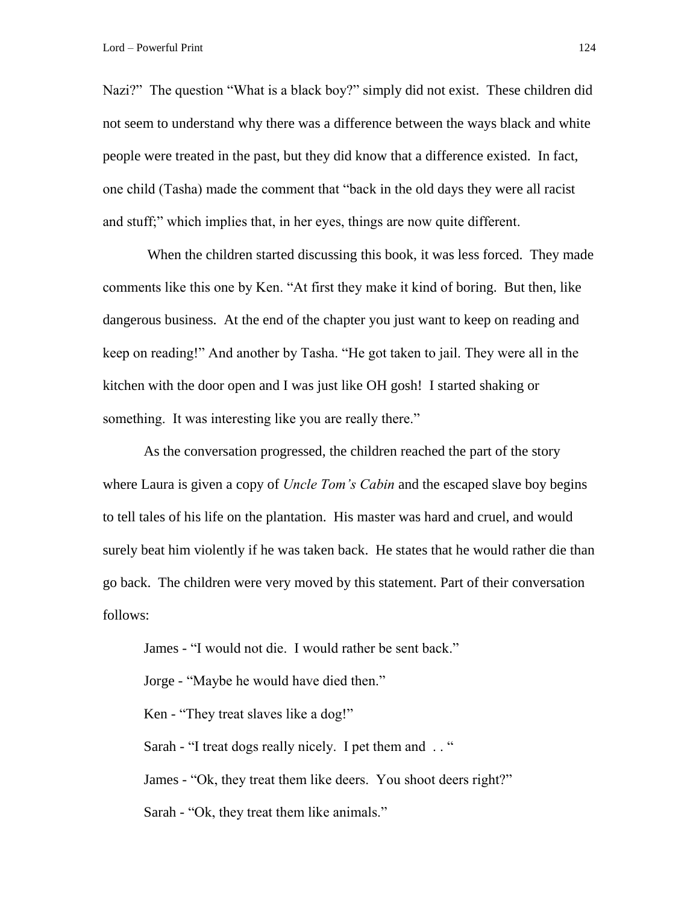Nazi?" The question "What is a black boy?" simply did not exist. These children did not seem to understand why there was a difference between the ways black and white people were treated in the past, but they did know that a difference existed. In fact, one child (Tasha) made the comment that "back in the old days they were all racist and stuff;" which implies that, in her eyes, things are now quite different.

When the children started discussing this book, it was less forced. They made comments like this one by Ken. "At first they make it kind of boring. But then, like dangerous business. At the end of the chapter you just want to keep on reading and keep on reading!" And another by Tasha. "He got taken to jail. They were all in the kitchen with the door open and I was just like OH gosh! I started shaking or something. It was interesting like you are really there."

As the conversation progressed, the children reached the part of the story where Laura is given a copy of *Uncle Tom's Cabin* and the escaped slave boy begins to tell tales of his life on the plantation. His master was hard and cruel, and would surely beat him violently if he was taken back. He states that he would rather die than go back. The children were very moved by this statement. Part of their conversation follows:

James - "I would not die. I would rather be sent back."

Jorge - "Maybe he would have died then."

Ken - "They treat slaves like a dog!"

Sarah - "I treat dogs really nicely. I pet them and . . "

James - "Ok, they treat them like deers. You shoot deers right?"

Sarah - "Ok, they treat them like animals."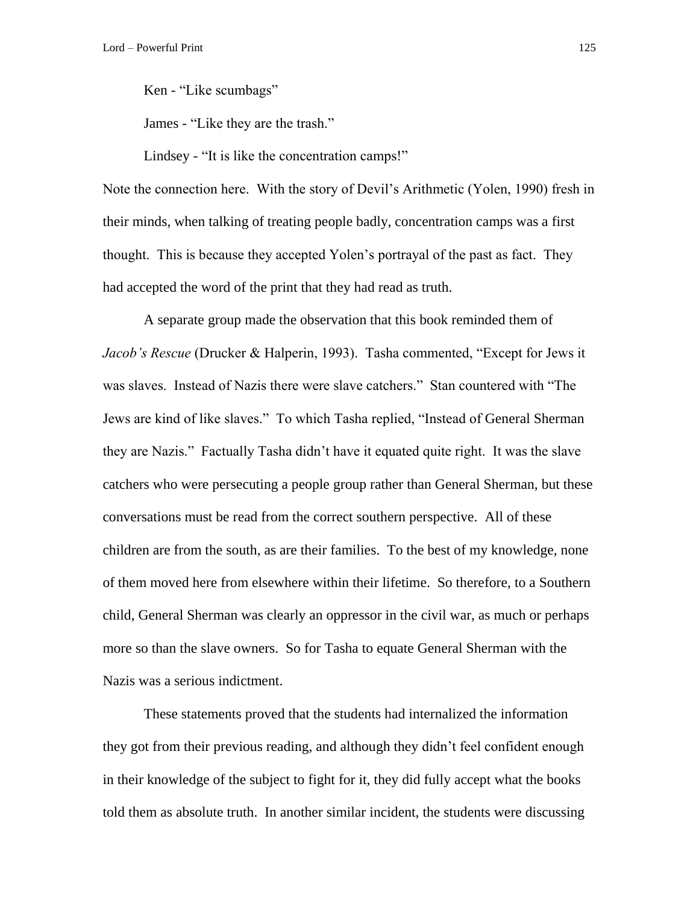Ken - "Like scumbags"

James - "Like they are the trash."

Lindsey - "It is like the concentration camps!"

Note the connection here. With the story of Devil's Arithmetic (Yolen, 1990) fresh in their minds, when talking of treating people badly, concentration camps was a first thought. This is because they accepted Yolen's portrayal of the past as fact. They had accepted the word of the print that they had read as truth.

A separate group made the observation that this book reminded them of *Jacob's Rescue* (Drucker & Halperin, 1993). Tasha commented, "Except for Jews it was slaves. Instead of Nazis there were slave catchers." Stan countered with "The Jews are kind of like slaves." To which Tasha replied, "Instead of General Sherman they are Nazis." Factually Tasha didn't have it equated quite right. It was the slave catchers who were persecuting a people group rather than General Sherman, but these conversations must be read from the correct southern perspective. All of these children are from the south, as are their families. To the best of my knowledge, none of them moved here from elsewhere within their lifetime. So therefore, to a Southern child, General Sherman was clearly an oppressor in the civil war, as much or perhaps more so than the slave owners. So for Tasha to equate General Sherman with the Nazis was a serious indictment.

These statements proved that the students had internalized the information they got from their previous reading, and although they didn't feel confident enough in their knowledge of the subject to fight for it, they did fully accept what the books told them as absolute truth. In another similar incident, the students were discussing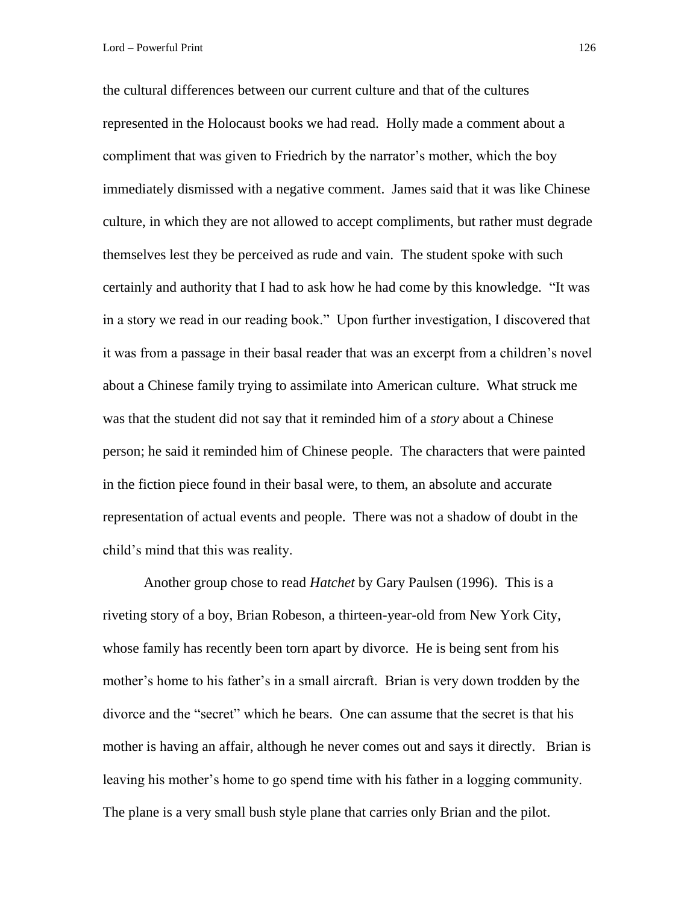the cultural differences between our current culture and that of the cultures represented in the Holocaust books we had read. Holly made a comment about a compliment that was given to Friedrich by the narrator's mother, which the boy immediately dismissed with a negative comment. James said that it was like Chinese culture, in which they are not allowed to accept compliments, but rather must degrade themselves lest they be perceived as rude and vain. The student spoke with such certainly and authority that I had to ask how he had come by this knowledge. "It was in a story we read in our reading book." Upon further investigation, I discovered that it was from a passage in their basal reader that was an excerpt from a children's novel about a Chinese family trying to assimilate into American culture. What struck me was that the student did not say that it reminded him of a *story* about a Chinese person; he said it reminded him of Chinese people. The characters that were painted in the fiction piece found in their basal were, to them, an absolute and accurate representation of actual events and people. There was not a shadow of doubt in the child's mind that this was reality.

Another group chose to read *Hatchet* by Gary Paulsen (1996). This is a riveting story of a boy, Brian Robeson, a thirteen-year-old from New York City, whose family has recently been torn apart by divorce. He is being sent from his mother's home to his father's in a small aircraft. Brian is very down trodden by the divorce and the "secret" which he bears. One can assume that the secret is that his mother is having an affair, although he never comes out and says it directly. Brian is leaving his mother's home to go spend time with his father in a logging community. The plane is a very small bush style plane that carries only Brian and the pilot.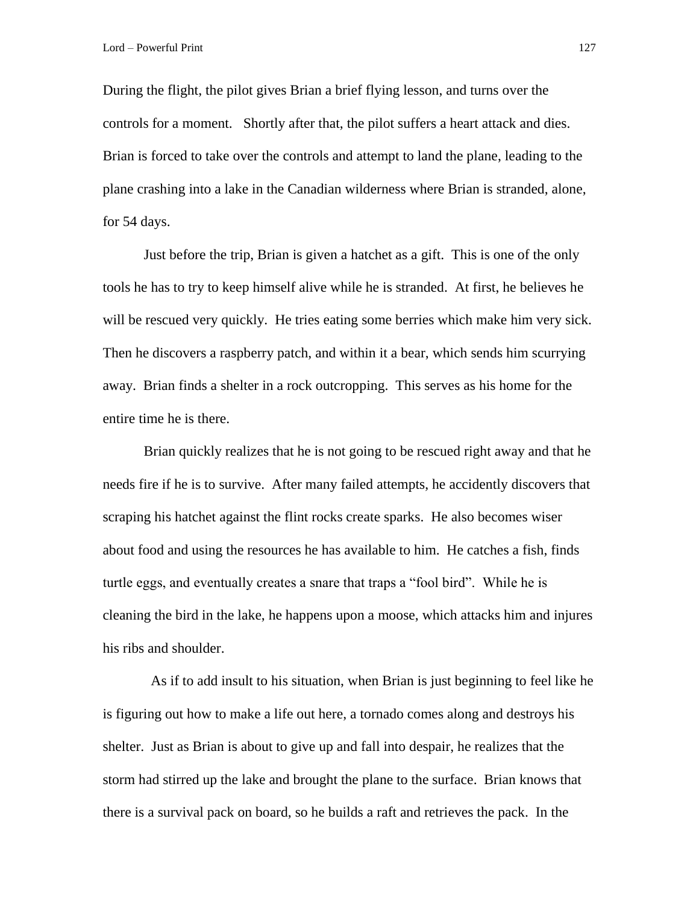During the flight, the pilot gives Brian a brief flying lesson, and turns over the controls for a moment. Shortly after that, the pilot suffers a heart attack and dies. Brian is forced to take over the controls and attempt to land the plane, leading to the plane crashing into a lake in the Canadian wilderness where Brian is stranded, alone, for 54 days.

Just before the trip, Brian is given a hatchet as a gift. This is one of the only tools he has to try to keep himself alive while he is stranded. At first, he believes he will be rescued very quickly. He tries eating some berries which make him very sick. Then he discovers a raspberry patch, and within it a bear, which sends him scurrying away. Brian finds a shelter in a rock outcropping. This serves as his home for the entire time he is there.

Brian quickly realizes that he is not going to be rescued right away and that he needs fire if he is to survive. After many failed attempts, he accidently discovers that scraping his hatchet against the flint rocks create sparks. He also becomes wiser about food and using the resources he has available to him. He catches a fish, finds turtle eggs, and eventually creates a snare that traps a "fool bird". While he is cleaning the bird in the lake, he happens upon a moose, which attacks him and injures his ribs and shoulder.

 As if to add insult to his situation, when Brian is just beginning to feel like he is figuring out how to make a life out here, a tornado comes along and destroys his shelter. Just as Brian is about to give up and fall into despair, he realizes that the storm had stirred up the lake and brought the plane to the surface. Brian knows that there is a survival pack on board, so he builds a raft and retrieves the pack. In the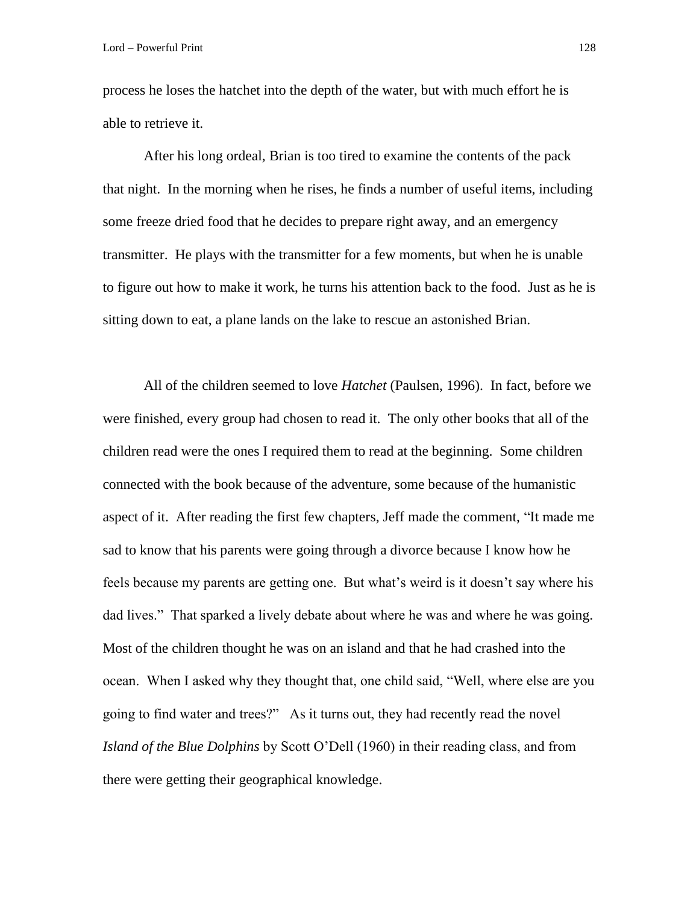process he loses the hatchet into the depth of the water, but with much effort he is able to retrieve it.

After his long ordeal, Brian is too tired to examine the contents of the pack that night. In the morning when he rises, he finds a number of useful items, including some freeze dried food that he decides to prepare right away, and an emergency transmitter. He plays with the transmitter for a few moments, but when he is unable to figure out how to make it work, he turns his attention back to the food. Just as he is sitting down to eat, a plane lands on the lake to rescue an astonished Brian.

All of the children seemed to love *Hatchet* (Paulsen, 1996). In fact, before we were finished, every group had chosen to read it. The only other books that all of the children read were the ones I required them to read at the beginning. Some children connected with the book because of the adventure, some because of the humanistic aspect of it. After reading the first few chapters, Jeff made the comment, "It made me sad to know that his parents were going through a divorce because I know how he feels because my parents are getting one. But what's weird is it doesn't say where his dad lives." That sparked a lively debate about where he was and where he was going. Most of the children thought he was on an island and that he had crashed into the ocean. When I asked why they thought that, one child said, "Well, where else are you going to find water and trees?" As it turns out, they had recently read the novel *Island of the Blue Dolphins* by Scott O'Dell (1960) in their reading class, and from there were getting their geographical knowledge.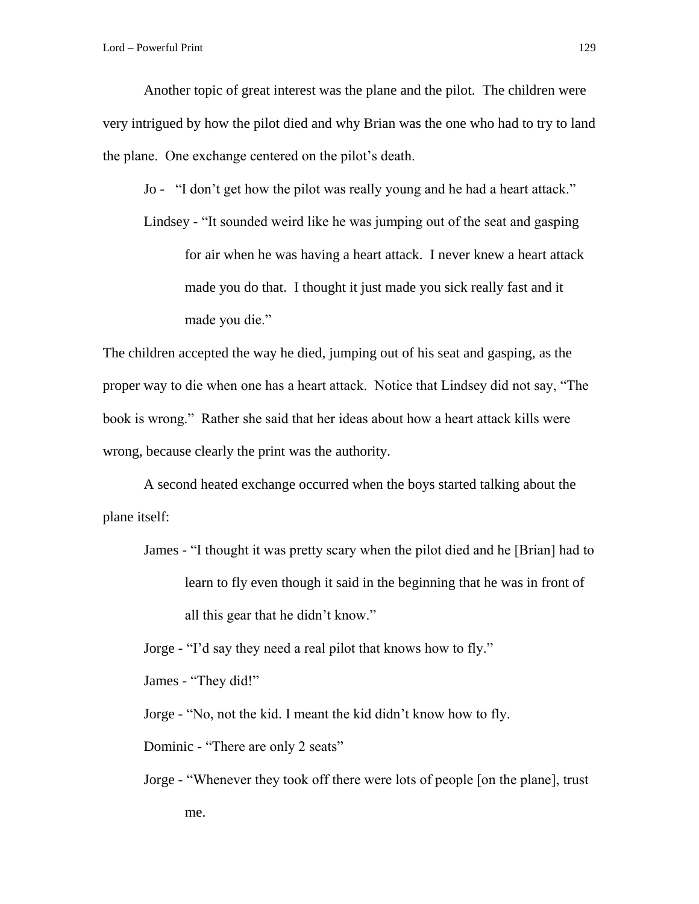Lord – Powerful Print 129

Another topic of great interest was the plane and the pilot. The children were very intrigued by how the pilot died and why Brian was the one who had to try to land the plane. One exchange centered on the pilot's death.

Jo - "I don't get how the pilot was really young and he had a heart attack."

Lindsey - "It sounded weird like he was jumping out of the seat and gasping for air when he was having a heart attack. I never knew a heart attack made you do that. I thought it just made you sick really fast and it made you die."

The children accepted the way he died, jumping out of his seat and gasping, as the proper way to die when one has a heart attack. Notice that Lindsey did not say, "The book is wrong." Rather she said that her ideas about how a heart attack kills were wrong, because clearly the print was the authority.

A second heated exchange occurred when the boys started talking about the plane itself:

James - "I thought it was pretty scary when the pilot died and he [Brian] had to learn to fly even though it said in the beginning that he was in front of all this gear that he didn't know."

Jorge - "I'd say they need a real pilot that knows how to fly."

James - "They did!"

Jorge - "No, not the kid. I meant the kid didn't know how to fly.

Dominic - "There are only 2 seats"

Jorge - "Whenever they took off there were lots of people [on the plane], trust me.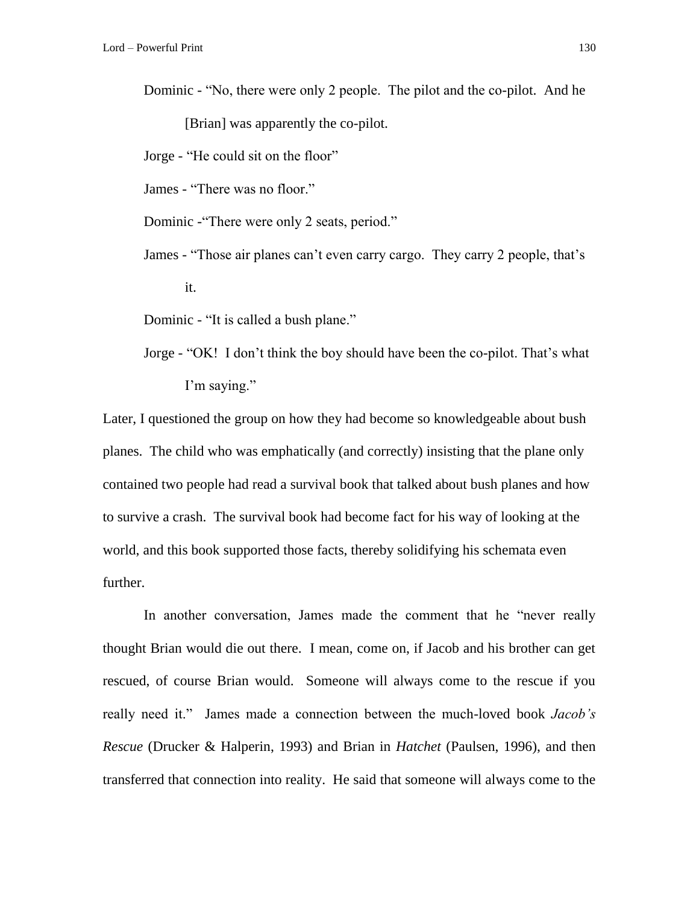Dominic - "No, there were only 2 people. The pilot and the co-pilot. And he [Brian] was apparently the co-pilot.

Jorge - "He could sit on the floor"

James - "There was no floor."

Dominic -"There were only 2 seats, period."

James - "Those air planes can't even carry cargo. They carry 2 people, that's it.

Dominic - "It is called a bush plane."

Jorge - "OK! I don't think the boy should have been the co-pilot. That's what I'm saying."

Later, I questioned the group on how they had become so knowledgeable about bush planes. The child who was emphatically (and correctly) insisting that the plane only contained two people had read a survival book that talked about bush planes and how to survive a crash. The survival book had become fact for his way of looking at the world, and this book supported those facts, thereby solidifying his schemata even further.

In another conversation, James made the comment that he "never really thought Brian would die out there. I mean, come on, if Jacob and his brother can get rescued, of course Brian would. Someone will always come to the rescue if you really need it." James made a connection between the much-loved book *Jacob's Rescue* (Drucker & Halperin, 1993) and Brian in *Hatchet* (Paulsen, 1996), and then transferred that connection into reality. He said that someone will always come to the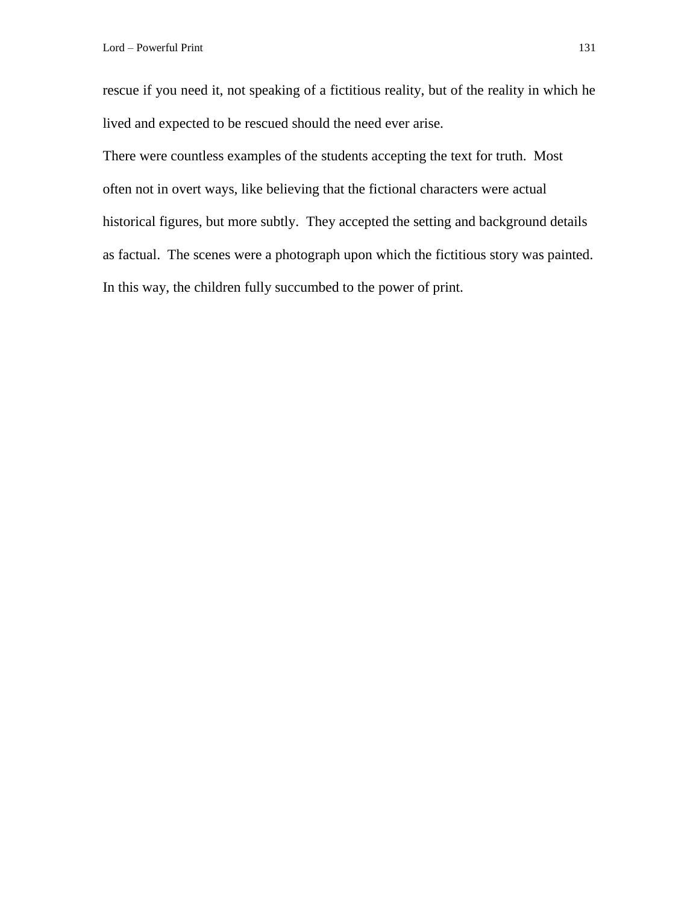rescue if you need it, not speaking of a fictitious reality, but of the reality in which he lived and expected to be rescued should the need ever arise.

There were countless examples of the students accepting the text for truth. Most often not in overt ways, like believing that the fictional characters were actual historical figures, but more subtly. They accepted the setting and background details as factual. The scenes were a photograph upon which the fictitious story was painted. In this way, the children fully succumbed to the power of print.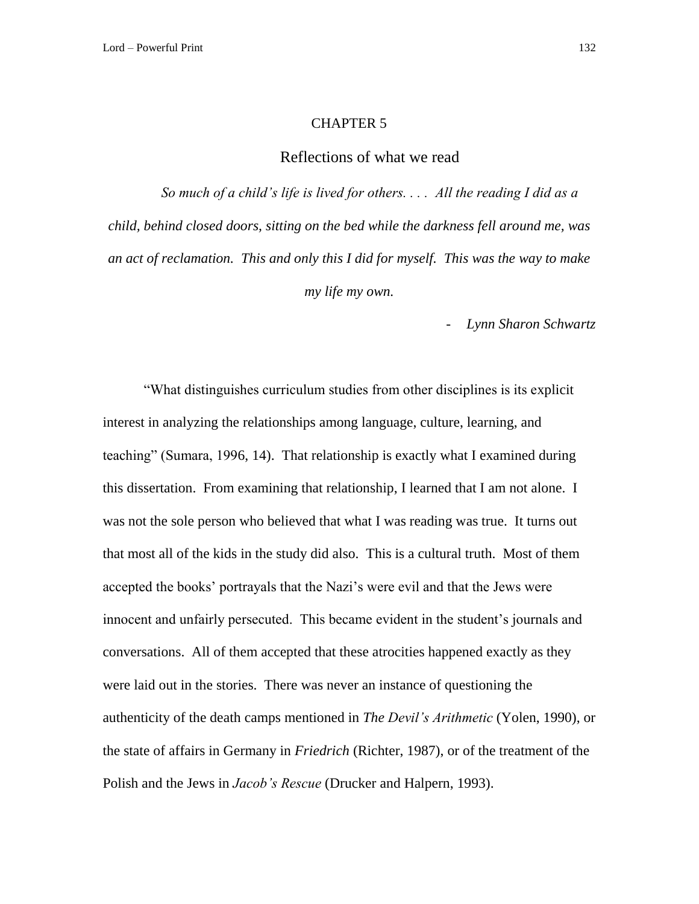## CHAPTER 5

## Reflections of what we read

*So much of a child's life is lived for others. . . . All the reading I did as a child, behind closed doors, sitting on the bed while the darkness fell around me, was an act of reclamation. This and only this I did for myself. This was the way to make my life my own.*

- *Lynn Sharon Schwartz*

"What distinguishes curriculum studies from other disciplines is its explicit interest in analyzing the relationships among language, culture, learning, and teaching" (Sumara, 1996, 14). That relationship is exactly what I examined during this dissertation. From examining that relationship, I learned that I am not alone. I was not the sole person who believed that what I was reading was true. It turns out that most all of the kids in the study did also. This is a cultural truth. Most of them accepted the books' portrayals that the Nazi's were evil and that the Jews were innocent and unfairly persecuted. This became evident in the student's journals and conversations. All of them accepted that these atrocities happened exactly as they were laid out in the stories. There was never an instance of questioning the authenticity of the death camps mentioned in *The Devil's Arithmetic* (Yolen, 1990), or the state of affairs in Germany in *Friedrich* (Richter, 1987), or of the treatment of the Polish and the Jews in *Jacob's Rescue* (Drucker and Halpern, 1993).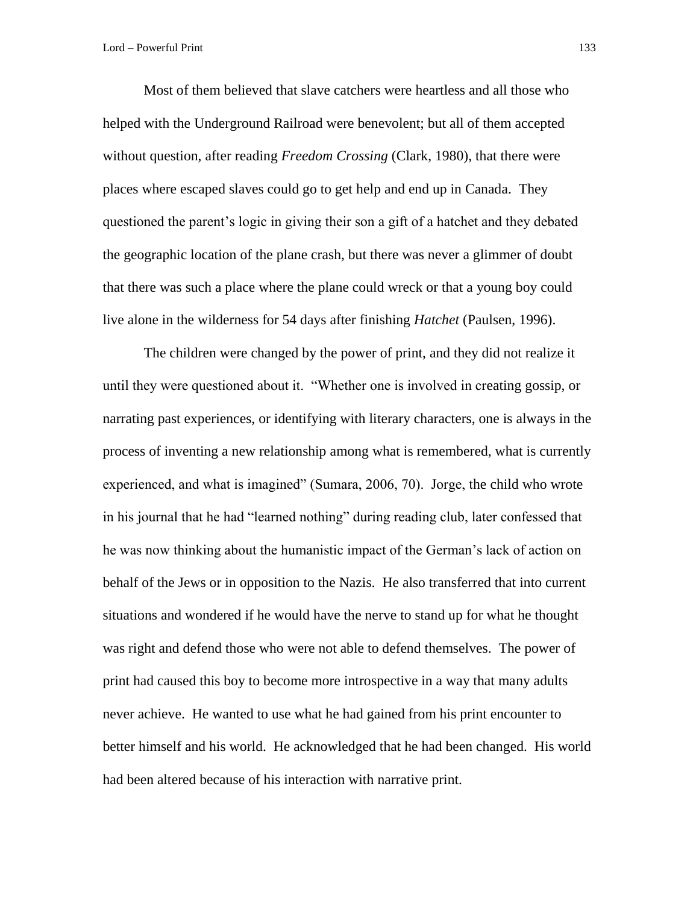Most of them believed that slave catchers were heartless and all those who helped with the Underground Railroad were benevolent; but all of them accepted without question, after reading *Freedom Crossing* (Clark, 1980), that there were places where escaped slaves could go to get help and end up in Canada. They questioned the parent's logic in giving their son a gift of a hatchet and they debated the geographic location of the plane crash, but there was never a glimmer of doubt that there was such a place where the plane could wreck or that a young boy could live alone in the wilderness for 54 days after finishing *Hatchet* (Paulsen, 1996).

The children were changed by the power of print, and they did not realize it until they were questioned about it. "Whether one is involved in creating gossip, or narrating past experiences, or identifying with literary characters, one is always in the process of inventing a new relationship among what is remembered, what is currently experienced, and what is imagined" (Sumara, 2006, 70). Jorge, the child who wrote in his journal that he had "learned nothing" during reading club, later confessed that he was now thinking about the humanistic impact of the German's lack of action on behalf of the Jews or in opposition to the Nazis. He also transferred that into current situations and wondered if he would have the nerve to stand up for what he thought was right and defend those who were not able to defend themselves. The power of print had caused this boy to become more introspective in a way that many adults never achieve. He wanted to use what he had gained from his print encounter to better himself and his world. He acknowledged that he had been changed. His world had been altered because of his interaction with narrative print.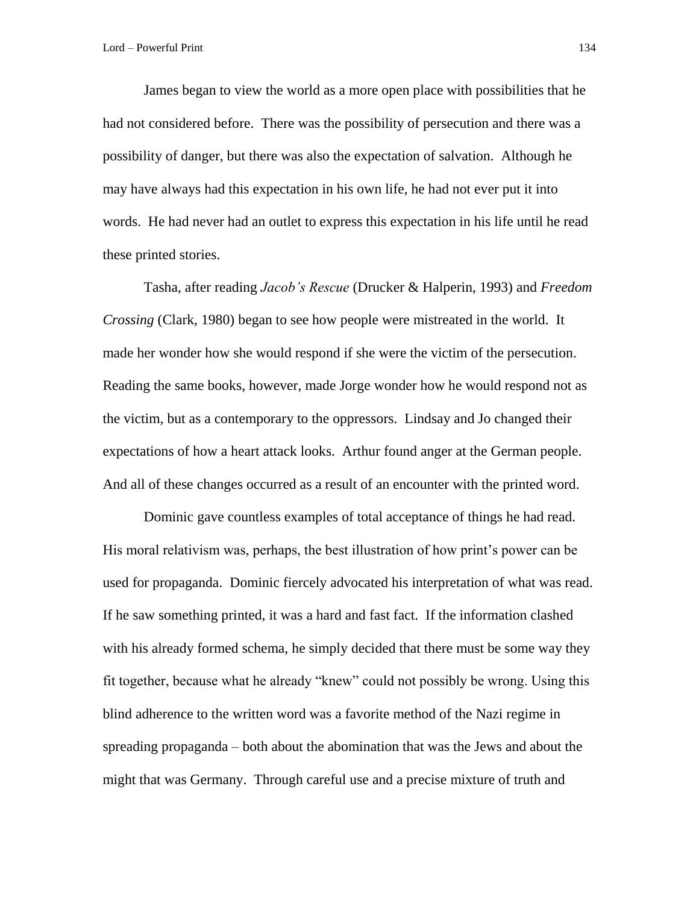James began to view the world as a more open place with possibilities that he had not considered before. There was the possibility of persecution and there was a possibility of danger, but there was also the expectation of salvation. Although he may have always had this expectation in his own life, he had not ever put it into words. He had never had an outlet to express this expectation in his life until he read these printed stories.

Tasha, after reading *Jacob's Rescue* (Drucker & Halperin, 1993) and *Freedom Crossing* (Clark, 1980) began to see how people were mistreated in the world. It made her wonder how she would respond if she were the victim of the persecution. Reading the same books, however, made Jorge wonder how he would respond not as the victim, but as a contemporary to the oppressors. Lindsay and Jo changed their expectations of how a heart attack looks. Arthur found anger at the German people. And all of these changes occurred as a result of an encounter with the printed word.

Dominic gave countless examples of total acceptance of things he had read. His moral relativism was, perhaps, the best illustration of how print's power can be used for propaganda. Dominic fiercely advocated his interpretation of what was read. If he saw something printed, it was a hard and fast fact. If the information clashed with his already formed schema, he simply decided that there must be some way they fit together, because what he already "knew" could not possibly be wrong. Using this blind adherence to the written word was a favorite method of the Nazi regime in spreading propaganda – both about the abomination that was the Jews and about the might that was Germany. Through careful use and a precise mixture of truth and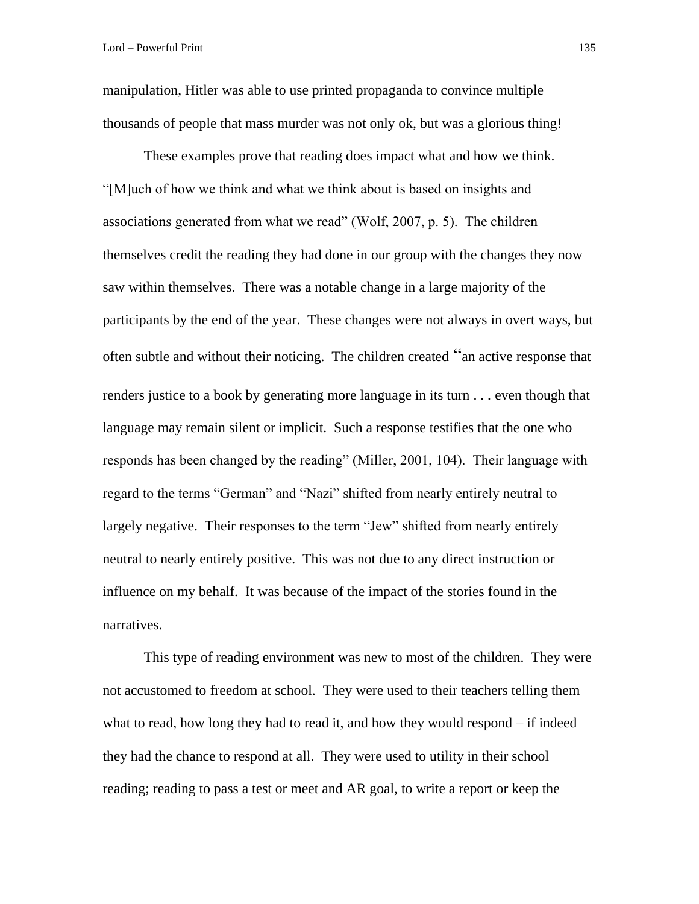manipulation, Hitler was able to use printed propaganda to convince multiple thousands of people that mass murder was not only ok, but was a glorious thing!

These examples prove that reading does impact what and how we think. "[M]uch of how we think and what we think about is based on insights and associations generated from what we read" (Wolf, 2007, p. 5). The children themselves credit the reading they had done in our group with the changes they now saw within themselves. There was a notable change in a large majority of the participants by the end of the year. These changes were not always in overt ways, but often subtle and without their noticing. The children created "an active response that renders justice to a book by generating more language in its turn . . . even though that language may remain silent or implicit. Such a response testifies that the one who responds has been changed by the reading" (Miller, 2001, 104). Their language with regard to the terms "German" and "Nazi" shifted from nearly entirely neutral to largely negative. Their responses to the term "Jew" shifted from nearly entirely neutral to nearly entirely positive. This was not due to any direct instruction or influence on my behalf. It was because of the impact of the stories found in the narratives.

This type of reading environment was new to most of the children. They were not accustomed to freedom at school. They were used to their teachers telling them what to read, how long they had to read it, and how they would respond – if indeed they had the chance to respond at all. They were used to utility in their school reading; reading to pass a test or meet and AR goal, to write a report or keep the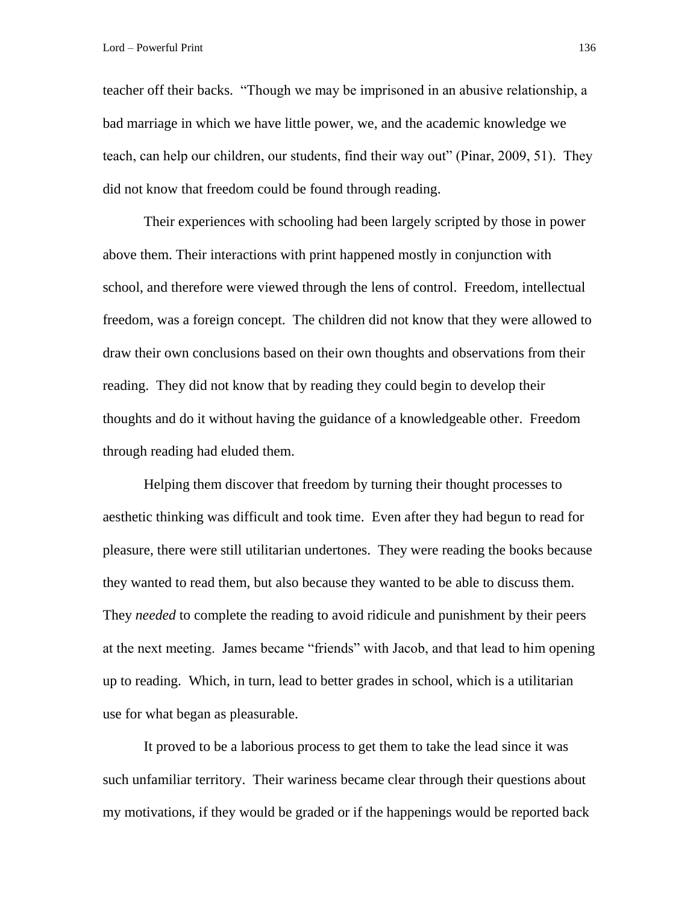teacher off their backs. "Though we may be imprisoned in an abusive relationship, a bad marriage in which we have little power, we, and the academic knowledge we teach, can help our children, our students, find their way out" (Pinar, 2009, 51). They did not know that freedom could be found through reading.

Their experiences with schooling had been largely scripted by those in power above them. Their interactions with print happened mostly in conjunction with school, and therefore were viewed through the lens of control. Freedom, intellectual freedom, was a foreign concept. The children did not know that they were allowed to draw their own conclusions based on their own thoughts and observations from their reading. They did not know that by reading they could begin to develop their thoughts and do it without having the guidance of a knowledgeable other. Freedom through reading had eluded them.

Helping them discover that freedom by turning their thought processes to aesthetic thinking was difficult and took time. Even after they had begun to read for pleasure, there were still utilitarian undertones. They were reading the books because they wanted to read them, but also because they wanted to be able to discuss them. They *needed* to complete the reading to avoid ridicule and punishment by their peers at the next meeting. James became "friends" with Jacob, and that lead to him opening up to reading. Which, in turn, lead to better grades in school, which is a utilitarian use for what began as pleasurable.

It proved to be a laborious process to get them to take the lead since it was such unfamiliar territory. Their wariness became clear through their questions about my motivations, if they would be graded or if the happenings would be reported back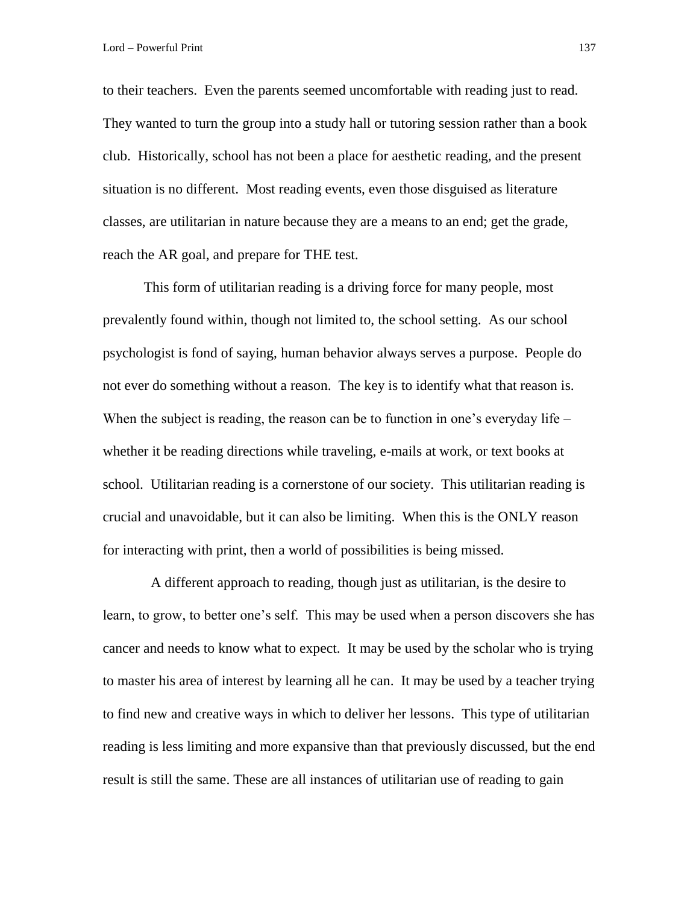to their teachers. Even the parents seemed uncomfortable with reading just to read. They wanted to turn the group into a study hall or tutoring session rather than a book club. Historically, school has not been a place for aesthetic reading, and the present situation is no different. Most reading events, even those disguised as literature classes, are utilitarian in nature because they are a means to an end; get the grade, reach the AR goal, and prepare for THE test.

This form of utilitarian reading is a driving force for many people, most prevalently found within, though not limited to, the school setting. As our school psychologist is fond of saying, human behavior always serves a purpose. People do not ever do something without a reason. The key is to identify what that reason is. When the subject is reading, the reason can be to function in one's everyday life – whether it be reading directions while traveling, e-mails at work, or text books at school. Utilitarian reading is a cornerstone of our society. This utilitarian reading is crucial and unavoidable, but it can also be limiting. When this is the ONLY reason for interacting with print, then a world of possibilities is being missed.

 A different approach to reading, though just as utilitarian, is the desire to learn, to grow, to better one's self. This may be used when a person discovers she has cancer and needs to know what to expect. It may be used by the scholar who is trying to master his area of interest by learning all he can. It may be used by a teacher trying to find new and creative ways in which to deliver her lessons. This type of utilitarian reading is less limiting and more expansive than that previously discussed, but the end result is still the same. These are all instances of utilitarian use of reading to gain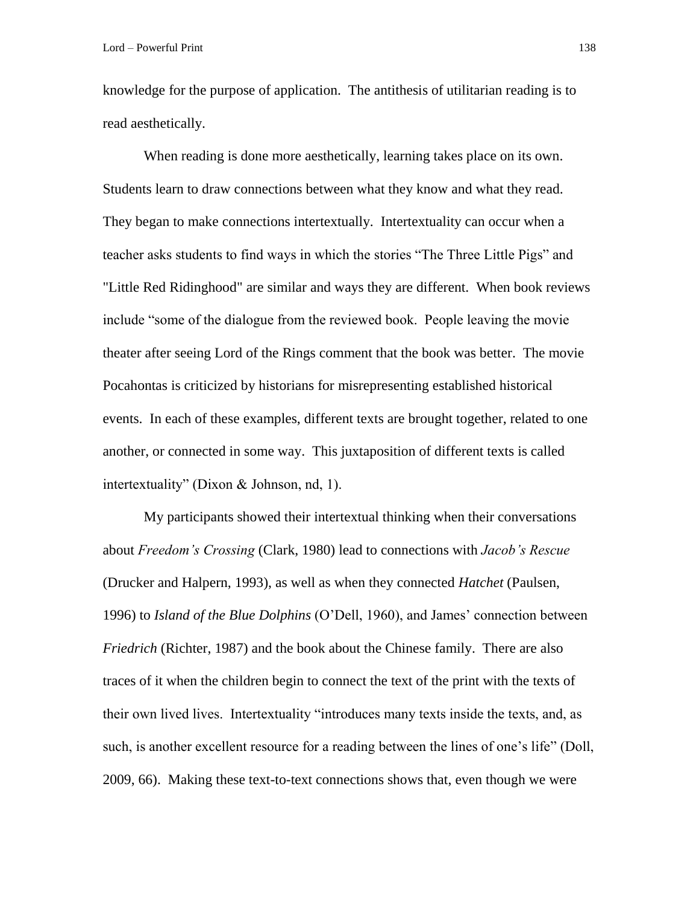knowledge for the purpose of application. The antithesis of utilitarian reading is to read aesthetically.

When reading is done more aesthetically, learning takes place on its own. Students learn to draw connections between what they know and what they read. They began to make connections intertextually. Intertextuality can occur when a teacher asks students to find ways in which the stories "The Three Little Pigs" and "Little Red Ridinghood" are similar and ways they are different. When book reviews include "some of the dialogue from the reviewed book. People leaving the movie theater after seeing Lord of the Rings comment that the book was better. The movie Pocahontas is criticized by historians for misrepresenting established historical events. In each of these examples, different texts are brought together, related to one another, or connected in some way. This juxtaposition of different texts is called intertextuality" (Dixon & Johnson, nd, 1).

My participants showed their intertextual thinking when their conversations about *Freedom's Crossing* (Clark, 1980) lead to connections with *Jacob's Rescue*  (Drucker and Halpern, 1993), as well as when they connected *Hatchet* (Paulsen, 1996) to *Island of the Blue Dolphins* (O'Dell, 1960), and James' connection between *Friedrich* (Richter, 1987) and the book about the Chinese family. There are also traces of it when the children begin to connect the text of the print with the texts of their own lived lives. Intertextuality "introduces many texts inside the texts, and, as such, is another excellent resource for a reading between the lines of one's life" (Doll, 2009, 66). Making these text-to-text connections shows that, even though we were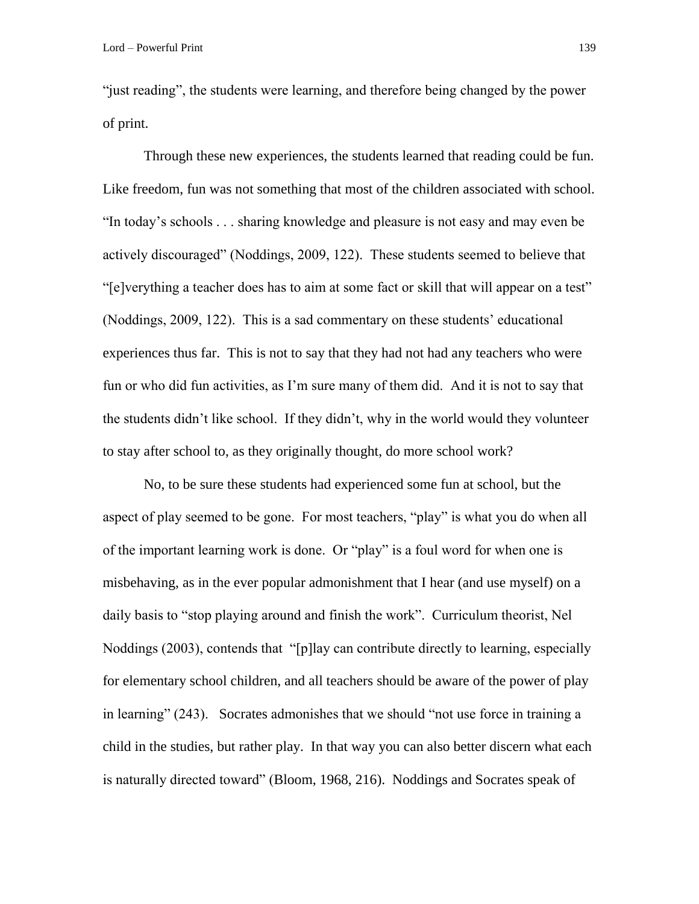"just reading", the students were learning, and therefore being changed by the power of print.

Through these new experiences, the students learned that reading could be fun. Like freedom, fun was not something that most of the children associated with school. "In today's schools . . . sharing knowledge and pleasure is not easy and may even be actively discouraged" (Noddings, 2009, 122). These students seemed to believe that "[e]verything a teacher does has to aim at some fact or skill that will appear on a test" (Noddings, 2009, 122). This is a sad commentary on these students' educational experiences thus far. This is not to say that they had not had any teachers who were fun or who did fun activities, as I'm sure many of them did. And it is not to say that the students didn't like school. If they didn't, why in the world would they volunteer to stay after school to, as they originally thought, do more school work?

No, to be sure these students had experienced some fun at school, but the aspect of play seemed to be gone. For most teachers, "play" is what you do when all of the important learning work is done. Or "play" is a foul word for when one is misbehaving, as in the ever popular admonishment that I hear (and use myself) on a daily basis to "stop playing around and finish the work". Curriculum theorist, Nel Noddings (2003), contends that "[p]lay can contribute directly to learning, especially for elementary school children, and all teachers should be aware of the power of play in learning" (243). Socrates admonishes that we should "not use force in training a child in the studies, but rather play. In that way you can also better discern what each is naturally directed toward" (Bloom, 1968, 216). Noddings and Socrates speak of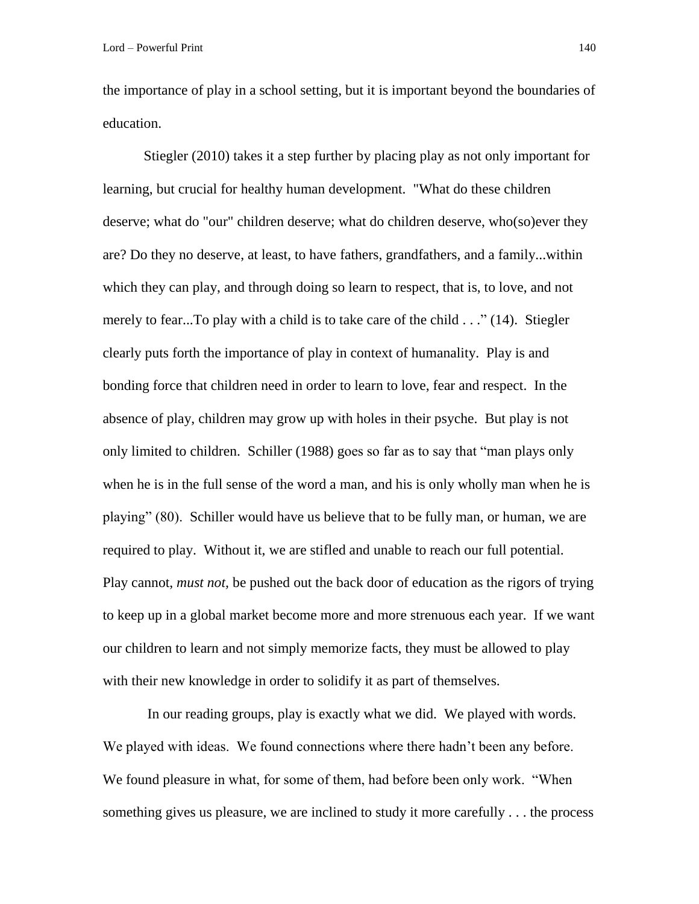the importance of play in a school setting, but it is important beyond the boundaries of education.

Stiegler (2010) takes it a step further by placing play as not only important for learning, but crucial for healthy human development. "What do these children deserve; what do "our" children deserve; what do children deserve, who(so)ever they are? Do they no deserve, at least, to have fathers, grandfathers, and a family...within which they can play, and through doing so learn to respect, that is, to love, and not merely to fear...To play with a child is to take care of the child . . ." (14). Stiegler clearly puts forth the importance of play in context of humanality. Play is and bonding force that children need in order to learn to love, fear and respect. In the absence of play, children may grow up with holes in their psyche. But play is not only limited to children. Schiller (1988) goes so far as to say that "man plays only when he is in the full sense of the word a man, and his is only wholly man when he is playing" (80). Schiller would have us believe that to be fully man, or human, we are required to play. Without it, we are stifled and unable to reach our full potential. Play cannot, *must not,* be pushed out the back door of education as the rigors of trying to keep up in a global market become more and more strenuous each year. If we want our children to learn and not simply memorize facts, they must be allowed to play with their new knowledge in order to solidify it as part of themselves.

In our reading groups, play is exactly what we did. We played with words. We played with ideas. We found connections where there hadn't been any before. We found pleasure in what, for some of them, had before been only work. "When something gives us pleasure, we are inclined to study it more carefully . . . the process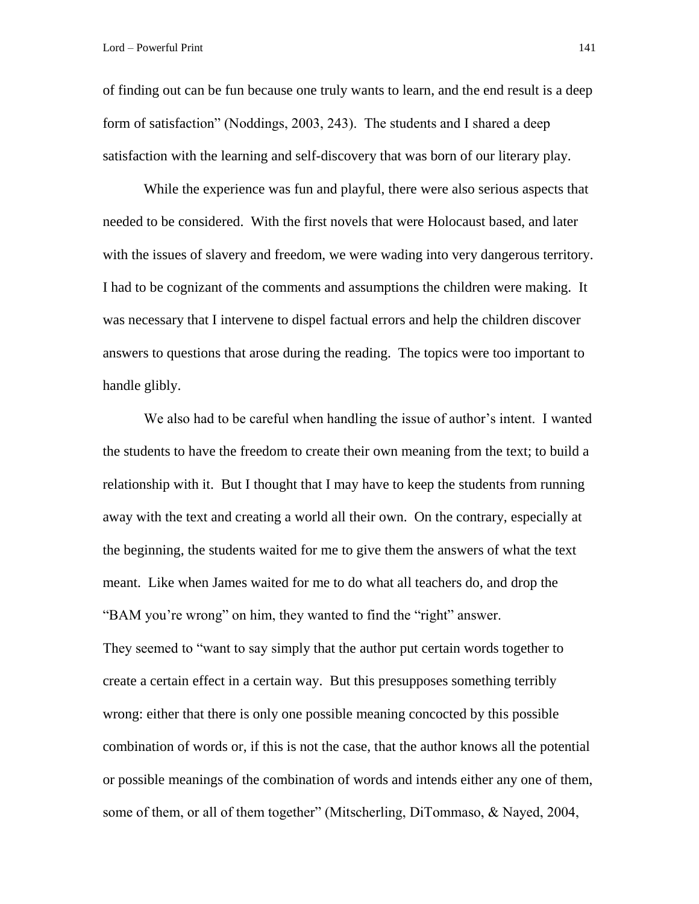of finding out can be fun because one truly wants to learn, and the end result is a deep form of satisfaction" (Noddings, 2003, 243). The students and I shared a deep satisfaction with the learning and self-discovery that was born of our literary play.

While the experience was fun and playful, there were also serious aspects that needed to be considered. With the first novels that were Holocaust based, and later with the issues of slavery and freedom, we were wading into very dangerous territory. I had to be cognizant of the comments and assumptions the children were making. It was necessary that I intervene to dispel factual errors and help the children discover answers to questions that arose during the reading. The topics were too important to handle glibly.

We also had to be careful when handling the issue of author's intent. I wanted the students to have the freedom to create their own meaning from the text; to build a relationship with it. But I thought that I may have to keep the students from running away with the text and creating a world all their own. On the contrary, especially at the beginning, the students waited for me to give them the answers of what the text meant. Like when James waited for me to do what all teachers do, and drop the "BAM you're wrong" on him, they wanted to find the "right" answer. They seemed to "want to say simply that the author put certain words together to create a certain effect in a certain way. But this presupposes something terribly wrong: either that there is only one possible meaning concocted by this possible combination of words or, if this is not the case, that the author knows all the potential or possible meanings of the combination of words and intends either any one of them, some of them, or all of them together" (Mitscherling, DiTommaso, & Nayed, 2004,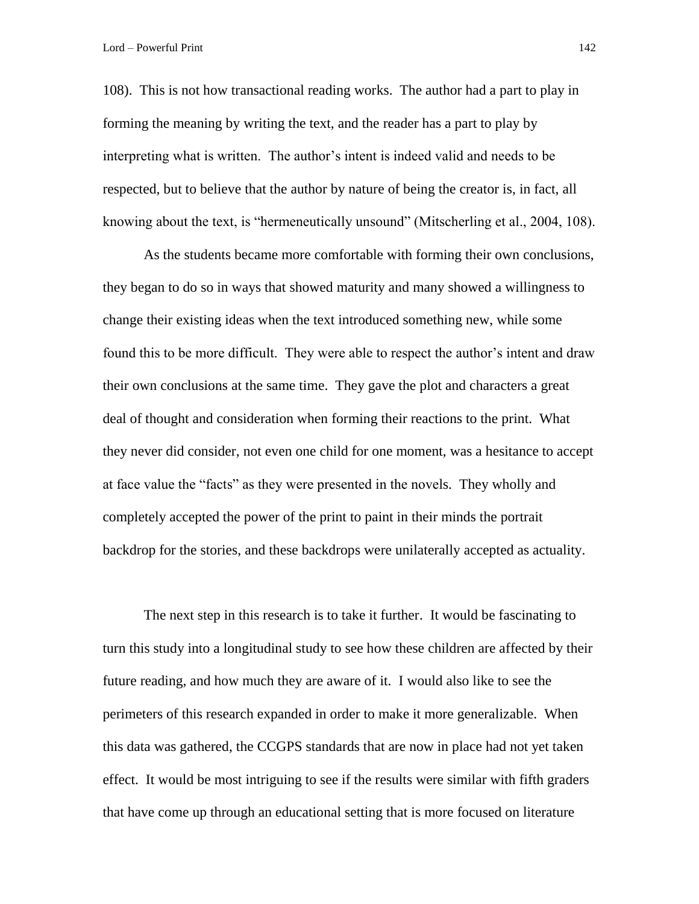108). This is not how transactional reading works. The author had a part to play in forming the meaning by writing the text, and the reader has a part to play by interpreting what is written. The author's intent is indeed valid and needs to be respected, but to believe that the author by nature of being the creator is, in fact, all knowing about the text, is "hermeneutically unsound" (Mitscherling et al., 2004, 108).

As the students became more comfortable with forming their own conclusions, they began to do so in ways that showed maturity and many showed a willingness to change their existing ideas when the text introduced something new, while some found this to be more difficult. They were able to respect the author's intent and draw their own conclusions at the same time. They gave the plot and characters a great deal of thought and consideration when forming their reactions to the print. What they never did consider, not even one child for one moment, was a hesitance to accept at face value the "facts" as they were presented in the novels. They wholly and completely accepted the power of the print to paint in their minds the portrait backdrop for the stories, and these backdrops were unilaterally accepted as actuality.

The next step in this research is to take it further. It would be fascinating to turn this study into a longitudinal study to see how these children are affected by their future reading, and how much they are aware of it. I would also like to see the perimeters of this research expanded in order to make it more generalizable. When this data was gathered, the CCGPS standards that are now in place had not yet taken effect. It would be most intriguing to see if the results were similar with fifth graders that have come up through an educational setting that is more focused on literature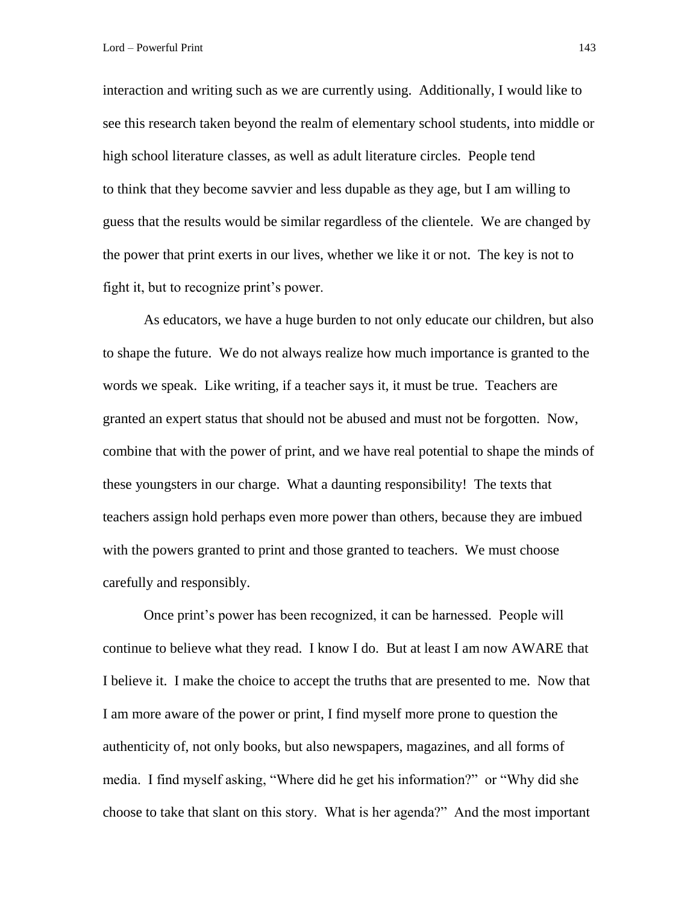interaction and writing such as we are currently using. Additionally, I would like to see this research taken beyond the realm of elementary school students, into middle or high school literature classes, as well as adult literature circles. People tend to think that they become savvier and less dupable as they age, but I am willing to guess that the results would be similar regardless of the clientele. We are changed by the power that print exerts in our lives, whether we like it or not. The key is not to fight it, but to recognize print's power.

As educators, we have a huge burden to not only educate our children, but also to shape the future. We do not always realize how much importance is granted to the words we speak. Like writing, if a teacher says it, it must be true. Teachers are granted an expert status that should not be abused and must not be forgotten. Now, combine that with the power of print, and we have real potential to shape the minds of these youngsters in our charge. What a daunting responsibility! The texts that teachers assign hold perhaps even more power than others, because they are imbued with the powers granted to print and those granted to teachers. We must choose carefully and responsibly.

Once print's power has been recognized, it can be harnessed. People will continue to believe what they read. I know I do. But at least I am now AWARE that I believe it. I make the choice to accept the truths that are presented to me. Now that I am more aware of the power or print, I find myself more prone to question the authenticity of, not only books, but also newspapers, magazines, and all forms of media. I find myself asking, "Where did he get his information?" or "Why did she choose to take that slant on this story. What is her agenda?" And the most important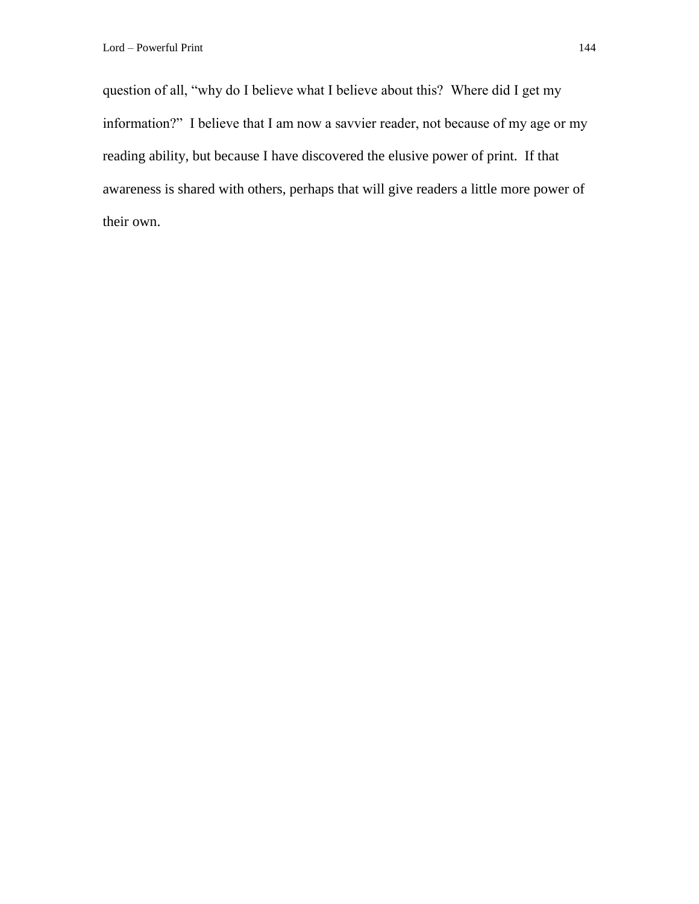question of all, "why do I believe what I believe about this? Where did I get my information?" I believe that I am now a savvier reader, not because of my age or my reading ability, but because I have discovered the elusive power of print. If that awareness is shared with others, perhaps that will give readers a little more power of their own.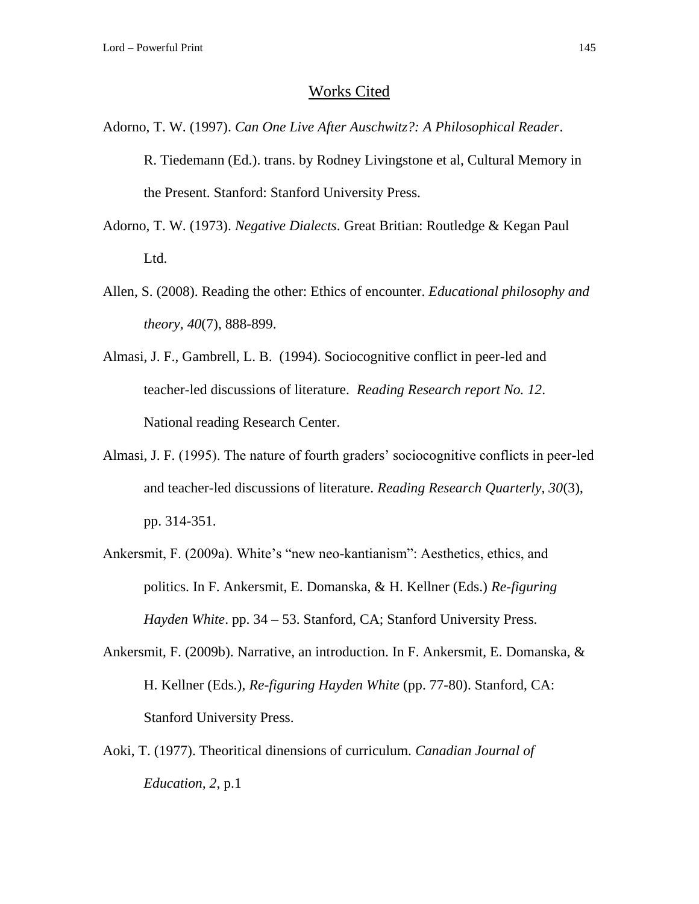## Works Cited

- Adorno, T. W. (1997). *Can One Live After Auschwitz?: A Philosophical Reader*. R. Tiedemann (Ed.). trans. by Rodney Livingstone et al, Cultural Memory in the Present. Stanford: Stanford University Press.
- Adorno, T. W. (1973). *Negative Dialects*. Great Britian: Routledge & Kegan Paul Ltd.
- Allen, S. (2008). Reading the other: Ethics of encounter. *Educational philosophy and theory, 40*(7), 888-899.
- Almasi, J. F., Gambrell, L. B. (1994). Sociocognitive conflict in peer-led and teacher-led discussions of literature. *Reading Research report No. 12*. National reading Research Center.
- Almasi, J. F. (1995). The nature of fourth graders' sociocognitive conflicts in peer-led and teacher-led discussions of literature. *Reading Research Quarterly, 30*(3), pp. 314-351.
- Ankersmit, F. (2009a). White's "new neo-kantianism": Aesthetics, ethics, and politics. In F. Ankersmit, E. Domanska, & H. Kellner (Eds.) *Re-figuring Hayden White*. pp. 34 – 53. Stanford, CA; Stanford University Press.
- Ankersmit, F. (2009b). Narrative, an introduction. In F. Ankersmit, E. Domanska, & H. Kellner (Eds.), *Re-figuring Hayden White* (pp. 77-80). Stanford, CA: Stanford University Press.
- Aoki, T. (1977). Theoritical dinensions of curriculum. *Canadian Journal of Education, 2*, p.1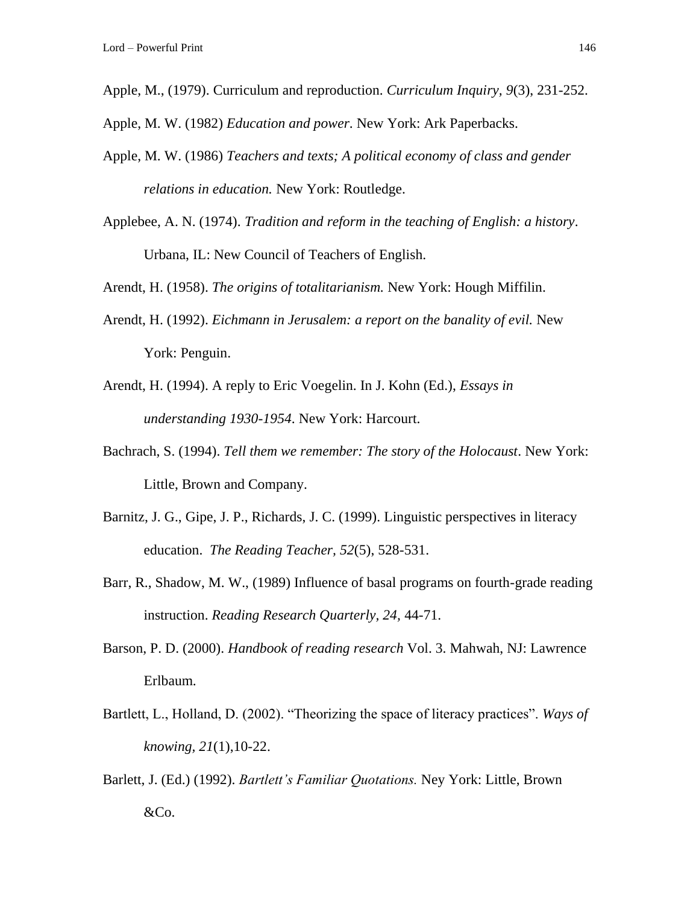- Apple, M., (1979). Curriculum and reproduction. *Curriculum Inquiry, 9*(3), 231-252.
- Apple, M. W. (1982) *Education and power*. New York: Ark Paperbacks.
- Apple, M. W. (1986) *Teachers and texts; A political economy of class and gender relations in education.* New York: Routledge.
- Applebee, A. N. (1974). *Tradition and reform in the teaching of English: a history*. Urbana, IL: New Council of Teachers of English.

Arendt, H. (1958). *The origins of totalitarianism.* New York: Hough Miffilin.

- Arendt, H. (1992). *Eichmann in Jerusalem: a report on the banality of evil.* New York: Penguin.
- Arendt, H. (1994). A reply to Eric Voegelin. In J. Kohn (Ed.), *Essays in understanding 1930-1954*. New York: Harcourt.
- Bachrach, S. (1994). *Tell them we remember: The story of the Holocaust*. New York: Little, Brown and Company.
- Barnitz, J. G., Gipe, J. P., Richards, J. C. (1999). Linguistic perspectives in literacy education. *The Reading Teacher, 52*(5), 528-531.
- Barr, R., Shadow, M. W., (1989) Influence of basal programs on fourth-grade reading instruction. *Reading Research Quarterly, 24,* 44-71.
- Barson, P. D. (2000). *Handbook of reading research* Vol. 3. Mahwah, NJ: Lawrence Erlbaum.
- Bartlett, L., Holland, D. (2002). "Theorizing the space of literacy practices". *Ways of knowing, 21*(1),10-22.
- Barlett, J. (Ed.) (1992). *Bartlett's Familiar Quotations.* Ney York: Little, Brown &Co.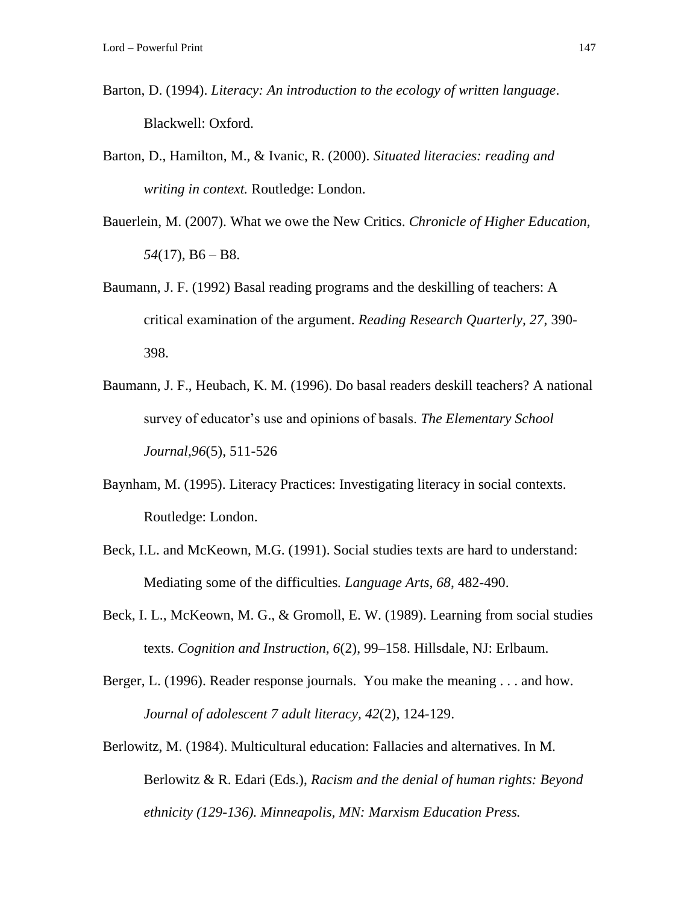- Barton, D. (1994). *Literacy: An introduction to the ecology of written language*. Blackwell: Oxford.
- Barton, D., Hamilton, M., & Ivanic, R. (2000). *Situated literacies: reading and writing in context.* Routledge: London.
- Bauerlein, M. (2007). What we owe the New Critics. *Chronicle of Higher Education, 54*(17), B6 – B8.
- Baumann, J. F. (1992) Basal reading programs and the deskilling of teachers: A critical examination of the argument. *Reading Research Quarterly, 27*, 390- 398.
- Baumann, J. F., Heubach, K. M. (1996). Do basal readers deskill teachers? A national survey of educator's use and opinions of basals. *The Elementary School Journal,96*(5), 511-526
- Baynham, M. (1995). Literacy Practices: Investigating literacy in social contexts. Routledge: London.
- Beck, I.L. and McKeown, M.G. (1991). Social studies texts are hard to understand: Mediating some of the difficulties*. Language Arts, 68*, 482-490.
- Beck, I. L., McKeown, M. G., & Gromoll, E. W. (1989). Learning from social studies texts. *Cognition and Instruction, 6*(2), 99–158. Hillsdale, NJ: Erlbaum.
- Berger, L. (1996). Reader response journals. You make the meaning . . . and how. *Journal of adolescent 7 adult literacy, 42*(2), 124-129.
- Berlowitz, M. (1984). Multicultural education: Fallacies and alternatives. In M. Berlowitz & R. Edari (Eds.), *Racism and the denial of human rights: Beyond ethnicity (129-136). Minneapolis, MN: Marxism Education Press.*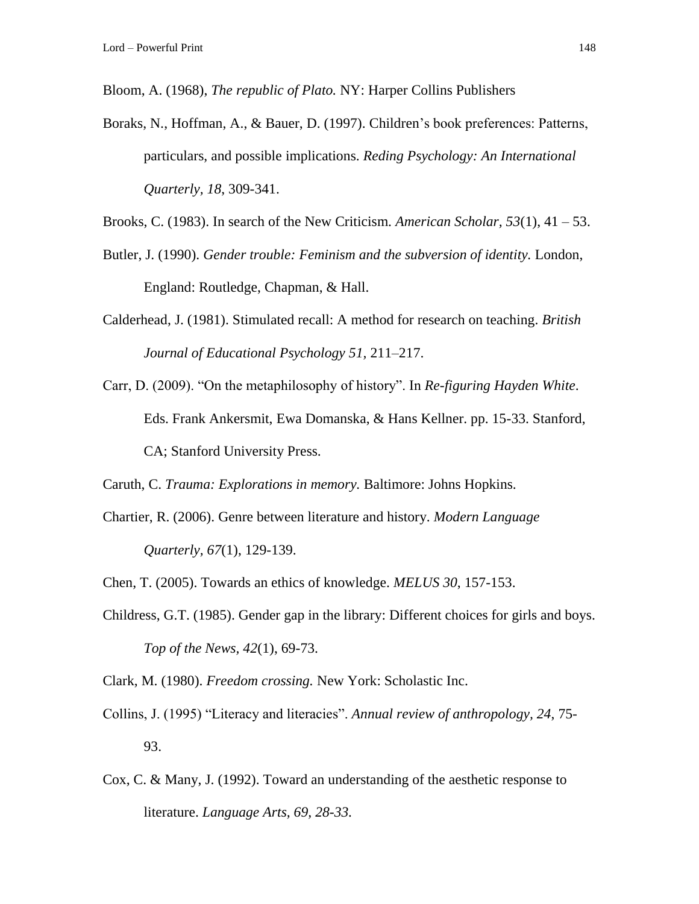Bloom, A. (1968), *The republic of Plato.* NY: Harper Collins Publishers

Boraks, N., Hoffman, A., & Bauer, D. (1997). Children's book preferences: Patterns, particulars, and possible implications. *Reding Psychology: An International Quarterly, 18*, 309-341.

Brooks, C. (1983). In search of the New Criticism. *American Scholar, 53*(1), 41 – 53.

- Butler, J. (1990). *Gender trouble: Feminism and the subversion of identity.* London, England: Routledge, Chapman, & Hall.
- Calderhead, J. (1981). Stimulated recall: A method for research on teaching. *British Journal of Educational Psychology 51,* 211–217.
- Carr, D. (2009). "On the metaphilosophy of history". In *Re-figuring Hayden White*. Eds. Frank Ankersmit, Ewa Domanska, & Hans Kellner. pp. 15-33. Stanford, CA; Stanford University Press.

Caruth, C. *Trauma: Explorations in memory.* Baltimore: Johns Hopkins.

Chartier, R. (2006). Genre between literature and history. *Modern Language Quarterly, 67*(1), 129-139.

Chen, T. (2005). Towards an ethics of knowledge. *MELUS 30*, 157-153.

- Childress, G.T. (1985). Gender gap in the library: Different choices for girls and boys. *Top of the News, 42*(1), 69-73.
- Clark, M. (1980). *Freedom crossing.* New York: Scholastic Inc.
- Collins, J. (1995) "Literacy and literacies". *Annual review of anthropology, 24*, 75- 93.
- Cox, C. & Many, J. (1992). Toward an understanding of the aesthetic response to literature. *Language Arts, 69, 28-33.*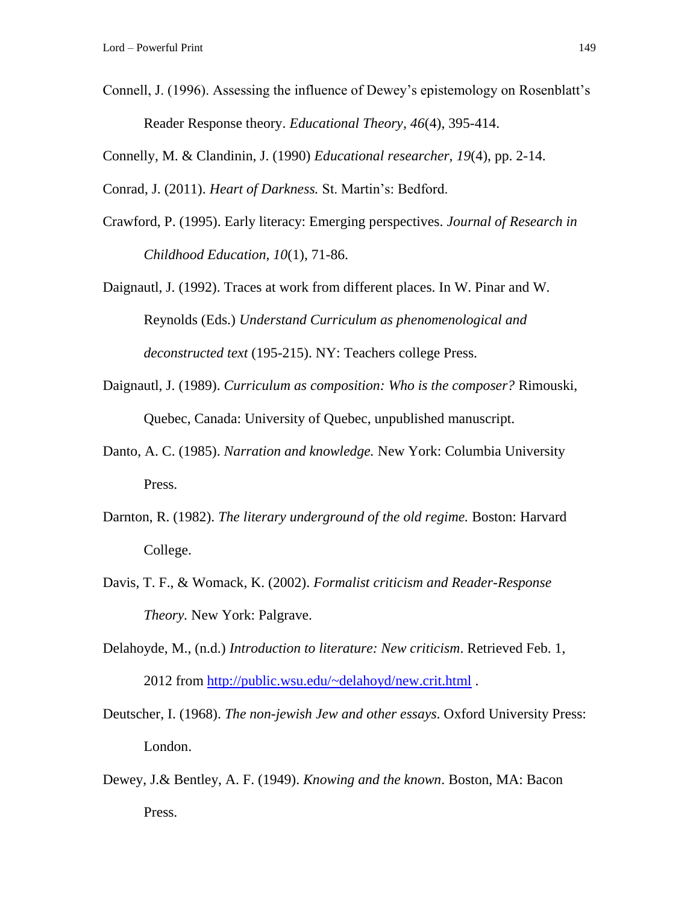Connell, J. (1996). Assessing the influence of Dewey's epistemology on Rosenblatt's Reader Response theory. *Educational Theory, 46*(4), 395-414.

Connelly, M. & Clandinin, J. (1990) *Educational researcher, 19*(4), pp. 2-14.

Conrad, J. (2011). *Heart of Darkness.* St. Martin's: Bedford.

Crawford, P. (1995). Early literacy: Emerging perspectives. *Journal of Research in Childhood Education, 10*(1), 71-86.

Daignautl, J. (1992). Traces at work from different places. In W. Pinar and W. Reynolds (Eds.) *Understand Curriculum as phenomenological and deconstructed text* (195-215). NY: Teachers college Press.

- Daignautl, J. (1989). *Curriculum as composition: Who is the composer?* Rimouski, Quebec, Canada: University of Quebec, unpublished manuscript.
- Danto, A. C. (1985). *Narration and knowledge.* New York: Columbia University Press.
- Darnton, R. (1982). *The literary underground of the old regime.* Boston: Harvard College.
- Davis, T. F., & Womack, K. (2002). *Formalist criticism and Reader-Response Theory.* New York: Palgrave.
- Delahoyde, M., (n.d.) *Introduction to literature: New criticism*. Retrieved Feb. 1, 2012 from<http://public.wsu.edu/~delahoyd/new.crit.html> .
- Deutscher, I. (1968). *The non-jewish Jew and other essays*. Oxford University Press: London.
- Dewey, J.& Bentley, A. F. (1949). *Knowing and the known*. Boston, MA: Bacon Press.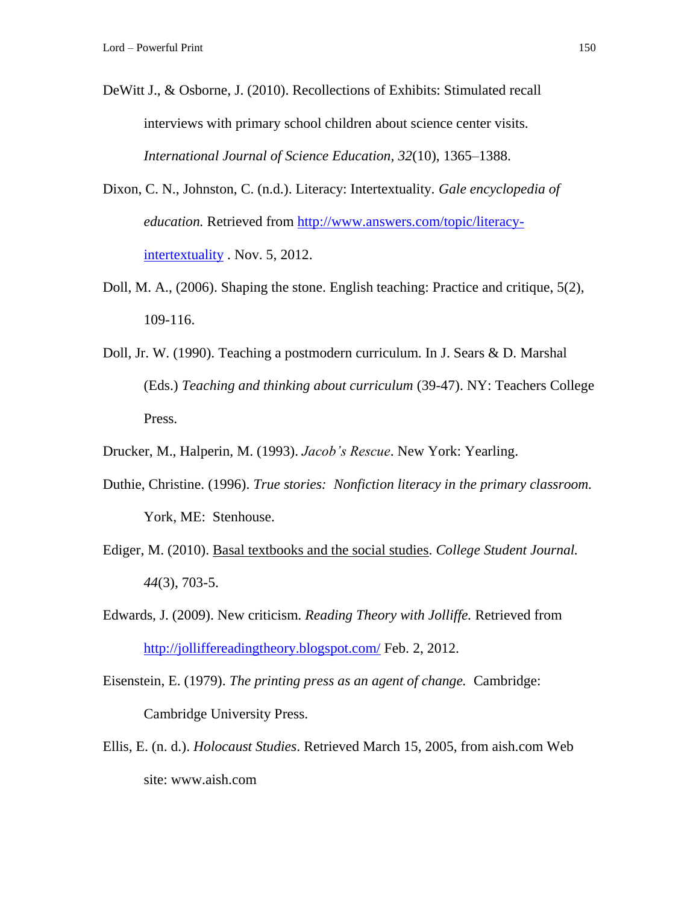- DeWitt J., & Osborne, J. (2010). Recollections of Exhibits: Stimulated recall interviews with primary school children about science center visits. *International Journal of Science Education, 32*(10), 1365–1388.
- Dixon, C. N., Johnston, C. (n.d.). Literacy: Intertextuality. *Gale encyclopedia of education.* Retrieved from [http://www.answers.com/topic/literacy](http://www.answers.com/topic/literacy-intertextuality)[intertextuality](http://www.answers.com/topic/literacy-intertextuality) . Nov. 5, 2012.
- Doll, M. A., (2006). Shaping the stone. English teaching: Practice and critique, 5(2), 109-116.
- Doll, Jr. W. (1990). Teaching a postmodern curriculum. In J. Sears & D. Marshal (Eds.) *Teaching and thinking about curriculum* (39-47). NY: Teachers College Press.
- Drucker, M., Halperin, M. (1993). *Jacob's Rescue*. New York: Yearling.
- Duthie, Christine. (1996). *True stories: Nonfiction literacy in the primary classroom.* York, ME: Stenhouse.
- Ediger, M. (2010). [Basal textbooks and the social studies.](javascript:%20void%200) *College Student Journal. 44*(3), 703-5.
- Edwards, J. (2009). New criticism. *Reading Theory with Jolliffe.* Retrieved from <http://jolliffereadingtheory.blogspot.com/> Feb. 2, 2012.
- Eisenstein, E. (1979). *The printing press as an agent of change.* Cambridge: Cambridge University Press.
- Ellis, E. (n. d.). *Holocaust Studies*. Retrieved March 15, 2005, from aish.com Web site: www.aish.com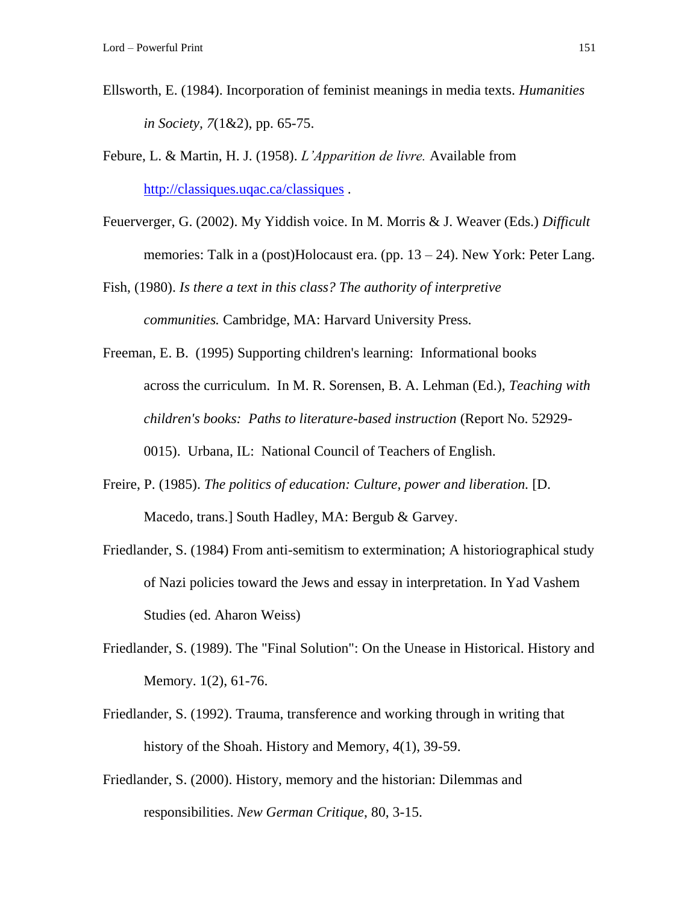- Ellsworth, E. (1984). Incorporation of feminist meanings in media texts. *Humanities in Society, 7*(1&2), pp. 65-75.
- Febure, L. & Martin, H. J. (1958). *L'Apparition de livre.* Available from <http://classiques.uqac.ca/classiques> .
- Feuerverger, G. (2002). My Yiddish voice. In M. Morris & J. Weaver (Eds.) *Difficult*  memories: Talk in a (post)Holocaust era. (pp. 13 – 24). New York: Peter Lang.

Fish, (1980). *Is there a text in this class? The authority of interpretive communities.* Cambridge, MA: Harvard University Press.

Freeman, E. B. (1995) Supporting children's learning: Informational books across the curriculum. In M. R. Sorensen, B. A. Lehman (Ed.), *Teaching with children's books: Paths to literature-based instruction* (Report No. 52929- 0015). Urbana, IL: National Council of Teachers of English.

- Freire, P. (1985). *The politics of education: Culture, power and liberation.* [D. Macedo, trans.] South Hadley, MA: Bergub & Garvey.
- Friedlander, S. (1984) From anti-semitism to extermination; A historiographical study of Nazi policies toward the Jews and essay in interpretation. In Yad Vashem Studies (ed. Aharon Weiss)
- Friedlander, S. (1989). The "Final Solution": On the Unease in Historical. History and Memory. 1(2), 61-76.
- Friedlander, S. (1992). Trauma, transference and working through in writing that history of the Shoah. History and Memory, 4(1), 39-59.
- Friedlander, S. (2000). History, memory and the historian: Dilemmas and responsibilities. *New German Critique*, 80, 3-15.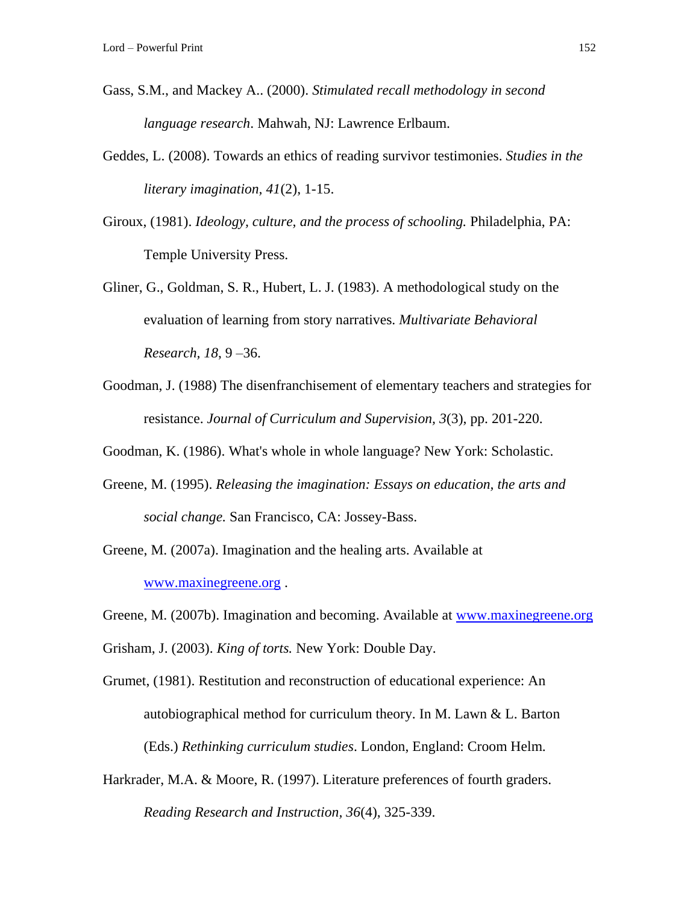- Gass, S.M., and Mackey A.. (2000). *Stimulated recall methodology in second language research*. Mahwah, NJ: Lawrence Erlbaum.
- Geddes, L. (2008). Towards an ethics of reading survivor testimonies. *Studies in the literary imagination, 41*(2), 1-15.
- Giroux, (1981). *Ideology, culture, and the process of schooling.* Philadelphia, PA: Temple University Press.
- Gliner, G., Goldman, S. R., Hubert, L. J. (1983). A methodological study on the evaluation of learning from story narratives. *Multivariate Behavioral Research, 18*, 9 –36.
- Goodman, J. (1988) The disenfranchisement of elementary teachers and strategies for resistance. *Journal of Curriculum and Supervision, 3*(3), pp. 201-220.
- Goodman, K. (1986). What's whole in whole language? New York: Scholastic.
- Greene, M. (1995). *Releasing the imagination: Essays on education, the arts and social change.* San Francisco, CA: Jossey-Bass.
- Greene, M. (2007a). Imagination and the healing arts. Available at [www.maxinegreene.org](http://www.maxinegreene.org/) .
- Greene, M. (2007b). Imagination and becoming. Available at [www.maxinegreene.org](http://www.maxinegreene.org/)

Grisham, J. (2003). *King of torts.* New York: Double Day.

- Grumet, (1981). Restitution and reconstruction of educational experience: An autobiographical method for curriculum theory. In M. Lawn & L. Barton (Eds.) *Rethinking curriculum studies*. London, England: Croom Helm.
- Harkrader, M.A. & Moore, R. (1997). Literature preferences of fourth graders. *Reading Research and Instruction, 36*(4), 325-339.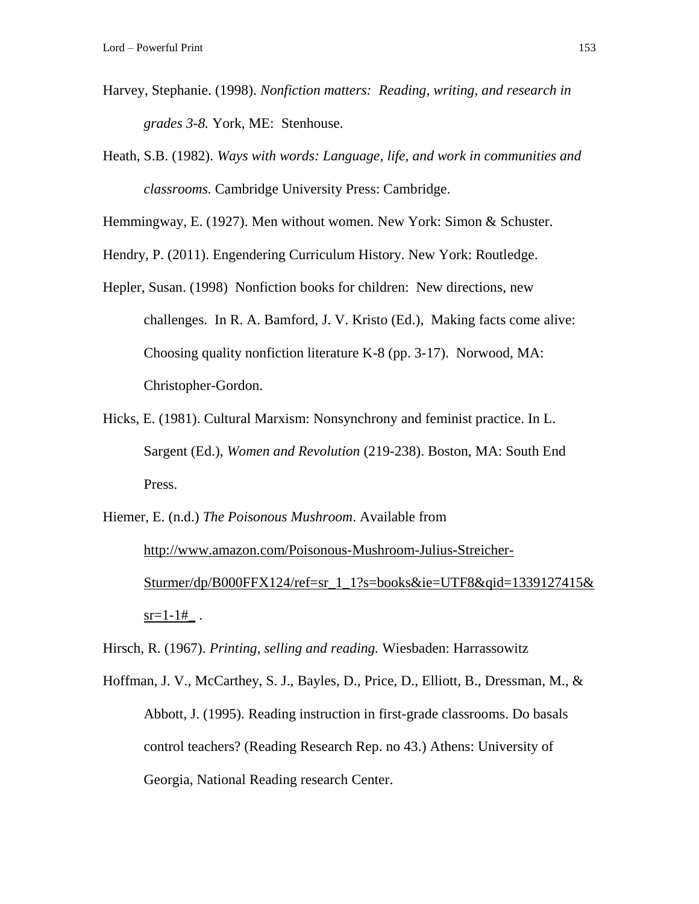- Harvey, Stephanie. (1998). *Nonfiction matters: Reading, writing, and research in grades 3-8.* York, ME: Stenhouse.
- Heath, S.B. (1982). *Ways with words: Language, life, and work in communities and classrooms.* Cambridge University Press: Cambridge.

Hemmingway, E. (1927). Men without women. New York: Simon & Schuster.

Hendry, P. (2011). Engendering Curriculum History. New York: Routledge.

- Hepler, Susan. (1998) Nonfiction books for children: New directions, new challenges. In R. A. Bamford, J. V. Kristo (Ed.), Making facts come alive: Choosing quality nonfiction literature K-8 (pp. 3-17). Norwood, MA: Christopher-Gordon.
- Hicks, E. (1981). Cultural Marxism: Nonsynchrony and feminist practice. In L. Sargent (Ed.), *Women and Revolution* (219-238). Boston, MA: South End Press.

## Hiemer, E. (n.d.) *The Poisonous Mushroom*. Available from [http://www.amazon.com/Poisonous-Mushroom-Julius-Streicher-](http://www.amazon.com/Poisonous-Mushroom-Julius-Streicher-Sturmer/dp/B000FFX124/ref=sr_1_1?s=books&ie=UTF8&qid=1339127415&sr=1-1#_)[Sturmer/dp/B000FFX124/ref=sr\\_1\\_1?s=books&ie=UTF8&qid=1339127415&](http://www.amazon.com/Poisonous-Mushroom-Julius-Streicher-Sturmer/dp/B000FFX124/ref=sr_1_1?s=books&ie=UTF8&qid=1339127415&sr=1-1#_)  $sr=1-1#$ .

Hirsch, R. (1967). *Printing, selling and reading.* Wiesbaden: Harrassowitz

Hoffman, J. V., McCarthey, S. J., Bayles, D., Price, D., Elliott, B., Dressman, M., & Abbott, J. (1995). Reading instruction in first-grade classrooms. Do basals control teachers? (Reading Research Rep. no 43.) Athens: University of Georgia, National Reading research Center.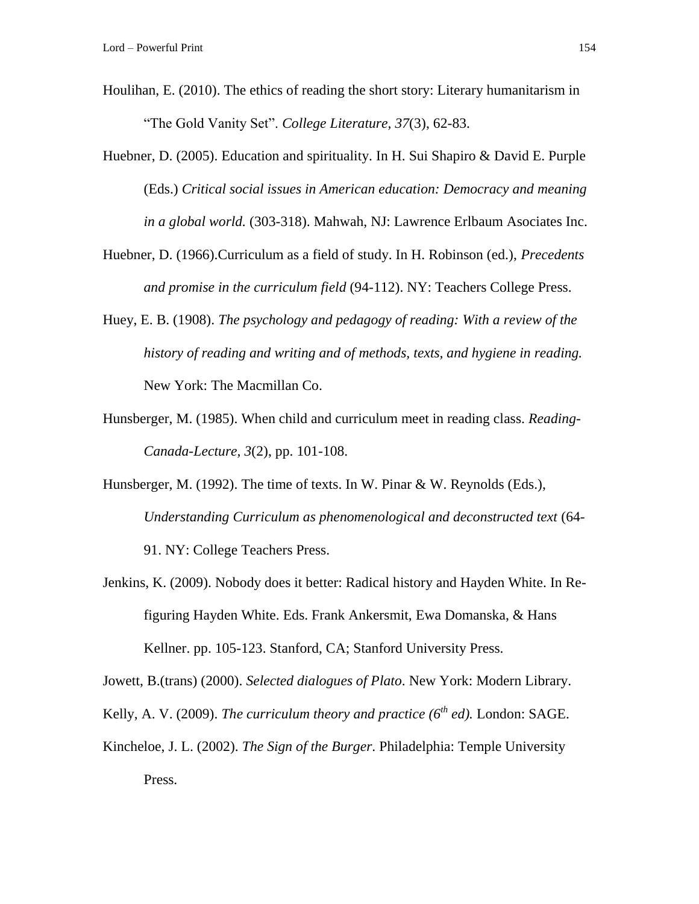- Houlihan, E. (2010). The ethics of reading the short story: Literary humanitarism in "The Gold Vanity Set". *College Literature, 37*(3), 62-83.
- Huebner, D. (2005). Education and spirituality. In H. Sui Shapiro & David E. Purple (Eds.) *Critical social issues in American education: Democracy and meaning in a global world.* (303-318). Mahwah, NJ: Lawrence Erlbaum Asociates Inc.
- Huebner, D. (1966).Curriculum as a field of study. In H. Robinson (ed.), *Precedents and promise in the curriculum field* (94-112). NY: Teachers College Press.
- Huey, E. B. (1908). *The psychology and pedagogy of reading: With a review of the history of reading and writing and of methods, texts, and hygiene in reading.* New York: The Macmillan Co.
- Hunsberger, M. (1985). When child and curriculum meet in reading class. *Reading-Canada-Lecture, 3*(2), pp. 101-108.
- Hunsberger, M. (1992). The time of texts. In W. Pinar & W. Reynolds (Eds.), *Understanding Curriculum as phenomenological and deconstructed text* (64- 91. NY: College Teachers Press.
- Jenkins, K. (2009). Nobody does it better: Radical history and Hayden White. In Refiguring Hayden White. Eds. Frank Ankersmit, Ewa Domanska, & Hans Kellner. pp. 105-123. Stanford, CA; Stanford University Press.

Jowett, B.(trans) (2000). *Selected dialogues of Plato*. New York: Modern Library.

- Kelly, A. V. (2009). *The curriculum theory and practice (6th ed).* London: SAGE.
- Kincheloe, J. L. (2002). *The Sign of the Burger*. Philadelphia: Temple University Press.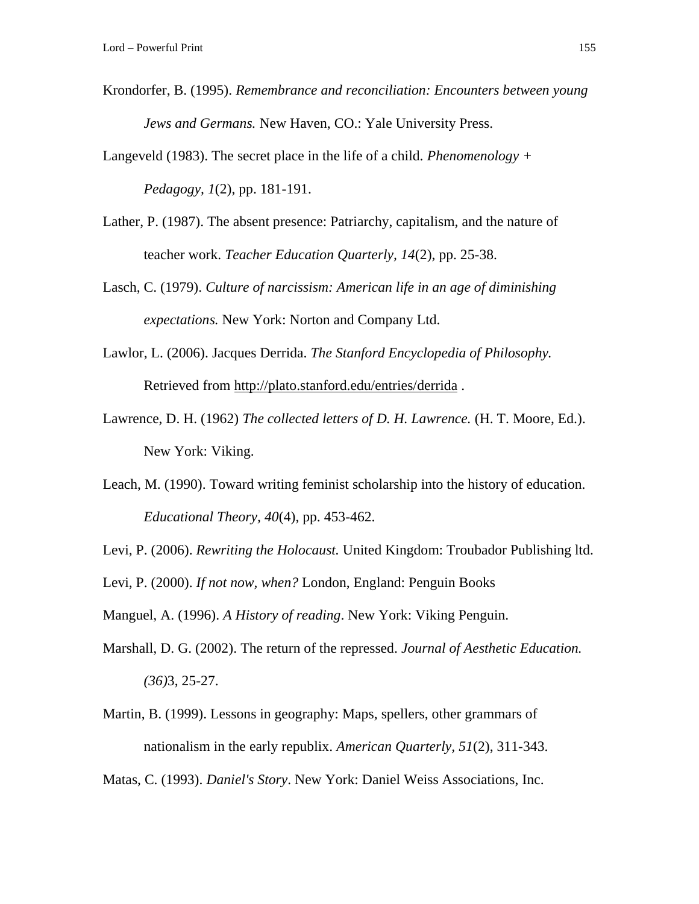Krondorfer, B. (1995). *Remembrance and reconciliation: Encounters between young Jews and Germans.* New Haven, CO.: Yale University Press.

Langeveld (1983). The secret place in the life of a child. *Phenomenology + Pedagogy, 1*(2), pp. 181-191.

- Lather, P. (1987). The absent presence: Patriarchy, capitalism, and the nature of teacher work. *Teacher Education Quarterly, 14*(2), pp. 25-38.
- Lasch, C. (1979). *Culture of narcissism: American life in an age of diminishing expectations.* New York: Norton and Company Ltd.
- Lawlor, L. (2006). Jacques Derrida. *The Stanford Encyclopedia of Philosophy.*  Retrieved from<http://plato.stanford.edu/entries/derrida> .
- Lawrence, D. H. (1962) *The collected letters of D. H. Lawrence.* (H. T. Moore, Ed.). New York: Viking.
- Leach, M. (1990). Toward writing feminist scholarship into the history of education. *Educational Theory, 40*(4), pp. 453-462.
- Levi, P. (2006). *Rewriting the Holocaust.* United Kingdom: Troubador Publishing ltd.
- Levi, P. (2000). *If not now, when?* London, England: Penguin Books

Manguel, A. (1996). *A History of reading*. New York: Viking Penguin.

- Marshall, D. G. (2002). The return of the repressed. *Journal of Aesthetic Education. (36)*3, 25-27.
- Martin, B. (1999). Lessons in geography: Maps, spellers, other grammars of nationalism in the early republix. *American Quarterly, 51*(2), 311-343.

Matas, C. (1993). *Daniel's Story*. New York: Daniel Weiss Associations, Inc.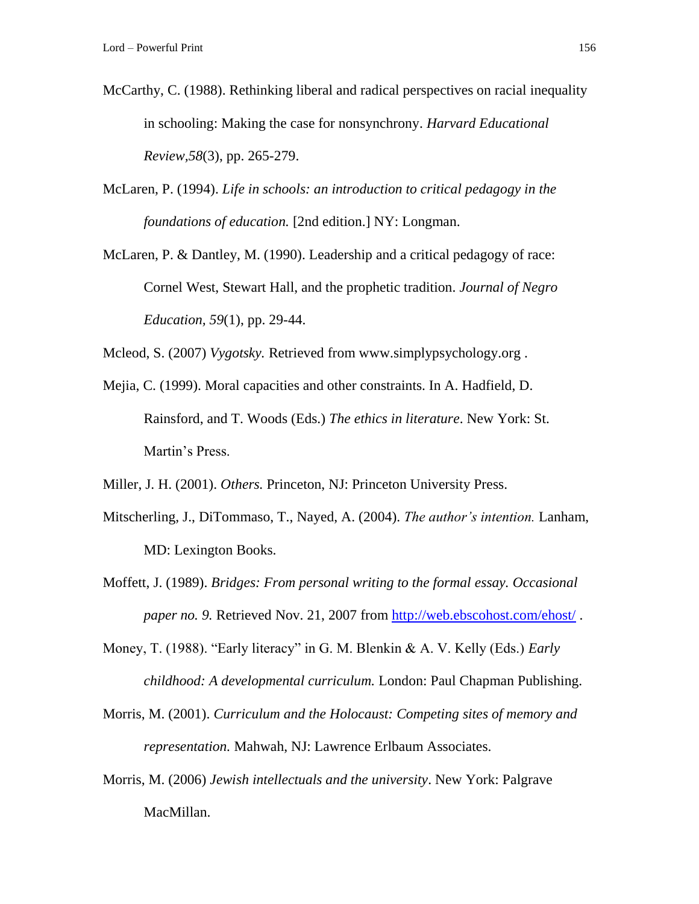- McCarthy, C. (1988). Rethinking liberal and radical perspectives on racial inequality in schooling: Making the case for nonsynchrony. *Harvard Educational Review,58*(3), pp. 265-279.
- McLaren, P. (1994). *Life in schools: an introduction to critical pedagogy in the foundations of education.* [2nd edition.] NY: Longman.
- McLaren, P. & Dantley, M. (1990). Leadership and a critical pedagogy of race: Cornel West, Stewart Hall, and the prophetic tradition. *Journal of Negro Education, 59*(1), pp. 29-44.

Mcleod, S. (2007) *Vygotsky.* Retrieved from www.simplypsychology.org .

Mejia, C. (1999). Moral capacities and other constraints. In A. Hadfield, D. Rainsford, and T. Woods (Eds.) *The ethics in literature*. New York: St. Martin's Press.

Miller, J. H. (2001). *Others.* Princeton, NJ: Princeton University Press.

- Mitscherling, J., DiTommaso, T., Nayed, A. (2004). *The author's intention.* Lanham, MD: Lexington Books.
- Moffett, J. (1989). *Bridges: From personal writing to the formal essay. Occasional paper no. 9.* Retrieved Nov. 21, 2007 from<http://web.ebscohost.com/ehost/> .
- Money, T. (1988). "Early literacy" in G. M. Blenkin & A. V. Kelly (Eds.) *Early childhood: A developmental curriculum.* London: Paul Chapman Publishing.
- Morris, M. (2001). *Curriculum and the Holocaust: Competing sites of memory and representation.* Mahwah, NJ: Lawrence Erlbaum Associates.
- Morris, M. (2006) *Jewish intellectuals and the university*. New York: Palgrave MacMillan.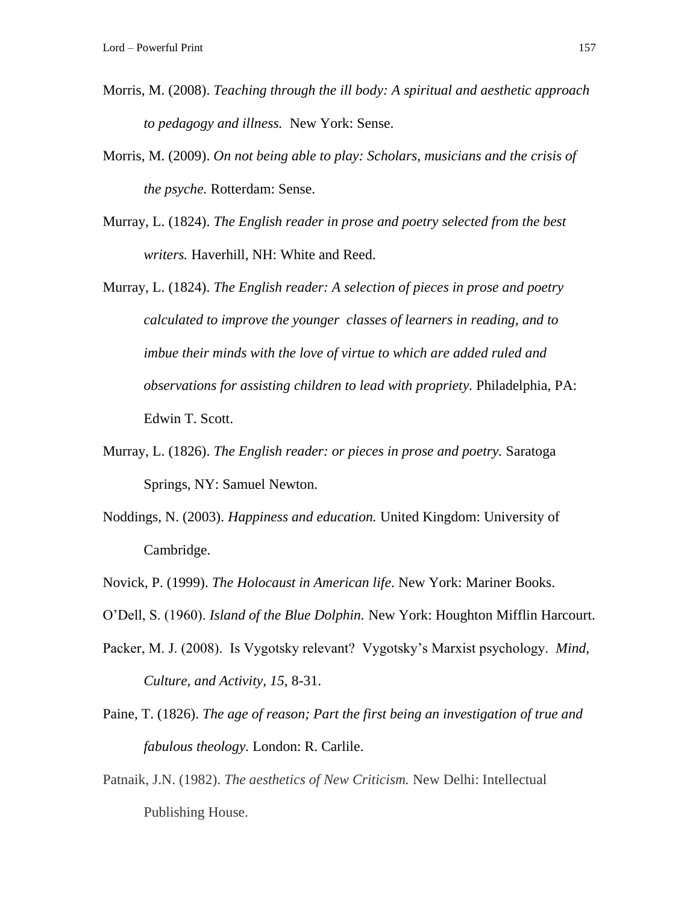- Morris, M. (2008). *Teaching through the ill body: A spiritual and aesthetic approach to pedagogy and illness.* New York: Sense.
- Morris, M. (2009). *On not being able to play: Scholars, musicians and the crisis of the psyche.* Rotterdam: Sense.
- Murray, L. (1824). *The English reader in prose and poetry selected from the best writers.* Haverhill, NH: White and Reed.
- Murray, L. (1824). *The English reader: A selection of pieces in prose and poetry calculated to improve the younger classes of learners in reading, and to imbue their minds with the love of virtue to which are added ruled and observations for assisting children to lead with propriety.* Philadelphia, PA: Edwin T. Scott.
- Murray, L. (1826). *The English reader: or pieces in prose and poetry.* Saratoga Springs, NY: Samuel Newton.
- Noddings, N. (2003). *Happiness and education.* United Kingdom: University of Cambridge.
- Novick, P. (1999). *The Holocaust in American life*. New York: Mariner Books.
- O'Dell, S. (1960). *Island of the Blue Dolphin.* New York: Houghton Mifflin Harcourt.
- Packer, M. J. (2008). Is Vygotsky relevant? Vygotsky's Marxist psychology. *Mind, Culture, and Activity, 15,* 8-31.
- Paine, T. (1826). *The age of reason; Part the first being an investigation of true and fabulous theology.* London: R. Carlile.
- Patnaik, J.N. (1982). *The aesthetics of New Criticism.* New Delhi: Intellectual Publishing House.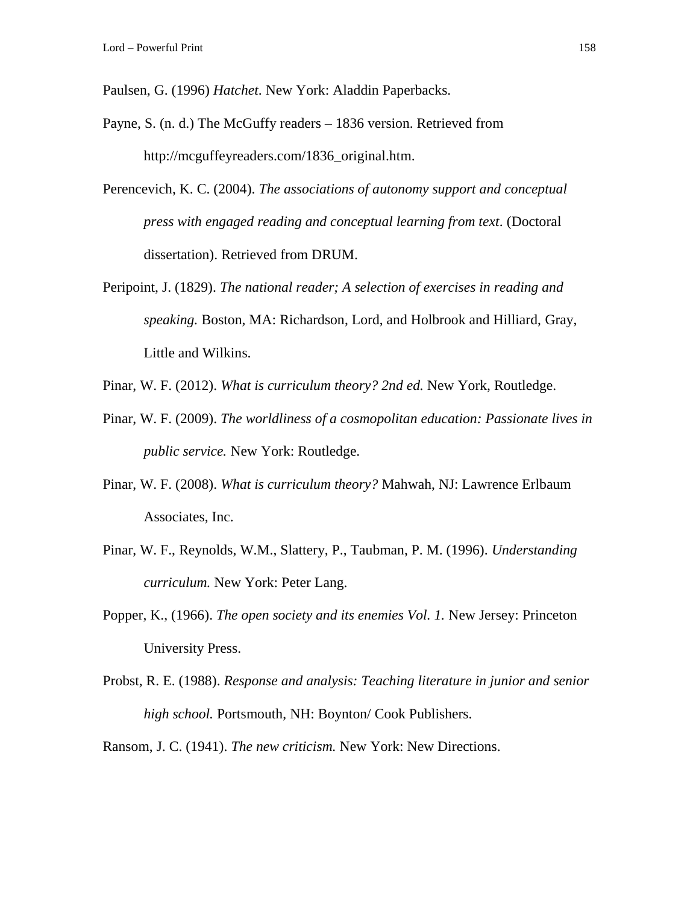Paulsen, G. (1996) *Hatchet*. New York: Aladdin Paperbacks.

- Payne, S. (n. d.) The McGuffy readers 1836 version. Retrieved from http://mcguffeyreaders.com/1836\_original.htm.
- Perencevich, K. C. (2004). *The associations of autonomy support and conceptual press with engaged reading and conceptual learning from text*. (Doctoral dissertation). Retrieved from DRUM.
- Peripoint, J. (1829). *The national reader; A selection of exercises in reading and speaking.* Boston, MA: Richardson, Lord, and Holbrook and Hilliard, Gray, Little and Wilkins.
- Pinar, W. F. (2012). *What is curriculum theory? 2nd ed.* New York, Routledge.
- Pinar, W. F. (2009). *The worldliness of a cosmopolitan education: Passionate lives in public service.* New York: Routledge.
- Pinar, W. F. (2008). *What is curriculum theory?* Mahwah, NJ: Lawrence Erlbaum Associates, Inc.
- Pinar, W. F., Reynolds, W.M., Slattery, P., Taubman, P. M. (1996). *Understanding curriculum.* New York: Peter Lang.
- Popper, K., (1966). *The open society and its enemies Vol. 1.* New Jersey: Princeton University Press.
- Probst, R. E. (1988). *Response and analysis: Teaching literature in junior and senior high school.* Portsmouth, NH: Boynton/ Cook Publishers.

Ransom, J. C. (1941). *The new criticism.* New York: New Directions.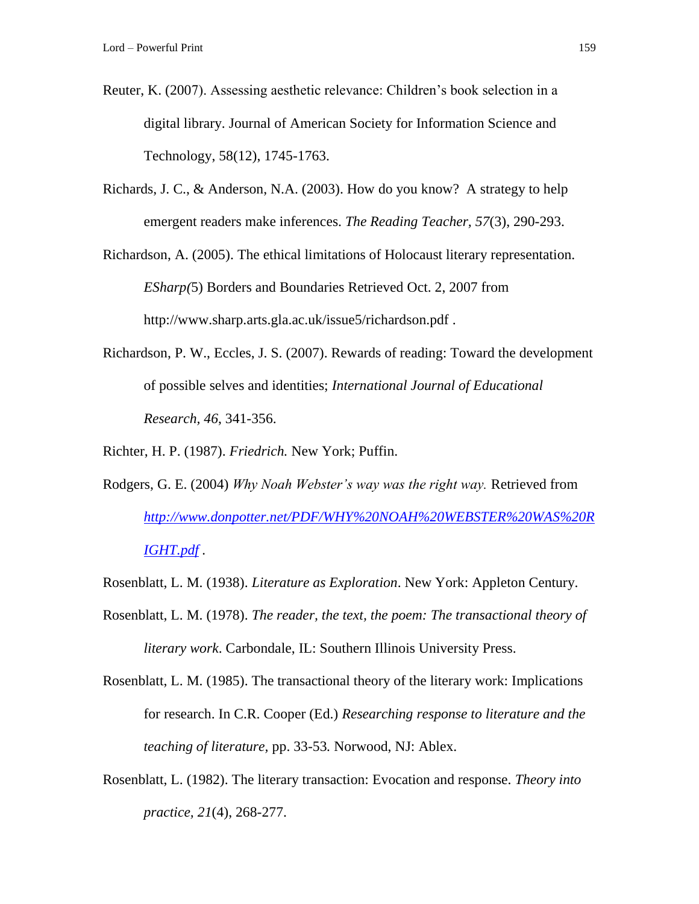- Reuter, K. (2007). Assessing aesthetic relevance: Children's book selection in a digital library. Journal of American Society for Information Science and Technology, 58(12), 1745-1763.
- Richards, J. C., & Anderson, N.A. (2003). How do you know? A strategy to help emergent readers make inferences. *The Reading Teacher, 57*(3), 290-293.
- Richardson, A. (2005). The ethical limitations of Holocaust literary representation. *ESharp(*5) Borders and Boundaries Retrieved Oct. 2, 2007 from <http://www.sharp.arts.gla.ac.uk/issue5/richardson.pdf> .
- Richardson, P. W., Eccles, J. S. (2007). Rewards of reading: Toward the development of possible selves and identities; *International Journal of Educational Research, 46*, 341-356.

Richter, H. P. (1987). *Friedrich.* New York; Puffin.

- Rodgers, G. E. (2004) *Why Noah Webster's way was the right way.* Retrieved from *[http://www.donpotter.net/PDF/WHY%20NOAH%20WEBSTER%20WAS%20R](http://www.donpotter.net/PDF/WHY%20NOAH%20WEBSTER%20WAS%20RIGHT.pdf) [IGHT.pdf](http://www.donpotter.net/PDF/WHY%20NOAH%20WEBSTER%20WAS%20RIGHT.pdf) .*
- Rosenblatt, L. M. (1938). *Literature as Exploration*. New York: Appleton Century.
- Rosenblatt, L. M. (1978). *The reader, the text, the poem: The transactional theory of literary work*. Carbondale, IL: Southern Illinois University Press.
- Rosenblatt, L. M. (1985). The transactional theory of the literary work: Implications for research. In C.R. Cooper (Ed.) *Researching response to literature and the teaching of literature,* pp. 33-53*.* Norwood, NJ: Ablex.
- Rosenblatt, L. (1982). The literary transaction: Evocation and response. *Theory into practice, 21*(4), 268-277.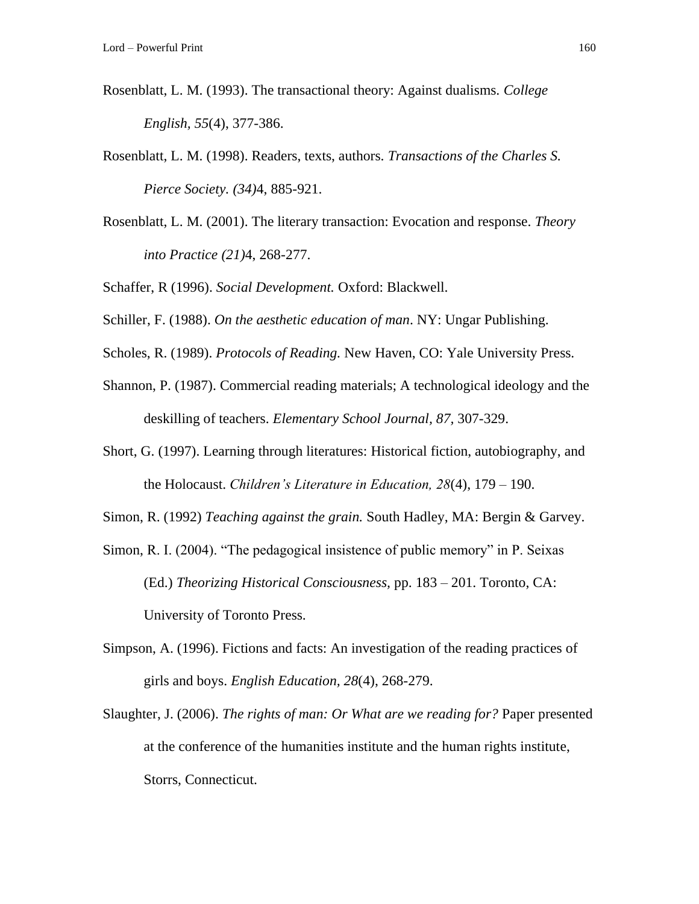- Rosenblatt, L. M. (1993). The transactional theory: Against dualisms. *College English, 55*(4), 377-386.
- Rosenblatt, L. M. (1998). Readers, texts, authors. *Transactions of the Charles S. Pierce Society. (34)*4, 885-921.
- Rosenblatt, L. M. (2001). The literary transaction: Evocation and response. *Theory into Practice (21)*4, 268-277.

Schaffer, R (1996). *Social Development.* Oxford: Blackwell.

- Schiller, F. (1988). *On the aesthetic education of man*. NY: Ungar Publishing.
- Scholes, R. (1989). *Protocols of Reading.* New Haven, CO: Yale University Press.
- Shannon, P. (1987). Commercial reading materials; A technological ideology and the deskilling of teachers. *Elementary School Journal, 87,* 307-329.
- Short, G. (1997). Learning through literatures: Historical fiction, autobiography, and the Holocaust. *Children's Literature in Education, 28*(4), 179 – 190.
- Simon, R. (1992) *Teaching against the grain.* South Hadley, MA: Bergin & Garvey.
- Simon, R. I. (2004). "The pedagogical insistence of public memory" in P. Seixas (Ed.) *Theorizing Historical Consciousness,* pp. 183 – 201. Toronto, CA: University of Toronto Press.
- Simpson, A. (1996). Fictions and facts: An investigation of the reading practices of girls and boys. *English Education, 28*(4), 268-279.
- Slaughter, J. (2006). *The rights of man: Or What are we reading for?* Paper presented at the conference of the humanities institute and the human rights institute, Storrs, Connecticut.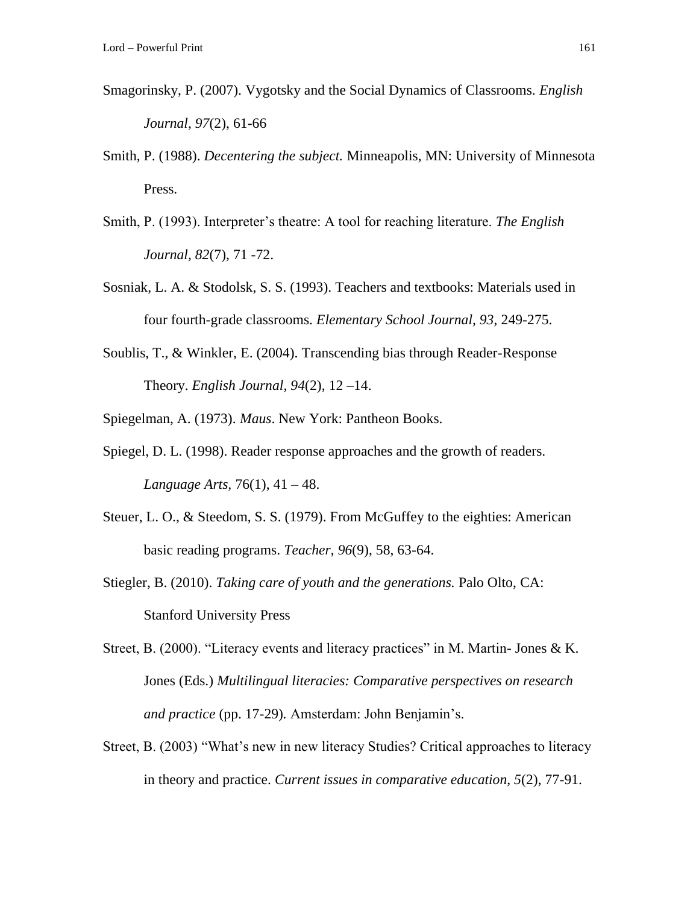- Smagorinsky, P. (2007). Vygotsky and the Social Dynamics of Classrooms. *English Journal, 97*(2), 61-66
- Smith, P. (1988). *Decentering the subject.* Minneapolis, MN: University of Minnesota Press.
- Smith, P. (1993). Interpreter's theatre: A tool for reaching literature. *The English Journal, 82*(7), 71 -72.
- Sosniak, L. A. & Stodolsk, S. S. (1993). Teachers and textbooks: Materials used in four fourth-grade classrooms. *Elementary School Journal, 93*, 249-275.
- Soublis, T., & Winkler, E. (2004). Transcending bias through Reader-Response Theory. *English Journal, 94*(2), 12 –14.
- Spiegelman, A. (1973). *Maus*. New York: Pantheon Books.
- Spiegel, D. L. (1998). Reader response approaches and the growth of readers. *Language Arts,* 76(1), 41 – 48.
- Steuer, L. O., & Steedom, S. S. (1979). From McGuffey to the eighties: American basic reading programs. *Teacher, 96*(9), 58, 63-64.
- Stiegler, B. (2010). *Taking care of youth and the generations.* Palo Olto, CA: Stanford University Press
- Street, B. (2000). "Literacy events and literacy practices" in M. Martin- Jones & K. Jones (Eds.) *Multilingual literacies: Comparative perspectives on research and practice* (pp. 17-29)*.* Amsterdam: John Benjamin's.
- Street, B. (2003) "What's new in new literacy Studies? Critical approaches to literacy in theory and practice. *Current issues in comparative education, 5*(2), 77-91.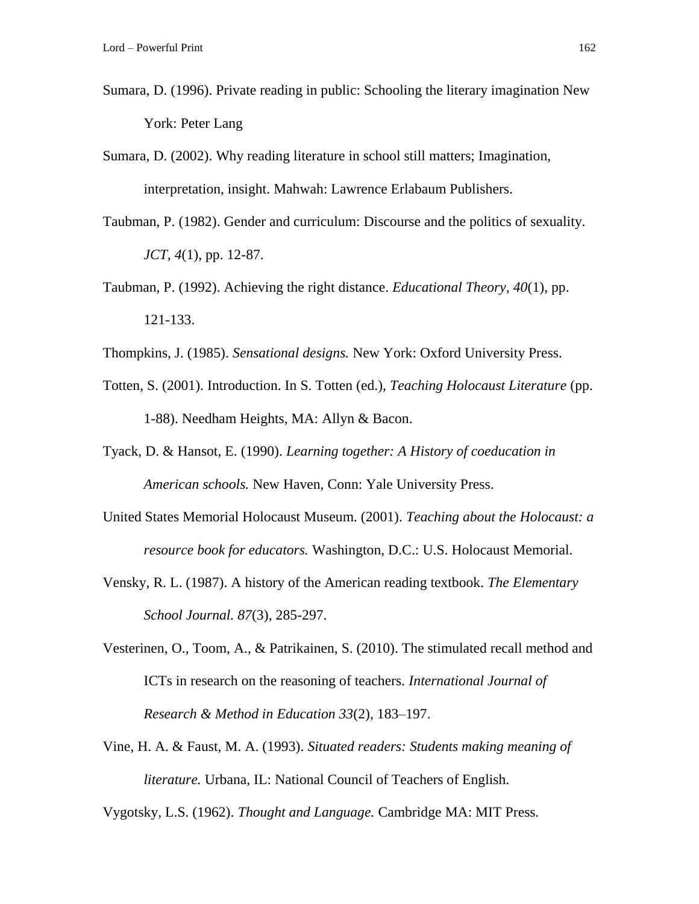- Sumara, D. (1996). Private reading in public: Schooling the literary imagination New York: Peter Lang
- Sumara, D. (2002). Why reading literature in school still matters; Imagination, interpretation, insight. Mahwah: Lawrence Erlabaum Publishers.
- Taubman, P. (1982). Gender and curriculum: Discourse and the politics of sexuality. *JCT, 4*(1), pp. 12-87.
- Taubman, P. (1992). Achieving the right distance. *Educational Theory, 40*(1), pp. 121-133.
- Thompkins, J. (1985). *Sensational designs.* New York: Oxford University Press.
- Totten, S. (2001). Introduction. In S. Totten (ed.), *Teaching Holocaust Literature* (pp. 1-88). Needham Heights, MA: Allyn & Bacon.
- Tyack, D. & Hansot, E. (1990). *Learning together: A History of coeducation in American schools.* New Haven, Conn: Yale University Press.
- United States Memorial Holocaust Museum. (2001). *Teaching about the Holocaust: a resource book for educators.* Washington, D.C.: U.S. Holocaust Memorial.
- Vensky, R. L. (1987). A history of the American reading textbook. *The Elementary School Journal. 87*(3), 285-297.
- Vesterinen, O., Toom, A., & Patrikainen, S. (2010). The stimulated recall method and ICTs in research on the reasoning of teachers. *International Journal of Research & Method in Education 33*(2), 183–197.
- Vine, H. A. & Faust, M. A. (1993). *Situated readers: Students making meaning of literature.* Urbana, IL: National Council of Teachers of English.

Vygotsky, L.S. (1962). *Thought and Language.* Cambridge MA: MIT Press.